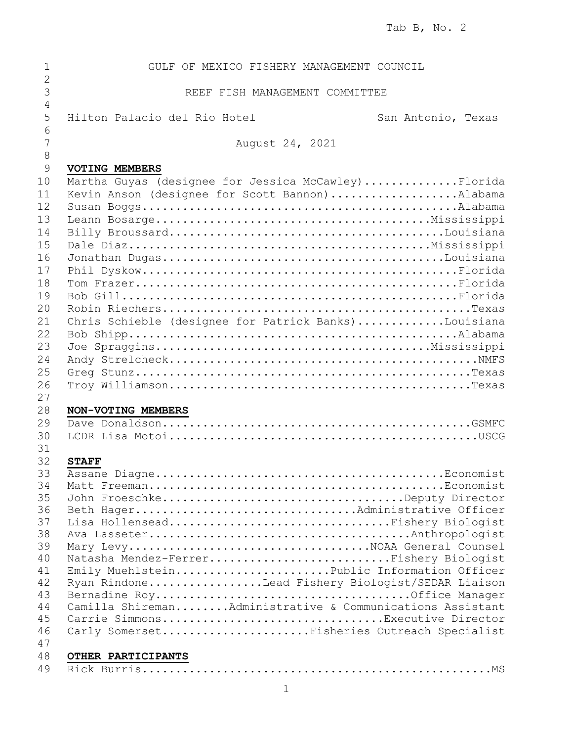| $\mathbf 1$     | GULF OF MEXICO FISHERY MANAGEMENT COUNCIL                 |
|-----------------|-----------------------------------------------------------|
| $\overline{2}$  |                                                           |
| 3               | REEF FISH MANAGEMENT COMMITTEE                            |
| $\overline{4}$  |                                                           |
| 5               | Hilton Palacio del Rio Hotel<br>San Antonio, Texas        |
| 6               |                                                           |
| $7\phantom{.0}$ | August 24, 2021                                           |
| 8               |                                                           |
| 9               | <b>VOTING MEMBERS</b>                                     |
| 10              | Martha Guyas (designee for Jessica McCawley)Florida       |
| 11<br>12        | Kevin Anson (designee for Scott Bannon)Alabama            |
| 13              |                                                           |
| 14              |                                                           |
| 15              |                                                           |
| 16              |                                                           |
| 17              |                                                           |
| 18              |                                                           |
| 19              |                                                           |
| 20              |                                                           |
| 21              | Chris Schieble (designee for Patrick Banks)Louisiana      |
| 22              |                                                           |
| 23              |                                                           |
| 24              |                                                           |
| 25              |                                                           |
| 26              |                                                           |
| 27              |                                                           |
| 28              | NON-VOTING MEMBERS                                        |
| 29              |                                                           |
| 30              |                                                           |
| 31              |                                                           |
| 32              | <b>STAFF</b>                                              |
| 33              |                                                           |
| 34              |                                                           |
| 35              | John FroeschkeDeputy Director                             |
| 36              | Beth HagerAdministrative Officer                          |
| 37              | Lisa HollenseadFishery Biologist                          |
| 38<br>39        |                                                           |
| 40              | Natasha Mendez-FerrerFishery Biologist                    |
| 41              | Emily MuehlsteinPublic Information Officer                |
| 42              | Ryan RindoneLead Fishery Biologist/SEDAR Liaison          |
| 43              |                                                           |
| 44              | Camilla ShiremanAdministrative & Communications Assistant |
| 45              | Carrie SimmonsExecutive Director                          |
| 46              | Carly SomersetFisheries Outreach Specialist               |
| 47              |                                                           |
| 48              | OTHER PARTICIPANTS                                        |
| 49              |                                                           |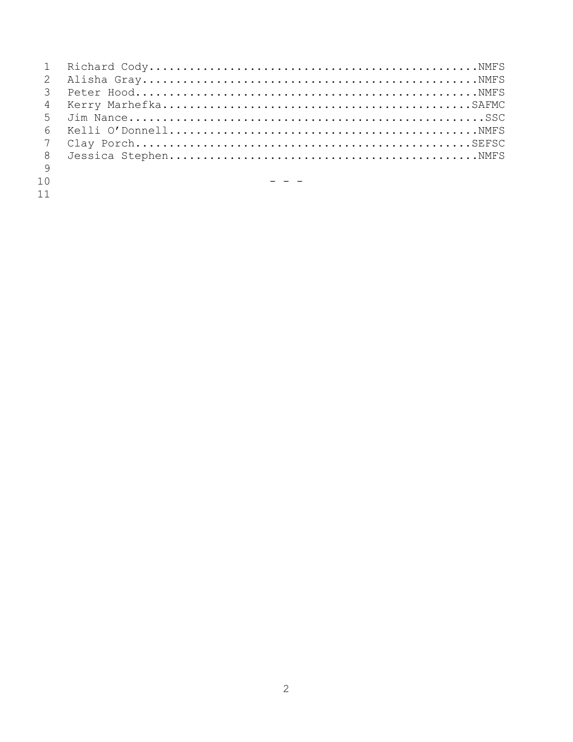| 2               |  |
|-----------------|--|
| 3               |  |
| 4               |  |
| 5               |  |
| $6^{6}$         |  |
| $7\overline{ }$ |  |
| - 8             |  |
| - 9             |  |
| 10              |  |
| 11              |  |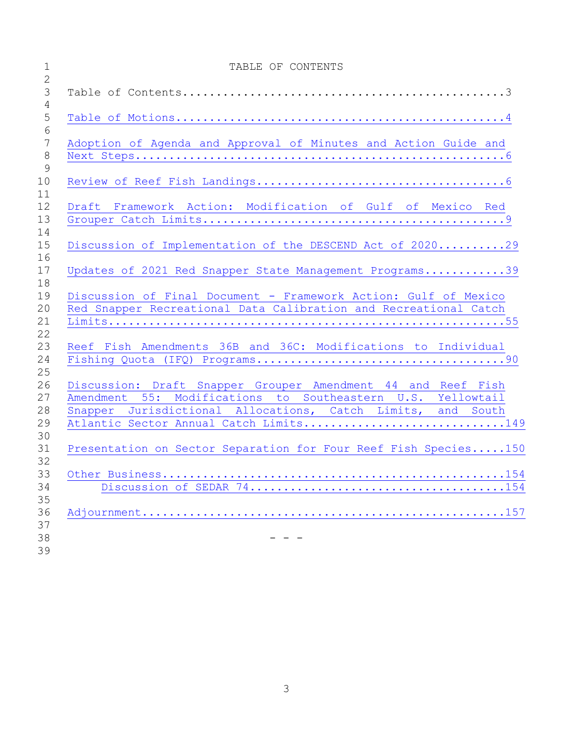| $\mathbf 1$                    | TABLE OF CONTENTS                                                                                                                   |
|--------------------------------|-------------------------------------------------------------------------------------------------------------------------------------|
| $\overline{c}$<br>3            |                                                                                                                                     |
| $\overline{4}$<br>5            |                                                                                                                                     |
| 6<br>$\overline{7}$<br>$\,8\,$ | Adoption of Agenda and Approval of Minutes and Action Guide and                                                                     |
| $\mathcal{G}$<br>10            |                                                                                                                                     |
| 11<br>12                       | Draft Framework Action: Modification of Gulf of Mexico Red                                                                          |
| 13<br>14                       |                                                                                                                                     |
| 15<br>16                       | Discussion of Implementation of the DESCEND Act of 202029                                                                           |
| 17<br>18                       | Updates of 2021 Red Snapper State Management Programs39                                                                             |
| 19<br>20                       | Discussion of Final Document - Framework Action: Gulf of Mexico<br>Red Snapper Recreational Data Calibration and Recreational Catch |
| 21<br>22                       |                                                                                                                                     |
| 23<br>24                       | Reef Fish Amendments 36B and 36C: Modifications to Individual                                                                       |
| 25<br>26                       | Discussion: Draft Snapper Grouper Amendment 44 and Reef Fish                                                                        |
| 27<br>28                       | Amendment 55: Modifications to Southeastern U.S. Yellowtail<br>Snapper Jurisdictional Allocations, Catch Limits, and South          |
| 29<br>30<br>31                 | Atlantic Sector Annual Catch Limits149<br>Presentation on Sector Separation for Four Reef Fish Species150                           |
| 32<br>33                       |                                                                                                                                     |
| 34<br>35                       |                                                                                                                                     |
| 36<br>37                       |                                                                                                                                     |
| 38<br>39                       |                                                                                                                                     |
|                                |                                                                                                                                     |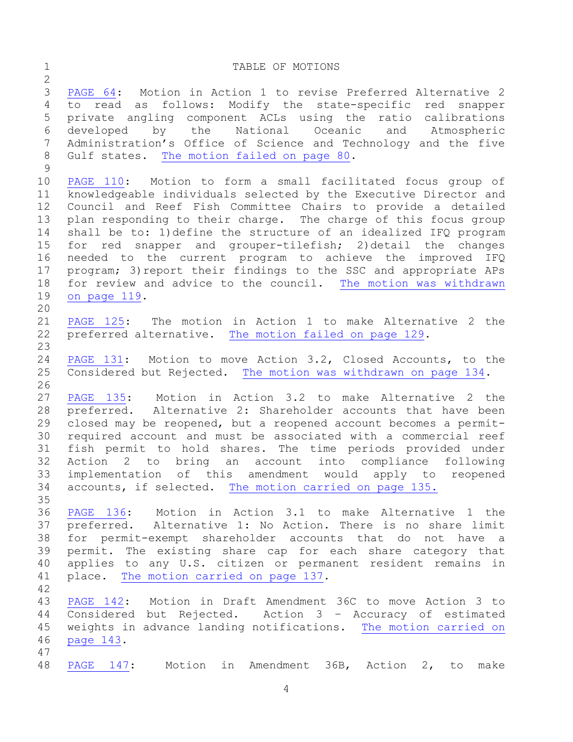#### <span id="page-3-0"></span>1 TABLE OF MOTIONS

 $\frac{2}{3}$ 3 [PAGE](#page-63-0) 64: Motion in Action 1 to revise Preferred Alternative 2<br>4 to read as follows: Modify the state-specific red snapper 4 to read as follows: Modify the state-specific red snapper<br>5 private angling component ACLs using the ratio calibrations 5 private angling component ACLs using the ratio calibrations<br>6 developed by the National Oceanic and Atmospheric 6 developed by the National Oceanic<br>7 Administration's Office of Science and Techn Administration's Office of Science and Technology and the five 8 Gulf states. The motion [failed](#page-79-0) on page 80.  $\begin{array}{c} 9 \\ 10 \end{array}$ 10 [PAGE](#page-109-0) 110: Motion to form a small facilitated focus group of<br>11 knowledgeable individuals selected by the Executive Director and 11 knowledgeable individuals selected by the Executive Director and<br>12 Council and Reef Fish Committee Chairs to provide a detailed 12 Council and Reef Fish Committee Chairs to provide a detailed 13 plan responding to their charge. The charge of this focus group<br>14 shall be to: 1) define the structure of an idealized IFO program 14 shall be to: 1) define the structure of an idealized IFQ program<br>15 for red snapper and grouper-tilefish; 2) detail the changes 15 for red snapper and grouper-tilefish; 2)detail the changes<br>16 needed to the current program to achieve the improved IFQ needed to the current program to achieve the improved IFQ 17 program; 3) report their findings to the SSC and appropriate APs<br>18 for review and advice to the council. The motion was withdrawn 18 for review and advice to the council. The motion was [withdrawn](#page-118-0)<br>19 on page 119. on [page](#page-118-0) 119. 20<br>21 21  $\frac{\text{PAGE } 125}{\text{Dreferred}$  $\frac{\text{PAGE } 125}{\text{Dreferred}$  $\frac{\text{PAGE } 125}{\text{Dreferred}$  alternative. The motion 1 to make Alternative 2 the preferred alternative. The [motion](#page-128-0) failed on page 129.  $\frac{23}{24}$ 24 [PAGE](#page-130-0) 131: Motion to move Action 3.2, Closed Accounts, to the<br>25 Considered but Rejected. The motion was withdrawn on page 134. Considered but Rejected. The motion was [withdrawn](#page-133-0) on page 134. 26<br>27 27 [PAGE](#page-133-1) 135: Motion in Action 3.2 to make Alternative 2 the<br>28 preferred. Alternative 2: Shareholder accounts that have been 28 preferred. Alternative 2: Shareholder accounts that have been<br>29 closed may be reopened, but a reopened account becomes a permit-29 closed may be reopened, but a reopened account becomes a permit-<br>30 required account and must be associated with a commercial reef 30 required account and must be associated with a commercial reef<br>31 fish permit to hold shares. The time periods provided under 31 fish permit to hold shares. The time periods provided under<br>32 Action 2 to bring an account into compliance following 32 Action 2 to bring an account into compliance following<br>33 implementation of this amendment would apply to reopened 33 implementation of this amendment would apply to reopened<br>34 accounts, if selected. The motion carried on page 135. accounts, if selected. The motion [carried](#page-134-0) on page 135. 35<br>36 36 [PAGE](#page-135-0) 136: Motion in Action 3.1 to make Alternative 1 the<br>37 preferred. Alternative 1: No Action. There is no share limit 37 preferred. Alternative 1: No Action. There is no share limit<br>38 for permit-exempt shareholder accounts that do not have a 38 for permit-exempt shareholder accounts that do not have a permit. The existing share cap for each share category that 40 applies to any U.S. citizen or permanent resident remains in 41 place. The motion [carried](#page-136-0) on page 137. 42 43 [PAGE](#page-141-0) 142: Motion in Draft Amendment 36C to move Action 3 to<br>44 Considered but Rejected. Action 3 - Accuracy of estimated 44 Considered but Rejected. Action 3 - Accuracy of estimated<br>45 weights in advance landing notifications. The motion carried on 45 weights in advance landing notifications. The motion [carried](#page-142-0) on<br>46 page 143. [page](#page-142-0) 143. 47 48 [PAGE](#page-146-0) 147: Motion in Amendment 36B, Action 2, to make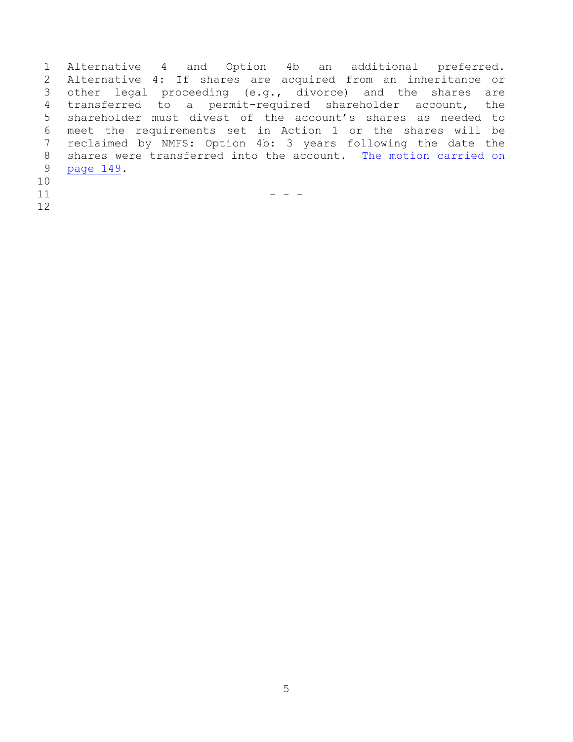1 Alternative 4 and Option 4b an additional preferred.<br>2 Alternative 4: If shares are acquired from an inheritance or 2 Alternative 4: If shares are acquired from an inheritance or<br>3 other legal proceeding (e.g., divorce) and the shares are 3 other legal proceeding (e.g., divorce) and the shares are<br>4 transferred to a permit-required shareholder account, the 4 transferred to a permit-required shareholder account, the<br>5 shareholder must divest of the account's shares as needed to 5 shareholder must divest of the account's shares as needed to<br>6 meet the requirements set in Action 1 or the shares will be 6 meet the requirements set in Action 1 or the shares will be<br>7 reclaimed by NMFS: Option 4b: 3 years following the date the 7 reclaimed by NMFS: Option 4b: 3 years following the date the<br>8 shares were transferred into the account. The motion carried on shares were transferred into the account. The motion [carried](#page-148-1) on 9 [page](#page-148-1) 149.

- 10<br>11
- 
- 12

 $11$  - - -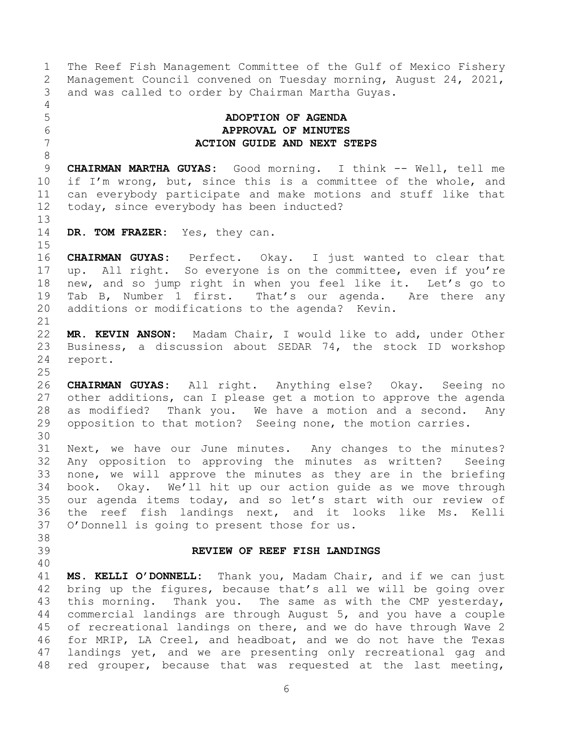1 The Reef Fish Management Committee of the Gulf of Mexico Fishery<br>2 Management Council convened on Tuesday morning, August 24, 2021, 2 Management Council convened on Tuesday morning, August 24, 2021,<br>3 and was called to order by Chairman Martha Guyas. and was called to order by Chairman Martha Guyas.

# $\frac{4}{5}$

8

# <span id="page-5-0"></span>5 **ADOPTION OF AGENDA** 6 **APPROVAL OF MINUTES** 7 **ACTION GUIDE AND NEXT STEPS**

9 **CHAIRMAN MARTHA GUYAS:** Good morning. I think -- Well, tell me<br>10 if I'm wrong, but, since this is a committee of the whole, and 10 if I'm wrong, but, since this is a committee of the whole, and<br>11 can everybody participate and make motions and stuff like that 11 can everybody participate and make motions and stuff like that<br>12 today, since everybody has been inducted? today, since everybody has been inducted?

13<br>14 DR. TOM FRAZER: Yes, they can.

 $\frac{15}{16}$ 16 **CHAIRMAN GUYAS:** Perfect. Okay. I just wanted to clear that 17 up. All right. So everyone is on the committee, even if you're<br>18 new, and so jump right in when you feel like it. Let's go to 18 new, and so jump right in when you feel like it. Let's go to<br>19 Tab B, Number 1 first. That's our agenda. Are there any 19 Tab B, Number 1 first. That's our agenda.<br>20 additions or modifications to the agenda? Kevin. additions or modifications to the agenda? Kevin.

21<br>22 22 **MR. KEVIN ANSON:** Madam Chair, I would like to add, under Other 23 Business, a discussion about SEDAR 74, the stock ID workshop<br>24 report. report.

 $\frac{25}{26}$ 

26 **CHAIRMAN GUYAS:** All right. Anything else? Okay. Seeing no 27 other additions, can I please get a motion to approve the agenda<br>28 as modified? Thank you. We have a motion and a second. Any 28 as modified? Thank you. We have a motion and a second. Any<br>29 opposition to that motion? Seeing none, the motion carries. opposition to that motion? Seeing none, the motion carries.

30<br>31 Next, we have our June minutes. Any changes to the minutes? 32 Any opposition to approving the minutes as written? Seeing<br>33 none, we will approve the minutes as they are in the briefing 33 none, we will approve the minutes as they are in the briefing<br>34 book. Okav. We'll hit up our action quide as we move through 34 book. Okay. We'll hit up our action guide as we move through<br>35 our agenda items today, and so let's start with our review of 35 our agenda items today, and so let's start with our review of<br>36 the reef fish landings next, and it looks like Ms. Kelli 36 the reef fish landings next, and it looks like Ms. Kelli<br>37 O'Donnell is going to present those for us. O'Donnell is going to present those for us.

# 38<br>39

<span id="page-5-1"></span>40

### 39 **REVIEW OF REEF FISH LANDINGS**

41 **MS. KELLI O'DONNELL:** Thank you, Madam Chair, and if we can just 42 bring up the figures, because that's all we will be going over<br>43 this morning. Thank you. The same as with the CMP yesterday, 43 this morning. Thank you. The same as with the CMP yesterday,<br>44 commercial landings are through August 5, and you have a couple 44 commercial landings are through August 5, and you have a couple<br>45 of recreational landings on there, and we do have through Wave 2 45 of recreational landings on there, and we do have through Wave 2<br>46 for MRIP, LA Creel, and headboat, and we do not have the Texas 46 for MRIP, LA Creel, and headboat, and we do not have the Texas<br>47 landings vet, and we are presenting only recreational gag and landings yet, and we are presenting only recreational gag and 48 red grouper, because that was requested at the last meeting,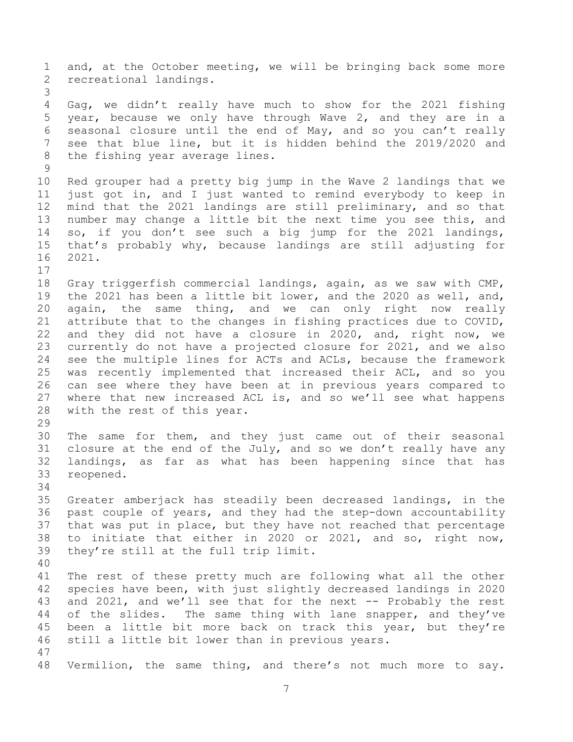1 and, at the October meeting, we will be bringing back some more<br>2 recreational landings. recreational landings. 3 4 Gag, we didn't really have much to show for the 2021 fishing<br>5 year, because we only have through Wave 2, and they are in a 5 year, because we only have through Wave 2, and they are in a<br>6 seasonal closure until the end of Mav, and so vou can't really 6 seasonal closure until the end of May, and so you can't really see that blue line, but it is hidden behind the 2019/2020 and 8 the fishing year average lines.  $\begin{array}{c} 9 \\ 10 \end{array}$ 10 Red grouper had a pretty big jump in the Wave 2 landings that we<br>11 just got in, and I just wanted to remind everybody to keep in 11 just got in, and I just wanted to remind everybody to keep in<br>12 mind that the 2021 landings are still preliminary, and so that 12 mind that the 2021 landings are still preliminary, and so that<br>13 number may change a little bit the next time you see this, and 13 number may change a little bit the next time you see this, and<br>14 so, if you don't see such a big jump for the 2021 landings, 14 so, if you don't see such a big jump for the 2021 landings,<br>15 that's probably why, because landings are still adjusting for 15 that's probably why, because landings are still adjusting for 16 2021.  $\begin{array}{c} 17 \\ 18 \end{array}$ 18 Gray triggerfish commercial landings, again, as we saw with CMP,<br>19 the 2021 has been a little bit lower, and the 2020 as well, and, 19 the 2021 has been a little bit lower, and the 2020 as well, and,<br>20 again, the same thing, and we can only right now really 20 again, the same thing, and we can only right now really<br>21 attribute that to the changes in fishing practices due to COVID. 21 attribute that to the changes in fishing practices due to COVID,<br>22 and they did not have a closure in 2020, and, right now, we 22 and they did not have a closure in 2020, and, right now, we<br>23 currently do not have a projected closure for 2021, and we also 23 currently do not have a projected closure for 2021, and we also<br>24 see the multiple lines for ACTs and ACLs, because the framework 24 see the multiple lines for ACTs and ACLs, because the framework<br>25 was recently implemented that increased their ACL, and so you 25 was recently implemented that increased their ACL, and so you<br>26 can see where they have been at in previous years compared to 26 can see where they have been at in previous years compared to<br>27 where that new increased ACL is, and so we'll see what happens 27 where that new increased ACL is, and so we'll see what happens<br>28 with the rest of this year. with the rest of this year. 29<br>30 30 The same for them, and they just came out of their seasonal<br>31 closure at the end of the July, and so we don't really have any 31 closure at the end of the July, and so we don't really have any<br>32 landings, as far as what has been happening since that has 32 landings, as far as what has been happening since that has<br>33 reopened. reopened. 34<br>35 35 Greater amberjack has steadily been decreased landings, in the<br>36 past couple of years, and they had the step-down accountability 36 past couple of years, and they had the step-down accountability<br>37 that was put in place, but they have not reached that percentage 37 that was put in place, but they have not reached that percentage<br>38 to initiate that either in 2020 or 2021, and so, right now, 38 to initiate that either in 2020 or 2021, and so, right now,<br>39 they're still at the full trip limit. they're still at the full trip limit. 40 41 The rest of these pretty much are following what all the other<br>42 species have been, with just slightly decreased landings in 2020 42 species have been, with just slightly decreased landings in 2020<br>43 and 2021, and we'll see that for the next -- Probably the rest 43 and 2021, and we'll see that for the next -- Probably the rest<br>44 of the slides. The same thing with lane snapper, and they've 44 of the slides. The same thing with lane snapper, and they've<br>45 been a little bit more back on track this year, but they're 45 been a little bit more back on track this year, but they're<br>46 still a little bit lower than in previous years. still a little bit lower than in previous years. 47 48 Vermilion, the same thing, and there's not much more to say.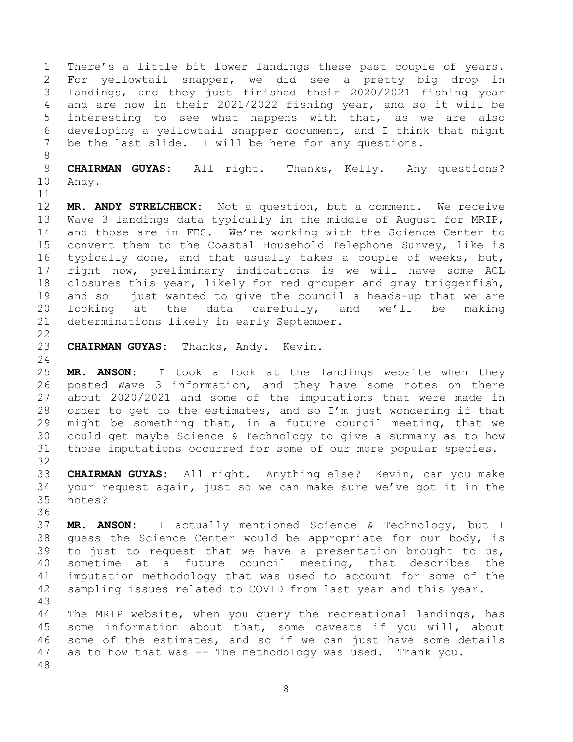1 There's a little bit lower landings these past couple of years.<br>2 For yellowtail snapper, we did see a pretty big drop in 2 For yellowtail snapper, we did see a pretty big drop in<br>3 landings, and they just finished their 2020/2021 fishing year 3 landings, and they just finished their 2020/2021 fishing year<br>4 and are now in their 2021/2022 fishing year, and so it will be 4 and are now in their 2021/2022 fishing year, and so it will be<br>5 interesting to see what happens with that, as we are also 5 interesting to see what happens with that, as we are also<br>6 developing a vellowtail snapper document, and I think that might 6 developing a yellowtail snapper document, and I think that might<br>7 be the last slide. I will be here for any questions. be the last slide. I will be here for any questions. 8 9 **CHAIRMAN GUYAS:** All right. Thanks, Kelly. Any questions?<br>10 Andy. Andy. 11<br>12 12 **MR. ANDY STRELCHECK:** Not a question, but a comment. We receive 13 Wave 3 landings data typically in the middle of August for MRIP,<br>14 and those are in FES. We're working with the Science Center to 14 and those are in FES. We're working with the Science Center to<br>15 convert them to the Coastal Household Telephone Survey, like is 15 convert them to the Coastal Household Telephone Survey, like is<br>16 typically done, and that usually takes a couple of weeks, but, typically done, and that usually takes a couple of weeks, but, 17 right now, preliminary indications is we will have some ACL<br>18 closures this year, likely for red grouper and gray triggerfish, 18 closures this year, likely for red grouper and gray triggerfish,<br>19 and so I just wanted to give the council a heads-up that we are 19 and so I just wanted to give the council a heads-up that we are<br>20 looking at the data carefully, and we'll be making 20 looking at the data carefully,<br>21 determinations likely in early Septemb determinations likely in early September.  $\frac{22}{23}$ 23 **CHAIRMAN GUYAS:** Thanks, Andy. Kevin.  $\frac{24}{25}$ 25 **MR. ANSON:** I took a look at the landings website when they 26 posted Wave 3 information, and they have some notes on there<br>27 about 2020/2021 and some of the imputations that were made in 27 about 2020/2021 and some of the imputations that were made in<br>28 order to get to the estimates, and so I'm just wondering if that 28 order to get to the estimates, and so  $I'm$  just wondering if that  $29$  might be something that, in a future council meeting, that we 29 might be something that, in a future council meeting, that we<br>30 could get maybe Science & Technology to give a summary as to how 30 could get maybe Science & Technology to give a summary as to how<br>31 those imputations occurred for some of our more popular species. those imputations occurred for some of our more popular species. 32<br>33 33 **CHAIRMAN GUYAS:** All right. Anything else? Kevin, can you make 34 your request again, just so we can make sure we've got it in the notes? 36<br>37 37 **MR. ANSON:** I actually mentioned Science & Technology, but I 38 guess the Science Center would be appropriate for our body, is<br>39 to just to request that we have a presentation brought to us, to just to request that we have a presentation brought to us, 40 sometime at a future council meeting, that describes the 41 imputation methodology that was used to account for some of the<br>42 sampling issues related to COVID from last year and this year. sampling issues related to COVID from last year and this year. 43 44 The MRIP website, when you query the recreational landings, has<br>45 some information about that, some caveats if you will, about 45 some information about that, some caveats if you will, about<br>46 some of the estimates, and so if we can just have some details 46 some of the estimates, and so if we can just have some details<br>47 as to how that was -- The methodology was used. Thank you. as to how that was  $--$  The methodology was used. Thank you. 48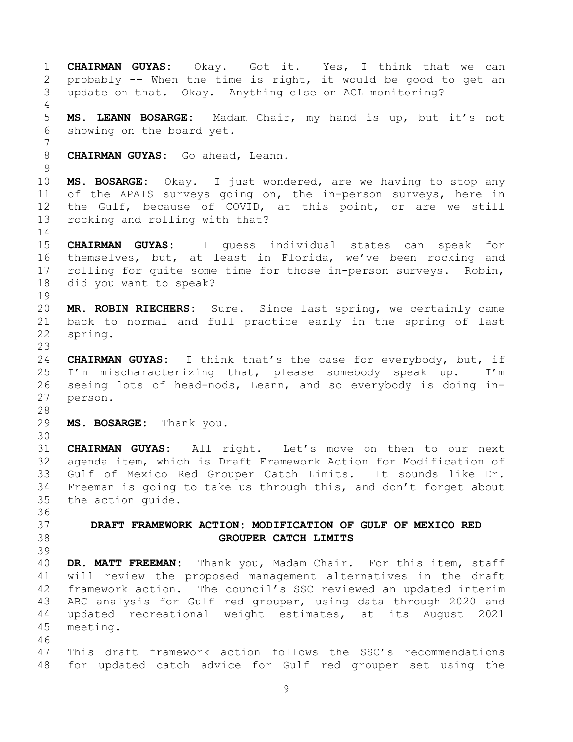<span id="page-8-0"></span>1 **CHAIRMAN GUYAS:** Okay. Got it. Yes, I think that we can 2 probably -- When the time is right, it would be good to get an<br>3 update on that. Okav. Anvthing else on ACL monitoring? update on that. Okay. Anything else on ACL monitoring?  $\frac{4}{5}$ 5 **MS. LEANN BOSARGE:** Madam Chair, my hand is up, but it's not showing on the board yet. 7 8 **CHAIRMAN GUYAS:** Go ahead, Leann.  $\begin{array}{c} 9 \\ 10 \end{array}$ 10 **MS. BOSARGE:** Okay. I just wondered, are we having to stop any<br>11 of the APAIS surveys going on, the in-person surveys, here in 11 of the APAIS surveys going on, the in-person surveys, here in<br>12 the Gulf, because of COVID, at this point, or are we still 12 the Gulf, because of COVID, at this point, or are we still<br>13 rocking and rolling with that? rocking and rolling with that?  $\begin{array}{c} 14 \\ 15 \end{array}$ 15 **CHAIRMAN GUYAS:** I guess individual states can speak for themselves, but, at least in Florida, we've been rocking and 17 rolling for quite some time for those in-person surveys. Robin,<br>18 did you want to speak? did you want to speak? 19<br>20 20 **MR. ROBIN RIECHERS:** Sure. Since last spring, we certainly came 21 back to normal and full practice early in the spring of last spring.  $\frac{23}{24}$ 24 **CHAIRMAN GUYAS:** I think that's the case for everybody, but, if<br>25 I'm mischaracterizing that, please somebody speak up. I'm 25 I'm mischaracterizing that, please somebody speak up. I'm<br>26 seeing lots of head-nods, Leann, and so evervbody is doing in-26 seeing lots of head-nods, Leann, and so everybody is doing inperson. 28<br>29 29 **MS. BOSARGE:** Thank you. 30<br>31 31 **CHAIRMAN GUYAS:** All right. Let's move on then to our next 32 agenda item, which is Draft Framework Action for Modification of<br>33 Gulf of Mexico Red Grouper Catch Limits. It sounds like Dr. 33 Gulf of Mexico Red Grouper Catch Limits. It sounds like Dr.<br>34 Freeman is going to take us through this, and don't forget about 34 Freeman is going to take us through this, and don't forget about<br>35 the action quide. the action quide. 36<br>37 37 **DRAFT FRAMEWORK ACTION: MODIFICATION OF GULF OF MEXICO RED** 38 **GROUPER CATCH LIMITS** 39 40 **DR. MATT FREEMAN:** Thank you, Madam Chair. For this item, staff 41 will review the proposed management alternatives in the draft<br>42 framework action. The council's SSC reviewed an updated interim 42 framework action. The council's SSC reviewed an updated interim<br>43 ABC analysis for Gulf red grouper, using data through 2020 and 43 ABC analysis for Gulf red grouper, using data through 2020 and<br>44 updated recreational weight estimates, at its August 2021 44 updated recreational weight estimates, at its August 2021 meeting. 46<br>47 This draft framework action follows the SSC's recommendations 48 for updated catch advice for Gulf red grouper set using the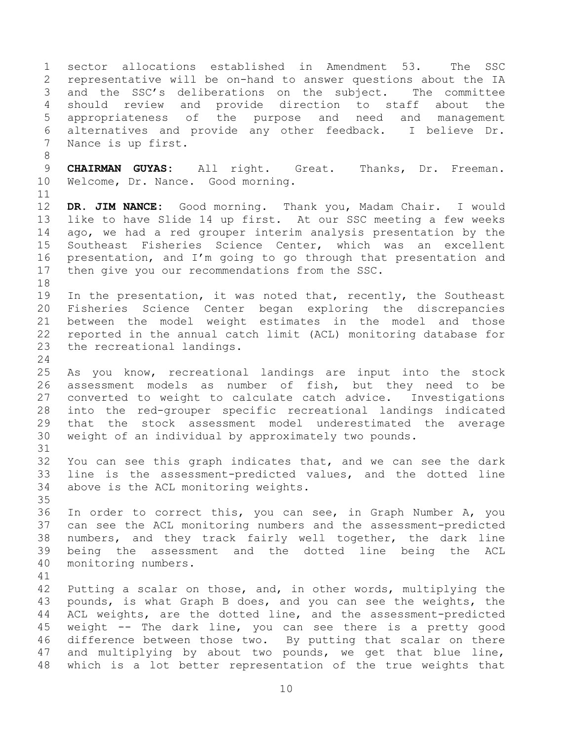1 sector allocations established in Amendment 53. The SSC<br>2 representative will be on-hand to answer questions about the IA 2 representative will be on-hand to answer questions about the IA<br>3 and the SSC's deliberations on the subject. The committee 3 and the SSC's deliberations on the subject.<br>4 should review and provide direction to s 4 should review and provide direction to staff about the<br>5 appropriateness of the purpose and need and management 5 appropriateness of the purpose and need and management<br>6 alternatives and provide any other feedback. I believe Dr. 6 alternatives and provide any other feedback. I believe Dr.<br>7 Nance is up first. Nance is up first. 8 9 **CHAIRMAN GUYAS:** All right. Great. Thanks, Dr. Freeman.<br>10 Welcome, Dr. Nance. Good morning. Welcome, Dr. Nance. Good morning. 11<br>12 12 **DR. JIM NANCE:** Good morning. Thank you, Madam Chair. I would 13 like to have Slide 14 up first. At our SSC meeting a few weeks<br>14 ago, we had a red grouper interim analysis presentation by the 14 ago, we had a red grouper interim analysis presentation by the<br>15 Southeast Fisheries Science Center, which was an excellent 15 Southeast Fisheries Science Center, which was an excellent<br>16 presentation, and I'm going to go through that presentation and 16 presentation, and I'm going to go through that presentation and<br>17 then give you our recommendations from the SSC. then give you our recommendations from the SSC. 18<br>19 19 In the presentation, it was noted that, recently, the Southeast<br>20 Fisheries Science Center began exploring the discrepancies 20 Fisheries Science Center began exploring the discrepancies<br>21 between the model weight estimates in the model and those 21 between the model weight estimates in the model and those<br>22 reported in the annual catch limit (ACL) monitoring database for 22 reported in the annual catch limit (ACL) monitoring database for<br>23 the recreational landings. the recreational landings.  $\frac{24}{25}$ 25 As you know, recreational landings are input into the stock<br>26 assessment models as number of fish, but they need to be 26 assessment models as number of fish, but they need to be<br>27 converted to weight to calculate catch advice. Investigations 27 converted to weight to calculate catch advice. Investigations<br>28 into the red-grouper specific recreational landings indicated 28 into the red-grouper specific recreational landings indicated<br>29 that the stock assessment model underestimated the average 29 that the stock assessment model underestimated the average<br>30 weight of an individual by approximately two pounds. weight of an individual by approximately two pounds. 31 32 You can see this graph indicates that, and we can see the dark<br>33 line is the assessment-predicted values, and the dotted line 33 line is the assessment-predicted values, and the dotted line<br>34 above is the ACL monitoring weights. above is the ACL monitoring weights. 35<br>36 36 In order to correct this, you can see, in Graph Number A, you<br>37 can see the ACL monitoring numbers and the assessment-predicted 37 can see the ACL monitoring numbers and the assessment-predicted<br>38 numbers, and they track fairly well together, the dark line 38 numbers, and they track fairly well together, the dark line<br>39 being the assessment and the dotted line being the ACL being the assessment and the dotted line being the ACL 40 monitoring numbers. 41<br>42 42 Putting a scalar on those, and, in other words, multiplying the<br>43 pounds, is what Graph B does, and you can see the weights, the 43 pounds, is what Graph B does, and you can see the weights, the<br>44 ACL weights, are the dotted line, and the assessment-predicted 44 ACL weights, are the dotted line, and the assessment-predicted<br>45 weight -- The dark line, you can see there is a pretty good 45 weight -- The dark line, you can see there is a pretty good<br>46 difference between those two. By putting that scalar on there 46 difference between those two. By putting that scalar on there<br>47 and multiplying by about two pounds, we get that blue line, and multiplying by about two pounds, we get that blue line, 48 which is a lot better representation of the true weights that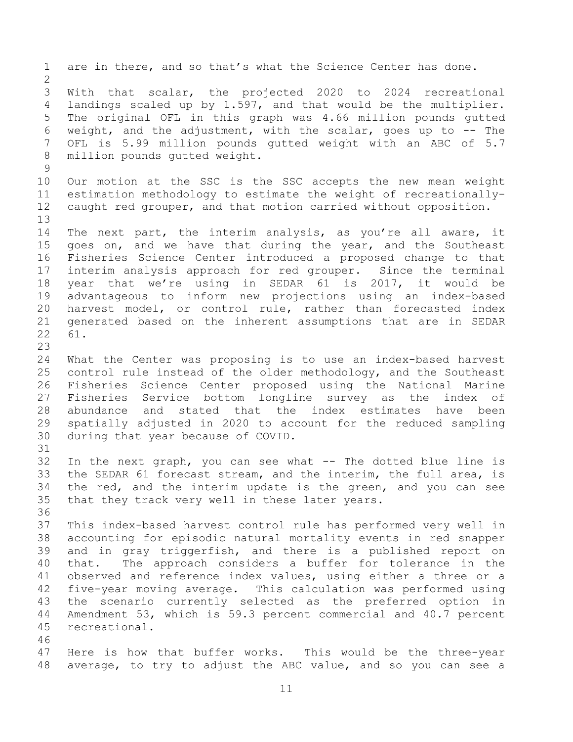1 are in there, and so that's what the Science Center has done.  $\frac{2}{3}$ 3 With that scalar, the projected 2020 to 2024 recreational<br>4 landings scaled up by 1.597, and that would be the multiplier. 4 landings scaled up by 1.597, and that would be the multiplier.<br>5 The original OFL in this graph was 4.66 million pounds gutted 5 The original OFL in this graph was 4.66 million pounds gutted<br>6 weight, and the adjustment, with the scalar, goes up to -- The 6 weight, and the adjustment, with the scalar, goes up to  $-$  The 7 0FL is 5.99 million pounds qutted weight with an ABC of 5.7 OFL is 5.99 million pounds gutted weight with an ABC of 5.7 8 million pounds gutted weight.  $\begin{array}{c} 9 \\ 10 \end{array}$ 10 Our motion at the SSC is the SSC accepts the new mean weight<br>11 estimation methodology to estimate the weight of recreationally-11 estimation methodology to estimate the weight of recreationally-<br>12 caught red grouper, and that motion carried without opposition. caught red grouper, and that motion carried without opposition. 13<br>14 14 The next part, the interim analysis, as you're all aware, it<br>15 goes on, and we have that during the year, and the Southeast 15 goes on, and we have that during the year, and the Southeast<br>16 Fisheries Science Center introduced a proposed change to that Fisheries Science Center introduced a proposed change to that 17 interim analysis approach for red grouper. Since the terminal<br>18 year that we're using in SEDAR 61 is 2017, it would be 18 year that we're using in SEDAR 61 is 2017, it would be<br>19 advantageous to inform new projections using an index-based 19 advantageous to inform new projections using an index-based<br>20 harvest model, or control rule, rather than forecasted index 20 harvest model, or control rule, rather than forecasted index<br>21 generated based on the inherent assumptions that are in SEDAR 21 generated based on the inherent assumptions that are in SEDAR<br>22 61. 61. 23 24 What the Center was proposing is to use an index-based harvest<br>25 control rule instead of the older methodology, and the Southeast 25 control rule instead of the older methodology, and the Southeast<br>26 Fisheries Science Center proposed using the National Marine 26 Fisheries Science Center proposed using the National Marine<br>27 Fisheries Service bottom longline survey as the index of 27 Fisheries Service bottom longline survey as the index of<br>28 abundance and stated that the index estimates have been 28 abundance and stated that the index estimates have been<br>29 spatially adjusted in 2020 to account for the reduced sampling 29 spatially adjusted in 2020 to account for the reduced sampling<br>30 during that year because of COVID. during that year because of COVID. 31 32 In the next graph, you can see what -- The dotted blue line is<br>33 the SEDAR 61 forecast stream, and the interim, the full area, is 33 the SEDAR 61 forecast stream, and the interim, the full area, is<br>34 the red, and the interim update is the green, and you can see 34 the red, and the interim update is the green, and you can see<br>35 that they track very well in these later years. that they track very well in these later years. 36<br>37 37 This index-based harvest control rule has performed very well in<br>38 accounting for episodic natural mortality events in red snapper 38 accounting for episodic natural mortality events in red snapper<br>39 and in gray triggerfish, and there is a published report on and in gray triggerfish, and there is a published report on 40 that. The approach considers a buffer for tolerance in the 41 observed and reference index values, using either a three or a<br>42 five-vear moving average. This calculation was performed using 42 five-year moving average. This calculation was performed using<br>43 the scenario currently selected as the preferred option in 43 the scenario currently selected as the preferred option in<br>44 Amendment 53, which is 59.3 percent commercial and 40.7 percent 44 Amendment 53, which is 59.3 percent commercial and 40.7 percent 45 recreational. recreational. 46<br>47 Here is how that buffer works. This would be the three-year 48 average, to try to adjust the ABC value, and so you can see a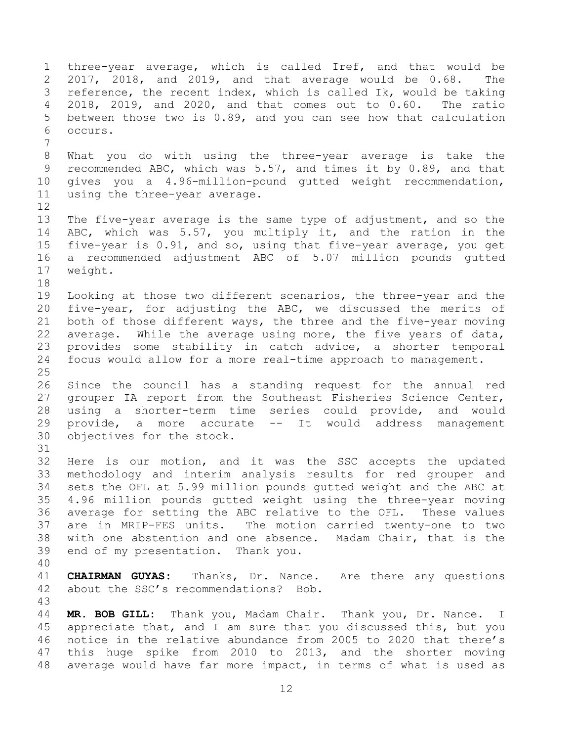1 three-year average, which is called Iref, and that would be<br>2 2017, 2018, and 2019, and that average would be 0.68. The 2 2017, 2018, and 2019, and that average would be 0.68. The<br>3 reference, the recent index, which is called Ik, would be taking 3 reference, the recent index, which is called Ik, would be taking<br>4 2018, 2019, and 2020, and that comes out to 0.60. The ratio 4 2018, 2019, and 2020, and that comes out to 0.60.<br>5 between those two is 0.89, and you can see how that 5 between those two is 0.89, and you can see how that calculation<br>6 occurs. occurs. 7 8 What you do with using the three-year average is take the 9 recommended ABC, which was 5.57, and times it by 0.89, and that<br>10 qives you a 4.96-million-pound qutted weight recommendation, 10 gives you a 4.96-million-pound gutted weight recommendation,<br>11 using the three-year average. using the three-year average. 12<br>13 13 The five-year average is the same type of adjustment, and so the<br>14 ABC, which was 5.57, you multiply it, and the ration in the 14 ABC, which was 5.57, you multiply it, and the ration in the<br>15 five-year is 0.91, and so, using that five-year average, you get 15 five-year is 0.91, and so, using that five-year average, you get<br>16 a recommended adjustment ABC of 5.07 million pounds qutted 16 a recommended adjustment ABC of 5.07 million pounds gutted<br>17 weight. weight. 18<br>19 19 Looking at those two different scenarios, the three-year and the<br>20 five-year, for adjusting the ABC, we discussed the merits of 20 five-year, for adjusting the ABC, we discussed the merits of<br>21 both of those different wavs, the three and the five-vear moving 21 both of those different ways, the three and the five-year moving<br>22 average. While the average using more, the five years of data, 22 average. While the average using more, the five years of data,<br>23 provides some stability in catch advice, a shorter temporal 23 provides some stability in catch advice, a shorter temporal<br>24 focus would allow for a more real-time approach to management. focus would allow for a more real-time approach to management.  $\frac{25}{26}$ 26 Since the council has a standing request for the annual red<br>27 grouper IA report from the Southeast Fisheries Science Center, 27 grouper IA report from the Southeast Fisheries Science Center,<br>28 using a shorter-term time series could provide, and would 28 using a shorter-term time series could provide, and would<br>29 provide, a more accurate -- It would address management 29 provide, a more accurate -- It would address management<br>30 objectives for the stock. objectives for the stock. 31 32 Here is our motion, and it was the SSC accepts the updated<br>33 methodology and interim analysis results for red grouper and 33 methodology and interim analysis results for red grouper and 34 sets the OFL at 5.99 million pounds gutted weight and the ABC at<br>35 4.96 million pounds qutted weight using the three-year moving 35 4.96 million pounds gutted weight using the three-year moving 36 average for setting the ABC relative to the OFL. These values<br>37 are in MRIP-FES units. The motion carried twenty-one to two 37 are in MRIP-FES units. The motion carried twenty-one to two<br>38 with one abstention and one absence. Madam Chair, that is the 38 with one abstention and one absence. Madam Chair, that is the 39 end of my presentation. Thank you. end of my presentation. Thank you. 40 41 **CHAIRMAN GUYAS:** Thanks, Dr. Nance. Are there any questions about the SSC's recommendations? Bob. 43 44 **MR. BOB GILL:** Thank you, Madam Chair. Thank you, Dr. Nance. I 45 appreciate that, and I am sure that you discussed this, but you<br>46 notice in the relative abundance from 2005 to 2020 that there's 46 notice in the relative abundance from 2005 to 2020 that there's<br>47 this huge spike from 2010 to 2013, and the shorter moving this huge spike from 2010 to 2013, and the shorter moving 48 average would have far more impact, in terms of what is used as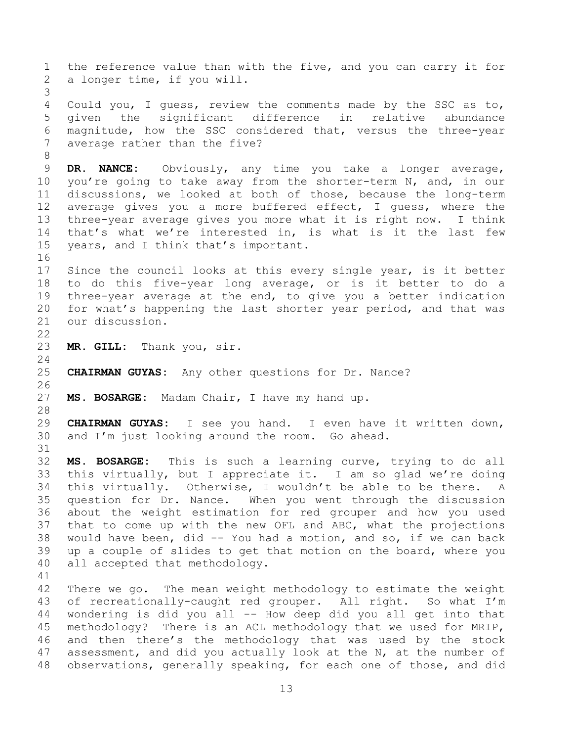1 the reference value than with the five, and you can carry it for<br>2 a longer time, if you will. a longer time, if you will. 3 4 Could you, I guess, review the comments made by the SSC as to,<br>5 given the significant difference in relative abundance 5 given the significant difference in<br>6 magnitude, how the SSC considered that, ve 6 magnitude, how the SSC considered that, versus the three-year<br>7 average rather than the five? average rather than the five? 8 9 **DR. NANCE:** Obviously, any time you take a longer average,<br>10 you're going to take away from the shorter-term N, and, in our 10 you're going to take away from the shorter-term N, and, in our<br>11 discussions, we looked at both of those, because the long-term 11 discussions, we looked at both of those, because the long-term<br>12 average gives you a more buffered effect, I quess, where the 12 average gives you a more buffered effect, I guess, where the<br>13 three-year average gives you more what it is right now. I think 13 three-year average gives you more what it is right now. I think<br>14 that's what we're interested in, is what is it the last few 14 that's what we're interested in, is what is it the last few<br>15 years, and I think that's important. years, and I think that's important. 16 17 Since the council looks at this every single year, is it better<br>18 to do this five-year long average, or is it better to do a 18 to do this five-year long average, or is it better to do a<br>19 three-vear average at the end, to give you a better indication 19 three-year average at the end, to give you a better indication<br>20 for what's happening the last shorter year period, and that was 20 for what's happening the last shorter year period, and that was<br>21 our discussion. our discussion.  $\frac{22}{23}$ MR. GILL: Thank you, sir.  $\frac{24}{25}$ 25 **CHAIRMAN GUYAS:** Any other questions for Dr. Nance? 26<br>27 MS. BOSARGE: Madam Chair, I have my hand up. 28<br>29 29 **CHAIRMAN GUYAS:** I see you hand. I even have it written down,<br>30 and I'm just looking around the room. Go ahead. and I'm just looking around the room. Go ahead. 31<br>32 32 **MS. BOSARGE:** This is such a learning curve, trying to do all 33 this virtually, but I appreciate it. I am so glad we're doing<br>34 this virtually. Otherwise, I wouldn't be able to be there. A 34 this virtually. Otherwise, I wouldn't be able to be there. A<br>35 question for Dr. Nance. When you went through the discussion 35 question for Dr. Nance. When you went through the discussion<br>36 about the weight estimation for red grouper and how you used 36 about the weight estimation for red grouper and how you used<br>37 that to come up with the new OFL and ABC, what the projections 37 that to come up with the new OFL and ABC, what the projections<br>38 would have been, did -- You had a motion, and so, if we can back 38 would have been, did  $-$  You had a motion, and so, if we can back<br>39 up a couple of slides to get that motion on the board, where you up a couple of slides to get that motion on the board, where you 40 all accepted that methodology. 41<br>42 42 There we go. The mean weight methodology to estimate the weight<br>43 of recreationally-caught red grouper. All right. So what I'm 43 of recreationally-caught red grouper. All right. So what I'm<br>44 wondering is did you all -- How deep did you all get into that 44 wondering is did you all -- How deep did you all get into that<br>45 methodology? There is an ACL methodology that we used for MRIP, 45 methodology? There is an ACL methodology that we used for MRIP,<br>46 and then there's the methodology that was used by the stock 46 and then there's the methodology that was used by the stock<br>47 assessment, and did you actually look at the N, at the number of assessment, and did you actually look at the N, at the number of 48 observations, generally speaking, for each one of those, and did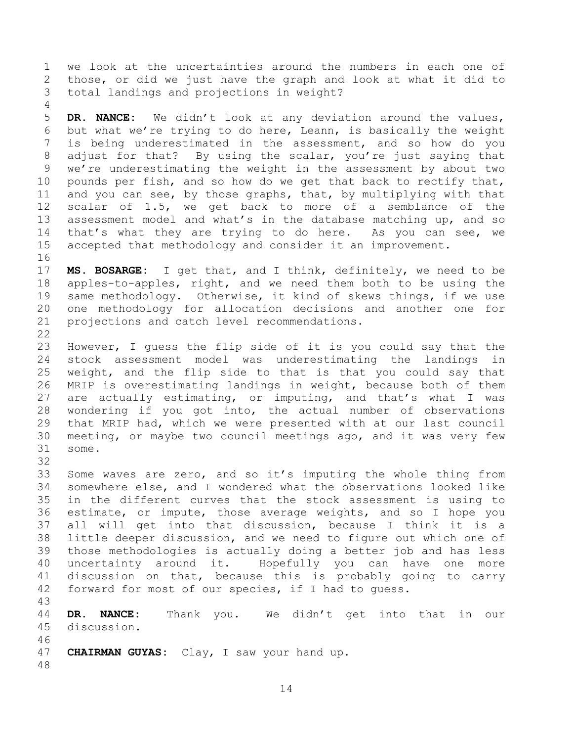1 we look at the uncertainties around the numbers in each one of<br>2 those, or did we just have the graph and look at what it did to 2 those, or did we just have the graph and look at what it did to<br>3 total landings and projections in weight? total landings and projections in weight?

 $\frac{4}{5}$ 5 **DR. NANCE:** We didn't look at any deviation around the values, 6 but what we're trying to do here, Leann, is basically the weight<br>7 is being underestimated in the assessment, and so how do you is being underestimated in the assessment, and so how do you 8 adjust for that? By using the scalar, you're just saying that 9 we're underestimating the weight in the assessment by about two<br>10 pounds per fish, and so how do we get that back to rectify that, 10 pounds per fish, and so how do we get that back to rectify that,<br>11 and you can see, by those graphs, that, by multiplying with that 11 and you can see, by those graphs, that, by multiplying with that<br>12 scalar of 1.5, we get back to more of a semblance of the 12 scalar of 1.5, we get back to more of a semblance of the<br>13 assessment model and what's in the database matching up, and so 13 assessment model and what's in the database matching up, and so<br>14 that's what they are trying to do here. As you can see, we 14 that's what they are trying to do here.<br>15 accepted that methodology and consider it a accepted that methodology and consider it an improvement.

16<br>17 17 **MS. BOSARGE:** I get that, and I think, definitely, we need to be 18 apples-to-apples, right, and we need them both to be using the<br>19 same methodology. Otherwise, it kind of skews things, if we use 19 same methodology. Otherwise, it kind of skews things, if we use<br>20 one methodology for allocation decisions and another one for 20 one methodology for allocation decisions and another one for<br>21 projections and catch level recommendations. projections and catch level recommendations.

 $\frac{22}{23}$ 23 However, I guess the flip side of it is you could say that the<br>24 stock assessment model was underestimating the landings in 24 stock assessment model was underestimating the landings in<br>25 weight, and the flip side to that is that you could say that 25 weight, and the flip side to that is that you could say that<br>26 MRIP is overestimating landings in weight, because both of them 26 MRIP is overestimating landings in weight, because both of them<br>27 are actually estimating, or imputing, and that's what I was 27 are actually estimating, or imputing, and that's what I was<br>28 wondering if you got into, the actual number of observations 28 wondering if you got into, the actual number of observations<br>29 that MRIP had, which we were presented with at our last council 29 that MRIP had, which we were presented with at our last council<br>30 meeting, or maybe two council meetings ago, and it was very few 30 meeting, or maybe two council meetings ago, and it was very few some.

32<br>33 33 Some waves are zero, and so it's imputing the whole thing from<br>34 somewhere else, and I wondered what the observations looked like 34 somewhere else, and I wondered what the observations looked like<br>35 in the different curves that the stock assessment is using to 35 in the different curves that the stock assessment is using to<br>36 estimate, or impute, those average weights, and so I hope you 36 estimate, or impute, those average weights, and so I hope you<br>37 all will get into that discussion, because I think it is a 37 all will get into that discussion, because I think it is a<br>38 little deeper discussion, and we need to fiqure out which one of 38 little deeper discussion, and we need to figure out which one of<br>39 those methodologies is actually doing a better job and has less those methodologies is actually doing a better job and has less 40 uncertainty around it. Hopefully you can have one more 41 discussion on that, because this is probably going to carry<br>42 forward for most of our species, if I had to quess. forward for most of our species, if I had to quess.

43 44 **DR. NANCE:** Thank you. We didn't get into that in our discussion.

46<br>47 **CHAIRMAN GUYAS:** Clay, I saw your hand up.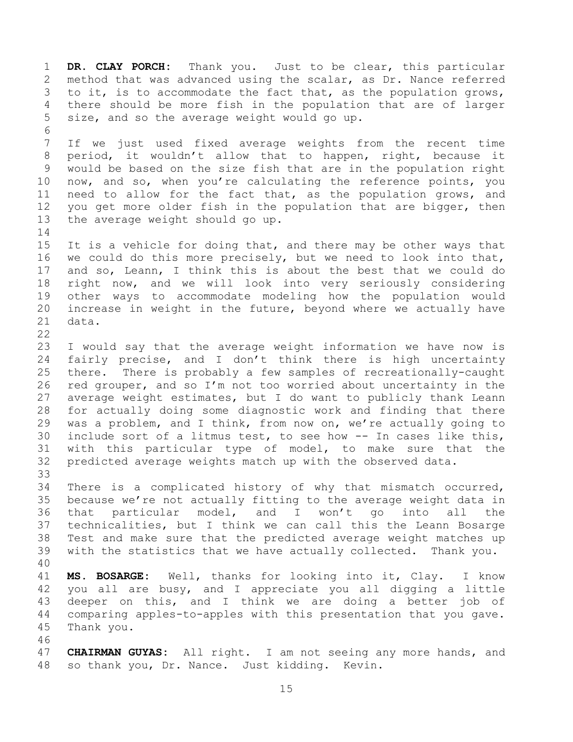1 **DR. CLAY PORCH:** Thank you. Just to be clear, this particular 2 method that was advanced using the scalar, as Dr. Nance referred<br>3 to it, is to accommodate the fact that, as the population grows, 3 to it, is to accommodate the fact that, as the population grows,<br>4 there should be more fish in the population that are of larger 4 there should be more fish in the population that are of larger<br>5 size, and so the average weight would go up. size, and so the average weight would go up. 6<br>7 If we just used fixed average weights from the recent time 8 period, it wouldn't allow that to happen, right, because it 9 would be based on the size fish that are in the population right<br>10 now, and so, when you're calculating the reference points, you 10 now, and so, when you're calculating the reference points, you<br>11 need to allow for the fact that, as the population grows, and 11 need to allow for the fact that, as the population grows, and<br>12 you get more older fish in the population that are bigger, then 12 you get more older fish in the population that are bigger, then<br>13 the average weight should go up. the average weight should go up.  $\frac{14}{15}$ 15 It is a vehicle for doing that, and there may be other ways that<br>16 we could do this more precisely, but we need to look into that, we could do this more precisely, but we need to look into that, 17 and so, Leann, I think this is about the best that we could do<br>18 right now, and we will look into very seriously considering 18 right now, and we will look into very seriously considering<br>19 other ways to accommodate modeling how the population would 19 other ways to accommodate modeling how the population would<br>20 increase in weight in the future, beyond where we actually have 20 increase in weight in the future, beyond where we actually have<br>21 data. data.  $\frac{22}{23}$ 23 I would say that the average weight information we have now is<br>24 fairly precise, and I don't think there is high uncertainty 24 fairly precise, and I don't think there is high uncertainty<br>25 there. There is probably a few samples of recreationally-caught 25 there. There is probably a few samples of recreationally-caught<br>26 red grouper, and so I'm not too worried about uncertainty in the 26 red grouper, and so I'm not too worried about uncertainty in the<br>27 average weight estimates, but I do want to publicly thank Leann 27 average weight estimates, but I do want to publicly thank Leann<br>28 for actually doing some diagnostic work and finding that there 28 for actually doing some diagnostic work and finding that there<br>29 was a problem, and I think, from now on, we're actually going to 29 was a problem, and I think, from now on, we're actually going to<br>30 include sort of a litmus test, to see how -- In cases like this, 30 include sort of a litmus test, to see how -- In cases like this,<br>31 with this particular type of model, to make sure that the with this particular type of model, to make sure that the 32 predicted average weights match up with the observed data. 33<br>34 34 There is a complicated history of why that mismatch occurred,<br>35 because we're not actually fitting to the average weight data in 35 because we're not actually fitting to the average weight data in<br>36 that particular model, and I won't go into all the 36 that particular model, and I won't go into all the<br>37 technicalities, but I think we can call this the Leann Bosarge 37 technicalities, but I think we can call this the Leann Bosarge<br>38 Test and make sure that the predicted average weight matches up 38 Test and make sure that the predicted average weight matches up<br>39 with the statistics that we have actually collected. Thank you. with the statistics that we have actually collected. Thank you. 40 41 **MS. BOSARGE:** Well, thanks for looking into it, Clay. I know 42 you all are busy, and I appreciate you all digging a little<br>43 deeper on this, and I think we are doing a better job of 43 deeper on this, and I think we are doing a better job of<br>44 comparing apples-to-apples with this presentation that you gave. 44 comparing apples-to-apples with this presentation that you gave.<br>45 Thank you. Thank you. 46<br>47 47 **CHAIRMAN GUYAS:** All right. I am not seeing any more hands, and 48 so thank you, Dr. Nance. Just kidding. Kevin.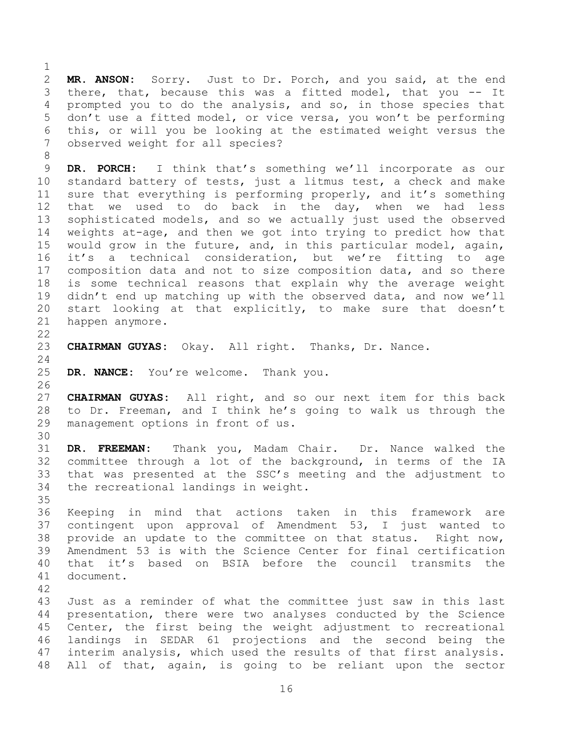$\frac{1}{2}$ 2 **MR. ANSON:** Sorry. Just to Dr. Porch, and you said, at the end 3 there, that, because this was a fitted model, that you -- It<br>4 prompted you to do the analysis, and so, in those species that 4 prompted you to do the analysis, and so, in those species that<br>5 don't use a fitted model, or vice versa, you won't be performing 5 don't use a fitted model, or vice versa, you won't be performing<br>6 this, or will vou be looking at the estimated weight versus the 6 this, or will you be looking at the estimated weight versus the observed weight for all species?

9 **DR. PORCH:** I think that's something we'll incorporate as our 10 standard battery of tests, just a litmus test, a check and make<br>11 sure that everything is performing properly, and it's something 11 sure that everything is performing properly, and it's something<br>12 that we used to do back in the day, when we had less 12 that we used to do back in the day, when we had less<br>13 sophisticated models, and so we actually just used the observed 13 sophisticated models, and so we actually just used the observed<br>14 weights at-age, and then we got into trying to predict how that 14 weights at-age, and then we got into trying to predict how that<br>15 would grow in the future, and, in this particular model, again, 15 would grow in the future, and, in this particular model, again,<br>16 it's a technical consideration, but we're fitting to age it's a technical consideration, but we're fitting to age 17 composition data and not to size composition data, and so there<br>18 is some technical reasons that explain why the average weight 18 is some technical reasons that explain why the average weight<br>19 didn't end up matching up with the observed data, and now we'll 19 didn't end up matching up with the observed data, and now we'll<br>20 start looking at that explicitly, to make sure that doesn't 20 start looking at that explicitly, to make sure that doesn't<br>21 happen anymore. happen anymore.

 $\frac{22}{23}$ 

8

23 **CHAIRMAN GUYAS:** Okay. All right. Thanks, Dr. Nance.

 $\frac{24}{25}$ DR. NANCE: You're welcome. Thank you.

26<br>27 27 **CHAIRMAN GUYAS:** All right, and so our next item for this back 28 to Dr. Freeman, and I think he's going to walk us through the 29 management options in front of us. management options in front of us.

30<br>31 DR. FREEMAN: Thank you, Madam Chair. Dr. Nance walked the 32 committee through a lot of the background, in terms of the IA<br>33 that was presented at the SSC's meeting and the adjustment to 33 that was presented at the SSC's meeting and the adjustment to<br>34 the recreational landings in weight. the recreational landings in weight.

35<br>36 36 Keeping in mind that actions taken in this framework are<br>37 contingent upon approval of Amendment 53, I just wanted to 37 contingent upon approval of Amendment 53, I just wanted to<br>38 provide an update to the committee on that status. Right now, 38 provide an update to the committee on that status. Right now,<br>39 Amendment 53 is with the Science Center for final certification Amendment 53 is with the Science Center for final certification 40 that it's based on BSIA before the council transmits the 41 document.

42

43 Just as a reminder of what the committee just saw in this last<br>44 presentation, there were two analyses conducted by the Science 44 presentation, there were two analyses conducted by the Science<br>45 Center, the first being the weight adjustment to recreational 45 Center, the first being the weight adjustment to recreational<br>46 landings in SEDAR 61 projections and the second being the 46 landings in SEDAR 61 projections and the second being the<br>47 interim analysis, which used the results of that first analysis. interim analysis, which used the results of that first analysis. 48 All of that, again, is going to be reliant upon the sector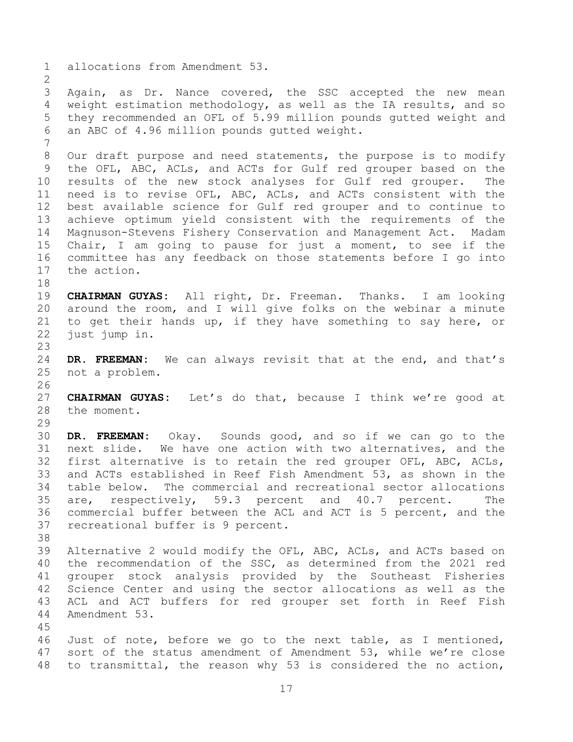1 allocations from Amendment 53.  $\frac{2}{3}$ 3 Again, as Dr. Nance covered, the SSC accepted the new mean<br>4 weight estimation methodology, as well as the IA results, and so 4 weight estimation methodology, as well as the IA results, and so<br>5 they recommended an OFL of 5.99 million pounds qutted weight and 5 they recommended an OFL of 5.99 million pounds gutted weight and<br>6 an ABC of 4.96 million pounds gutted weight. an ABC of 4.96 million pounds qutted weight. 7 8 Our draft purpose and need statements, the purpose is to modify 9 the OFL, ABC, ACLs, and ACTs for Gulf red grouper based on the<br>10 results of the new stock analyses for Gulf red grouper. The 10 results of the new stock analyses for Gulf red grouper. The<br>11 need is to revise OFL, ABC, ACLs, and ACTs consistent with the 11 need is to revise OFL, ABC, ACLs, and ACTs consistent with the<br>12 best available science for Gulf red grouper and to continue to 12 best available science for Gulf red grouper and to continue to<br>13 achieve optimum yield consistent with the requirements of the 13 achieve optimum yield consistent with the requirements of the<br>14 Magnuson-Stevens Fishery Conservation and Management Act. Madam 14 Magnuson-Stevens Fishery Conservation and Management Act. Madam<br>15 Chair, I am going to pause for just a moment, to see if the 15 Chair, I am going to pause for just a moment, to see if the<br>16 committee has any feedback on those statements before I go into 16 committee has any feedback on those statements before I go into<br>17 the action. the action. 18<br>19 19 **CHAIRMAN GUYAS:** All right, Dr. Freeman. Thanks. I am looking 20 around the room, and I will give folks on the webinar a minute<br>21 to get their hands up, if they have something to say here, or 21 to get their hands up, if they have something to say here, or  $22$  just jump in. just jump in. 23 24 **DR. FREEMAN:** We can always revisit that at the end, and that's not a problem. 26<br>27 27 **CHAIRMAN GUYAS:** Let's do that, because I think we're good at the moment. 29<br>30 30 **DR. FREEMAN:** Okay. Sounds good, and so if we can go to the We have one action with two alternatives, and the 32 first alternative is to retain the red grouper OFL, ABC, ACLs,<br>33 and ACTs established in Reef Fish Amendment 53, as shown in the 33 and ACTs established in Reef Fish Amendment 53, as shown in the<br>34 table below. The commercial and recreational sector allocations 34 table below. The commercial and recreational sector allocations<br>35 are, respectively, 59.3 percent and 40.7 percent. The 35 are, respectively, 59.3 percent and 40.7 percent. The<br>36 commercial buffer between the ACL and ACT is 5 percent, and the 36 commercial buffer between the ACL and ACT is 5 percent, and the 37 recreational buffer is 9 percent. recreational buffer is 9 percent. 38<br>39 Alternative 2 would modify the OFL, ABC, ACLs, and ACTs based on 40 the recommendation of the SSC, as determined from the 2021 red 41 grouper stock analysis provided by the Southeast Fisheries<br>42 Science Center and using the sector allocations as well as the 42 Science Center and using the sector allocations as well as the<br>43 ACL and ACT buffers for red grouper set forth in Reef Fish 43 ACL and ACT buffers for red grouper set forth in Reef Fish 44 Amendment 53. Amendment 53. 45 46 Just of note, before we go to the next table, as I mentioned,<br>47 sort of the status amendment of Amendment 53, while we're close sort of the status amendment of Amendment 53, while we're close 48 to transmittal, the reason why 53 is considered the no action,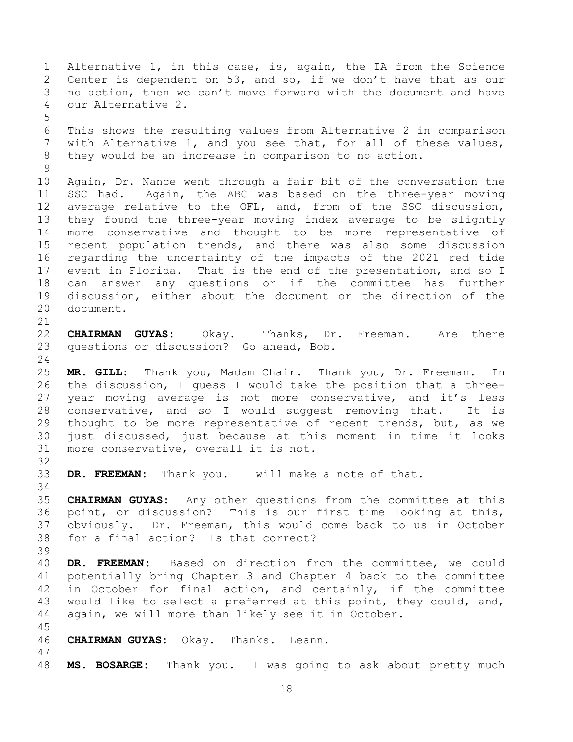1 Alternative 1, in this case, is, again, the IA from the Science<br>2 Center is dependent on 53, and so, if we don't have that as our 2 Center is dependent on 53, and so, if we don't have that as our<br>3 no action, then we can't move forward with the document and have 3 no action, then we can't move forward with the document and have<br>4 our Alternative 2. our Alternative 2. 5 6 This shows the resulting values from Alternative 2 in comparison<br>7 with Alternative 1, and you see that, for all of these values, with Alternative 1, and you see that, for all of these values, 8 they would be an increase in comparison to no action.  $\begin{array}{c} 9 \\ 10 \end{array}$ 10 Again, Dr. Nance went through a fair bit of the conversation the<br>11 SSC had. Again, the ABC was based on the three-year moving 11 SSC had. Again, the ABC was based on the three-year moving<br>12 average relative to the OFL, and, from of the SSC discussion, 12 average relative to the OFL, and, from of the SSC discussion,<br>13 they found the three-vear moving index average to be slightly 13 they found the three-year moving index average to be slightly<br>14 more conservative and thought to be more representative of 14 more conservative and thought to be more representative of<br>15 recent population trends, and there was also some discussion 15 recent population trends, and there was also some discussion<br>16 regarding the uncertainty of the impacts of the 2021 red tide regarding the uncertainty of the impacts of the 2021 red tide 17 event in Florida. That is the end of the presentation, and so I<br>18 can answer any questions or if the committee has further 18 can answer any questions or if the committee has further<br>19 discussion, either about the document or the direction of the 19 discussion, either about the document or the direction of the 20 document. document. 21<br>22 22 **CHAIRMAN GUYAS:** Okay. Thanks, Dr. Freeman. Are there<br>23 questions or discussion? Go ahead. Bob. questions or discussion? Go ahead, Bob.  $\frac{24}{25}$ 25 **MR. GILL:** Thank you, Madam Chair. Thank you, Dr. Freeman. In 26 the discussion, I guess I would take the position that a three-<br>27 year moving average is not more conservative, and it's less 27 year moving average is not more conservative, and it's less<br>28 conservative, and so I would suggest removing that. It is 28 conservative, and so I would suggest removing that. It is<br>29 thought to be more representative of recent trends, but, as we 29 thought to be more representative of recent trends, but, as we<br>30 just discussed, just because at this moment in time it looks 30 just discussed, just because at this moment in time it looks<br>31 more conservative, overall it is not. more conservative, overall it is not. 32<br>33 33 **DR. FREEMAN:** Thank you. I will make a note of that.  $\frac{34}{35}$ 35 **CHAIRMAN GUYAS:** Any other questions from the committee at this 36 point, or discussion? This is our first time looking at this,<br>37 obviously. Dr. Freeman, this would come back to us in October 37 obviously. Dr. Freeman, this would come back to us in October<br>38 for a final action? Is that correct? for a final action? Is that correct? 39 40 **DR. FREEMAN:** Based on direction from the committee, we could 41 potentially bring Chapter 3 and Chapter 4 back to the committee<br>42 in October for final action, and certainly, if the committee 42 in October for final action, and certainly, if the committee<br>43 would like to select a preferred at this point, they could, and, 43 would like to select a preferred at this point, they could, and,<br>44 again, we will more than likely see it in October. again, we will more than likely see it in October. 45 46 **CHAIRMAN GUYAS:** Okay. Thanks. Leann. 47 48 **MS. BOSARGE:** Thank you. I was going to ask about pretty much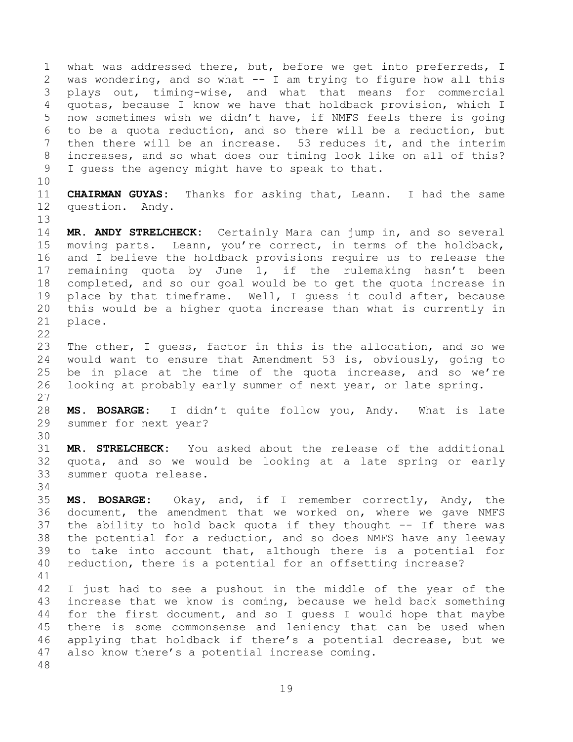1 what was addressed there, but, before we get into preferreds, I<br>2 was wondering, and so what -- I am trying to figure how all this 2 was wondering, and so what -- I am trying to figure how all this<br>3 plays out, timing-wise, and what that means for commercial 3 plays out, timing-wise, and what that means for commercial<br>4 quotas, because I know we have that holdback provision, which I 4 quotas, because I know we have that holdback provision, which I<br>5 now sometimes wish we didn't have, if NMFS feels there is going now sometimes wish we didn't have, if NMFS feels there is going 6 to be a quota reduction, and so there will be a reduction, but<br>7 then there will be an increase. 53 reduces it, and the interim then there will be an increase. 53 reduces it, and the interim 8 increases, and so what does our timing look like on all of this? 9 I guess the agency might have to speak to that.

10<br>11 11 **CHAIRMAN GUYAS:** Thanks for asking that, Leann. I had the same<br>12 question. Andy. question. Andy.

13<br>14 14 **MR. ANDY STRELCHECK:** Certainly Mara can jump in, and so several 15 moving parts. Leann, you're correct, in terms of the holdback,<br>16 and I believe the holdback provisions require us to release the and I believe the holdback provisions require us to release the 17 remaining quota by June 1, if the rulemaking hasn't been<br>18 completed, and so our goal would be to get the quota increase in 18 completed, and so our goal would be to get the quota increase in<br>19 place by that timeframe. Well, I quess it could after, because 19 place by that timeframe. Well, I guess it could after, because<br>20 this would be a higher quota increase than what is currently in 20 this would be a higher quota increase than what is currently in 21 place. place.

 $\frac{22}{23}$ 23 The other, I guess, factor in this is the allocation, and so we<br>24 would want to ensure that Amendment 53 is, obviously, going to 24 would want to ensure that Amendment 53 is, obviously, going to<br>25 be in place at the time of the quota increase, and so we're 25 be in place at the time of the quota increase, and so we're<br>26 looking at probably early summer of next year, or late spring. looking at probably early summer of next year, or late spring.

 $\begin{array}{c} 27 \\ 28 \end{array}$ 28 **MS. BOSARGE:** I didn't quite follow you, Andy. What is late summer for next year?

30<br>31 MR. STRELCHECK: You asked about the release of the additional 32 quota, and so we would be looking at a late spring or early<br>33 summer quota release. summer quota release.

34<br>35

35 **MS. BOSARGE:** Okay, and, if I remember correctly, Andy, the 36 document, the amendment that we worked on, where we gave NMFS<br>37 the ability to hold back quota if they thought -- If there was 37 the ability to hold back quota if they thought -- If there was<br>38 the potential for a reduction, and so does NMFS have any leeway 38 the potential for a reduction, and so does NMFS have any leeway<br>39 to take into account that, although there is a potential for to take into account that, although there is a potential for 40 reduction, there is a potential for an offsetting increase?

41<br>42

42 I just had to see a pushout in the middle of the year of the<br>43 increase that we know is coming, because we held back something 43 increase that we know is coming, because we held back something<br>44 for the first document, and so I quess I would hope that maybe 44 for the first document, and so I guess I would hope that maybe<br>45 there is some commonsense and leniency that can be used when 45 there is some commonsense and leniency that can be used when<br>46 applying that holdback if there's a potential decrease, but we 46 applying that holdback if there's a potential decrease, but we<br>47 also know there's a potential increase coming. also know there's a potential increase coming.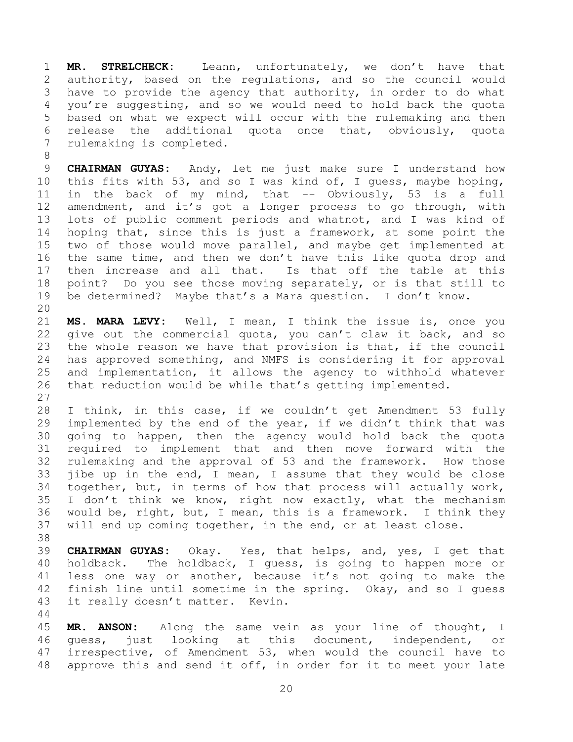1 **MR. STRELCHECK:** Leann, unfortunately, we don't have that 2 authority, based on the regulations, and so the council would<br>3 have to provide the agency that authority, in order to do what 3 have to provide the agency that authority, in order to do what<br>4 vou're suggesting, and so we would need to hold back the guota 4 you're suggesting, and so we would need to hold back the quota<br>5 based on what we expect will occur with the rulemaking and then 5 based on what we expect will occur with the rulemaking and then<br>6 release the additional quota once that, obviously, quota 6 release the additional quota once that, obviously, quota<br>7 rulemaking is completed. rulemaking is completed.

8

9 **CHAIRMAN GUYAS:** Andy, let me just make sure I understand how<br>10 this fits with 53, and so I was kind of, I quess, maybe hoping, 10 this fits with 53, and so I was kind of, I guess, maybe hoping,<br>11 in the back of my mind, that -- Obviously, 53 is a full 11 in the back of my mind, that -- Obviously, 53 is a full<br>12 amendment, and it's got a longer process to go through, with 12 amendment, and it's got a longer process to go through, with<br>13 lots of public comment periods and whatnot, and I was kind of 13 lots of public comment periods and whatnot, and I was kind of<br>14 hoping that, since this is just a framework, at some point the 14 hoping that, since this is just a framework, at some point the<br>15 two of those would move parallel, and maybe get implemented at 15 two of those would move parallel, and maybe get implemented at<br>16 the same time, and then we don't have this like quota drop and the same time, and then we don't have this like quota drop and 17 then increase and all that. Is that off the table at this<br>18 point? Do you see those moving separately, or is that still to 18 point? Do you see those moving separately, or is that still to<br>19 be determined? Maybe that's a Mara question. I don't know. be determined? Maybe that's a Mara question. I don't know.

20<br>21 21 **MS. MARA LEVY:** Well, I mean, I think the issue is, once you 22 give out the commercial quota, you can't claw it back, and so<br>23 the whole reason we have that provision is that, if the council 23 the whole reason we have that provision is that, if the council<br>24 has approved something, and NMFS is considering it for approval 24 has approved something, and NMFS is considering it for approval<br>25 and implementation, it allows the agency to withhold whatever 25 and implementation, it allows the agency to withhold whatever<br>26 that reduction would be while that's getting implemented. that reduction would be while that's getting implemented.

 $\frac{27}{28}$ 28 I think, in this case, if we couldn't get Amendment 53 fully<br>29 implemented by the end of the year, if we didn't think that was 29 implemented by the end of the year, if we didn't think that was<br>30 qoing to happen, then the agency would hold back the quota 30 going to happen, then the agency would hold back the quota<br>31 required to implement that and then move forward with the required to implement that and then move forward with the<br>rulemaking and the approval of 53 and the framework. How those 32 rulemaking and the approval of 53 and the framework.<br>33 jibe up in the end, I mean, I assume that they woul 33 jibe up in the end, I mean, I assume that they would be close<br>34 together, but, in terms of how that process will actually work, 34 together, but, in terms of how that process will actually work,<br>35 I don't think we know, right now exactly, what the mechanism 35 I don't think we know, right now exactly, what the mechanism<br>36 would be, right, but, I mean, this is a framework. I think they 36 would be, right, but, I mean, this is a framework. I think they<br>37 will end up coming together, in the end, or at least close. will end up coming together, in the end, or at least close.

38<br>39 **CHAIRMAN GUYAS:** Okay. Yes, that helps, and, yes, I get that holdback. The holdback, I quess, is going to happen more or 40 holdback. The holdback, I guess, is going to happen more or 41 less one way or another, because it's not going to make the<br>42 finish line until sometime in the spring. Okav, and so I quess 42 finish line until sometime in the spring. Okay, and so I guess<br>43 it really doesn't matter. Kevin. it really doesn't matter. Kevin.

 $\begin{array}{c} 44 \\ 45 \end{array}$ 45 **MR. ANSON:** Along the same vein as your line of thought, I 46 guess, just looking at this document, independent, or<br>47 irrespective, of Amendment 53, when would the council have to irrespective, of Amendment 53, when would the council have to 48 approve this and send it off, in order for it to meet your late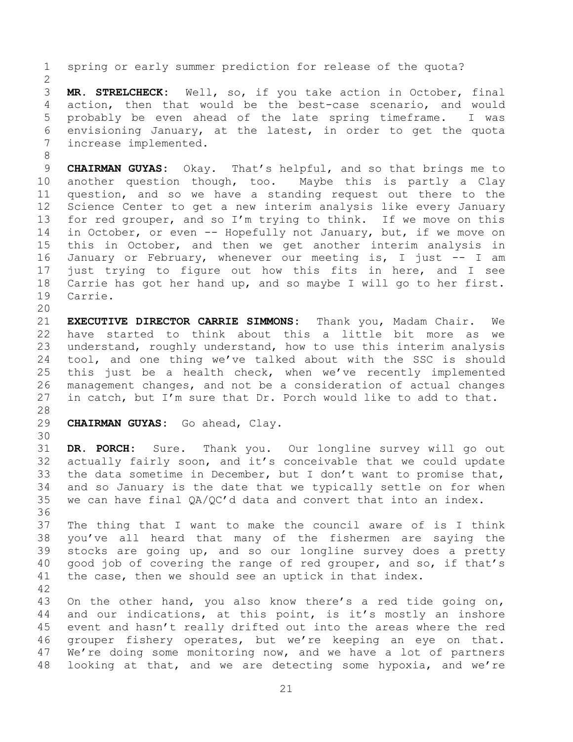1 spring or early summer prediction for release of the quota?

 $\frac{2}{3}$ 3 **MR. STRELCHECK:** Well, so, if you take action in October, final 4 action, then that would be the best-case scenario, and would<br>5 probably be even ahead of the late spring timeframe. I was 5 probably be even ahead of the late spring timeframe.<br>6 envisioning Januarv, at the latest, in order to get t 6 envisioning January, at the latest, in order to get the quota increase implemented.

9 **CHAIRMAN GUYAS:** Okay. That's helpful, and so that brings me to<br>10 another question though, too. Maybe this is partly a Clay 10 another question though, too.<br>11 question, and so we have a sta 11 question, and so we have a standing request out there to the<br>12 Science Center to get a new interim analysis like every January 12 Science Center to get a new interim analysis like every January<br>13 for red grouper, and so I'm trying to think. If we move on this 13 for red grouper, and so I'm trying to think. If we move on this<br>14 in October, or even -- Hopefully not January, but, if we move on 14 in October, or even -- Hopefully not January, but, if we move on<br>15 this in October, and then we get another interim analysis in 15 this in October, and then we get another interim analysis in<br>16 January or February, whenever our meeting is, I just -- I am January or February, whenever our meeting is, I just -- I am 17 just trying to figure out how this fits in here, and I see<br>18 Carrie has got her hand up, and so maybe I will go to her first. 18 Carrie has got her hand up, and so maybe I will go to her first.<br>19 Carrie. Carrie.

20<br>21

8

21 **EXECUTIVE DIRECTOR CARRIE SIMMONS:** Thank you, Madam Chair. We 22 have started to think about this a little bit more as<br>23 understand, roughly understand, how to use this interim analys 23 understand, roughly understand, how to use this interim analysis<br>24 tool, and one thing we've talked about with the SSC is should 24 tool, and one thing we've talked about with the SSC is should<br>25 this just be a health check, when we've recently implemented 25 this just be a health check, when we've recently implemented<br>26 management changes, and not be a consideration of actual changes 26 management changes, and not be a consideration of actual changes<br>27 in catch, but I'm sure that Dr. Porch would like to add to that. in catch, but I'm sure that Dr. Porch would like to add to that.

28<br>29

29 **CHAIRMAN GUYAS:** Go ahead, Clay.

30<br>31 DR. PORCH: Sure. Thank you. Our longline survey will go out 32 actually fairly soon, and it's conceivable that we could update<br>33 the data sometime in December, but I don't want to promise that, 33 the data sometime in December, but I don't want to promise that,<br>34 and so January is the date that we typically settle on for when 34 and so January is the date that we typically settle on for when<br>35 we can have final QA/QC'd data and convert that into an index. we can have final QA/QC'd data and convert that into an index.

36<br>37 37 The thing that I want to make the council aware of is I think<br>38 you've all heard that many of the fishermen are saying the 38 you've all heard that many of the fishermen are saying the<br>39 stocks are going up, and so our longline survey does a pretty stocks are going up, and so our longline survey does a pretty 40 good job of covering the range of red grouper, and so, if that's 41 the case, then we should see an uptick in that index.

42 43 On the other hand, you also know there's a red tide going on,<br>44 and our indications, at this point, is it's mostly an inshore 44 and our indications, at this point, is it's mostly an inshore<br>45 event and hasn't really drifted out into the areas where the red 45 event and hasn't really drifted out into the areas where the red<br>46 grouper fishery operates, but we're keeping an eye on that. 46 grouper fishery operates, but we're keeping an eye on that.<br>47 We're doing some monitoring now, and we have a lot of partners We're doing some monitoring now, and we have a lot of partners 48 looking at that, and we are detecting some hypoxia, and we're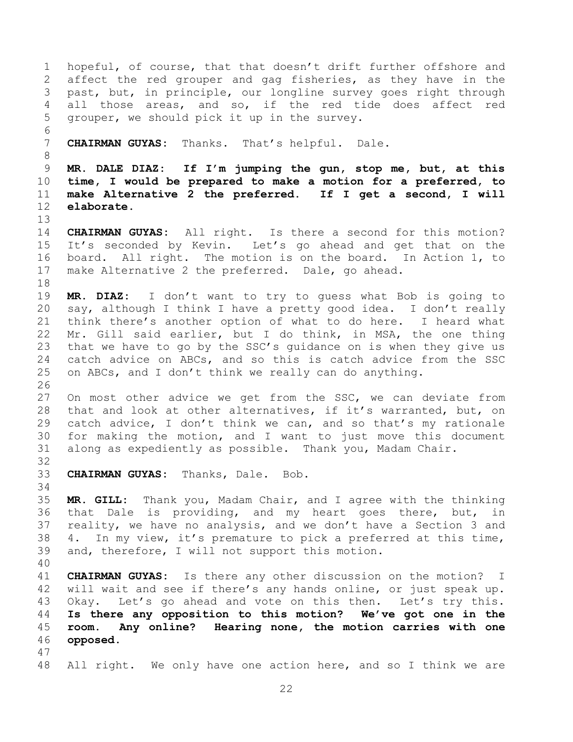1 hopeful, of course, that that doesn't drift further offshore and<br>2 affect the red grouper and gag fisheries, as they have in the 2 affect the red grouper and gag fisheries, as they have in the<br>3 past, but, in principle, our longline survey goes right through 3 past, but, in principle, our longline survey goes right through<br>4 all those areas, and so, if the red tide does affect red 4 all those areas, and so, if the red tide does affect red<br>5 grouper, we should pick it up in the survey. grouper, we should pick it up in the survey. 6<br>7 7 **CHAIRMAN GUYAS:** Thanks. That's helpful. Dale. 8 9 **MR. DALE DIAZ: If I'm jumping the gun, stop me, but, at this** 10 **time, I would be prepared to make a motion for a preferred, to** 11 **make Alternative 2 the preferred. If I get a second, I will**  $elaborate.$  $13$ <br> $14$ 14 **CHAIRMAN GUYAS:** All right. Is there a second for this motion?<br>15 It's seconded by Kevin. Let's go ahead and get that on the 15 It's seconded by Kevin. Let's go ahead and get that on the<br>16 board. All right. The motion is on the board. In Action 1, to board. All right. The motion is on the board. In Action 1, to 17 make Alternative 2 the preferred. Dale, go ahead. 18<br>19 19 **MR. DIAZ:** I don't want to try to guess what Bob is going to 20 say, although I think I have a pretty good idea. I don't really<br>21 think there's another option of what to do here. I heard what 21 think there's another option of what to do here. I heard what<br>22 Mr. Gill said earlier, but I do think, in MSA, the one thing 22 Mr. Gill said earlier, but I do think, in MSA, the one thing<br>23 that we have to go by the SSC's quidance on is when they give us 23 that we have to go by the SSC's guidance on is when they give us<br>24 catch advice on ABCs, and so this is catch advice from the SSC 24 catch advice on ABCs, and so this is catch advice from the SSC<br>25 on ABCs, and I don't think we really can do anything. on ABCs, and I don't think we really can do anything. 26<br>27 27 On most other advice we get from the SSC, we can deviate from<br>28 that and look at other alternatives, if it's warranted, but, on 28 that and look at other alternatives, if it's warranted, but, on<br>29 catch advice, I don't think we can, and so that's my rationale 29 catch advice, I don't think we can, and so that's my rationale<br>30 for making the motion, and I want to just move this document 30 for making the motion, and I want to just move this document<br>31 along as expediently as possible. Thank you, Madam Chair. along as expediently as possible. Thank you, Madam Chair. 32<br>33 33 **CHAIRMAN GUYAS:** Thanks, Dale. Bob. 34<br>35 35 **MR. GILL:** Thank you, Madam Chair, and I agree with the thinking 36 that Dale is providing, and my heart goes there, but, in<br>37 reality, we have no analysis, and we don't have a Section 3 and 37 reality, we have no analysis, and we don't have a Section 3 and<br>38 4. In my view, it's premature to pick a preferred at this time, 38 4. In my view, it's premature to pick a preferred at this time,<br>39 and, therefore, I will not support this motion. and, therefore, I will not support this motion. 40 41 **CHAIRMAN GUYAS:** Is there any other discussion on the motion? I<br>42 will wait and see if there's any hands online, or just speak up. 42 will wait and see if there's any hands online, or just speak up.<br>43 Okay. Let's go ahead and vote on this then. Let's try this. 43 Okay. Let's go ahead and vote on this then. Let's try this.<br>44 Is there any opposition to this motion? We've got one in the 44 **Is there any opposition to this motion? We've got one in the** 45 **room. Any online? Hearing none, the motion carries with one** 46 **opposed.** 47 48 All right. We only have one action here, and so I think we are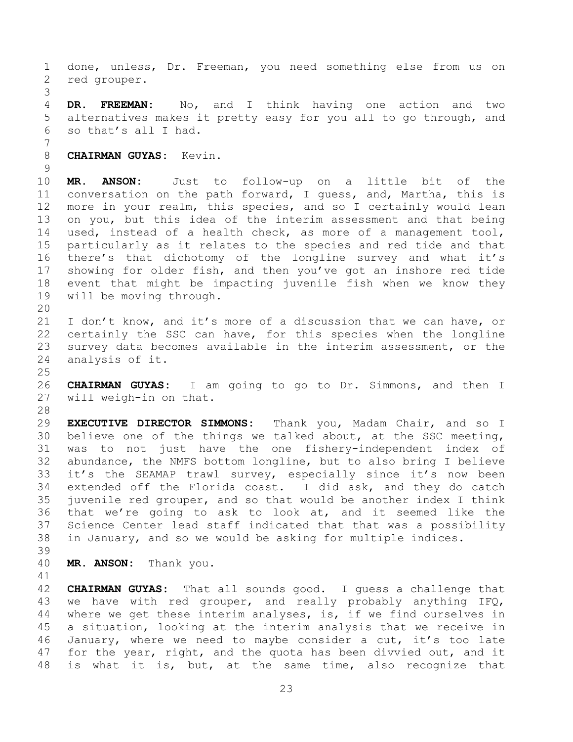1 done, unless, Dr. Freeman, you need something else from us on<br>2 red grouper. red grouper.

3 4 **DR. FREEMAN:** No, and I think having one action and two 5 alternatives makes it pretty easy for you all to go through, and<br>6 so that's all I had. so that's all I had.

7 8 **CHAIRMAN GUYAS:** Kevin.

 $\begin{array}{c} 9 \\ 10 \end{array}$ 10 **MR. ANSON:** Just to follow-up on a little bit of the 11 conversation on the path forward, I guess, and, Martha, this is<br>12 more in your realm, this species, and so I certainly would lean 12 more in your realm, this species, and so I certainly would lean<br>13 on vou, but this idea of the interim assessment and that being 13 on you, but this idea of the interim assessment and that being<br>14 used, instead of a health check, as more of a management tool, 14 used, instead of a health check, as more of a management tool,<br>15 particularly as it relates to the species and red tide and that 15 particularly as it relates to the species and red tide and that<br>16 there's that dichotomy of the longline survey and what it's there's that dichotomy of the longline survey and what it's 17 showing for older fish, and then you've got an inshore red tide<br>18 event that might be impacting juvenile fish when we know they 18 event that might be impacting juvenile fish when we know they<br>19 will be moving through. will be moving through.

20<br>21 21 I don't know, and it's more of a discussion that we can have, or<br>22 certainly the SSC can have, for this species when the longline 22 certainly the SSC can have, for this species when the longline<br>23 survey data becomes available in the interim assessment, or the 23 survey data becomes available in the interim assessment, or the 24 analysis of it. analysis of it.

- $\frac{25}{26}$ 26 **CHAIRMAN GUYAS:** I am going to go to Dr. Simmons, and then I will weigh-in on that.
- 28<br>29

29 **EXECUTIVE DIRECTOR SIMMONS:** Thank you, Madam Chair, and so I 30 believe one of the things we talked about, at the SSC meeting,<br>31 was to not just have the one fishery-independent index of was to not just have the one fishery-independent index of 32 abundance, the NMFS bottom longline, but to also bring I believe<br>33 it's the SEAMAP trawl survey, especially since it's now been 33 it's the SEAMAP trawl survey, especially since it's now been<br>34 extended off the Florida coast. I did ask, and they do catch 34 extended off the Florida coast. I did ask, and they do catch<br>35 juvenile red grouper, and so that would be another index I think 35 juvenile red grouper, and so that would be another index I think<br>36 that we're going to ask to look at, and it seemed like the 36 that we're going to ask to look at, and it seemed like the<br>37 Science Center lead staff indicated that that was a possibility 37 Science Center lead staff indicated that that was a possibility<br>38 in January, and so we would be asking for multiple indices. in January, and so we would be asking for multiple indices.

39

40 **MR. ANSON:** Thank you.

41<br>42

42 **CHAIRMAN GUYAS:** That all sounds good. I guess a challenge that<br>43 we have with red grouper, and really probably anything IFQ, 43 we have with red grouper, and really probably anything IFQ,<br>44 where we get these interim analyses, is, if we find ourselves in 44 where we get these interim analyses, is, if we find ourselves in<br>45 a situation, looking at the interim analysis that we receive in 45 a situation, looking at the interim analysis that we receive in<br>46 January, where we need to maybe consider a cut, it's too late 46 January, where we need to maybe consider a cut, it's too late<br>47 for the year, right, and the quota has been divvied out, and it for the year, right, and the quota has been divvied out, and it 48 is what it is, but, at the same time, also recognize that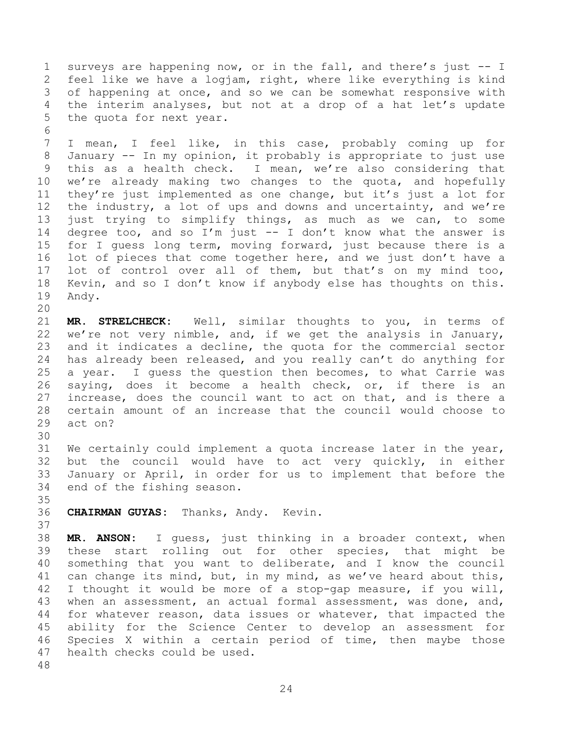1 surveys are happening now, or in the fall, and there's just -- I<br>2 feel like we have a logjam, right, where like everything is kind 2 feel like we have a logjam, right, where like everything is kind<br>3 of happening at once, and so we can be somewhat responsive with 3 of happening at once, and so we can be somewhat responsive with<br>4 the interim analyses, but not at a drop of a hat let's update 4 the interim analyses, but not at a drop of a hat let's update<br>5 the quota for next year. the quota for next year.

6<br>7 I mean, I feel like, in this case, probably coming up for 8 January -- In my opinion, it probably is appropriate to just use 9 this as a health check. I mean, we're also considering that<br>10 we're already making two changes to the quota, and hopefully 10 we're already making two changes to the quota, and hopefully<br>11 they're just implemented as one change, but it's just a lot for 11 they're just implemented as one change, but it's just a lot for<br>12 the industry, a lot of ups and downs and uncertainty, and we're 12 the industry, a lot of ups and downs and uncertainty, and we're<br>13 just trying to simplify things, as much as we can, to some 13 just trying to simplify things, as much as we can, to some<br>14 degree too, and so I'm just -- I don't know what the answer is 14 degree too, and so I'm just  $-$  I don't know what the answer is<br>15 for I quess long term, moving forward, just because there is a 15 for I guess long term, moving forward, just because there is a<br>16 lot of pieces that come together here, and we just don't have a lot of pieces that come together here, and we just don't have a 17 lot of control over all of them, but that's on my mind too,<br>18 Kevin, and so I don't know if anybody else has thoughts on this. 18 Kevin, and so I don't know if anybody else has thoughts on this.<br>19 Andy. Andy.

20<br>21 21 **MR. STRELCHECK:** Well, similar thoughts to you, in terms of 22 we're not very nimble, and, if we get the analysis in January,<br>23 and it indicates a decline, the quota for the commercial sector 23 and it indicates a decline, the quota for the commercial sector<br>24 has already been released, and you really can't do anything for 24 has already been released, and you really can't do anything for<br>25 a year. I quess the question then becomes, to what Carrie was 25 a year. I guess the question then becomes, to what Carrie was<br>26 saying, does it become a health check, or, if there is an 26 saying, does it become a health check, or, if there is an<br>27 increase, does the council want to act on that, and is there a 27 increase, does the council want to act on that, and is there a<br>28 certain amount of an increase that the council would choose to 28 certain amount of an increase that the council would choose to act on?

30<br>31 We certainly could implement a quota increase later in the year, 32 but the council would have to act very quickly, in either<br>33 January or April, in order for us to implement that before the 33 January or April, in order for us to implement that before the<br>34 end of the fishing season. end of the fishing season.

35<br>36 36 **CHAIRMAN GUYAS:** Thanks, Andy. Kevin.

37<br>38 38 **MR. ANSON:** I guess, just thinking in a broader context, when these start rolling out for other species, that might 40 something that you want to deliberate, and I know the council 41 can change its mind, but, in my mind, as we've heard about this,<br>42 I thought it would be more of a stop-gap measure, if you will, 42 I thought it would be more of a stop-gap measure, if you will,<br>43 when an assessment, an actual formal assessment, was done, and, 43 when an assessment, an actual formal assessment, was done, and,<br>44 for whatever reason, data issues or whatever, that impacted the 44 for whatever reason, data issues or whatever, that impacted the<br>45 ability for the Science Center to develop an assessment for 45 ability for the Science Center to develop an assessment for<br>46 Species X within a certain period of time, then maybe those 46 Species X within a certain period of time, then maybe those<br>47 health checks could be used. health checks could be used. 48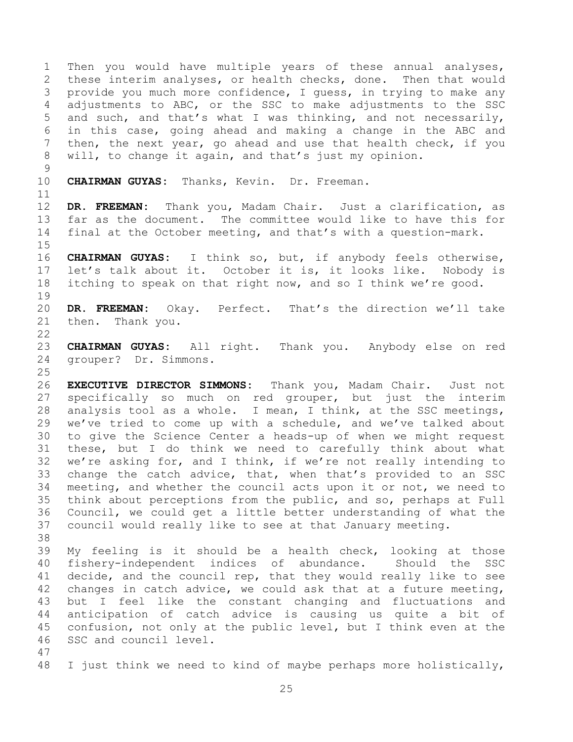1 Then you would have multiple years of these annual analyses,<br>2 these interim analyses, or health checks, done. Then that would 2 these interim analyses, or health checks, done.<br>3 provide you much more confidence, I quess, in tr 3 provide you much more confidence, I guess, in trying to make any<br>4 adjustments to ABC, or the SSC to make adjustments to the SSC 4 adjustments to ABC, or the SSC to make adjustments to the SSC<br>5 and such, and that's what I was thinking, and not necessarily, 5 and such, and that's what I was thinking, and not necessarily,<br>6 in this case, going ahead and making a change in the ABC and 6 in this case, going ahead and making a change in the ABC and<br>7 then, the next year, go ahead and use that health check, if you then, the next year, go ahead and use that health check, if you 8 will, to change it again, and that's just my opinion.  $\begin{array}{c} 9 \\ 10 \end{array}$ **CHAIRMAN GUYAS:** Thanks, Kevin. Dr. Freeman. 11<br>12 12 **DR. FREEMAN:** Thank you, Madam Chair. Just a clarification, as 13 far as the document. The committee would like to have this for<br>14 final at the October meeting, and that's with a question-mark. final at the October meeting, and that's with a question-mark.  $15$ <br> $16$ **CHAIRMAN GUYAS:** I think so, but, if anybody feels otherwise, 17 let's talk about it. October it is, it looks like. Nobody is<br>18 itching to speak on that right now, and so I think we're good. itching to speak on that right now, and so I think we're good. 19<br>20 20 **DR. FREEMAN:** Okay. Perfect. That's the direction we'll take then. Thank you.  $\frac{22}{23}$ 23 **CHAIRMAN GUYAS:** All right. Thank you. Anybody else on red grouper? Dr. Simmons.  $\frac{25}{26}$ 26 **EXECUTIVE DIRECTOR SIMMONS:** Thank you, Madam Chair. Just not 27 specifically so much on red grouper, but just the interim<br>28 analysis tool as a whole. I mean, I think, at the SSC meetings, 28 analysis tool as a whole. I mean, I think, at the SSC meetings,<br>29 we've tried to come up with a schedule, and we've talked about 29 we've tried to come up with a schedule, and we've talked about<br>30 to give the Science Center a heads-up of when we might request 30 to give the Science Center a heads-up of when we might request<br>31 these, but I do think we need to carefully think about what these, but I do think we need to carefully think about what 32 we're asking for, and I think, if we're not really intending to<br>33 change the catch advice, that, when that's provided to an SSC 33 change the catch advice, that, when that's provided to an SSC<br>34 meeting, and whether the council acts upon it or not, we need to 34 meeting, and whether the council acts upon it or not, we need to<br>35 think about perceptions from the public, and so, perhaps at Full 35 think about perceptions from the public, and so, perhaps at Full<br>36 Council, we could get a little better understanding of what the 36 Council, we could get a little better understanding of what the<br>37 council would really like to see at that January meeting. council would really like to see at that January meeting. 38<br>39 My feeling is it should be a health check, looking at those 40 fishery-independent indices of abundance. Should the SSC 41 decide, and the council rep, that they would really like to see<br>42 changes in catch advice, we could ask that at a future meeting, 42 changes in catch advice, we could ask that at a future meeting,<br>43 but I feel like the constant changing and fluctuations and 43 but I feel like the constant changing and fluctuations and<br>44 anticipation of catch advice is causing us quite a bit of 44 anticipation of catch advice is causing us quite a bit of<br>45 confusion, not only at the public level, but I think even at the 45 confusion, not only at the public level, but I think even at the 46 SSC and council level. SSC and council level.

47

48 I just think we need to kind of maybe perhaps more holistically,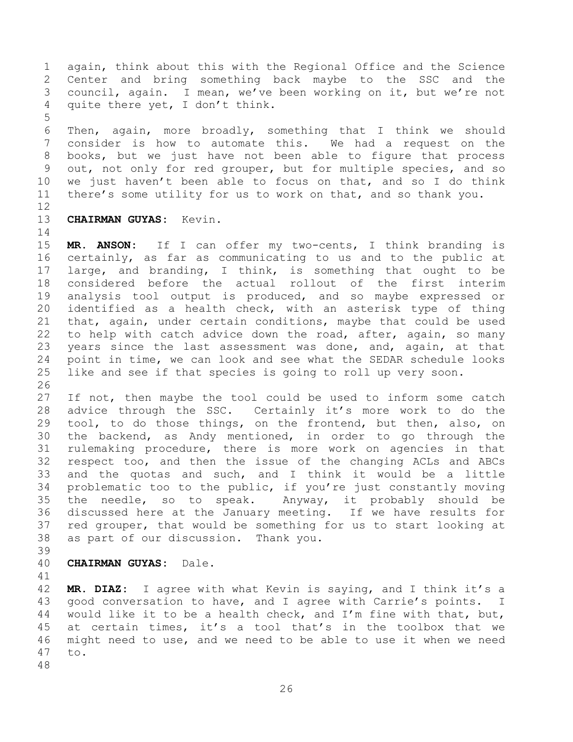1 again, think about this with the Regional Office and the Science<br>2 Center and bring something back maybe to the SSC and the 2 Center and bring something back maybe to the SSC and the<br>3 council, again. I mean, we've been working on it, but we're not 3 council, again. I mean, we've been working on it, but we're not<br>4 quite there vet, I don't think. quite there yet, I don't think.

5 6 Then, again, more broadly, something that I think we should<br>7 consider is how to automate this. We had a request on the consider is how to automate this. We had a request on the 8 books, but we just have not been able to figure that process 9 out, not only for red grouper, but for multiple species, and so<br>10 we just haven't been able to focus on that, and so I do think 10 we just haven't been able to focus on that, and so I do think<br>11 there's some utility for us to work on that, and so thank you. there's some utility for us to work on that, and so thank you.

 $\begin{array}{c} 12 \\ 13 \end{array}$ 

13 **CHAIRMAN GUYAS:** Kevin.

 $\begin{array}{c} 14 \\ 15 \end{array}$ 15 **MR. ANSON:** If I can offer my two-cents, I think branding is certainly, as far as communicating to us and to the public at 17 large, and branding, I think, is something that ought to be<br>18 considered before the actual rollout of the first interim 18 considered before the actual rollout of the first interim<br>19 analysis tool output is produced, and so maybe expressed or 19 analysis tool output is produced, and so maybe expressed or<br>20 identified as a health check, with an asterisk type of thing 20 identified as a health check, with an asterisk type of thing<br>21 that, again, under certain conditions, maybe that could be used 21 that, again, under certain conditions, maybe that could be used<br>22 to help with catch advice down the road, after, again, so many 22 to help with catch advice down the road, after, again, so many<br>23 vears since the last assessment was done, and, again, at that 23 years since the last assessment was done, and, again, at that<br>24 point in time, we can look and see what the SEDAR schedule looks 24 point in time, we can look and see what the SEDAR schedule looks<br>25 like and see if that species is going to roll up very soon. like and see if that species is going to roll up very soon.

26<br>27 27 If not, then maybe the tool could be used to inform some catch<br>28 advice through the SSC. Certainly it's more work to do the 28 advice through the SSC. Certainly it's more work to do the<br>29 tool, to do those things, on the frontend, but then, also, on 29 tool, to do those things, on the frontend, but then, also, on<br>30 the backend, as Andy mentioned, in order to go through the 30 the backend, as Andy mentioned, in order to go through the<br>31 rulemaking procedure, there is more work on agencies in that rulemaking procedure, there is more work on agencies in that 32 respect too, and then the issue of the changing ACLs and ABCs<br>33 and the quotas and such, and I think it would be a little 33 and the quotas and such, and I think it would be a little<br>34 problematic too to the public, if you're just constantly moving 34 problematic too to the public, if you're just constantly moving<br>35 the needle, so to speak. Anyway, it probably should be 35 the needle, so to speak. Anyway, it probably should be<br>36 discussed here at the January meeting. If we have results for 36 discussed here at the January meeting. If we have results for<br>37 red grouper, that would be something for us to start looking at 37 red grouper, that would be something for us to start looking at<br>38 as part of our discussion. Thank you. as part of our discussion. Thank you.

- 39
- 40 **CHAIRMAN GUYAS:** Dale.
- 41<br>42

42 **MR. DIAZ:** I agree with what Kevin is saying, and I think it's a 43 good conversation to have, and I agree with Carrie's points. I<br>44 would like it to be a health check, and I'm fine with that, but, 44 would like it to be a health check, and I'm fine with that, but,  $45$  at certain times, it's a tool that's in the toolbox that we 45 at certain times, it's a tool that's in the toolbox that we<br>46 might need to use, and we need to be able to use it when we need 46 might need to use, and we need to be able to use it when we need<br>47 to. to. 48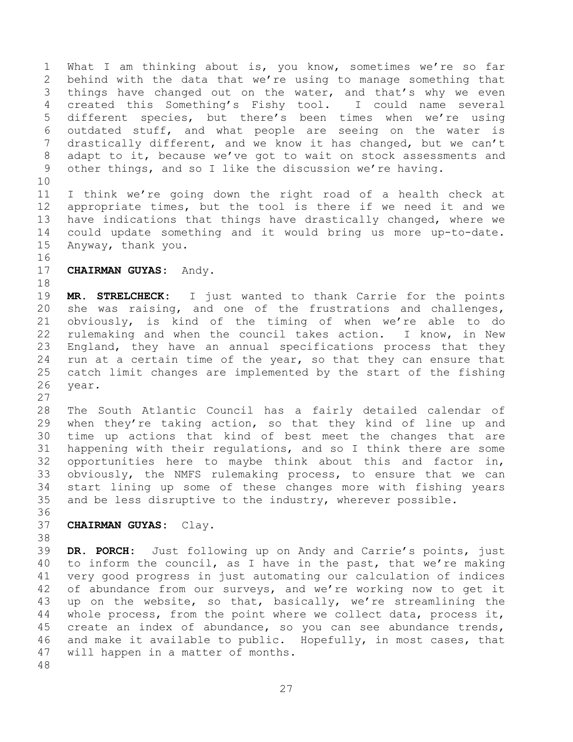1 What I am thinking about is, you know, sometimes we're so far<br>2 behind with the data that we're using to manage something that 2 behind with the data that we're using to manage something that<br>3 things have changed out on the water, and that's why we even 3 things have changed out on the water, and that's why we even<br>4 created this Something's Fishy tool. I could name several 4 created this Something's Fishy tool.<br>5 different species, but there's been ti 5 different species, but there's been times when we're using<br>6 outdated stuff, and what people are seeing on the water is 6 outdated stuff, and what people are seeing on the water is<br>7 drastically different, and we know it has changed, but we can't drastically different, and we know it has changed, but we can't 8 adapt to it, because we've got to wait on stock assessments and 9 other things, and so I like the discussion we're having.

10<br>11

11 I think we're going down the right road of a health check at<br>12 appropriate times, but the tool is there if we need it and we 12 appropriate times, but the tool is there if we need it and we<br>13 have indications that things have drastically changed, where we 13 have indications that things have drastically changed, where we<br>14 could update something and it would bring us more up-to-date. 14 could update something and it would bring us more up-to-date.<br>15 Anyway, thank you. Anyway, thank you.

16<br>17

### 17 **CHAIRMAN GUYAS:** Andy.

18<br>19 19 **MR. STRELCHECK:** I just wanted to thank Carrie for the points<br>20 she was raising, and one of the frustrations and challenges, 20 she was raising, and one of the frustrations and challenges,<br>21 obviously, is kind of the timing of when we're able to do 21 obviously, is kind of the timing of when we're able to do<br>22 rulemaking and when the council takes action. I know, in New 22 rulemaking and when the council takes action. I know, in New<br>23 England, they have an annual specifications process that they 23 England, they have an annual specifications process that they<br>24 run at a certain time of the year, so that they can ensure that 24 run at a certain time of the year, so that they can ensure that<br>25 catch limit changes are implemented by the start of the fishing 25 catch limit changes are implemented by the start of the fishing<br>26 year. year.

 $\frac{27}{28}$ 

28 The South Atlantic Council has a fairly detailed calendar of<br>29 when they're taking action, so that they kind of line up and 29 when they're taking action, so that they kind of line up and<br>30 time up actions that kind of best meet the changes that are 30 time up actions that kind of best meet the changes that are<br>31 happening with their regulations, and so I think there are some happening with their regulations, and so I think there are some 32 opportunities here to maybe think about this and factor in,<br>33 obviously, the NMFS rulemaking process, to ensure that we can 33 obviously, the NMFS rulemaking process, to ensure that we can<br>34 start lining up some of these changes more with fishing years 34 start lining up some of these changes more with fishing years<br>35 and be less disruptive to the industry, wherever possible. and be less disruptive to the industry, wherever possible.

36<br>37

# 37 **CHAIRMAN GUYAS:** Clay.

38<br>39

39 **DR. PORCH:** Just following up on Andy and Carrie's points, just 40 to inform the council, as I have in the past, that we're making 41 very good progress in just automating our calculation of indices<br>42 of abundance from our survevs, and we're working now to get it 42 of abundance from our surveys, and we're working now to get it<br>43 up on the website, so that, basically, we're streamlining the 43 up on the website, so that, basically, we're streamlining the<br>44 whole process, from the point where we collect data, process it, 44 whole process, from the point where we collect data, process it,<br>45 create an index of abundance, so you can see abundance trends, 45 create an index of abundance, so you can see abundance trends,<br>46 and make it available to public. Hopefully, in most cases, that 46 and make it available to public. Hopefully, in most cases, that<br>47 will happen in a matter of months. will happen in a matter of months.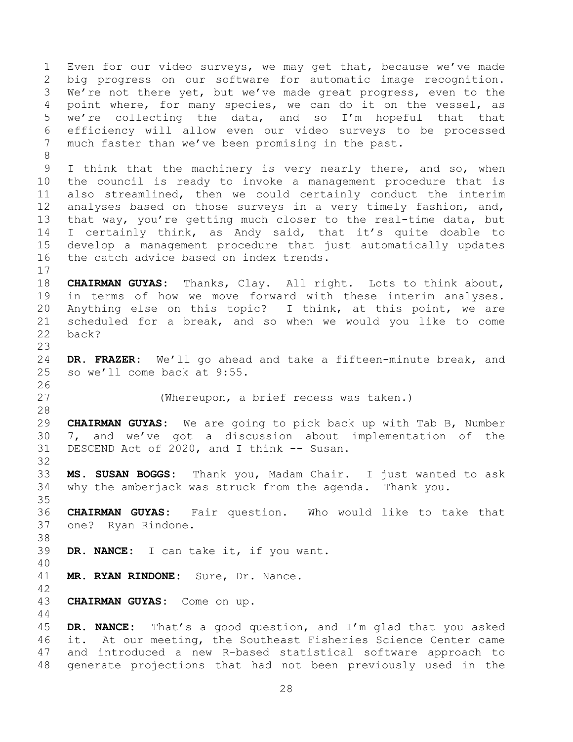1 Even for our video surveys, we may get that, because we've made<br>2 big progress on our software for automatic image recognition. 2 big progress on our software for automatic image recognition.<br>3 We're not there vet, but we've made great progress, even to the 3 We're not there yet, but we've made great progress, even to the<br>4 point where, for many species, we can do it on the vessel, as 4 point where, for many species, we can do it on the vessel, as<br>5 we're collecting the data, and so I'm hopeful that that 5 we're collecting the data, and so I'm hopeful that that<br>6 efficiency will allow even our video surveys to be processed 6 efficiency will allow even our video surveys to be processed<br>7 much faster than we've been promising in the past. much faster than we've been promising in the past. 8 9 I think that the machinery is very nearly there, and so, when<br>10 the council is ready to invoke a management procedure that is 10 the council is ready to invoke a management procedure that is<br>11 also streamlined, then we could certainly conduct the interim 11 also streamlined, then we could certainly conduct the interim<br>12 analyses based on those surveys in a very timely fashion, and, 12 analyses based on those surveys in a very timely fashion, and,<br>13 that way, vou're getting much closer to the real-time data, but 13 that way, you're getting much closer to the real-time data, but<br>14 I certainly think, as Andy said, that it's quite doable to 14 I certainly think, as Andy said, that it's quite doable to<br>15 develop a management procedure that just automatically updates 15 develop a management procedure that just automatically updates<br>16 the catch advice based on index trends. the catch advice based on index trends.  $\begin{array}{c} 17 \\ 18 \end{array}$ 18 **CHAIRMAN GUYAS:** Thanks, Clay. All right. Lots to think about,<br>19 in terms of how we move forward with these interim analyses. 19 in terms of how we move forward with these interim analyses.<br>20 Anything else on this topic? I think, at this point, we are 20 Anything else on this topic? I think, at this point, we are<br>21 scheduled for a break, and so when we would you like to come 21 scheduled for a break, and so when we would you like to come<br>22 back? back? 23 24 **DR. FRAZER:** We'll go ahead and take a fifteen-minute break, and so we'll come back at 9:55. 26<br>27 (Whereupon, a brief recess was taken.) 28<br>29 29 **CHAIRMAN GUYAS:** We are going to pick back up with Tab B, Number 30 7, and we've got a discussion about implementation of the 31 DESCEND Act of 2020, and I think -- Susan. DESCEND Act of 2020, and I think -- Susan. 32<br>33 33 **MS. SUSAN BOGGS:** Thank you, Madam Chair. I just wanted to ask why the amberjack was struck from the agenda. Thank you. 35<br>36 36 **CHAIRMAN GUYAS:** Fair question. Who would like to take that one? Ryan Rindone. 38<br>39 DR. NANCE: I can take it, if you want. 40 41 **MR. RYAN RINDONE:** Sure, Dr. Nance. 42 43 **CHAIRMAN GUYAS:** Come on up.  $\begin{array}{c} 44 \\ 45 \end{array}$ 45 **DR. NANCE:** That's a good question, and I'm glad that you asked 46 it. At our meeting, the Southeast Fisheries Science Center came<br>47 and introduced a new R-based statistical software approach to and introduced a new R-based statistical software approach to

48 generate projections that had not been previously used in the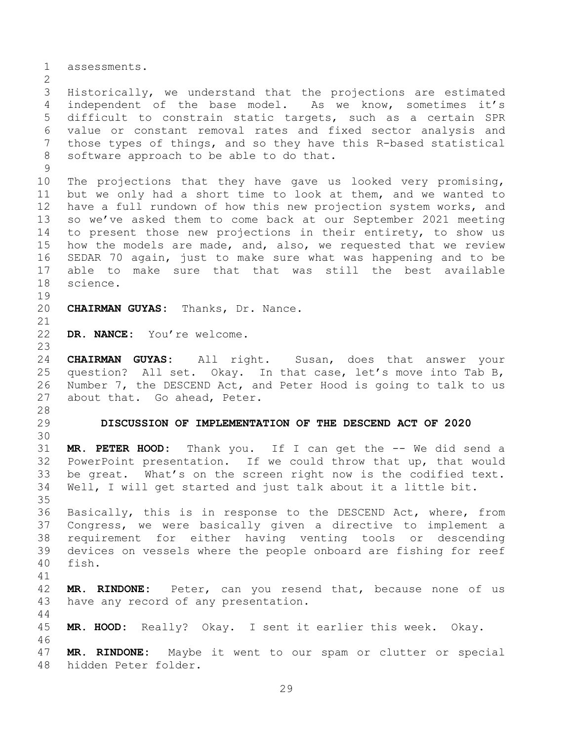<span id="page-28-0"></span>1 assessments.  $rac{2}{3}$ 3 Historically, we understand that the projections are estimated<br>4 independent of the base model. As we know, sometimes it's 4 independent of the base model. As we know, sometimes it's<br>5 difficult to constrain static targets, such as a certain SPR 5 difficult to constrain static targets, such as a certain SPR<br>6 value or constant removal rates and fixed sector analysis and 6 value or constant removal rates and fixed sector analysis and<br>7 those types of things, and so they have this R-based statistical those types of things, and so they have this R-based statistical 8 software approach to be able to do that.  $\begin{array}{c} 9 \\ 10 \end{array}$ 10 The projections that they have gave us looked very promising,<br>11 but we only had a short time to look at them, and we wanted to 11 but we only had a short time to look at them, and we wanted to<br>12 have a full rundown of how this new projection system works, and 12 have a full rundown of how this new projection system works, and<br>13 so we've asked them to come back at our September 2021 meeting 13 so we've asked them to come back at our September 2021 meeting<br>14 to present those new projections in their entirety, to show us 14 to present those new projections in their entirety, to show us<br>15 how the models are made, and, also, we requested that we review 15 how the models are made, and, also, we requested that we review<br>16 SEDAR 70 again, just to make sure what was happening and to be SEDAR 70 again, just to make sure what was happening and to be 17 able to make sure that that was still the best available science. 19<br>20 20 **CHAIRMAN GUYAS:** Thanks, Dr. Nance. 21<br>22 DR. NANCE: You're welcome.  $\frac{23}{24}$ 24 **CHAIRMAN GUYAS:** All right. Susan, does that answer your 25 question? All set. Okay. In that case, let's move into Tab B,<br>26 Number 7, the DESCEND Act, and Peter Hood is going to talk to us 26 Number 7, the DESCEND Act, and Peter Hood is going to talk to us<br>27 about that. Go ahead, Peter. about that. Go ahead, Peter. 28<br>29 29 **DISCUSSION OF IMPLEMENTATION OF THE DESCEND ACT OF 2020** 30<br>31 31 **MR. PETER HOOD:** Thank you. If I can get the -- We did send a 32 PowerPoint presentation. If we could throw that up, that would<br>33 be great. What's on the screen right now is the codified text. 33 be great. What's on the screen right now is the codified text.<br>34 Well, I will get started and just talk about it a little bit. Well, I will get started and just talk about it a little bit. 35<br>36 36 Basically, this is in response to the DESCEND Act, where, from<br>37 Congress, we were basically given a directive to implement a 37 Congress, we were basically given a directive to implement a<br>38 requirement for either having venting tools or descending 38 requirement for either having venting tools or descending<br>39 devices on vessels where the people onboard are fishing for reef devices on vessels where the people onboard are fishing for reef 40 fish. 41<br>42 42 **MR. RINDONE:** Peter, can you resend that, because none of us have any record of any presentation.  $\begin{array}{c} 44 \\ 45 \end{array}$ 45 **MR. HOOD:** Really? Okay. I sent it earlier this week. Okay. 46<br>47 47 **MR. RINDONE:** Maybe it went to our spam or clutter or special 48 hidden Peter folder.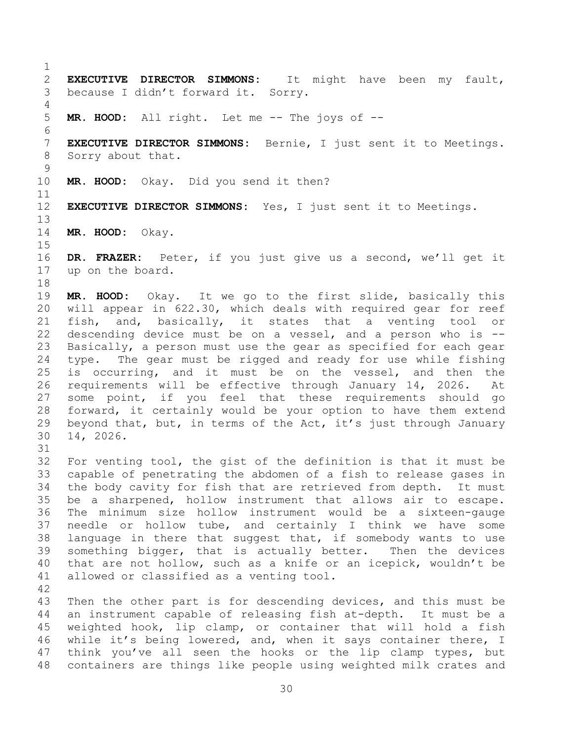$\frac{1}{2}$ 2 **EXECUTIVE DIRECTOR SIMMONS:** It might have been my fault, because I didn't forward it. Sorry.  $\frac{4}{5}$ MR. HOOD: All right. Let me -- The joys of --6<br>7 7 **EXECUTIVE DIRECTOR SIMMONS:** Bernie, I just sent it to Meetings. 8 Sorry about that.  $\begin{array}{c} 9 \\ 10 \end{array}$ MR. HOOD: Okay. Did you send it then? 11<br>12 12 **EXECUTIVE DIRECTOR SIMMONS:** Yes, I just sent it to Meetings. 13<br>14 MR. HOOD: Okay.  $15$ <br> $16$ DR. FRAZER: Peter, if you just give us a second, we'll get it 17 up on the board. 18<br>19 19 **MR. HOOD:** Okay. It we go to the first slide, basically this 20 will appear in 622.30, which deals with required gear for reef<br>21 fish, and, basically, it states that a venting tool or 21 fish, and, basically, it states that a venting tool or<br>22 descending device must be on a vessel, and a person who is --22 descending device must be on a vessel, and a person who is  $-$ -<br>23 Basically, a person must use the gear as specified for each gear 23 Basically, a person must use the gear as specified for each gear<br>24 type. The gear must be rigged and ready for use while fishing 24 type. The gear must be rigged and ready for use while fishing<br>25 is occurring, and it must be on the vessel, and then the 25 is occurring, and it must be on the vessel, and then the<br>26 requirements will be effective through January 14, 2026. At 26 requirements will be effective through January 14, 2026.<br>27 some point, if you feel that these requirements shoule 27 some point, if you feel that these requirements should go<br>28 forward, it certainly would be your option to have them extend 28 forward, it certainly would be your option to have them extend<br>29 beyond that, but, in terms of the Act, it's just through January 29 beyond that, but, in terms of the Act, it's just through January<br>30 14. 2026. 30 14, 2026. 31 32 For venting tool, the gist of the definition is that it must be<br>33 capable of penetrating the abdomen of a fish to release gases in 33 capable of penetrating the abdomen of a fish to release gases in<br>34 the body cavity for fish that are retrieved from depth. It must 34 the body cavity for fish that are retrieved from depth. It must<br>35 be a sharpened, hollow instrument that allows air to escape. 35 be a sharpened, hollow instrument that allows air to escape.<br>36 The minimum size hollow instrument would be a sixteen-gauge 36 The minimum size hollow instrument would be a sixteen-gauge<br>37 needle or hollow tube, and certainly I think we have some 37 needle or hollow tube, and certainly I think we have some<br>38 language in there that suggest that, if somebody wants to use 38 language in there that suggest that, if somebody wants to use<br>39 something bigger, that is actually better. Then the devices something bigger, that is actually better. Then the devices 40 that are not hollow, such as a knife or an icepick, wouldn't be 41 allowed or classified as a venting tool. 42 43 Then the other part is for descending devices, and this must be<br>44 an instrument capable of releasing fish at-depth. It must be a 44 an instrument capable of releasing fish at-depth. It must be a<br>45 weighted hook, lip clamp, or container that will hold a fish 45 weighted hook, lip clamp, or container that will hold a fish<br>46 while it's being lowered, and, when it says container there, I 46 while it's being lowered, and, when it says container there, I<br>47 think you've all seen the hooks or the lip clamp types, but think you've all seen the hooks or the lip clamp types, but 48 containers are things like people using weighted milk crates and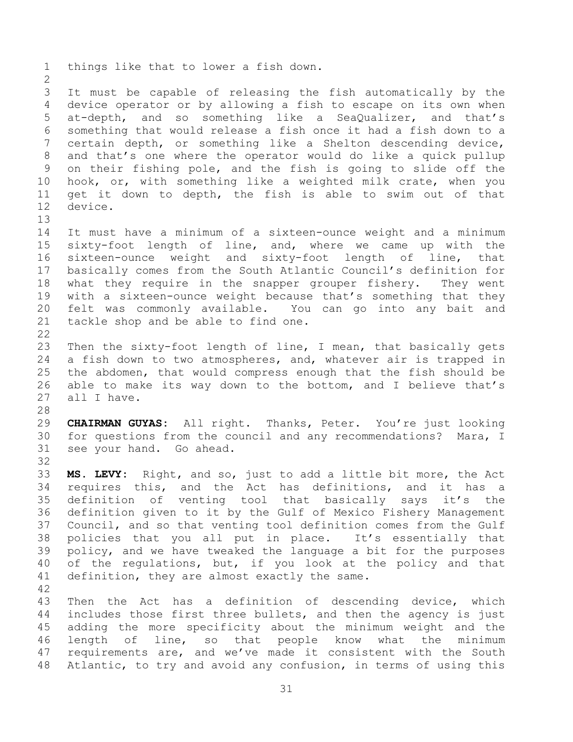$rac{2}{3}$ 3 It must be capable of releasing the fish automatically by the<br>4 device operator or by allowing a fish to escape on its own when 4 device operator or by allowing a fish to escape on its own when<br>5 at-depth, and so something like a SeaQualizer, and that's 5 at-depth, and so something like a SeaQualizer, and that's<br>6 something that would release a fish once it had a fish down to a 6 something that would release a fish once it had a fish down to a<br>7 certain depth, or something like a Shelton descending device, certain depth, or something like a Shelton descending device, 8 and that's one where the operator would do like a quick pullup 9 on their fishing pole, and the fish is going to slide off the<br>10 hook, or, with something like a weighted milk crate, when you 10 hook, or, with something like a weighted milk crate, when you<br>11 get it down to depth, the fish is able to swim out of that 11 get it down to depth, the fish is able to swim out of that<br>12 device. device.

1 things like that to lower a fish down.

13<br>14 14 It must have a minimum of a sixteen-ounce weight and a minimum<br>15 sixty-foot length of line, and, where we came up with the 15 sixty-foot length of line, and, where we came up with the<br>16 sixteen-ounce weight and sixty-foot length of line, that 16 sixteen-ounce weight and sixty-foot length of line, that<br>17 basically comes from the South Atlantic Council's definition for 17 basically comes from the South Atlantic Council's definition for<br>18 what they require in the snapper grouper fishery. They went 18 what they require in the snapper grouper fishery.<br>19 with a sixteen-ounce weight because that's something 19 with a sixteen-ounce weight because that's something that they<br>20 felt was commonly available. You can go into any bait and 20 felt was commonly available. You can go into any bait and<br>21 tackle shop and be able to find one. tackle shop and be able to find one.

22<br>23 23 Then the sixty-foot length of line, I mean, that basically gets<br>24 a fish down to two atmospheres, and, whatever air is trapped in 24 a fish down to two atmospheres, and, whatever air is trapped in<br>25 the abdomen, that would compress enough that the fish should be 25 the abdomen, that would compress enough that the fish should be<br>26 able to make its way down to the bottom, and I believe that's 26 able to make its way down to the bottom, and I believe that's 27 all I have. all I have.

28<br>29 29 **CHAIRMAN GUYAS:** All right. Thanks, Peter. You're just looking 30 for questions from the council and any recommendations? Mara, I<br>31 see vour hand. Go ahead. see your hand. Go ahead.

32<br>33 33 **MS. LEVY:** Right, and so, just to add a little bit more, the Act 34 requires this, and the Act has definitions, and it has a<br>35 definition of venting tool that basically says it's the 35 definition of venting tool that basically says it's the<br>36 definition given to it by the Gulf of Mexico Fishery Management 36 definition given to it by the Gulf of Mexico Fishery Management<br>37 Council, and so that venting tool definition comes from the Gulf 37 Council, and so that venting tool definition comes from the Gulf<br>38 policies that you all put in place. It's essentially that 38 policies that you all put in place. It's essentially that<br>39 policy, and we have tweaked the language a bit for the purposes policy, and we have tweaked the language a bit for the purposes 40 of the regulations, but, if you look at the policy and that 41 definition, they are almost exactly the same.

42 43 Then the Act has a definition of descending device, which<br>44 includes those first three bullets, and then the agency is just 44 includes those first three bullets, and then the agency is just<br>45 adding the more specificity about the minimum weight and the 45 adding the more specificity about the minimum weight and the<br>46 length of line, so that people know what the minimum 46 length of line, so that people know what<br>47 requirements are, and we've made it consistent w requirements are, and we've made it consistent with the South 48 Atlantic, to try and avoid any confusion, in terms of using this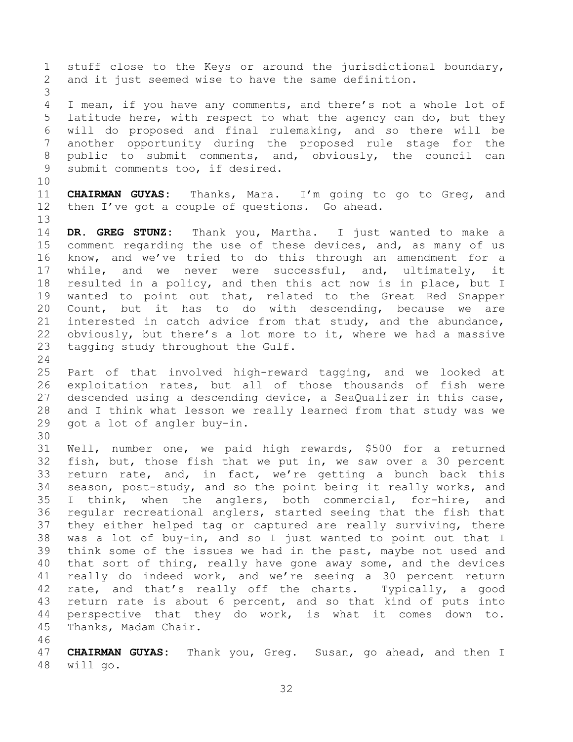1 stuff close to the Keys or around the jurisdictional boundary,<br>2 and it just seemed wise to have the same definition. and it just seemed wise to have the same definition. 3 4 I mean, if you have any comments, and there's not a whole lot of<br>5 latitude here, with respect to what the agency can do, but they latitude here, with respect to what the agency can do, but they 6 will do proposed and final rulemaking, and so there will be another opportunity during the proposed rule stage for the 8 public to submit comments, and, obviously, the council can 9 submit comments too, if desired. 10<br>11 11 **CHAIRMAN GUYAS:** Thanks, Mara. I'm going to go to Greg, and<br>12 then I've got a couple of questions. Go ahead. then I've got a couple of questions. Go ahead. 13<br>14 14 **DR. GREG STUNZ:** Thank you, Martha. I just wanted to make a 15 comment regarding the use of these devices, and, as many of us<br>16 know, and we've tried to do this through an amendment for a know, and we've tried to do this through an amendment for a 17 while, and we never were successful, and, ultimately, it<br>18 resulted in a policy, and then this act now is in place, but I 18 resulted in a policy, and then this act now is in place, but I<br>19 wanted to point out that, related to the Great Red Snapper 19 wanted to point out that, related to the Great Red Snapper<br>20 Count, but it has to do with descending, because we are 20 Count, but it has to do with descending, because we are<br>21 interested in catch advice from that study, and the abundance, 21 interested in catch advice from that study, and the abundance,<br>22 obviously, but there's a lot more to it, where we had a massive 22 obviously, but there's a lot more to it, where we had a massive  $23$  tagging study throughout the Gulf. tagging study throughout the Gulf.  $\frac{24}{25}$ 25 Part of that involved high-reward tagging, and we looked at<br>26 exploitation rates, but all of those thousands of fish were 26 exploitation rates, but all of those thousands of fish were<br>27 descended using a descending device, a SeaQualizer in this case, 27 descended using a descending device, a SeaQualizer in this case,<br>28 and I think what lesson we really learned from that study was we 28 and I think what lesson we really learned from that study was we<br>29 qot a lot of angler buy-in. got a lot of angler buy-in. 30<br>31 Well, number one, we paid high rewards, \$500 for a returned 32 fish, but, those fish that we put in, we saw over a 30 percent<br>33 return rate, and, in fact, we're getting a bunch back this 33 return rate, and, in fact, we're getting a bunch back this<br>34 season, post-study, and so the point being it really works, and 34 season, post-study, and so the point being it really works, and<br>35 I think, when the anglers, both commercial, for-hire, and 35 I think, when the anglers, both commercial, for-hire,<br>36 reqular recreational anglers, started seeing that the fish t 36 regular recreational anglers, started seeing that the fish that<br>37 they either helped tag or captured are really surviving, there 37 they either helped tag or captured are really surviving, there<br>38 was a lot of buy-in, and so I just wanted to point out that I 38 was a lot of buy-in, and so I just wanted to point out that I<br>39 think some of the issues we had in the past, maybe not used and think some of the issues we had in the past, maybe not used and 40 that sort of thing, really have gone away some, and the devices 41 really do indeed work, and we're seeing a 30 percent return<br>42 rate, and that's really off the charts. Typically, a good 42 rate, and that's really off the charts. Typically, a good<br>43 return rate is about 6 percent, and so that kind of puts into 43 return rate is about 6 percent, and so that kind of puts into<br>44 perspective that they do work, is what it comes down to. 44 perspective that they do work, is what it comes down to.<br>45 Thanks, Madam Chair. Thanks, Madam Chair. 46<br>47 47 **CHAIRMAN GUYAS:** Thank you, Greg. Susan, go ahead, and then I 48 will go.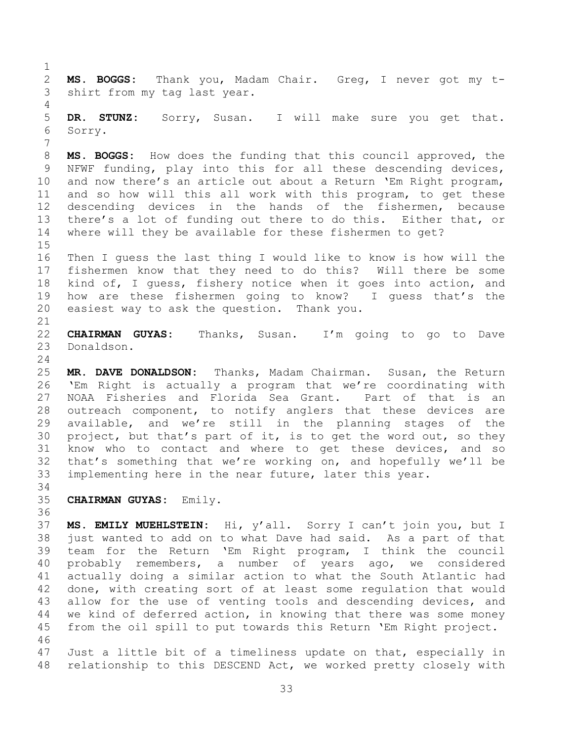$\frac{1}{2}$ 2 **MS. BOGGS:** Thank you, Madam Chair. Greg, I never got my tshirt from my tag last year.  $\frac{4}{5}$ 5 **DR. STUNZ:** Sorry, Susan. I will make sure you get that. Sorry. 7 8 **MS. BOGGS:** How does the funding that this council approved, the 9 NFWF funding, play into this for all these descending devices,<br>10 and now there's an article out about a Return 'Em Right program, 10 and now there's an article out about a Return 'Em Right program,<br>11 and so how will this all work with this program, to get these 11 and so how will this all work with this program, to get these<br>12 descending devices in the hands of the fishermen, because 12 descending devices in the hands of the fishermen, because<br>13 there's a lot of funding out there to do this. Either that, or 13 there's a lot of funding out there to do this. Either that, or<br>14 where will they be available for these fishermen to get? where will they be available for these fishermen to get?  $\frac{15}{16}$ Then I guess the last thing I would like to know is how will the 17 fishermen know that they need to do this? Will there be some<br>18 kind of, I quess, fishery notice when it goes into action, and 18 kind of, I guess, fishery notice when it goes into action, and<br>19 how are these fishermen going to know? I guess that's the 19 how are these fishermen going to know? I guess that's the<br>20 easiest way to ask the question. Thank you. easiest way to ask the question. Thank you.  $\frac{21}{22}$ 22 **CHAIRMAN GUYAS:** Thanks, Susan. I'm going to go to Dave Donaldson.  $\frac{24}{25}$ 25 **MR. DAVE DONALDSON:** Thanks, Madam Chairman. Susan, the Return 26 'Em Right is actually a program that we're coordinating with<br>27 NOAA Fisheries and Florida Sea Grant. Part of that is an 27 NOAA Fisheries and Florida Sea Grant. Part of that is an<br>28 outreach component, to notify anglers that these devices are 28 outreach component, to notify anglers that these devices are<br>29 available, and we're still in the planning stages of the 29 available, and we're still in the planning stages of the<br>30 project, but that's part of it, is to get the word out, so they 30 project, but that's part of it, is to get the word out, so they<br>31 know who to contact and where to get these devices, and so know who to contact and where to get these devices, and so 32 that's something that we're working on, and hopefully we'll be<br>33 implementing here in the near future, later this year. implementing here in the near future, later this year. 34<br>35 35 **CHAIRMAN GUYAS:** Emily. 36<br>37 37 **MS. EMILY MUEHLSTEIN:** Hi, y'all. Sorry I can't join you, but I 38 just wanted to add on to what Dave had said. As a part of that<br>39 team for the Return 'Em Right program, I think the council team for the Return 'Em Right program, I think the council 40 probably remembers, a number of years ago, we considered 41 actually doing a similar action to what the South Atlantic had<br>42 done, with creating sort of at least some regulation that would 42 done, with creating sort of at least some regulation that would<br>43 allow for the use of venting tools and descending devices, and 43 allow for the use of venting tools and descending devices, and<br>44 we kind of deferred action, in knowing that there was some money 44 we kind of deferred action, in knowing that there was some money<br>45 from the oil spill to put towards this Return 'Em Right project. from the oil spill to put towards this Return 'Em Right project. 46<br>47 Just a little bit of a timeliness update on that, especially in 48 relationship to this DESCEND Act, we worked pretty closely with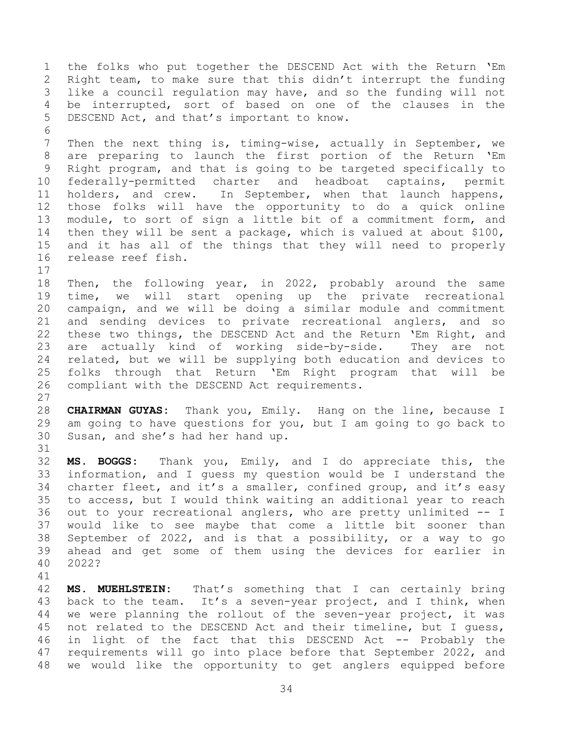1 the folks who put together the DESCEND Act with the Return 'Em<br>2 Right team, to make sure that this didn't interrupt the funding 2 Right team, to make sure that this didn't interrupt the funding<br>3 like a council requlation may have, and so the funding will not 3 like a council regulation may have, and so the funding will not<br>4 be interrupted, sort of based on one of the clauses in the 4 be interrupted, sort of based on one of the clauses in the 5 DESCEND Act, and that's important to know. DESCEND Act, and that's important to know. 6<br>7

Then the next thing is, timing-wise, actually in September, we 8 are preparing to launch the first portion of the Return 'Em 9 Right program, and that is going to be targeted specifically to<br>10 federally-permitted charter and headboat captains, permit 10 federally-permitted charter and headboat captains,<br>11 holders, and crew. In September, when that launch 11 holders, and crew. In September, when that launch happens,<br>12 those folks will have the opportunity to do a quick online 12 those folks will have the opportunity to do a quick online<br>13 module, to sort of sign a little bit of a commitment form, and 13 module, to sort of sign a little bit of a commitment form, and<br>14 then they will be sent a package, which is valued at about \$100, 14 then they will be sent a package, which is valued at about \$100,<br>15 and it has all of the things that they will need to properly 15 and it has all of the things that they will need to properly<br>16 release reef fish. release reef fish.

 $\begin{array}{c} 17 \\ 18 \end{array}$ 18 Then, the following year, in 2022, probably around the same<br>19 time, we will start opening up the private recreational 19 time, we will start opening up the private<br>20 campaign, and we will be doing a similar module an 20 campaign, and we will be doing a similar module and commitment<br>21 and sending devices to private recreational anglers, and so 21 and sending devices to private recreational anglers, and so<br>22 these two things, the DESCEND Act and the Return 'Em Right, and 22 these two things, the DESCEND Act and the Return 'Em Right, and<br>23 are actually kind of working side-by-side. They are not 23 are actually kind of working side-by-side.<br>24 related, but we will be supplying both educati 24 related, but we will be supplying both education and devices to<br>25 folks through that Return 'Em Right program that will be 25 folks through that Return 'Em Right program that will be<br>26 compliant with the DESCEND Act requirements. compliant with the DESCEND Act requirements.

 $\frac{27}{28}$ 28 **CHAIRMAN GUYAS:** Thank you, Emily. Hang on the line, because I 29 am going to have questions for you, but I am going to go back to  $30$  Susan, and she's had her hand up. Susan, and she's had her hand up.

31

32 **MS. BOGGS:** Thank you, Emily, and I do appreciate this, the 33 information, and I guess my question would be I understand the<br>34 charter fleet, and it's a smaller, confined group, and it's easy 34 charter fleet, and it's a smaller, confined group, and it's easy<br>35 to access, but I would think waiting an additional year to reach 35 to access, but I would think waiting an additional year to reach<br>36 out to your recreational anglers, who are pretty unlimited -- I 36 out to your recreational anglers, who are pretty unlimited -- I<br>37 would like to see maybe that come a little bit sooner than 37 would like to see maybe that come a little bit sooner than<br>38 September of 2022, and is that a possibility, or a way to go 38 September of 2022, and is that a possibility, or a way to go ahead and get some of them using the devices for earlier in 40 2022?

41<br>42 42 **MS. MUEHLSTEIN:** That's something that I can certainly bring<br>43 back to the team. It's a seven-year project, and I think, when 43 back to the team. It's a seven-year project, and I think, when<br>44 we were planning the rollout of the seven-year project, it was 44 we were planning the rollout of the seven-year project, it was<br>45 not related to the DESCEND Act and their timeline, but I quess, 45 not related to the DESCEND Act and their timeline, but I guess,<br>46 in light of the fact that this DESCEND Act -- Probably the 46 in light of the fact that this DESCEND Act -- Probably the<br>47 requirements will go into place before that September 2022, and 47 requirements will go into place before that September 2022, and 48 we would like the opportunity to get anglers equipped before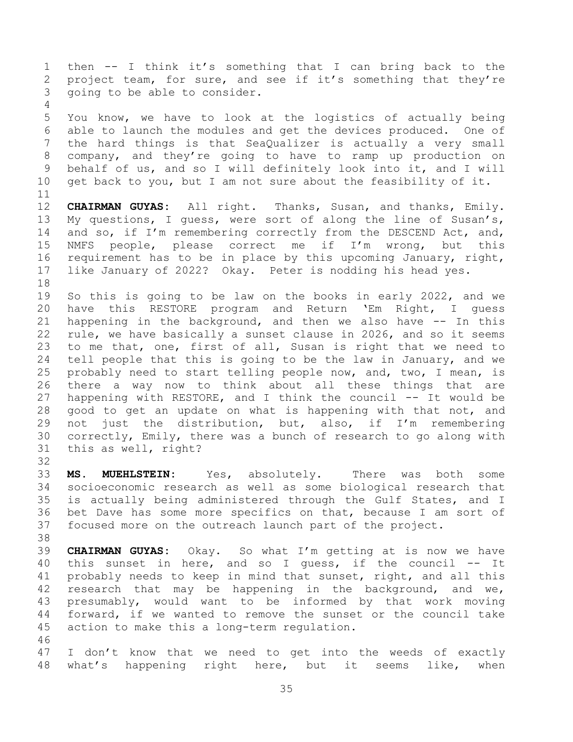1 then -- I think it's something that I can bring back to the<br>2 project team, for sure, and see if it's something that they're 2 project team, for sure, and see if it's something that they're<br>3 qoing to be able to consider. going to be able to consider.  $\frac{4}{5}$ 5 You know, we have to look at the logistics of actually being<br>6 able to launch the modules and get the devices produced. One of 6 able to launch the modules and get the devices produced. One of<br>7 the hard things is that SeaOualizer is actually a very small the hard things is that SeaQualizer is actually a very small 8 company, and they're going to have to ramp up production on 9 behalf of us, and so I will definitely look into it, and I will<br>10 qet back to you, but I am not sure about the feasibility of it. get back to you, but I am not sure about the feasibility of it. 11<br>12 12 **CHAIRMAN GUYAS:** All right. Thanks, Susan, and thanks, Emily.<br>13 My questions, I quess, were sort of along the line of Susan's, 13 My questions, I guess, were sort of along the line of Susan's,<br>14 and so, if I'm remembering correctly from the DESCEND Act, and, 14 and so, if I'm remembering correctly from the DESCEND Act, and,<br>15 NMFS people, please correct me if I'm wrong, but this 15 NMFS people, please correct me if I'm wrong, but this<br>16 requirement has to be in place by this upcoming January, right, 16 requirement has to be in place by this upcoming January, right,<br>17 like January of 2022? Okay. Peter is nodding his head yes. like January of 2022? Okay. Peter is nodding his head yes. 18<br>19 19 So this is going to be law on the books in early 2022, and we<br>20 have this RESTORE program and Return 'Em Right, I quess 20 have this RESTORE program and Return 'Em Right, I guess<br>21 happening in the background, and then we also have -- In this 21 happening in the background, and then we also have -- In this<br>22 rule, we have basically a sunset clause in 2026, and so it seems 22 rule, we have basically a sunset clause in 2026, and so it seems<br>23 to me that, one, first of all, Susan is right that we need to 23 to me that, one, first of all, Susan is right that we need to<br>24 tell people that this is going to be the law in January, and we 24 tell people that this is going to be the law in January, and we<br>25 probably need to start telling people now, and, two, I mean, is 25 probably need to start telling people now, and, two, I mean, is<br>26 there a way now to think about all these things that are 26 there a way now to think about all these things that are<br>27 happening with RESTORE, and I think the council -- It would be 27 happening with RESTORE, and I think the council  $--$  It would be 28 good to get an update on what is happening with that not, and 28 good to get an update on what is happening with that not, and<br>29 not just the distribution, but, also, if I'm remembering 29 not just the distribution, but, also, if I'm remembering<br>30 correctly, Emily, there was a bunch of research to go along with 30 correctly, Emily, there was a bunch of research to go along with<br>31 this as well, right? this as well, right? 32<br>33

33 **MS. MUEHLSTEIN:** Yes, absolutely. There was both some 34 socioeconomic research as well as some biological research that<br>35 is actually being administered through the Gulf States, and I 35 is actually being administered through the Gulf States, and I<br>36 bet Dave has some more specifics on that, because I am sort of 36 bet Dave has some more specifics on that, because I am sort of 37 focused more on the outreach launch part of the project. focused more on the outreach launch part of the project.

38<br>39 39 **CHAIRMAN GUYAS:** Okay. So what I'm getting at is now we have 40 this sunset in here, and so I guess, if the council -- It 41 probably needs to keep in mind that sunset, right, and all this<br>42 research that may be happening in the background, and we. 42 research that may be happening in the background, and we,<br>43 presumably, would want to be informed by that work moving 43 presumably, would want to be informed by that work moving<br>44 forward, if we wanted to remove the sunset or the council take 44 forward, if we wanted to remove the sunset or the council take<br>45 action to make this a long-term regulation. action to make this a long-term regulation.

46<br>47 I don't know that we need to get into the weeds of exactly 48 what's happening right here, but it seems like, when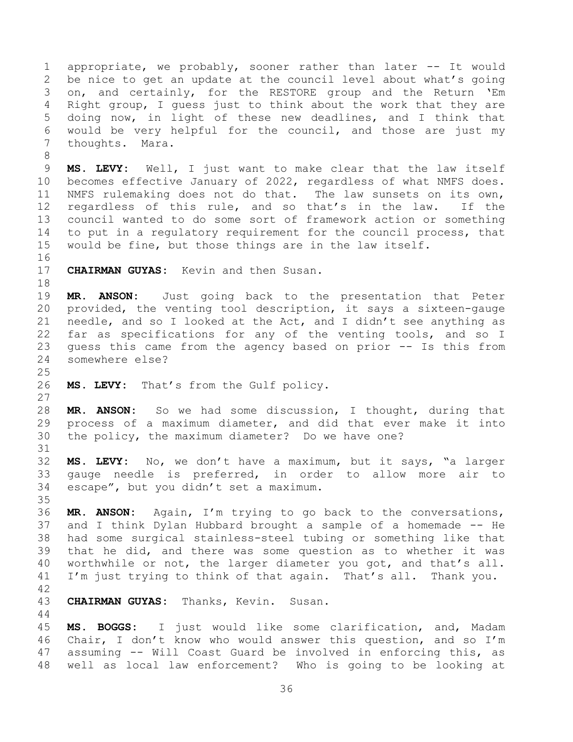1 appropriate, we probably, sooner rather than later -- It would<br>2 be nice to get an update at the council level about what's going 2 be nice to get an update at the council level about what's going<br>3 on, and certainly, for the RESTORE group and the Return 'Em 3 on, and certainly, for the RESTORE group and the Return 'Em<br>4 Right group, I quess just to think about the work that they are 4 Right group, I guess just to think about the work that they are<br>5 doing now, in light of these new deadlines, and I think that 5 doing now, in light of these new deadlines, and I think that<br>6 would be verv helpful for the council, and those are just my 6 would be very helpful for the council, and those are just my thoughts. Mara.

8

9 **MS. LEVY:** Well, I just want to make clear that the law itself<br>10 becomes effective January of 2022, regardless of what NMFS does. 10 becomes effective January of 2022, regardless of what NMFS does.<br>11 NMFS rulemaking does not do that. The law sunsets on its own, 11 NMFS rulemaking does not do that. The law sunsets on its own,<br>12 regardless of this rule, and so that's in the law. If the 12 regardless of this rule, and so that's in the law.<br>13 council wanted to do some sort of framework action or 13 council wanted to do some sort of framework action or something<br>14 to put in a requlatory requirement for the council process, that 14 to put in a regulatory requirement for the council process, that<br>15 would be fine, but those things are in the law itself. would be fine, but those things are in the law itself.

- 16<br>17
	- **CHAIRMAN GUYAS:** Kevin and then Susan.

18<br>19 19 **MR. ANSON:** Just going back to the presentation that Peter 20 provided, the venting tool description, it says a sixteen-gauge<br>21 needle, and so I looked at the Act, and I didn't see anvthing as 21 needle, and so I looked at the Act, and I didn't see anything as<br>22 far as specifications for any of the venting tools, and so I 22 far as specifications for any of the venting tools, and so I<br>23 quess this came from the agency based on prior -- Is this from 23 guess this came from the agency based on prior -- Is this from<br>24 somewhere else? somewhere else?

 $\frac{25}{26}$ MS. LEVY: That's from the Gulf policy.

 $\frac{27}{28}$ 28 **MR. ANSON:** So we had some discussion, I thought, during that 29 process of a maximum diameter, and did that ever make it into<br>30 the policy, the maximum diameter? Do we have one? the policy, the maximum diameter? Do we have one?

32 **MS. LEVY:** No, we don't have a maximum, but it says, "a larger 33 gauge needle is preferred, in order to allow more air to<br>34 escape", but vou didn't set a maximum. escape", but you didn't set a maximum.

35<br>36 36 **MR. ANSON:** Again, I'm trying to go back to the conversations, 37 and I think Dylan Hubbard brought a sample of a homemade -- He<br>38 had some surgical stainless-steel tubing or something like that 38 had some surgical stainless-steel tubing or something like that<br>39 that he did, and there was some question as to whether it was that he did, and there was some question as to whether it was 40 worthwhile or not, the larger diameter you got, and that's all. 41 I'm just trying to think of that again. That's all. Thank you.

42

31

43 **CHAIRMAN GUYAS:** Thanks, Kevin. Susan.

 $\begin{array}{c} 44 \\ 45 \end{array}$ 45 **MS. BOGGS:** I just would like some clarification, and, Madam 46 Chair, I don't know who would answer this question, and so I'm<br>47 assuming -- Will Coast Guard be involved in enforcing this, as assuming -- Will Coast Guard be involved in enforcing this, as 48 well as local law enforcement? Who is going to be looking at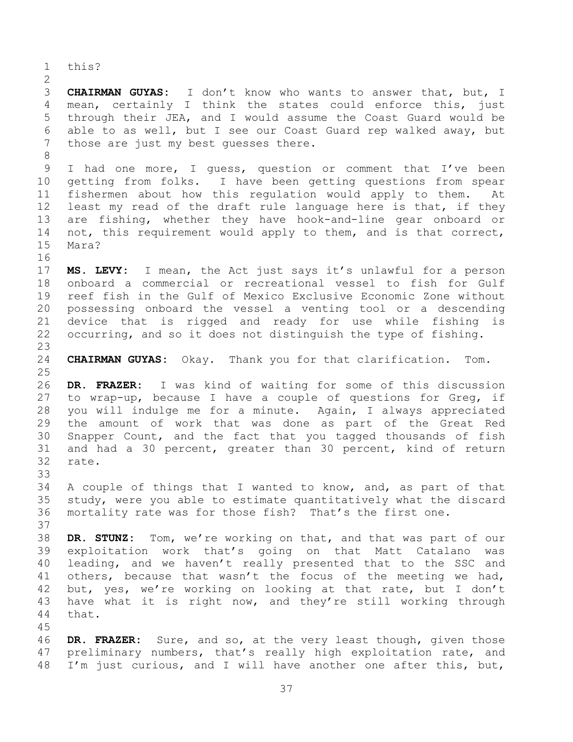$\frac{2}{3}$ 3 **CHAIRMAN GUYAS:** I don't know who wants to answer that, but, I 4 mean, certainly I think the states could enforce this, just<br>5 through their JEA, and I would assume the Coast Guard would be 5 through their JEA, and I would assume the Coast Guard would be<br>6 able to as well, but I see our Coast Guard rep walked away, but 6 able to as well, but I see our Coast Guard rep walked away, but<br>7 those are just my best quesses there. those are just my best quesses there. 8 9 I had one more, I guess, question or comment that I've been<br>10 qetting from folks. I have been getting questions from spear 10 getting from folks. I have been getting questions from spear<br>11 fishermen about how this requlation would apply to them. At 11 fishermen about how this regulation would apply to them. At<br>12 least my read of the draft rule language here is that, if they 12 least my read of the draft rule language here is that, if they<br>13 are fishing, whether they have hook-and-line gear onboard or 13 are fishing, whether they have hook-and-line gear onboard or<br>14 not, this requirement would apply to them, and is that correct, 14 not, this requirement would apply to them, and is that correct,<br>15 Mara? Mara? 16 17 **MS. LEVY:** I mean, the Act just says it's unlawful for a person 18 onboard a commercial or recreational vessel to fish for Gulf 19 reef fish in the Gulf of Mexico Exclusive Economic Zone without<br>20 possessing onboard the vessel a venting tool or a descending 20 possessing onboard the vessel a venting tool or a descending<br>21 device that is rigged and ready for use while fishing is 21 device that is rigged and ready for use while fishing is<br>22 occurring, and so it does not distinguish the type of fishing. occurring, and so it does not distinguish the type of fishing. 23 24 **CHAIRMAN GUYAS:** Okay. Thank you for that clarification. Tom.  $\frac{25}{26}$ 26 **DR. FRAZER:** I was kind of waiting for some of this discussion 27 to wrap-up, because I have a couple of questions for Greg, if<br>28 vou will indulge me for a minute. Again, I always appreciated 28 you will indulge me for a minute. Again, I always appreciated<br>29 the amount of work that was done as part of the Great Red 29 the amount of work that was done as part of the Great Red<br>30 Snapper Count, and the fact that you tagged thousands of fish 30 Snapper Count, and the fact that you tagged thousands of fish<br>31 and had a 30 percent, greater than 30 percent, kind of return and had a 30 percent, greater than 30 percent, kind of return 32 rate. 33<br>34 34 A couple of things that I wanted to know, and, as part of that<br>35 study, were you able to estimate quantitatively what the discard 35 study, were you able to estimate quantitatively what the discard<br>36 mortality rate was for those fish? That's the first one. mortality rate was for those fish? That's the first one. 37<br>38 38 **DR. STUNZ:** Tom, we're working on that, and that was part of our exploitation work that's going on that Matt Catalano was 40 leading, and we haven't really presented that to the SSC and 41 others, because that wasn't the focus of the meeting we had,<br>42 but, ves, we're working on looking at that rate, but I don't 42 but, yes, we're working on looking at that rate, but I don't<br>43 have what it is right now, and they're still working through 43 have what it is right now, and they're still working through 44 that. that. 45 46 **DR. FRAZER:** Sure, and so, at the very least though, given those preliminary numbers, that's really high exploitation rate, and 48 I'm just curious, and I will have another one after this, but,

1 this?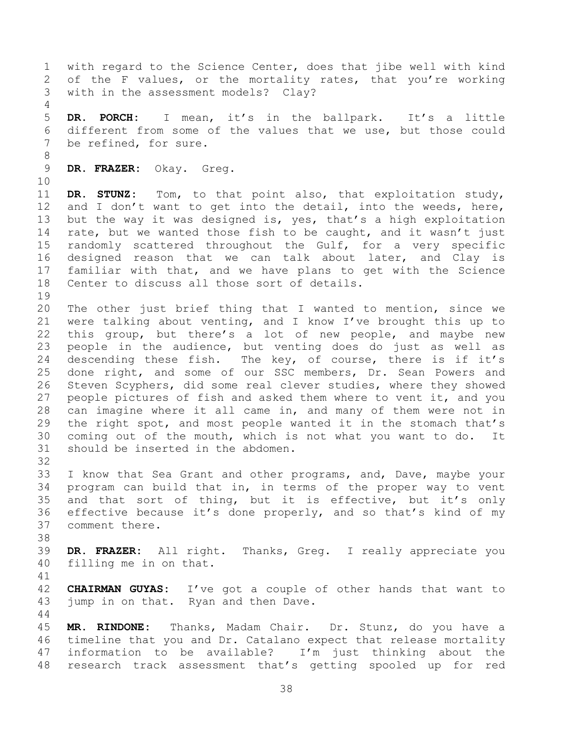1 with regard to the Science Center, does that jibe well with kind<br>2 of the F values, or the mortality rates, that you're working 2 of the F values, or the mortality rates, that you're working<br>3 with in the assessment models? Clay? with in the assessment models? Clay?  $\frac{4}{5}$ 5 **DR. PORCH:** I mean, it's in the ballpark. It's a little 6 different from some of the values that we use, but those could<br>7 be refined, for sure. be refined, for sure. 8 9 **DR. FRAZER:** Okay. Greg. 10<br>11 11 **DR. STUNZ:** Tom, to that point also, that exploitation study,<br>12 and I don't want to get into the detail, into the weeds, here, 12 and I don't want to get into the detail, into the weeds, here,<br>13 but the way it was designed is, yes, that's a high exploitation 13 but the way it was designed is, yes, that's a high exploitation<br>14 rate, but we wanted those fish to be caught, and it wasn't just 14 rate, but we wanted those fish to be caught, and it wasn't just<br>15 randomly scattered throughout the Gulf, for a very specific 15 randomly scattered throughout the Gulf, for a very specific<br>16 designed reason that we can talk about later, and Clay is designed reason that we can talk about later, and Clay is 17 familiar with that, and we have plans to get with the Science<br>18 Center to discuss all those sort of details. Center to discuss all those sort of details. 19<br>20 20 The other just brief thing that I wanted to mention, since we<br>21 were talking about venting, and I know I've brought this up to 21 were talking about venting, and I know I've brought this up to<br>22 this group, but there's a lot of new people, and maybe new 22 this group, but there's a lot of new people, and maybe new<br>23 people in the audience, but venting does do just as well as 23 people in the audience, but venting does do just as well as<br>24 descending these fish. The key, of course, there is if it's 24 descending these fish. The key, of course, there is if it's<br>25 done right, and some of our SSC members, Dr. Sean Powers and 25 done right, and some of our SSC members, Dr. Sean Powers and<br>26 Steven Scyphers, did some real clever studies, where they showed 26 Steven Scyphers, did some real clever studies, where they showed<br>27 people pictures of fish and asked them where to vent it, and you 27 people pictures of fish and asked them where to vent it, and you<br>28 can imagine where it all came in, and many of them were not in 28 can imagine where it all came in, and many of them were not in<br>29 the right spot, and most people wanted it in the stomach that's 29 the right spot, and most people wanted it in the stomach that's<br>30 coming out of the mouth, which is not what you want to do. It 30 coming out of the mouth, which is not what you want to do. It<br>31 should be inserted in the abdomen. should be inserted in the abdomen. 32<br>33 33 I know that Sea Grant and other programs, and, Dave, maybe your<br>34 program can build that in, in terms of the proper way to vent 34 program can build that in, in terms of the proper way to vent<br>35 and that sort of thing, but it is effective, but it's only 35 and that sort of thing, but it is effective, but it's only<br>36 effective because it's done properly, and so that's kind of my 36 effective because it's done properly, and so that's kind of my comment there. comment there. 38<br>39 39 **DR. FRAZER:** All right. Thanks, Greg. I really appreciate you 40 filling me in on that. 41<br>42 42 **CHAIRMAN GUYAS:** I've got a couple of other hands that want to 43 jump in on that. Ryan and then Dave. jump in on that. Ryan and then Dave.  $\begin{array}{c} 44 \\ 45 \end{array}$ 45 **MR. RINDONE:** Thanks, Madam Chair. Dr. Stunz, do you have a 46 timeline that you and Dr. Catalano expect that release mortality<br>47 information to be available? I'm just thinking about the information to be available? I'm just thinking about the 48 research track assessment that's getting spooled up for red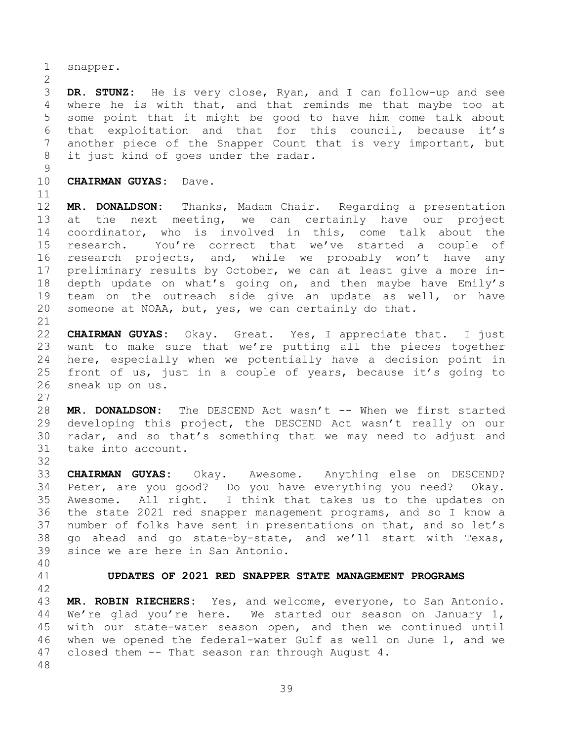1 snapper.

 $rac{2}{3}$ 3 **DR. STUNZ:** He is very close, Ryan, and I can follow-up and see 4 where he is with that, and that reminds me that maybe too at<br>5 some point that it might be good to have him come talk about 5 some point that it might be good to have him come talk about<br>6 that exploitation and that for this council, because it's 6 that exploitation and that for this council, because it's<br>7 another piece of the Snapper Count that is very important, but another piece of the Snapper Count that is very important, but 8 it just kind of goes under the radar.

 $\begin{array}{c} 9 \\ 10 \end{array}$ 

10 **CHAIRMAN GUYAS:** Dave.

11<br>12 12 **MR. DONALDSON:** Thanks, Madam Chair. Regarding a presentation 13 at the next meeting, we can certainly have our project<br>14 coordinator, who is involved in this, come talk about the 14 coordinator, who is involved in this, come talk about the<br>15 research. You're correct that we've started a couple of 15 research. You're correct that we've started a couple of<br>16 research projects, and, while we probably won't have any research projects, and, while we probably won't have any 17 preliminary results by October, we can at least give a more in-<br>18 depth update on what's going on, and then maybe have Emily's 18 depth update on what's going on, and then maybe have Emily's<br>19 team on the outreach side give an update as well, or have 19 team on the outreach side give an update as well, or have<br>20 someone at NOAA, but, yes, we can certainly do that. someone at NOAA, but, yes, we can certainly do that.

21<br>22 22 **CHAIRMAN GUYAS:** Okay. Great. Yes, I appreciate that. I just 23 want to make sure that we're putting all the pieces together<br>24 here, especially when we potentially have a decision point in 24 here, especially when we potentially have a decision point in<br>25 front of us, just in a couple of years, because it's going to 25 front of us, just in a couple of years, because it's going to<br>26 sneak up on us. sneak up on us.

 $\frac{27}{28}$ 28 **MR. DONALDSON:** The DESCEND Act wasn't -- When we first started<br>29 developing this project, the DESCEND Act wasn't really on our 29 developing this project, the DESCEND Act wasn't really on our<br>30 radar, and so that's something that we may need to adjust and 30 radar, and so that's something that we may need to adjust and<br>31 take into account. take into account.

32<br>33 33 **CHAIRMAN GUYAS:** Okay. Awesome. Anything else on DESCEND? 34 Peter, are you good? Do you have everything you need? Okay.<br>35 Awesome. All right. I think that takes us to the updates on 35 Awesome. All right. I think that takes us to the updates on<br>36 the state 2021 red snapper management programs, and so I know a 36 the state 2021 red snapper management programs, and so I know a<br>37 number of folks have sent in presentations on that, and so let's 37 number of folks have sent in presentations on that, and so let's<br>38 qo ahead and qo state-by-state, and we'll start with Texas, 38 go ahead and go state-by-state, and we'll start with Texas,<br>39 since we are here in San Antonio. since we are here in San Antonio.

40

## 41 **UPDATES OF 2021 RED SNAPPER STATE MANAGEMENT PROGRAMS**

42 43 **MR. ROBIN RIECHERS:** Yes, and welcome, everyone, to San Antonio. 44 We're glad you're here. We started our season on January 1,<br>45 with our state-water season open, and then we continued until 45 with our state-water season open, and then we continued until<br>46 when we opened the federal-water Gulf as well on June 1, and we 46 when we opened the federal-water Gulf as well on June 1, and we  $47$  closed them  $-$ - That season ran through August 4. closed them -- That season ran through August 4. 48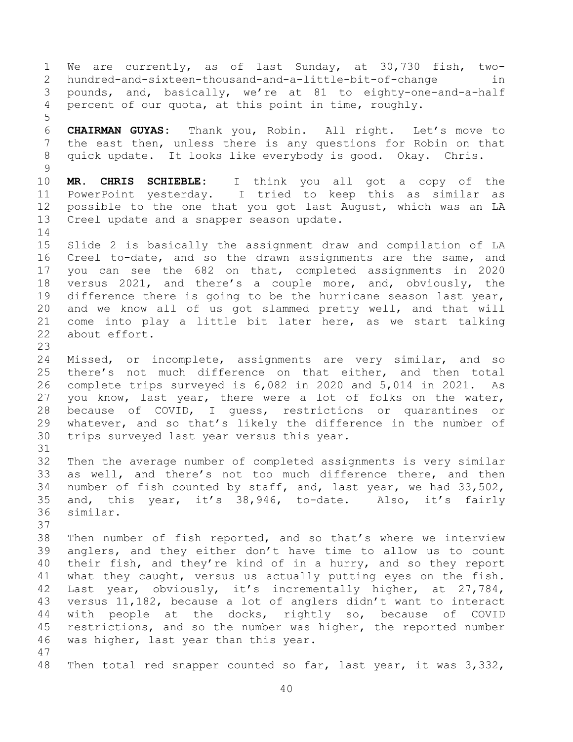1 We are currently, as of last Sunday, at 30,730 fish, two-<br>2 hundred-and-sixteen-thousand-and-a-little-bit-of-change in 2 hundred-and-sixteen-thousand-and-a-little-bit-of-change in<br>3 pounds, and, basically, we're at 81 to eighty-one-and-a-half 3 pounds, and, basically, we're at 81 to eighty-one-and-a-half<br>4 percent of our quota, at this point in time, roughly. percent of our quota, at this point in time, roughly. 5 6 **CHAIRMAN GUYAS:** Thank you, Robin. All right. Let's move to the east then, unless there is any questions for Robin on that 8 quick update. It looks like everybody is good. Okay. Chris.  $\begin{array}{c} 9 \\ 10 \end{array}$ 10 **MR. CHRIS SCHIEBLE:** I think you all got a copy of the 11 PowerPoint yesterday. I tried to keep this as similar as<br>12 possible to the one that you got last August, which was an LA 12 possible to the one that you got last August, which was an LA<br>13 Creel update and a snapper season update. Creel update and a snapper season update.  $\frac{14}{15}$ 15 Slide 2 is basically the assignment draw and compilation of LA<br>16 Creel to-date, and so the drawn assignments are the same, and Creel to-date, and so the drawn assignments are the same, and 17 you can see the 682 on that, completed assignments in 2020<br>18 versus 2021, and there's a couple more, and, obviously, the 18 versus 2021, and there's a couple more, and, obviously, the<br>19 difference there is going to be the hurricane season last vear, 19 difference there is going to be the hurricane season last year,<br>20 and we know all of us got slammed pretty well, and that will 20 and we know all of us got slammed pretty well, and that will<br>21 come into plav a little bit later here, as we start talking 21 come into play a little bit later here, as we start talking<br>22 about effort. about effort. 23 24 Missed, or incomplete, assignments are very similar, and so<br>25 there's not much difference on that either, and then total 25 there's not much difference on that either, and then total<br>26 complete trips surveyed is 6,082 in 2020 and 5,014 in 2021. As 26 complete trips surveyed is 6,082 in 2020 and 5,014 in 2021.<br>27 you know, last year, there were a lot of folks on the wa 27 you know, last year, there were a lot of folks on the water,<br>28 because of COVID, I quess, restrictions or quarantines or 28 because of COVID, I guess, restrictions or quarantines or<br>29 whatever, and so that's likely the difference in the number of 29 whatever, and so that's likely the difference in the number of<br>30 trips surveyed last year versus this year. trips surveyed last year versus this year. 31 32 Then the average number of completed assignments is very similar<br>33 as well, and there's not too much difference there, and then 33 as well, and there's not too much difference there, and then<br>34 number of fish counted by staff, and, last year, we had 33,502, 34 number of fish counted by staff, and, last year, we had 33,502,<br>35 and, this year, it's 38,946, to-date. Also, it's fairly 35 and, this year, it's 38,946, to-date.<br>36 similar. similar. 37<br>38 38 Then number of fish reported, and so that's where we interview<br>39 anglers, and thev either don't have time to allow us to count anglers, and they either don't have time to allow us to count 40 their fish, and they're kind of in a hurry, and so they report 41 what they caught, versus us actually putting eyes on the fish.<br>42 Last vear, obviouslv, it's incrementallv higher, at 27,784, 42 Last year, obviously, it's incrementally higher, at 27,784,<br>43 versus 11,182, because a lot of anglers didn't want to interact 43 versus 11,182, because a lot of anglers didn't want to interact<br>44 with people at the docks, rightly so, because of COVID 44 with people at the docks, rightly so, because of<br>45 restrictions, and so the number was higher, the reported 45 restrictions, and so the number was higher, the reported number<br>46 was higher, last year than this year. was higher, last year than this year. 47 48 Then total red snapper counted so far, last year, it was 3,332,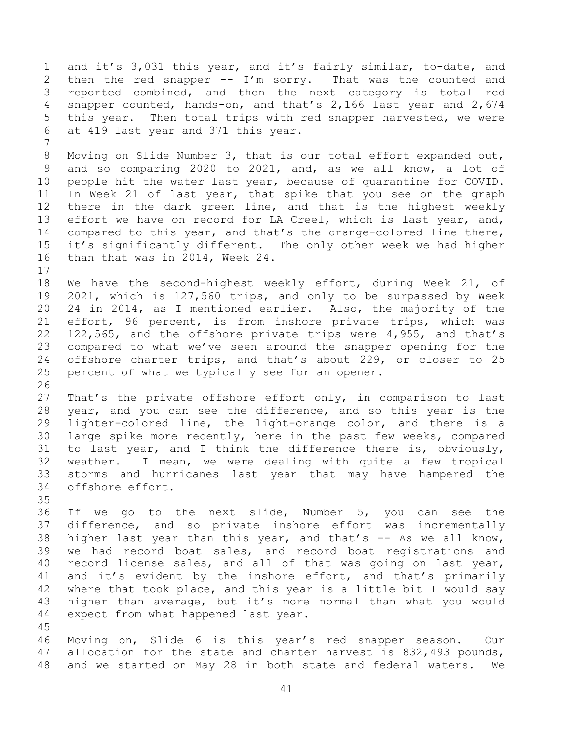1 and it's 3,031 this year, and it's fairly similar, to-date, and<br>2 then the red snapper -- I'm sorry. That was the counted and 2 then the red snapper  $--$  I'm sorry.<br>3 reported combined, and then the ne 3 reported combined, and then the next category is total red<br>4 snapper counted, hands-on, and that's 2,166 last year and 2,674 4 snapper counted, hands-on, and that's 2,166 last year and 2,674<br>5 this year. Then total trips with red snapper harvested, we were 5 this year. Then total trips with red snapper harvested, we were<br>6 at 419 last vear and 371 this vear. at 419 last year and 371 this year. 7 8 Moving on Slide Number 3, that is our total effort expanded out, 9 and so comparing 2020 to 2021, and, as we all know, a lot of<br>10 people hit the water last year, because of quarantine for COVID. 10 people hit the water last year, because of quarantine for COVID.<br>11 In Week 21 of last year, that spike that you see on the graph 11 In Week 21 of last year, that spike that you see on the graph<br>12 there in the dark green line, and that is the highest weekly 12 there in the dark green line, and that is the highest weekly<br>13 effort we have on record for LA Creel, which is last year, and, 13 effort we have on record for LA Creel, which is last year, and,<br>14 compared to this year, and that's the orange-colored line there, 14 compared to this year, and that's the orange-colored line there,<br>15 it's significantly different. The only other week we had higher 15 it's significantly different. The only other week we had higher<br>16 than that was in 2014, Week 24. than that was in 2014, Week 24.  $\begin{array}{c} 17 \\ 18 \end{array}$ 18 We have the second-highest weekly effort, during Week 21, of<br>19 2021, which is 127,560 trips, and only to be surpassed by Week 19 2021, which is 127,560 trips, and only to be surpassed by Week<br>20 24 in 2014, as I mentioned earlier. Also, the majority of the 20 24 in 2014, as I mentioned earlier. Also, the majority of the<br>21 effort, 96 percent, is from inshore private trips, which was 21 effort, 96 percent, is from inshore private trips, which was<br>22 122,565, and the offshore private trips were 4,955, and that's 22 122,565, and the offshore private trips were 4,955, and that's<br>23 compared to what we've seen around the snapper opening for the 23 compared to what we've seen around the snapper opening for the<br>24 offshore charter trips, and that's about 229, or closer to 25 24 offshore charter trips, and that's about 229, or closer to 25<br>25 percent of what we typically see for an opener. percent of what we typically see for an opener. 26<br>27 27 That's the private offshore effort only, in comparison to last<br>28 year, and you can see the difference, and so this year is the 28 year, and you can see the difference, and so this year is the<br>29 lighter-colored line, the light-orange color, and there is a 29 lighter-colored line, the light-orange color, and there is a<br>30 large spike more recently, here in the past few weeks, compared 30 large spike more recently, here in the past few weeks, compared<br>31 to last year, and I think the difference there is, obviously, 31 to last year, and I think the difference there is, obviously,<br>32 weather. I mean, we were dealing with quite a few tropical 32 weather. I mean, we were dealing with quite a few tropical<br>33 storms and hurricanes last year that may have hampered the 33 storms and hurricanes last year that may have hampered the 34 offshore effort. offshore effort. 35<br>36 36 If we go to the next slide, Number 5, you can see the<br>37 difference, and so private inshore effort was incrementally 37 difference, and so private inshore effort was incrementally<br>38 higher last year than this year, and that's -- As we all know, 38 higher last year than this year, and that's -- As we all know,<br>39 we had record boat sales, and record boat registrations and we had record boat sales, and record boat registrations and 40 record license sales, and all of that was going on last year, 41 and it's evident by the inshore effort, and that's primarily<br>42 where that took place, and this year is a little bit I would say 42 where that took place, and this year is a little bit I would say<br>43 higher than average, but it's more normal than what you would 43 higher than average, but it's more normal than what you would<br>44 expect from what happened last year. expect from what happened last year. 45 46 Moving on, Slide 6 is this year's red snapper season. Our<br>47 allocation for the state and charter harvest is 832,493 pounds, allocation for the state and charter harvest is 832,493 pounds, 48 and we started on May 28 in both state and federal waters. We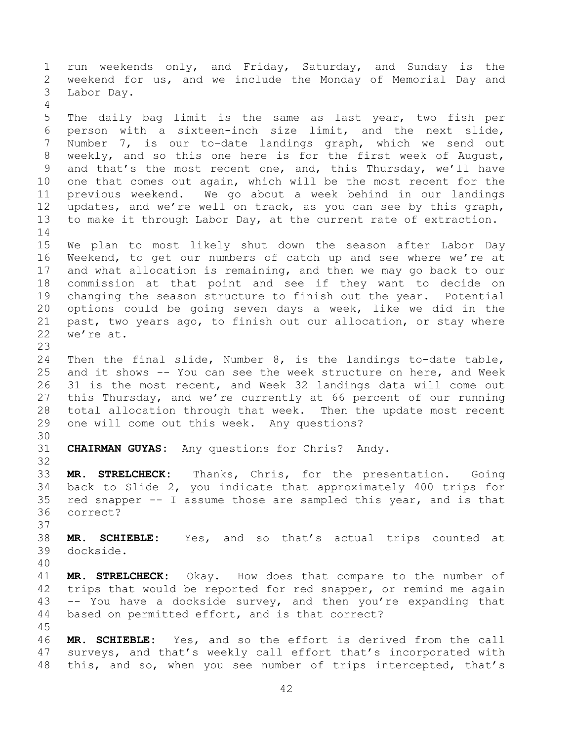1 run weekends only, and Friday, Saturday, and Sunday is the<br>2 weekend for us, and we include the Monday of Memorial Day and 2 weekend for us, and we include the Monday of Memorial Day and<br>3 Labor Day. Labor Day.  $\frac{4}{5}$ 5 The daily bag limit is the same as last year, two fish per<br>6 person with a sixteen-inch size limit, and the next slide, 6 person with a sixteen-inch size limit, and the next slide,<br>7 Number 7, is our to-date landings graph, which we send out Number 7, is our to-date landings graph, which we send out 8 weekly, and so this one here is for the first week of August, 9 and that's the most recent one, and, this Thursday, we'll have<br>10 one that comes out again, which will be the most recent for the 10 one that comes out again, which will be the most recent for the<br>11 previous weekend. We go about a week behind in our landings 11 previous weekend. We go about a week behind in our landings<br>12 updates, and we're well on track, as you can see by this graph, 12 updates, and we're well on track, as you can see by this graph,<br>13 to make it through Labor Day, at the current rate of extraction. to make it through Labor Day, at the current rate of extraction.  $\frac{14}{15}$ 15 We plan to most likely shut down the season after Labor Day<br>16 Weekend, to get our numbers of catch up and see where we're at Weekend, to get our numbers of catch up and see where we're at 17 and what allocation is remaining, and then we may go back to our<br>18 commission at that point and see if they want to decide on 18 commission at that point and see if they want to decide on<br>19 changing the season structure to finish out the vear. Potential 19 changing the season structure to finish out the year. Potential<br>20 options could be going seven days a week, like we did in the 20 options could be going seven days a week, like we did in the<br>21 past, two vears ago, to finish out our allocation, or stav where 21 past, two years ago, to finish out our allocation, or stay where<br>22 we're at. we're at. 23 24 Then the final slide, Number 8, is the landings to-date table,<br>25 and it shows -- You can see the week structure on here, and Week 25 and it shows -- You can see the week structure on here, and Week<br>26 31 is the most recent, and Week 32 landings data will come out 26 31 is the most recent, and Week 32 landings data will come out<br>27 this Thursday, and we're currently at 66 percent of our running 27 this Thursday, and we're currently at 66 percent of our running<br>28 total allocation through that week. Then the update most recent 28 total allocation through that week. Then the update most recent<br>29 one will come out this week. Any questions? one will come out this week. Any questions? 30<br>31 **CHAIRMAN GUYAS:** Any questions for Chris? Andy. 32<br>33 33 **MR. STRELCHECK:** Thanks, Chris, for the presentation. Going 34 back to Slide 2, you indicate that approximately 400 trips for<br>35 red snapper -- I assume those are sampled this year, and is that 35 red snapper -- I assume those are sampled this year, and is that<br>36 correct? correct? 37<br>38 38 **MR. SCHIEBLE:** Yes, and so that's actual trips counted at dockside. 40 41 **MR. STRELCHECK:** Okay. How does that compare to the number of 42 trips that would be reported for red snapper, or remind me again<br>43 -- You have a dockside survey, and then you're expanding that 43 -- You have a dockside survey, and then you're expanding that<br>44 based on permitted effort, and is that correct? based on permitted effort, and is that correct? 45 46 **MR. SCHIEBLE:** Yes, and so the effort is derived from the call surveys, and that's weekly call effort that's incorporated with 48 this, and so, when you see number of trips intercepted, that's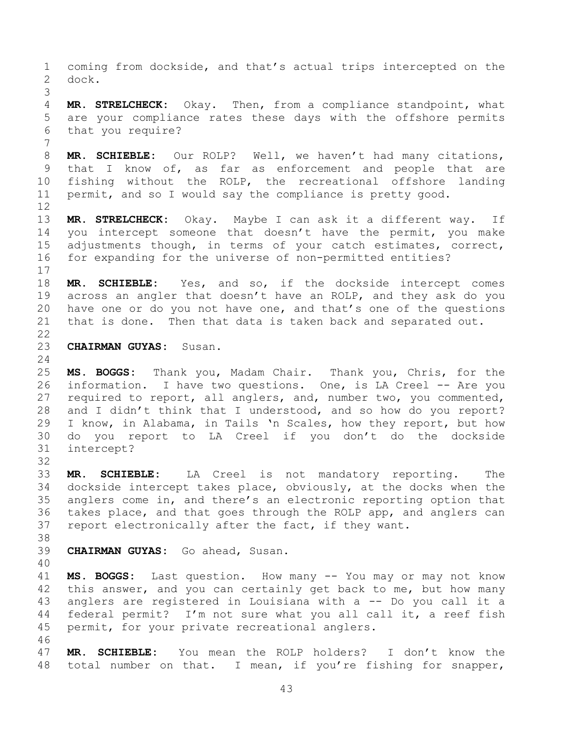1 coming from dockside, and that's actual trips intercepted on the<br>2 dock. 2 dock. 3 4 **MR. STRELCHECK:** Okay. Then, from a compliance standpoint, what<br>5 are your compliance rates these days with the offshore permits 5 are your compliance rates these days with the offshore permits<br>6 that you require? that you require? 7 8 **MR. SCHIEBLE:** Our ROLP? Well, we haven't had many citations, 9 that I know of, as far as enforcement and people that are<br>10 fishing without the ROLP, the recreational offshore landing 10 fishing without the ROLP, the recreational offshore landing<br>11 permit, and so I would say the compliance is pretty good. permit, and so I would say the compliance is pretty good.  $\begin{array}{c} 12 \\ 13 \end{array}$ 13 **MR. STRELCHECK:** Okay. Maybe I can ask it a different way. If 14 you intercept someone that doesn't have the permit, you make<br>15 adjustments though, in terms of your catch estimates, correct, 15 adjustments though, in terms of your catch estimates, correct,<br>16 for expanding for the universe of non-permitted entities? for expanding for the universe of non-permitted entities?  $\begin{array}{c} 17 \\ 18 \end{array}$ 18 **MR. SCHIEBLE:** Yes, and so, if the dockside intercept comes 19 across an angler that doesn't have an ROLP, and they ask do you<br>20 have one or do you not have one, and that's one of the questions 20 have one or do you not have one, and that's one of the questions<br>21 that is done. Then that data is taken back and separated out. that is done. Then that data is taken back and separated out.  $\frac{22}{23}$ 23 **CHAIRMAN GUYAS:** Susan.  $\frac{24}{25}$ 25 **MS. BOGGS:** Thank you, Madam Chair. Thank you, Chris, for the 26 information. I have two questions. One, is LA Creel -- Are you<br>27 required to report, all anglers, and, number two, you commented, 27 required to report, all anglers, and, number two, you commented,<br>28 and I didn't think that I understood, and so how do you report? 28 and I didn't think that I understood, and so how do you report?<br>29 I know, in Alabama, in Tails 'n Scales, how they report, but how 29 I know, in Alabama, in Tails 'n Scales, how they report, but how<br>30 do vou report to LA Creel if vou don't do the dockside 30 do you report to LA Creel if you don't do the dockside intercept? 32<br>33 33 **MR. SCHIEBLE:** LA Creel is not mandatory reporting. The 34 dockside intercept takes place, obviously, at the docks when the<br>35 anglers come in, and there's an electronic reporting option that 35 anglers come in, and there's an electronic reporting option that<br>36 takes place, and that goes through the ROLP app, and anglers can 36 takes place, and that goes through the ROLP app, and anglers can<br>37 report electronically after the fact, if they want. report electronically after the fact, if they want. 38<br>39 39 **CHAIRMAN GUYAS:** Go ahead, Susan. 40 41 **MS. BOGGS:** Last question. How many -- You may or may not know 42 this answer, and you can certainly get back to me, but how many<br>43 anglers are registered in Louisiana with a -- Do you call it a 43 anglers are registered in Louisiana with a -- Do you call it a<br>44 federal permit? I'm not sure what you all call it, a reef fish 44 federal permit? I'm not sure what you all call it, a reef fish<br>45 permit, for your private recreational anglers. permit, for your private recreational anglers. 46<br>47 47 **MR. SCHIEBLE:** You mean the ROLP holders? I don't know the 48 total number on that. I mean, if you're fishing for snapper,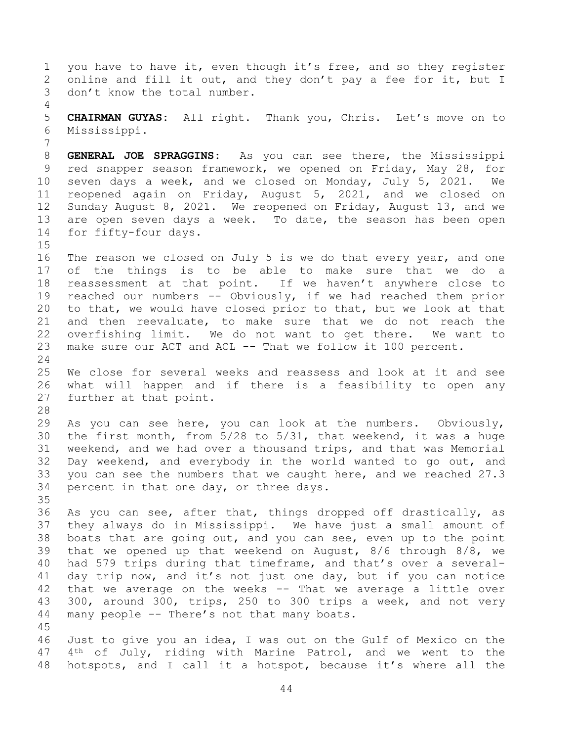1 you have to have it, even though it's free, and so they register<br>2 online and fill it out, and they don't pay a fee for it, but I 2 online and fill it out, and they don't pay a fee for it, but I<br>3 don't know the total number. don't know the total number.  $\frac{4}{5}$ 5 **CHAIRMAN GUYAS:** All right. Thank you, Chris. Let's move on to 6 Mississippi. 7 8 **GENERAL JOE SPRAGGINS:** As you can see there, the Mississippi 9 red snapper season framework, we opened on Friday, May 28, for<br>10 seven days a week, and we closed on Monday, July 5, 2021. We 10 seven days a week, and we closed on Monday, July 5, 2021. We<br>11 reopened again on Friday, August 5, 2021, and we closed on 11 reopened again on Friday, August 5, 2021, and we closed on<br>12 Sunday August 8, 2021. We reopened on Friday, August 13, and we 12 Sunday August 8, 2021. We reopened on Friday, August 13, and we<br>13 are open seven days a week. To date, the season has been open 13 are open seven days a week. To date, the season has been open<br>14 for fifty-four days. for fifty-four days.  $\frac{15}{16}$ The reason we closed on July 5 is we do that every year, and one 17 of the things is to be able to make sure that we do a<br>18 reassessment at that point. If we haven't anywhere close to 18 reassessment at that point. If we haven't anywhere close to<br>19 reached our numbers -- Obviously, if we had reached them prior 19 reached our numbers -- Obviously, if we had reached them prior<br>20 to that, we would have closed prior to that, but we look at that 20 to that, we would have closed prior to that, but we look at that<br>21 and then reevaluate, to make sure that we do not reach the 21 and then reevaluate, to make sure that we do not reach the<br>22 overfishing limit. We do not want to get there. We want to 22 overfishing limit. We do not want to get there. We want to<br>23 make sure our ACT and ACL -- That we follow it 100 percent. make sure our ACT and ACL -- That we follow it 100 percent.  $\frac{24}{25}$ 25 We close for several weeks and reassess and look at it and see<br>26 what will happen and if there is a feasibility to open any 26 what will happen and if there is a feasibility to open any<br>27 further at that point. further at that point. 28<br>29 29 As you can see here, you can look at the numbers. Obviously,<br>30 the first month, from 5/28 to 5/31, that weekend, it was a huge 30 the first month, from 5/28 to 5/31, that weekend, it was a huge<br>31 weekend, and we had over a thousand trips, and that was Memorial weekend, and we had over a thousand trips, and that was Memorial 32 Day weekend, and everybody in the world wanted to go out, and<br>33 you can see the numbers that we caught here, and we reached 27.3 33 you can see the numbers that we caught here, and we reached 27.3<br>34 percent in that one dav, or three davs. percent in that one day, or three days. 35<br>36 36 As you can see, after that, things dropped off drastically, as<br>37 they always do in Mississippi. We have just a small amount of 37 they always do in Mississippi. We have just a small amount of<br>38 boats that are going out, and you can see, even up to the point 38 boats that are going out, and you can see, even up to the point<br>39 that we opened up that weekend on August,  $8/6$  through  $8/8$ , we that we opened up that weekend on August,  $8/6$  through  $8/8$ , we 40 had 579 trips during that timeframe, and that's over a several-41 day trip now, and it's not just one day, but if you can notice<br>42 that we average on the weeks -- That we average a little over 42 that we average on the weeks -- That we average a little over<br>43 300, around 300, trips, 250 to 300 trips a week, and not very 43 300, around 300, trips, 250 to 300 trips a week, and not very<br>44 many people -- There's not that many boats. many people -- There's not that many boats. 45 46 Just to give you an idea, I was out on the Gulf of Mexico on the<br>47 4<sup>th</sup> of July, riding with Marine Patrol, and we went to the 4<sup>th</sup> of July, riding with Marine Patrol, and we went to the 48 hotspots, and I call it a hotspot, because it's where all the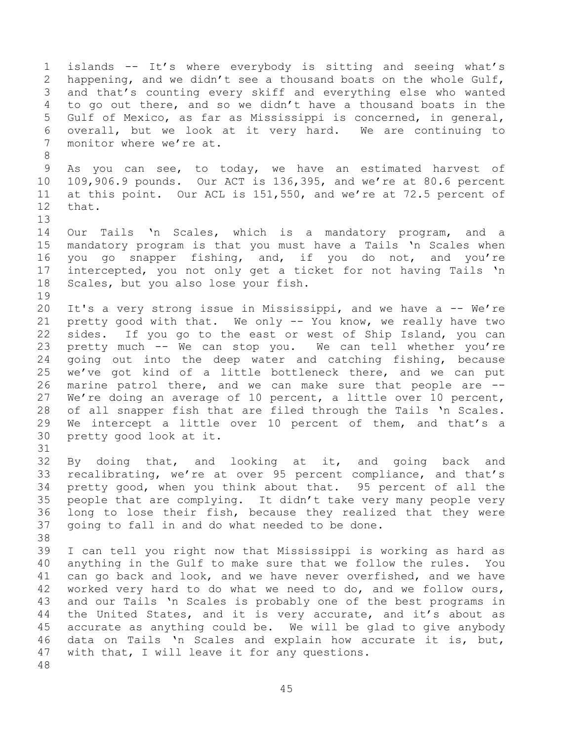1 islands -- It's where everybody is sitting and seeing what's<br>2 happening, and we didn't see a thousand boats on the whole Gulf, 2 happening, and we didn't see a thousand boats on the whole Gulf,<br>3 and that's counting every skiff and everything else who wanted 3 and that's counting every skiff and everything else who wanted<br>4 to go out there, and so we didn't have a thousand boats in the 4 to go out there, and so we didn't have a thousand boats in the<br>5 Gulf of Mexico, as far as Mississippi is concerned, in general, 5 Gulf of Mexico, as far as Mississippi is concerned, in general,<br>6 overall, but we look at it verv hard. We are continuing to 6 overall, but we look at it very hard. We are continuing to  $\overline{z}$ monitor where we're at. 8 9 As you can see, to today, we have an estimated harvest of<br>10 109,906.9 pounds. Our ACT is 136,395, and we're at 80.6 percent 10 109,906.9 pounds. Our ACT is 136,395, and we're at 80.6 percent<br>11 at this point. Our ACL is 151,550, and we're at 72.5 percent of 11 at this point. Our ACL is 151,550, and we're at 72.5 percent of 12 that. that. 13<br>14 14 Our Tails 'n Scales, which is a mandatory program, and a<br>15 mandatory program is that you must have a Tails 'n Scales when 15 mandatory program is that you must have a Tails 'n Scales when<br>16 you go snapper fishing, and, if you do not, and you're 16 you go snapper fishing, and, if you do not, and you're<br>17 intercepted, you not only get a ticket for not having Tails 'n 17 intercepted, you not only get a ticket for not having Tails 'n<br>18 Scales, but you also lose your fish. Scales, but you also lose your fish. 19<br>20 20 It's a very strong issue in Mississippi, and we have a -- We're<br>21 pretty good with that. We only -- You know, we really have two 21 pretty good with that. We only -- You know, we really have two<br>22 sides. If you go to the east or west of Ship Island, you can 22 sides. If you go to the east or west of Ship Island, you can<br>23 pretty much -- We can stop you. We can tell whether you're 23 pretty much -- We can stop you. We can tell whether you're<br>24 going out into the deep water and catching fishing, because 24 going out into the deep water and catching fishing, because<br>25 we've got kind of a little bottleneck there, and we can put 25 we've got kind of a little bottleneck there, and we can put<br>26 marine patrol there, and we can make sure that people are --26 marine patrol there, and we can make sure that people are --<br>27 We're doing an average of 10 percent, a little over 10 percent, 27 We're doing an average of 10 percent, a little over 10 percent,<br>28 of all snapper fish that are filed through the Tails 'n Scales. 28 of all snapper fish that are filed through the Tails 'n Scales.<br>29 We intercept a little over 10 percent of them, and that's a 29 We intercept a little over 10 percent of them, and that's a 20 pretty good look at it. pretty good look at it. 31<br>32 32 By doing that, and looking at it, and going back and<br>33 recalibrating, we're at over 95 percent compliance, and that's 33 recalibrating, we're at over 95 percent compliance, and that's<br>34 pretty good, when you think about that. 95 percent of all the 34 pretty good, when you think about that. 95 percent of all the<br>35 people that are complying. It didn't take very many people very 35 people that are complying. It didn't take very many people very<br>36 long to lose their fish, because they realized that they were 36 long to lose their fish, because they realized that they were<br>37 qoing to fall in and do what needed to be done. going to fall in and do what needed to be done. 38<br>39 I can tell you right now that Mississippi is working as hard as 40 anything in the Gulf to make sure that we follow the rules. You 41 can go back and look, and we have never overfished, and we have<br>42 worked verv hard to do what we need to do, and we follow ours, 42 worked very hard to do what we need to do, and we follow ours,<br>43 and our Tails 'n Scales is probably one of the best programs in 43 and our Tails 'n Scales is probably one of the best programs in<br>44 the United States, and it is very accurate, and it's about as 44 the United States, and it is very accurate, and it's about as<br>45 accurate as anything could be. We will be glad to give anybody 45 accurate as anything could be. We will be glad to give anybody<br>46 data on Tails 'n Scales and explain how accurate it is, but, 46 data on Tails 'n Scales and explain how accurate it is, but,<br>47 with that, I will leave it for any questions. with that, I will leave it for any questions. 48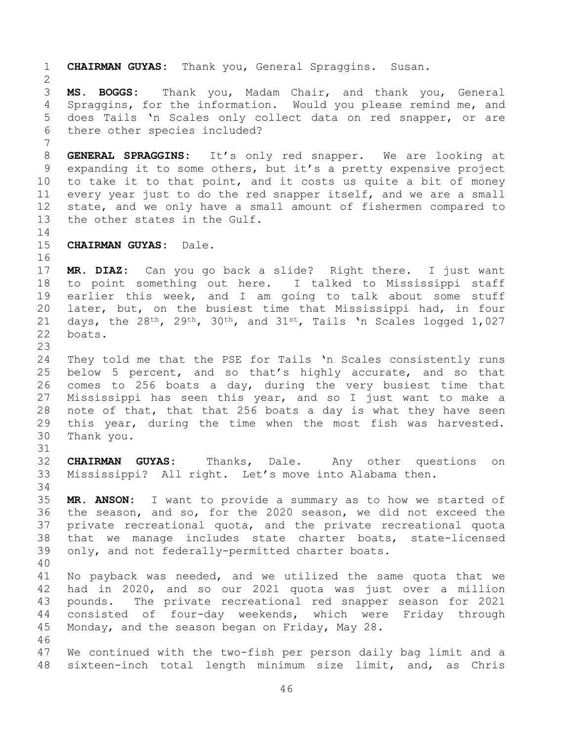1 **CHAIRMAN GUYAS:** Thank you, General Spraggins. Susan.  $rac{2}{3}$ 3 **MS. BOGGS:** Thank you, Madam Chair, and thank you, General 4 Spraggins, for the information. Would you please remind me, and<br>5 does Tails 'n Scales only collect data on red snapper, or are 5 does Tails 'n Scales only collect data on red snapper, or are<br>6 there other species included? there other species included? 7 8 **GENERAL SPRAGGINS:** It's only red snapper. We are looking at 9 expanding it to some others, but it's a pretty expensive project<br>10 to take it to that point, and it costs us quite a bit of money 10 to take it to that point, and it costs us quite a bit of money<br>11 every year just to do the red snapper itself, and we are a small 11 every year just to do the red snapper itself, and we are a small<br>12 state, and we only have a small amount of fishermen compared to 12 state, and we only have a small amount of fishermen compared to 13 the other states in the Gulf. the other states in the Gulf.  $\frac{14}{15}$ 15 **CHAIRMAN GUYAS:** Dale. 16 17 **MR. DIAZ:** Can you go back a slide? Right there. I just want 18 to point something out here. I talked to Mississippi staff<br>19 earlier this week, and I am going to talk about some stuff 19 earlier this week, and I am going to talk about some stuff<br>20 later, but, on the busiest time that Mississippi had, in four 20 later, but, on the busiest time that Mississippi had, in four<br>21 days, the 28<sup>th</sup>, 29<sup>th</sup>, 30<sup>th</sup>, and 31<sup>st</sup>, Tails 'n Scales logged 1,027 21 days, the  $28^{th}$ ,  $29^{th}$ ,  $30^{th}$ , and  $31^{st}$ , Tails 'n Scales logged 1,027<br>22 boats. boats. 23 24 They told me that the PSE for Tails 'n Scales consistently runs<br>25 below 5 percent, and so that's highly accurate, and so that 25 below 5 percent, and so that's highly accurate, and so that<br>26 comes to 256 boats a day, during the very busiest time that 26 comes to 256 boats a day, during the very busiest time that<br>27 Mississippi has seen this year, and so I just want to make a 27 Mississippi has seen this year, and so I just want to make a<br>28 note of that, that that 256 boats a day is what they have seen 28 note of that, that that 256 boats a day is what they have seen<br>29 this year, during the time when the most fish was harvested. 29 this year, during the time when the most fish was harvested.<br>30 Thank you. Thank you. 31<br>32 32 **CHAIRMAN GUYAS:** Thanks, Dale. Any other questions on Mississippi? All right. Let's move into Alabama then. 34<br>35 35 **MR. ANSON:** I want to provide a summary as to how we started of 36 the season, and so, for the 2020 season, we did not exceed the<br>37 private recreational quota, and the private recreational quota 37 private recreational quota, and the private recreational quota<br>38 that we manage includes state charter boats, state-licensed 38 that we manage includes state charter boats, state-licensed<br>39 only, and not federally-permitted charter boats. only, and not federally-permitted charter boats. 40 41 No payback was needed, and we utilized the same quota that we<br>42 had in 2020, and so our 2021 quota was just over a million 42 had in 2020, and so our 2021 quota was just over a million<br>43 pounds. The private recreational red snapper season for 2021 43 pounds. The private recreational red snapper season for 2021<br>44 consisted of four-day weekends, which were Friday through 44 consisted of four-day weekends, which were Friday through<br>45 Monday, and the season began on Friday, May 28. Monday, and the season began on Friday, May 28. 46<br>47 We continued with the two-fish per person daily bag limit and a 48 sixteen-inch total length minimum size limit, and, as Chris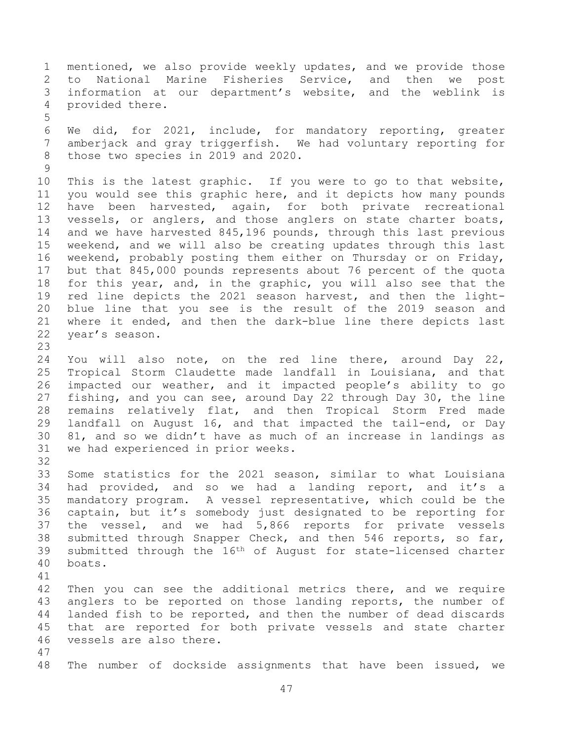1 mentioned, we also provide weekly updates, and we provide those<br>2 to National Marine Fisheries Service, and then we post 2 to National Marine Fisheries Service, and then we post<br>3 information at our department's website, and the weblink is 3 information at our department's website, and the weblink is<br>4 provided there. provided there.

5 6 We did, for 2021, include, for mandatory reporting, greater<br>7 amberiack and grav triggerfish. We had voluntary reporting for amberjack and gray triggerfish. We had voluntary reporting for 8 those two species in 2019 and 2020.

 $\begin{array}{c} 9 \\ 10 \end{array}$ 10 This is the latest graphic. If you were to go to that website,<br>11 you would see this graphic here, and it depicts how many pounds 11 you would see this graphic here, and it depicts how many pounds<br>12 have been harvested, again, for both private recreational 12 have been harvested, again, for both private recreational<br>13 vessels, or anglers, and those anglers on state charter boats, 13 vessels, or anglers, and those anglers on state charter boats,<br>14 and we have harvested 845,196 pounds, through this last previous 14 and we have harvested 845,196 pounds, through this last previous<br>15 weekend, and we will also be creating updates through this last 15 weekend, and we will also be creating updates through this last<br>16 weekend, probably posting them either on Thursday or on Friday, weekend, probably posting them either on Thursday or on Friday, 17 but that 845,000 pounds represents about 76 percent of the quota<br>18 for this year, and, in the graphic, you will also see that the 18 for this year, and, in the graphic, you will also see that the<br>19 red line depicts the 2021 season harvest, and then the light-19 red line depicts the 2021 season harvest, and then the light-<br>20 blue line that you see is the result of the 2019 season and 20 blue line that you see is the result of the 2019 season and<br>21 where it ended, and then the dark-blue line there depicts last 21 where it ended, and then the dark-blue line there depicts last<br>22 vear's season. year's season.

23 24 You will also note, on the red line there, around Day 22,<br>25 Tropical Storm Claudette made landfall in Louisiana, and that 25 Tropical Storm Claudette made landfall in Louisiana, and that<br>26 impacted our weather, and it impacted people's ability to go 26 impacted our weather, and it impacted people's ability to go<br>27 fishing, and you can see, around Day 22 through Day 30, the line 27 fishing, and you can see, around Day 22 through Day 30, the line<br>28 remains relatively flat, and then Tropical Storm Fred made 28 remains relatively flat, and then Tropical Storm Fred made<br>29 landfall on August 16, and that impacted the tail-end, or Day 29 landfall on August 16, and that impacted the tail-end, or Day<br>30 81, and so we didn't have as much of an increase in landings as 30 81, and so we didn't have as much of an increase in landings as 31 we had experienced in prior weeks. we had experienced in prior weeks.

32<br>33 33 Some statistics for the 2021 season, similar to what Louisiana<br>34 had provided, and so we had a landing report, and it's a 34 had provided, and so we had a landing report, and it's a<br>35 mandatory program. A vessel representative, which could be the 35 mandatory program. A vessel representative, which could be the<br>36 captain, but it's somebody just designated to be reporting for 36 captain, but it's somebody just designated to be reporting for<br>37 the vessel, and we had 5,866 reports for private vessels 37 the vessel, and we had 5,866 reports for private vessels<br>38 submitted through Snapper Check, and then 546 reports, so far, 38 submitted through Snapper Check, and then 546 reports, so far,  $\frac{39}{100}$  submitted through the  $16<sup>th</sup>$  of August for state-licensed charter submitted through the 16<sup>th</sup> of August for state-licensed charter 40 boats.

41<br>42

42 Then you can see the additional metrics there, and we require<br>43 anglers to be reported on those landing reports, the number of 43 anglers to be reported on those landing reports, the number of<br>44 landed fish to be reported, and then the number of dead discards 44 landed fish to be reported, and then the number of dead discards<br>45 that are reported for both private vessels and state charter 45 that are reported for both private vessels and state charter<br>46 vessels are also there. vessels are also there.

47

48 The number of dockside assignments that have been issued, we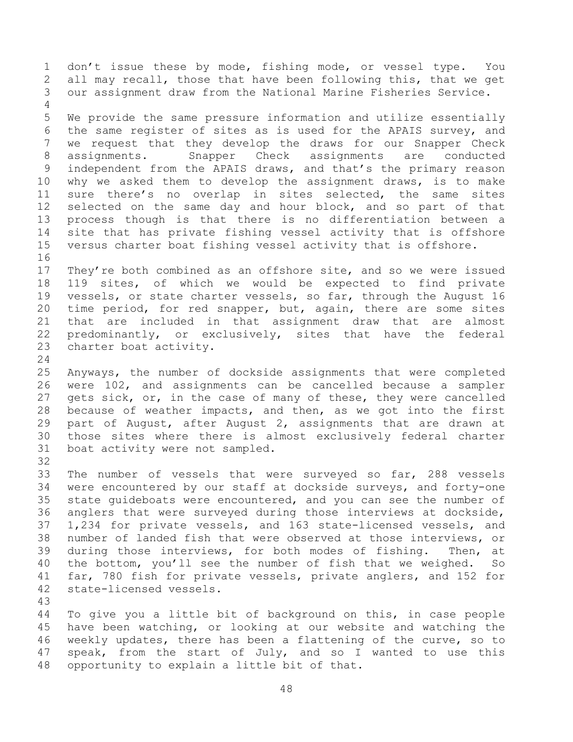1 don't issue these by mode, fishing mode, or vessel type. You<br>2 all may recall, those that have been following this, that we get 2 all may recall, those that have been following this, that we get<br>3 our assignment draw from the National Marine Fisheries Service. our assignment draw from the National Marine Fisheries Service.  $\frac{4}{5}$ 5 We provide the same pressure information and utilize essentially<br>6 the same register of sites as is used for the APAIS survey, and 6 the same register of sites as is used for the APAIS survey, and<br>7 we request that they develop the draws for our Snapper Check we request that they develop the draws for our Snapper Check 8 assignments. Snapper Check assignments are conducted 9 independent from the APAIS draws, and that's the primary reason<br>10 why we asked them to develop the assignment draws, is to make 10 why we asked them to develop the assignment draws, is to make<br>11 sure there's no overlap in sites selected, the same sites 11 sure there's no overlap in sites selected, the same sites<br>12 selected on the same day and hour block, and so part of that 12 selected on the same day and hour block, and so part of that<br>13 process though is that there is no differentiation between a 13 process though is that there is no differentiation between a<br>14 site that has private fishing vessel activity that is offshore 14 site that has private fishing vessel activity that is offshore<br>15 versus charter boat fishing vessel activity that is offshore. versus charter boat fishing vessel activity that is offshore. 16<br>17 17 They're both combined as an offshore site, and so we were issued<br>18 119 sites, of which we would be expected to find private 18 119 sites, of which we would be expected to find private<br>19 vessels, or state charter vessels, so far, through the August 16 19 vessels, or state charter vessels, so far, through the August 16<br>20 time period, for red snapper, but, again, there are some sites 20 time period, for red snapper, but, again, there are some sites<br>21 that are included in that assignment draw that are almost 21 that are included in that assignment draw that are almost<br>22 predominantly, or exclusively, sites that have the federal 22 predominantly, or exclusively, sites that have the federal<br>23 charter-boat-activity. charter boat activity.

 $\frac{24}{25}$ 25 Anyways, the number of dockside assignments that were completed<br>26 were 102, and assignments can be cancelled because a sampler 26 were 102, and assignments can be cancelled because a sampler<br>27 gets sick, or, in the case of many of these, they were cancelled 27 gets sick, or, in the case of many of these, they were cancelled<br>28 because of weather impacts, and then, as we got into the first 28 because of weather impacts, and then, as we got into the first<br>29 part of August, after August 2, assignments that are drawn at 29 part of August, after August 2, assignments that are drawn at<br>30 those sites where there is almost exclusively federal charter 30 those sites where there is almost exclusively federal charter<br>31 boat activity were not sampled. boat activity were not sampled.

32<br>33 33 The number of vessels that were surveyed so far, 288 vessels<br>34 were encountered by our staff at dockside surveys, and forty-one 34 were encountered by our staff at dockside surveys, and forty-one<br>35 state quideboats were encountered, and you can see the number of 35 state guideboats were encountered, and you can see the number of<br>36 anglers that were surveyed during those interviews at dockside, 36 anglers that were surveyed during those interviews at dockside,<br>37 1,234 for private vessels, and 163 state-licensed vessels, and 37 1,234 for private vessels, and 163 state-licensed vessels, and<br>38 number of landed fish that were observed at those interviews, or 38 number of landed fish that were observed at those interviews, or<br>39 during those interviews, for both modes of fishing. Then, at during those interviews, for both modes of fishing. 40 the bottom, you'll see the number of fish that we weighed. So 41 far, 780 fish for private vessels, private anglers, and 152 for<br>42 state-licensed vessels. state-licensed vessels.

43 44 To give you a little bit of background on this, in case people<br>45 have been watching, or looking at our website and watching the 45 have been watching, or looking at our website and watching the<br>46 weekly updates, there has been a flattening of the curve, so to 46 weekly updates, there has been a flattening of the curve, so to<br>47 speak, from the start of July, and so I wanted to use this speak, from the start of July, and so I wanted to use this 48 opportunity to explain a little bit of that.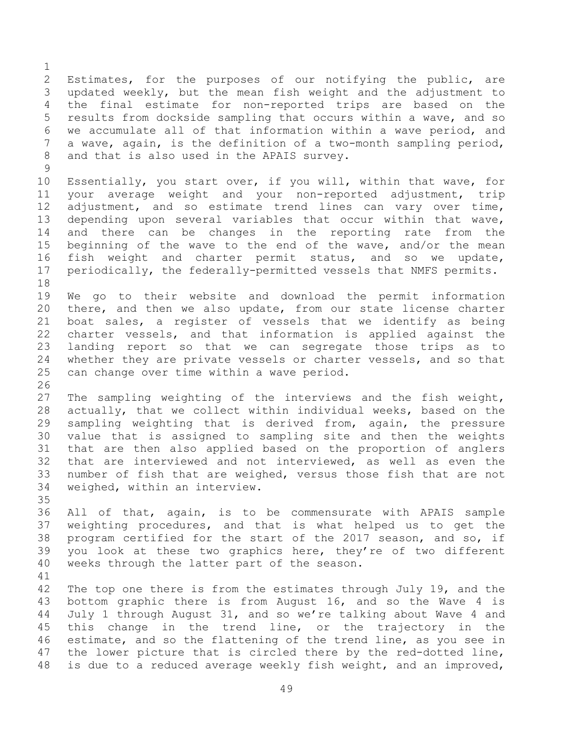$\frac{1}{2}$ 2 Estimates, for the purposes of our notifying the public, are<br>3 updated weekly, but the mean fish weight and the adjustment to 3 updated weekly, but the mean fish weight and the adjustment to<br>4 the final estimate for non-reported trips are based on the 4 the final estimate for non-reported trips are based on the<br>5 results from dockside sampling that occurs within a wave, and so 5 results from dockside sampling that occurs within a wave, and so<br>6 we accumulate all of that information within a wave period, and 6 we accumulate all of that information within a wave period, and<br>7 a wave, again, is the definition of a two-month sampling period, a wave, again, is the definition of a two-month sampling period, 8 and that is also used in the APAIS survey.

 $\begin{array}{c} 9 \\ 10 \end{array}$ 10 Essentially, you start over, if you will, within that wave, for<br>11 your average weight and your non-reported adjustment, trip 11 your average weight and your non-reported adjustment, trip<br>12 adjustment, and so estimate trend lines can vary over time, 12 adjustment, and so estimate trend lines can vary over time,<br>13 depending upon several variables that occur within that wave, 13 depending upon several variables that occur within that wave,<br>14 and there can be changes in the reporting rate from the 14 and there can be changes in the reporting rate from the<br>15 beginning of the wave to the end of the wave, and/or the mean 15 beginning of the wave to the end of the wave, and/or the mean<br>16 fish weight and charter permit status, and so we update, fish weight and charter permit status, and so we update, 17 periodically, the federally-permitted vessels that NMFS permits.

18<br>19 19 We go to their website and download the permit information<br>20 there, and then we also update, from our state license charter 20 there, and then we also update, from our state license charter<br>21 boat sales, a register of vessels that we identify as being 21 boat sales, a register of vessels that we identify as being<br>22 charter vessels, and that information is applied against the 22 charter vessels, and that information is applied against the<br>23 landing report so that we can segregate those trips as to 23 landing report so that we can segregate those trips as to<br>24 whether they are private vessels or charter vessels, and so that 24 whether they are private vessels or charter vessels, and so that<br>25 can change over time within a wave period. can change over time within a wave period.

26<br>27 27 The sampling weighting of the interviews and the fish weight,<br>28 actually, that we collect within individual weeks, based on the 28 actually, that we collect within individual weeks, based on the<br>29 sampling weighting that is derived from, again, the pressure 29 sampling weighting that is derived from, again, the pressure<br>30 value that is assigned to sampling site and then the weights 30 value that is assigned to sampling site and then the weights<br>31 that are then also applied based on the proportion of anglers that are then also applied based on the proportion of anglers 32 that are interviewed and not interviewed, as well as even the<br>33 number of fish that are weighed, versus those fish that are not 33 number of fish that are weighed, versus those fish that are not<br>34 weighed, within an interview. weighed, within an interview.

35<br>36 36 All of that, again, is to be commensurate with APAIS sample<br>37 weighting procedures, and that is what helped us to get the 37 weighting procedures, and that is what helped us to get the<br>38 program certified for the start of the 2017 season, and so, if 38 program certified for the start of the 2017 season, and so, if<br>39 you look at these two graphics here, they're of two different you look at these two graphics here, they're of two different 40 weeks through the latter part of the season.

41<br>42 42 The top one there is from the estimates through July 19, and the<br>43 bottom graphic there is from August 16, and so the Wave 4 is 43 bottom graphic there is from August 16, and so the Wave 4 is<br>44 July 1 through August 31, and so we're talking about Wave 4 and 44 July 1 through August 31, and so we're talking about Wave 4 and<br>45 this change in the trend line, or the trajectory in the 45 this change in the trend line, or the trajectory in the<br>46 estimate, and so the flattening of the trend line, as you see in 46 estimate, and so the flattening of the trend line, as you see in<br>47 the lower picture that is circled there by the red-dotted line, the lower picture that is circled there by the red-dotted line, 48 is due to a reduced average weekly fish weight, and an improved,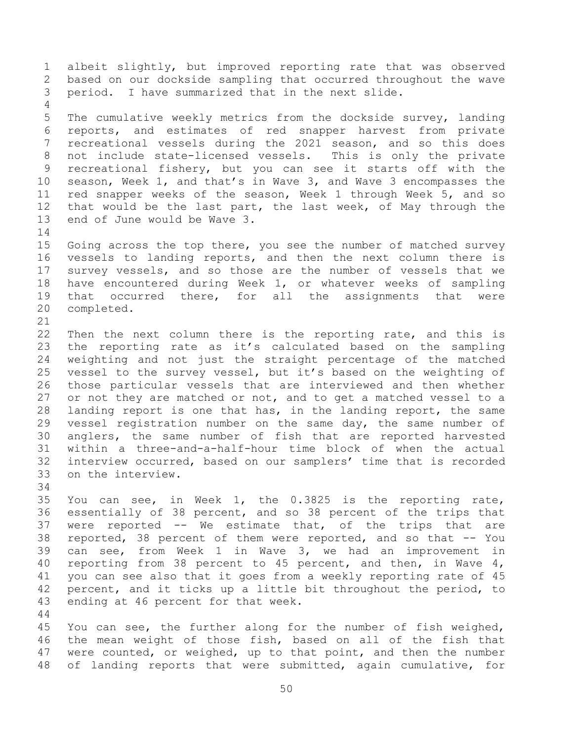1 albeit slightly, but improved reporting rate that was observed<br>2 based on our dockside sampling that occurred throughout the wave 2 based on our dockside sampling that occurred throughout the wave<br>3 period. I have summarized that in the next slide. period. I have summarized that in the next slide.  $\frac{4}{5}$ 5 The cumulative weekly metrics from the dockside survey, landing<br>6 reports, and estimates of red snapper harvest from private 6 reports, and estimates of red snapper harvest from private<br>7 recreational vessels during the 2021 season, and so this does 7 recreational vessels during the 2021 season, and so this does 8 not include state-licensed vessels. This is only the private 9 recreational fishery, but you can see it starts off with the<br>10 season, Week 1, and that's in Wave 3, and Wave 3 encompasses the 10 season, Week 1, and that's in Wave 3, and Wave 3 encompasses the<br>11 red snapper weeks of the season, Week 1 through Week 5, and so 11 red snapper weeks of the season, Week 1 through Week 5, and so<br>12 that would be the last part, the last week, of May through the 12 that would be the last part, the last week, of May through the 13 end of June would be Wave 3. end of June would be Wave 3.  $\frac{14}{15}$ 15 Going across the top there, you see the number of matched survey<br>16 vessels to landing reports, and then the next column there is vessels to landing reports, and then the next column there is 17 survey vessels, and so those are the number of vessels that we<br>18 have encountered during Week 1, or whatever weeks of sampling 18 have encountered during Week 1, or whatever weeks of sampling<br>19 that occurred there, for all the assignments that were 19 that occurred there, for all the assignments that were<br>20 completed. completed.  $\begin{array}{c} 21 \\ 22 \end{array}$ 22 Then the next column there is the reporting rate, and this is<br>23 the reporting rate as it's calculated based on the sampling 23 the reporting rate as it's calculated based on the sampling<br>24 weighting and not just the straight percentage of the matched 24 weighting and not just the straight percentage of the matched<br>25 vessel to the survey vessel, but it's based on the weighting of 25 vessel to the survey vessel, but it's based on the weighting of<br>26 those particular vessels that are interviewed and then whether 26 those particular vessels that are interviewed and then whether<br>27 or not they are matched or not, and to get a matched vessel to a 27 or not they are matched or not, and to get a matched vessel to a<br>28 landing report is one that has, in the landing report, the same 28 landing report is one that has, in the landing report, the same<br>29 vessel registration number on the same day, the same number of 29 vessel registration number on the same day, the same number of<br>30 anglers, the same number of fish that are reported harvested 30 anglers, the same number of fish that are reported harvested<br>31 within a three-and-a-half-hour time block of when the actual within a three-and-a-half-hour time block of when the actual 32 interview occurred, based on our samplers' time that is recorded on the interview. 34<br>35

35 You can see, in Week 1, the 0.3825 is the reporting rate,<br>36 essentially of 38 percent, and so 38 percent of the trips that 36 essentially of 38 percent, and so 38 percent of the trips that<br>37 were reported -- We estimate that, of the trips that are 37 were reported -- We estimate that, of the trips that are<br>38 reported, 38 percent of them were reported, and so that -- You 38 reported, 38 percent of them were reported, and so that -- You<br>39 can see, from Week 1 in Wave 3, we had an improvement in can see, from Week 1 in Wave 3, we had an improvement in 40 reporting from 38 percent to 45 percent, and then, in Wave 4, 41 you can see also that it goes from a weekly reporting rate of 45<br>42 percent, and it ticks up a little bit throughout the period, to 42 percent, and it ticks up a little bit throughout the period, to<br>43 ending at 46 percent for that week. ending at 46 percent for that week.

 $\begin{array}{c} 44 \\ 45 \end{array}$ 45 You can see, the further along for the number of fish weighed,<br>46 the mean weight of those fish, based on all of the fish that 46 the mean weight of those fish, based on all of the fish that<br>47 were counted, or weighed, up to that point, and then the number were counted, or weighed, up to that point, and then the number 48 of landing reports that were submitted, again cumulative, for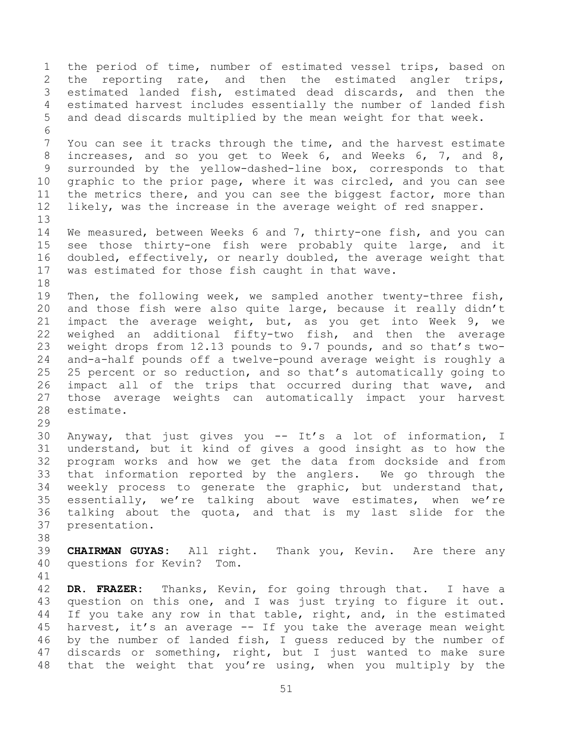1 the period of time, number of estimated vessel trips, based on<br>2 the reporting rate, and then the estimated angler trips, 2 the reporting rate, and then the estimated angler trips,<br>3 estimated landed fish, estimated dead discards, and then the 3 estimated landed fish, estimated dead discards, and then the<br>4 estimated harvest includes essentially the number of landed fish 4 estimated harvest includes essentially the number of landed fish<br>5 and dead discards multiplied by the mean weight for that week. and dead discards multiplied by the mean weight for that week. 6<br>7 7 You can see it tracks through the time, and the harvest estimate 8 increases, and so you get to Week 6, and Weeks 6, 7, and 8, 9 surrounded by the yellow-dashed-line box, corresponds to that<br>10 graphic to the prior page, where it was circled, and you can see 10 graphic to the prior page, where it was circled, and you can see<br>11 the metrics there, and you can see the biggest factor, more than 11 the metrics there, and you can see the biggest factor, more than<br>12 likely, was the increase in the average weight of red snapper. likely, was the increase in the average weight of red snapper. 13<br>14 14 We measured, between Weeks 6 and 7, thirty-one fish, and you can<br>15 see those thirty-one fish were probably quite large, and it 15 see those thirty-one fish were probably quite large, and it<br>16 doubled, effectively, or nearly doubled, the average weight that 16 doubled, effectively, or nearly doubled, the average weight that<br>17 was estimated for those fish caught in that wave. was estimated for those fish caught in that wave. 18<br>19 19 Then, the following week, we sampled another twenty-three fish,<br>20 and those fish were also quite large, because it really didn't 20 and those fish were also quite large, because it really didn't<br>21 impact the average weight, but, as vou get into Week 9, we 21 impact the average weight, but, as you get into Week 9, we<br>22 weighed an additional fifty-two fish, and then the average 22 weighed an additional fifty-two fish, and then the average<br>23 weight drops from 12.13 pounds to 9.7 pounds, and so that's two-23 weight drops from 12.13 pounds to 9.7 pounds, and so that's two-<br>24 and-a-half pounds off a twelve-pound average weight is roughly a 24 and-a-half pounds off a twelve-pound average weight is roughly a<br>25 25 percent or so reduction, and so that's automatically going to 25 25 percent or so reduction, and so that's automatically going to<br>26 impact all of the trips that occurred during that wave, and 26 impact all of the trips that occurred during that wave, and<br>27 those average weights can automatically impact your harvest 27 those average weights can automatically impact your harvest estimate. 29<br>30 30 Anyway, that just gives you -- It's a lot of information, I<br>31 understand, but it kind of gives a good insight as to how the understand, but it kind of gives a good insight as to how the 32 program works and how we get the data from dockside and from<br>33 that information reported by the anglers. We go through the 33 that information reported by the anglers. We go through the<br>34 weekly process to generate the graphic, but understand that, 34 weekly process to generate the graphic, but understand that,<br>35 essentially, we're talking about wave estimates, when we're 35 essentially, we're talking about wave estimates, when we're<br>36 talking about the quota, and that is my last slide for the 36 talking about the quota, and that is my last slide for the 37 presentation. presentation. 38<br>39 **CHAIRMAN GUYAS:** All right. Thank you, Kevin. Are there any questions for Kevin? Tom. 40 questions for Kevin? 41<br>42 42 **DR. FRAZER:** Thanks, Kevin, for going through that. I have a 43 question on this one, and I was just trying to figure it out.<br>44 If you take any row in that table, right, and, in the estimated 44 If you take any row in that table, right, and, in the estimated  $\frac{45}{100}$  harvest, it's an average -- If you take the average mean weight 45 harvest, it's an average -- If you take the average mean weight<br>46 by the number of landed fish, I quess reduced by the number of 46 by the number of landed fish, I guess reduced by the number of<br>47 discards or something, right, but I just wanted to make sure discards or something, right, but I just wanted to make sure 48 that the weight that you're using, when you multiply by the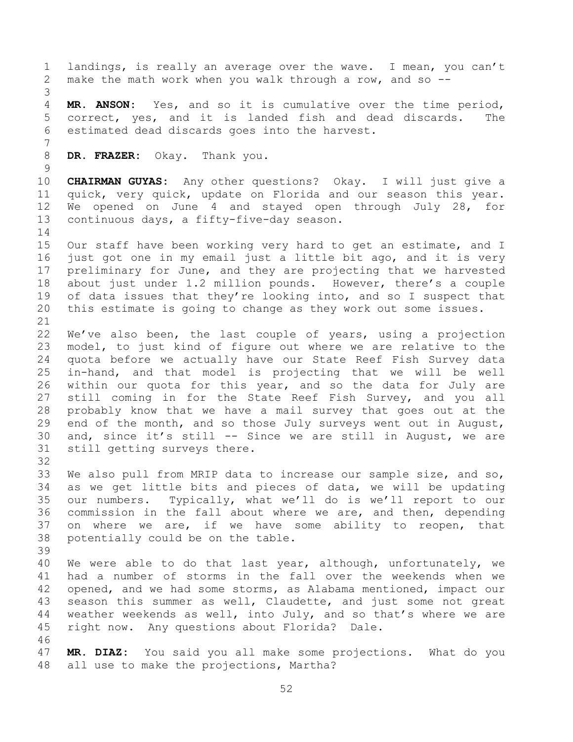1 landings, is really an average over the wave. I mean, you can't<br>2 make the math work when you walk through a row, and so -make the math work when you walk through a row, and so  $-$ -3 4 **MR. ANSON:** Yes, and so it is cumulative over the time period,<br>5 correct, yes, and it is landed fish and dead discards. The 5 correct, yes, and it is landed fish and dead discards.<br>6 estimated dead discards goes into the harvest. estimated dead discards goes into the harvest. 7 8 **DR. FRAZER:** Okay. Thank you.  $\begin{array}{c} 9 \\ 10 \end{array}$ 10 **CHAIRMAN GUYAS:** Any other questions? Okay. I will just give a<br>11 quick, very quick, update on Florida and our season this year. 11 quick, very quick, update on Florida and our season this year.<br>12 We opened on June 4 and stayed open through July 28, for 12 We opened on June 4 and stayed open through July 28, for<br>13 continuous days, a fifty-five-day season. continuous days, a fifty-five-day season.  $\begin{array}{c} 14 \\ 15 \end{array}$ 15 Our staff have been working very hard to get an estimate, and I<br>16 just got one in my email just a little bit ago, and it is very just got one in my email just a little bit ago, and it is very 17 preliminary for June, and they are projecting that we harvested<br>18 about just under 1.2 million pounds. However, there's a couple 18 about just under 1.2 million pounds. However, there's a couple<br>19 of data issues that they're looking into, and so I suspect that 19 of data issues that they're looking into, and so I suspect that<br>20 this estimate is going to change as they work out some issues. this estimate is going to change as they work out some issues. 21<br>22 22 We've also been, the last couple of years, using a projection<br>23 model, to just kind of figure out where we are relative to the 23 model, to just kind of figure out where we are relative to the<br>24 quota before we actually have our State Reef Fish Survey data 24 quota before we actually have our State Reef Fish Survey data<br>25 in-hand, and that model is projecting that we will be well 25 in-hand, and that model is projecting that we will be well<br>26 within our quota for this year, and so the data for July are 26 within our quota for this year, and so the data for July are<br>27 still coming in for the State Reef Fish Survey, and you all 27 still coming in for the State Reef Fish Survey, and you all<br>28 probably know that we have a mail survey that goes out at the 28 probably know that we have a mail survey that goes out at the<br>29 end of the month, and so those July surveys went out in Auqust, 29 end of the month, and so those July surveys went out in August,<br>30 and, since it's still -- Since we are still in August, we are 30 and, since it's still  $--$  Since we are still in August, we are 31 still getting surveys there. still getting surveys there. 32<br>33 33 We also pull from MRIP data to increase our sample size, and so,<br>34 as we get little bits and pieces of data, we will be updating 34 as we get little bits and pieces of data, we will be updating<br>35 our numbers. Typically, what we'll do is we'll report to our 35 our numbers. Typically, what we'll do is we'll report to our<br>36 commission in the fall about where we are, and then, depending 36 commission in the fall about where we are, and then, depending<br>37 on where we are, if we have some ability to reopen, that 37 on where we are, if we have some ability to reopen, that<br>38 potentially could be on the table. potentially could be on the table. 39 40 We were able to do that last year, although, unfortunately, we 41 had a number of storms in the fall over the weekends when we<br>42 opened, and we had some storms, as Alabama mentioned, impact our 42 opened, and we had some storms, as Alabama mentioned, impact our<br>43 season this summer as well, Claudette, and just some not great 43 season this summer as well, Claudette, and just some not great<br>44 weather weekends as well, into July, and so that's where we are 44 weather weekends as well, into July, and so that's where we are<br>45 right now. Any questions about Florida? Dale. right now. Any questions about Florida? Dale. 46<br>47 MR. DIAZ: You said you all make some projections. What do you 48 all use to make the projections, Martha?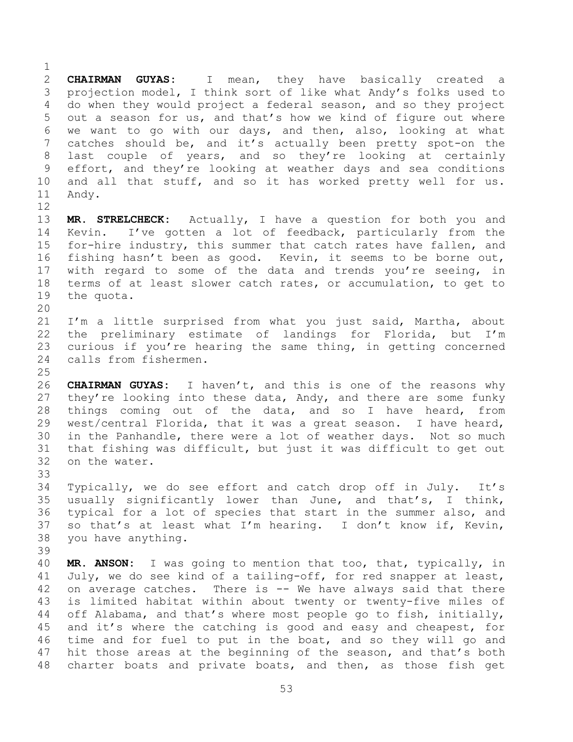$\frac{1}{2}$ 2 **CHAIRMAN GUYAS:** I mean, they have basically created a 3 projection model, I think sort of like what Andy's folks used to<br>4 do when thev would project a federal season, and so thev project 4 do when they would project a federal season, and so they project<br>5 out a season for us, and that's how we kind of figure out where 5 out a season for us, and that's how we kind of figure out where<br>6 we want to go with our davs, and then, also, looking at what 6 we want to go with our days, and then, also, looking at what<br>7 catches should be, and it's actually been pretty spot-on the catches should be, and it's actually been pretty spot-on the 8 last couple of years, and so they're looking at certainly 9 effort, and they're looking at weather days and sea conditions<br>10 and all that stuff, and so it has worked pretty well for us. 10 and all that stuff, and so it has worked pretty well for us.<br>11 Andy. Andy.

12<br>13 13 **MR. STRELCHECK:** Actually, I have a question for both you and 14 Kevin. I've gotten a lot of feedback, particularly from the<br>15 for-hire industry, this summer that catch rates have fallen, and 15 for-hire industry, this summer that catch rates have fallen, and<br>16 fishing hasn't been as good. Kevin, it seems to be borne out, fishing hasn't been as good. Kevin, it seems to be borne out, 17 with regard to some of the data and trends you're seeing, in<br>18 terms of at least slower catch rates, or accumulation, to get to 18 terms of at least slower catch rates, or accumulation, to get to 19 the quota. the quota.

 $\begin{array}{c} 20 \\ 21 \end{array}$ 21 I'm a little surprised from what you just said, Martha, about<br>22 the preliminary estimate of landings for Florida, but I'm 22 the preliminary estimate of landings for Florida, but<br>23 curious if you're hearing the same thing, in getting conce 23 curious if you're hearing the same thing, in getting concerned<br>24 calls from fishermen. calls from fishermen.

 $\frac{25}{26}$ 

26 **CHAIRMAN GUYAS:** I haven't, and this is one of the reasons why<br>27 they're looking into these data, Andy, and there are some funky 27 they're looking into these data, Andy, and there are some funky<br>28 things coming out of the data, and so I have heard, from 28 things coming out of the data, and so I have heard, from<br>29 west/central Florida, that it was a great season. I have heard, 29 west/central Florida, that it was a great season. I have heard,<br>30 in the Panhandle, there were a lot of weather days. Not so much 30 in the Panhandle, there were a lot of weather days. Not so much<br>31 that fishing was difficult, but just it was difficult to get out 31 that fishing was difficult, but just it was difficult to get out<br>32 on the water. on the water.

33<br>34 34 Typically, we do see effort and catch drop off in July. It's<br>35 usually significantly lower than June, and that's, I think, 35 usually significantly lower than June, and that's, I think,<br>36 typical for a lot of species that start in the summer also, and 36 typical for a lot of species that start in the summer also, and<br>37 so that's at least what I'm hearing. I don't know if, Kevin, 37 so that's at least what I'm hearing. I don't know if, Kevin,  $\frac{38}{100}$  you have anything. you have anything.

39

40 **MR. ANSON:** I was going to mention that too, that, typically, in 41 July, we do see kind of a tailing-off, for red snapper at least,<br>42 on average catches. There is -- We have alwavs said that there 42 on average catches. There is  $-$  We have always said that there<br>43 is limited habitat within about twenty or twenty-five miles of 43 is limited habitat within about twenty or twenty-five miles of<br>44 off Alabama, and that's where most people go to fish, initially, 44 off Alabama, and that's where most people go to fish, initially,<br>45 and it's where the catching is good and easy and cheapest, for 45 and it's where the catching is good and easy and cheapest, for<br>46 time and for fuel to put in the boat, and so they will go and 46 time and for fuel to put in the boat, and so they will go and<br>47 hit those areas at the beginning of the season, and that's both hit those areas at the beginning of the season, and that's both 48 charter boats and private boats, and then, as those fish get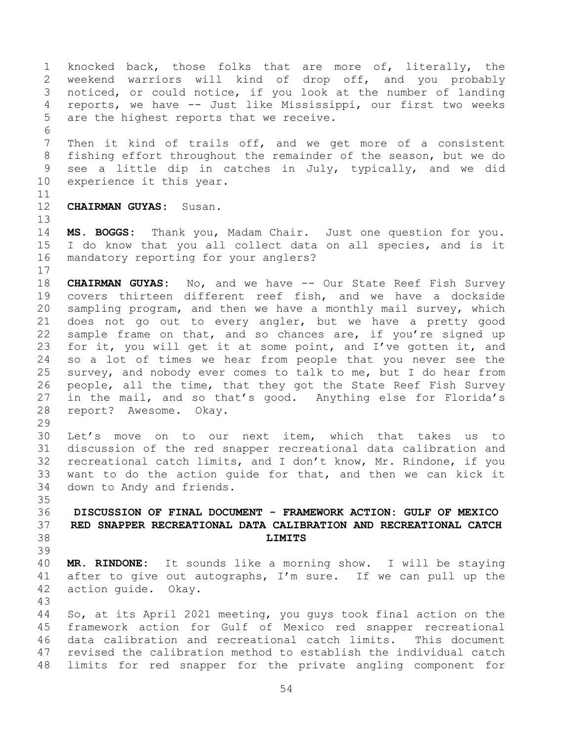1 knocked back, those folks that are more of, literally, the<br>2 weekend warriors will kind of drop off, and you probably 2 weekend warriors will kind of drop off, and you probably<br>3 noticed, or could notice, if you look at the number of landing 3 noticed, or could notice, if you look at the number of landing<br>4 reports, we have -- Just like Mississippi, our first two weeks 4 reports, we have  $-$  Just like Mississippi, our first two weeks<br>5 are the highest reports that we receive. are the highest reports that we receive. 6<br>7 Then it kind of trails off, and we get more of a consistent 8 fishing effort throughout the remainder of the season, but we do 9 see a little dip in catches in July, typically, and we did<br>10 experience it this year. experience it this year. 11<br>12 12 **CHAIRMAN GUYAS:** Susan. 13<br>14 14 **MS. BOGGS:** Thank you, Madam Chair. Just one question for you. 15 I do know that you all collect data on all species, and is it<br>16 mandatory reporting for your anglers? mandatory reporting for your anglers?  $\begin{array}{c} 17 \\ 18 \end{array}$ 18 **CHAIRMAN GUYAS:** No, and we have -- Our State Reef Fish Survey<br>19 covers thirteen different reef fish, and we have a dockside 19 covers thirteen different reef fish, and we have a dockside<br>20 sampling program, and then we have a monthly mail survey, which 20 sampling program, and then we have a monthly mail survey, which<br>21 does not go out to every angler, but we have a pretty good 21 does not go out to every angler, but we have a pretty good<br>22 sample frame on that, and so chances are, if you're signed up 22 sample frame on that, and so chances are, if you're signed up<br>23 for it, you will get it at some point, and I've gotten it, and 23 for it, you will get it at some point, and I've gotten it, and<br>24 so a lot of times we hear from people that you never see the 24 so a lot of times we hear from people that you never see the<br>25 survey, and nobody ever comes to talk to me, but I do hear from 25 survey, and nobody ever comes to talk to me, but I do hear from<br>26 people, all the time, that they got the State Reef Fish Survey 26 people, all the time, that they got the State Reef Fish Survey<br>27 in the mail, and so that's good. Anything else for Florida's 27 in the mail, and so that's good. Anything else for Florida's 28 report? Awesome. Okav. report? Awesome. Okay.  $\frac{29}{30}$ 30 Let's move on to our next item, which that takes us to<br>31 discussion of the red snapper recreational data calibration and discussion of the red snapper recreational data calibration and 32 recreational catch limits, and I don't know, Mr. Rindone, if you<br>33 want to do the action quide for that, and then we can kick it 33 want to do the action guide for that, and then we can kick it<br>34 down to Andv and friends. down to Andy and friends. 35<br>36 36 **DISCUSSION OF FINAL DOCUMENT - FRAMEWORK ACTION: GULF OF MEXICO** 37 **RED SNAPPER RECREATIONAL DATA CALIBRATION AND RECREATIONAL CATCH** 38 **LIMITS** 39 40 **MR. RINDONE:** It sounds like a morning show. I will be staying 41 after to give out autographs, I'm sure. If we can pull up the 42 action quide. Okav. action quide. Okay. 43 44 So, at its April 2021 meeting, you guys took final action on the<br>45 framework action for Gulf of Mexico red snapper recreational 45 framework action for Gulf of Mexico red snapper recreational<br>46 data calibration and recreational catch limits. This document 46 data calibration and recreational catch limits.<br>47 revised the calibration method to establish the in 47 revised the calibration method to establish the individual catch 48 limits for red snapper for the private angling component for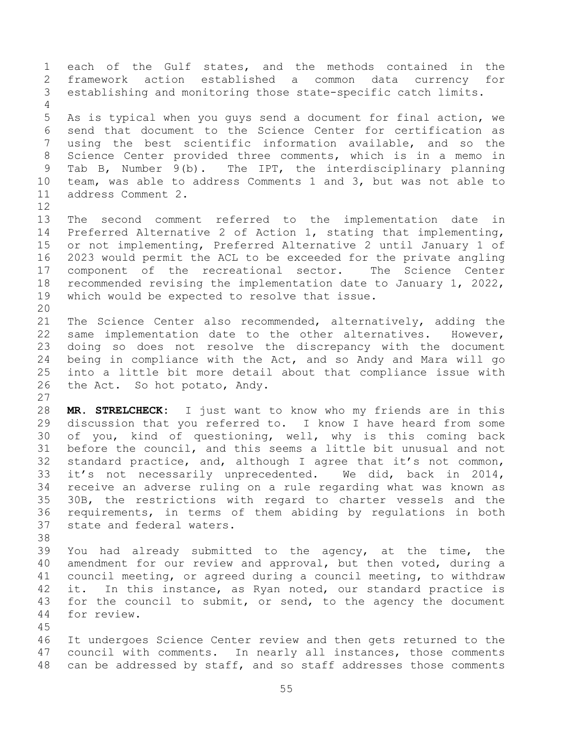1 each of the Gulf states, and the methods contained in the<br>2 framework action established a common data currency for 2 framework action established a common data currency for<br>3 establishing and monitoring those state-specific catch limits. establishing and monitoring those state-specific catch limits.  $\frac{4}{5}$ 5 As is typical when you guys send a document for final action, we<br>6 send that document to the Science Center for certification as 6 send that document to the Science Center for certification as<br>7 using the best scientific information available, and so the using the best scientific information available, and so the 8 Science Center provided three comments, which is in a memo in 9 Tab B, Number 9(b). The IPT, the interdisciplinary planning<br>10 team, was able to address Comments 1 and 3, but was not able to 10 team, was able to address Comments 1 and 3, but was not able to 11 address Comment 2. address Comment 2.  $\begin{array}{c} 12 \\ 13 \end{array}$ 13 The second comment referred to the implementation date in<br>14 Preferred Alternative 2 of Action 1, stating that implementing, 14 Preferred Alternative 2 of Action 1, stating that implementing,<br>15 or not implementing, Preferred Alternative 2 until January 1 of 15 or not implementing, Preferred Alternative 2 until January 1 of<br>16 2023 would permit the ACL to be exceeded for the private angling 2023 would permit the ACL to be exceeded for the private angling 17 component of the recreational sector. The Science Center<br>18 recommended revising the implementation date to January 1, 2022, 18 recommended revising the implementation date to January 1, 2022,<br>19 which would be expected to resolve that issue. which would be expected to resolve that issue. 20<br>21 21 The Science Center also recommended, alternatively, adding the<br>22 same implementation date to the other alternatives. However, 22 same implementation date to the other alternatives.<br>23 doing so does not resolve the discrepancy with the 23 doing so does not resolve the discrepancy with the document<br>24 being in compliance with the Act, and so Andy and Mara will go 24 being in compliance with the Act, and so Andy and Mara will go<br>25 into a little bit more detail about that compliance issue with 25 into a little bit more detail about that compliance issue with<br>26 the Act. So hot potato, Andy. the Act. So hot potato, Andy.  $\frac{27}{28}$ 28 **MR. STRELCHECK:** I just want to know who my friends are in this 29 discussion that you referred to. I know I have heard from some<br>30 of you, kind of questioning, well, why is this coming back 30 of you, kind of questioning, well, why is this coming back<br>31 before the council, and this seems a little bit unusual and not before the council, and this seems a little bit unusual and not 32 standard practice, and, although I agree that it's not common,<br>33 it's not necessarily unprecedented. We did, back in 2014, 33 it's not necessarily unprecedented. We did, back in 2014,<br>34 receive an adverse ruling on a rule regarding what was known as 34 receive an adverse ruling on a rule regarding what was known as<br>35 30B, the restrictions with regard to charter vessels and the 35 30B, the restrictions with regard to charter vessels and the<br>36 requirements, in terms of them abiding by requlations in both 36 requirements, in terms of them abiding by regulations in both state and federal waters. 38<br>39 You had already submitted to the agency, at the time, the 40 amendment for our review and approval, but then voted, during a 41 council meeting, or agreed during a council meeting, to withdraw<br>42 it. In this instance, as Rvan noted, our standard practice is 42 it. In this instance, as Ryan noted, our standard practice is<br>43 for the council to submit, or send, to the agency the document 43 for the council to submit, or send, to the agency the document 44 for review. for review. 45 46 It undergoes Science Center review and then gets returned to the<br>47 council with comments. In nearly all instances, those comments council with comments. In nearly all instances, those comments 48 can be addressed by staff, and so staff addresses those comments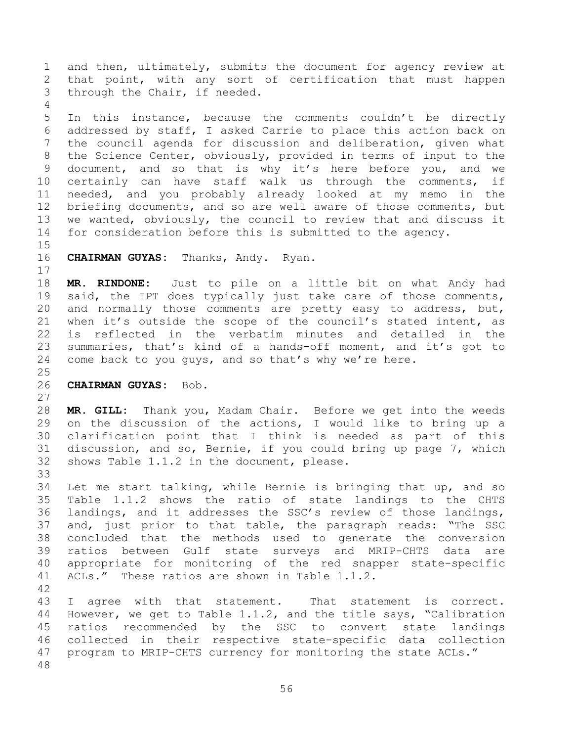1 and then, ultimately, submits the document for agency review at<br>2 that point, with any sort of certification that must happen 2 that point, with any sort of certification that must happen<br>3 through the Chair, if needed. through the Chair, if needed.

 $\frac{4}{5}$ 5 In this instance, because the comments couldn't be directly<br>6 addressed by staff, I asked Carrie to place this action back on 6 addressed by staff, I asked Carrie to place this action back on<br>7 the council agenda for discussion and deliberation, given what the council agenda for discussion and deliberation, given what 8 the Science Center, obviously, provided in terms of input to the 9 document, and so that is why it's here before you, and we<br>10 certainly can have staff walk us through the comments, if 10 certainly can have staff walk us through the comments,<br>11 needed, and you probably already looked at my memo in 11 needed, and you probably already looked at my memo in the<br>12 briefing documents, and so are well aware of those comments, but 12 briefing documents, and so are well aware of those comments, but<br>13 we wanted, obviously, the council to review that and discuss it 13 we wanted, obviously, the council to review that and discuss it<br>14 for consideration before this is submitted to the agency. for consideration before this is submitted to the agency.

 $\frac{15}{16}$ 

16 **CHAIRMAN GUYAS:** Thanks, Andy. Ryan.

 $\frac{17}{18}$ 18 **MR. RINDONE:** Just to pile on a little bit on what Andy had 19 said, the IPT does typically just take care of those comments,<br>20 and normally those comments are pretty easy to address, but, 20 and normally those comments are pretty easy to address, but,<br>21 when it's outside the scope of the council's stated intent, as 21 when it's outside the scope of the council's stated intent, as<br>22 is reflected in the verbatim minutes and detailed in the 22 is reflected in the verbatim minutes and detailed in the<br>23 summaries, that's kind of a hands-off moment, and it's got to 23 summaries, that's kind of a hands-off moment, and it's got to<br>24 come back to you quys, and so that's why we're here. come back to you guys, and so that's why we're here.

## $\frac{25}{26}$ 26 **CHAIRMAN GUYAS:** Bob.

 $\frac{27}{28}$ 28 **MR. GILL:** Thank you, Madam Chair. Before we get into the weeds 29 on the discussion of the actions, I would like to bring up a<br>30 clarification point that I think is needed as part of this 30 clarification point that I think is needed as part of this<br>31 discussion, and so, Bernie, if you could bring up page 7, which discussion, and so, Bernie, if you could bring up page 7, which 32 shows Table 1.1.2 in the document, please.

33<br>34 34 Let me start talking, while Bernie is bringing that up, and so<br>35 Table 1.1.2 shows the ratio of state landings to the CHTS 35 Table 1.1.2 shows the ratio of state landings to the CHTS<br>36 landings, and it addresses the SSC's review of those landings, 36 landings, and it addresses the SSC's review of those landings,<br>37 and, just prior to that table, the paragraph reads: "The SSC 37 and, just prior to that table, the paragraph reads: "The SSC<br>38 concluded that the methods used to generate the conversion 38 concluded that the methods used to generate the conversion<br>39 ratios between Gulf state surveys and MRIP-CHTS data are ratios between Gulf state surveys and MRIP-CHTS data 40 appropriate for monitoring of the red snapper state-specific 41 ACLs." These ratios are shown in Table 1.1.2.

42 43 I agree with that statement. That statement is correct.<br>44 However, we get to Table 1.1.2, and the title says, "Calibration 44 However, we get to Table 1.1.2, and the title says, "Calibration<br>45 ratios recommended by the SSC to convert state landings 45 ratios recommended by the SSC to convert state landings<br>46 collected in their respective state-specific data collection 46 collected in their respective state-specific data collection<br>47 program to MRIP-CHTS currency for monitoring the state ACLs." program to MRIP-CHTS currency for monitoring the state ACLs." 48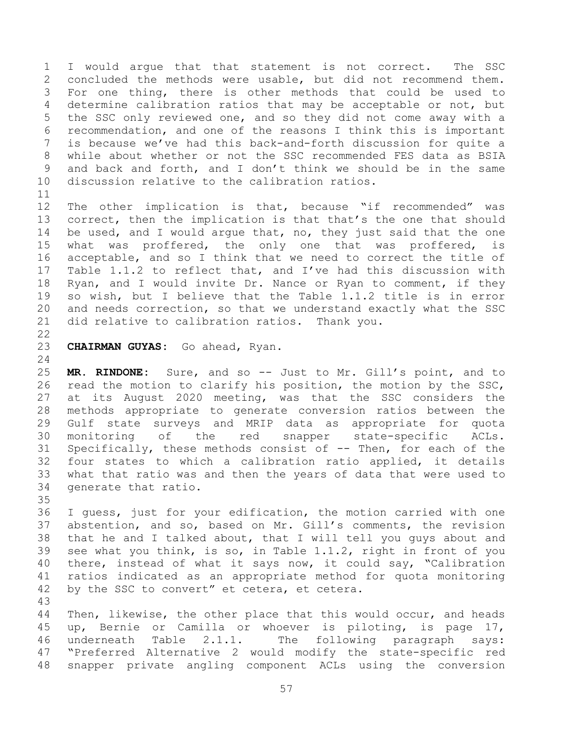1 I would argue that that statement is not correct. The SSC<br>2 concluded the methods were usable, but did not recommend them. 2 concluded the methods were usable, but did not recommend them.<br>3 For one thing, there is other methods that could be used to 3 For one thing, there is other methods that could be used to<br>4 determine calibration ratios that may be acceptable or not, but 4 determine calibration ratios that may be acceptable or not, but<br>5 the SSC only reviewed one, and so they did not come away with a 5 the SSC only reviewed one, and so they did not come away with a<br>6 recommendation, and one of the reasons I think this is important 6 recommendation, and one of the reasons I think this is important<br>7 is because we've had this back-and-forth discussion for quite a is because we've had this back-and-forth discussion for quite a 8 while about whether or not the SSC recommended FES data as BSIA 9 and back and forth, and I don't think we should be in the same<br>10 discussion relative to the calibration ratios. discussion relative to the calibration ratios.

11<br>12 12 The other implication is that, because "if recommended" was<br>13 correct, then the implication is that that's the one that should 13 correct, then the implication is that that's the one that should<br>14 be used, and I would arque that, no, they just said that the one 14 be used, and I would argue that, no, they just said that the one<br>15 what was proffered, the only one that was proffered, is 15 what was proffered, the only one that was proffered, is<br>16 acceptable, and so I think that we need to correct the title of acceptable, and so I think that we need to correct the title of 17 Table 1.1.2 to reflect that, and I've had this discussion with<br>18 Ryan, and I would invite Dr. Nance or Ryan to comment, if they 18 Ryan, and I would invite Dr. Nance or Ryan to comment, if they<br>19 so wish, but I believe that the Table 1.1.2 title is in error 19 so wish, but I believe that the Table 1.1.2 title is in error<br>20 and needs correction, so that we understand exactly what the SSC 20 and needs correction, so that we understand exactly what the SSC<br>21 did relative to calibration ratios. Thank you. did relative to calibration ratios. Thank you.

 $\frac{22}{23}$ 

23 **CHAIRMAN GUYAS:** Go ahead, Ryan.

 $\frac{24}{25}$ 25 **MR. RINDONE:** Sure, and so -- Just to Mr. Gill's point, and to 26 read the motion to clarify his position, the motion by the SSC,<br>27 at its August 2020 meeting, was that the SSC considers the 27 at its August 2020 meeting, was that the SSC considers the<br>28 methods appropriate to generate conversion ratios between the 28 methods appropriate to generate conversion ratios between the<br>29 Gulf state surveys and MRIP data as appropriate for quota 29 Gulf state surveys and MRIP data as appropriate for quota<br>30 monitoring of the red snapper state-specific ACLs. 30 monitoring of the red snapper state-specific ACLs.<br>31 Specifically, these-methods-consist-of---Then, for-each-of-the Specifically, these methods consist of  $-$ - Then, for each of the 32 four states to which a calibration ratio applied, it details<br>33 what that ratio was and then the years of data that were used to 33 what that ratio was and then the years of data that were used to<br>34 qenerate that ratio. generate that ratio.

35<br>36

36 I guess, just for your edification, the motion carried with one<br>37 abstention, and so, based on Mr. Gill's comments, the revision 37 abstention, and so, based on Mr. Gill's comments, the revision<br>38 that he and I talked about, that I will tell you quys about and 38 that he and I talked about, that I will tell you guys about and<br>39 see what you think, is so, in Table 1.1.2, right in front of you see what you think, is so, in Table  $1.1.2$ , right in front of you 40 there, instead of what it says now, it could say, "Calibration 41 ratios indicated as an appropriate method for quota monitoring<br>42 by the SSC to convert" et cetera, et cetera. by the SSC to convert" et cetera, et cetera.

43 44 Then, likewise, the other place that this would occur, and heads<br>45 up, Bernie or Camilla or whoever is piloting, is page 17, 45 up, Bernie or Camilla or whoever is piloting, is page 17,<br>46 underneath Table 2.1.1. The following paragraph says: 46 underneath Table 2.1.1. The following paragraph says:<br>47 "Preferred Alternative 2 would modify the state-specific red 47 "Preferred Alternative 2 would modify the state-specific red 48 snapper private angling component ACLs using the conversion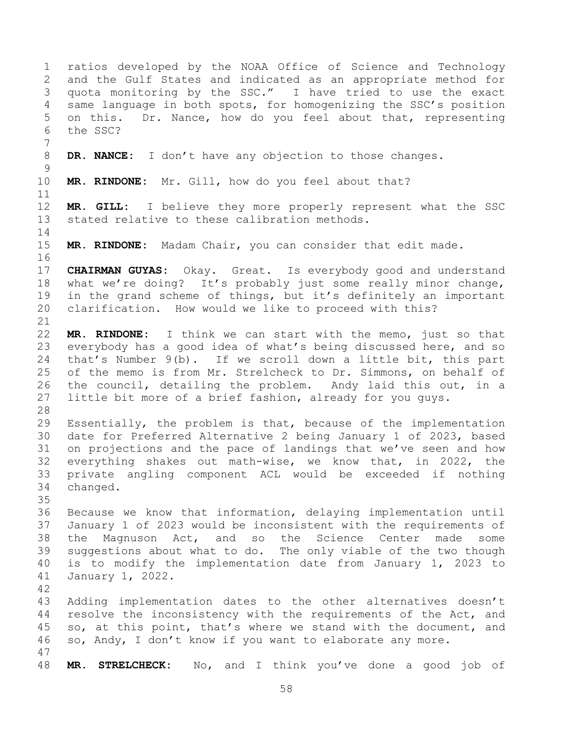1 ratios developed by the NOAA Office of Science and Technology<br>2 and the Gulf States and indicated as an appropriate method for 2 and the Gulf States and indicated as an appropriate method for<br>3 quota monitoring by the SSC." I have tried to use the exact 3 quota monitoring by the SSC." I have tried to use the exact<br>4 same language in both spots, for homogenizing the SSC's position 4 same language in both spots, for homogenizing the SSC's position<br>5 on this. Dr. Nance, how do you feel about that, representing 5 on this. Dr. Nance, how do you feel about that, representing<br>6 the SSC? the SSC? 7 8 **DR. NANCE:** I don't have any objection to those changes.  $\begin{array}{c} 9 \\ 10 \end{array}$ MR. RINDONE: Mr. Gill, how do you feel about that? 11<br>12 12 **MR. GILL:** I believe they more properly represent what the SSC<br>13 stated relative to these calibration methods. stated relative to these calibration methods.  $\frac{14}{15}$ MR. RINDONE: Madam Chair, you can consider that edit made. 16 17 **CHAIRMAN GUYAS:** Okay. Great. Is everybody good and understand<br>18 what we're doing? It's probably just some really minor change, 18 what we're doing? It's probably just some really minor change,<br>19 in the grand scheme of things, but it's definitely an important 19 in the grand scheme of things, but it's definitely an important<br>20 clarification. How would we like to proceed with this? clarification. How would we like to proceed with this? 21<br>22 22 **MR. RINDONE:** I think we can start with the memo, just so that 23 everybody has a good idea of what's being discussed here, and so<br>24 that's Number 9(b). If we scroll down a little bit, this part 24 that's Number 9(b). If we scroll down a little bit, this part<br>25 of the memo is from Mr. Strelcheck to Dr. Simmons, on behalf of 25 of the memo is from Mr. Strelcheck to Dr. Simmons, on behalf of<br>26 the council, detailing the problem. Andy laid this out, in a 26 the council, detailing the problem. Andy laid this out, in a<br>27 little bit more of a brief fashion, already for you quys. little bit more of a brief fashion, already for you guys. 28<br>29 29 Essentially, the problem is that, because of the implementation<br>30 date for Preferred Alternative 2 being January 1 of 2023, based 30 date for Preferred Alternative 2 being January 1 of 2023, based<br>31 on projections and the pace of landings that we've seen and how on projections and the pace of landings that we've seen and how 32 everything shakes out math-wise, we know that, in 2022, the<br>33 private angling component ACL would be exceeded if nothing 33 private angling component ACL would be exceeded if nothing changed. 35<br>36 36 Because we know that information, delaying implementation until<br>37 January 1 of 2023 would be inconsistent with the requirements of 37 January 1 of 2023 would be inconsistent with the requirements of<br>38 the Magnuson Act, and so the Science Center made some 38 the Magnuson Act, and so the Science Center made some<br>39 suggestions about what to do. The only viable of the two though suggestions about what to do. The only viable of the two though 40 is to modify the implementation date from January 1, 2023 to 41 January 1, 2022. 42 43 Adding implementation dates to the other alternatives doesn't<br>44 resolve the inconsistency with the requirements of the Act, and 44 resolve the inconsistency with the requirements of the Act, and<br>45 so, at this point, that's where we stand with the document, and 45 so, at this point, that's where we stand with the document, and<br>46 so, Andy, I don't know if you want to elaborate any more. so, Andy, I don't know if you want to elaborate any more. 47 48 **MR. STRELCHECK:** No, and I think you've done a good job of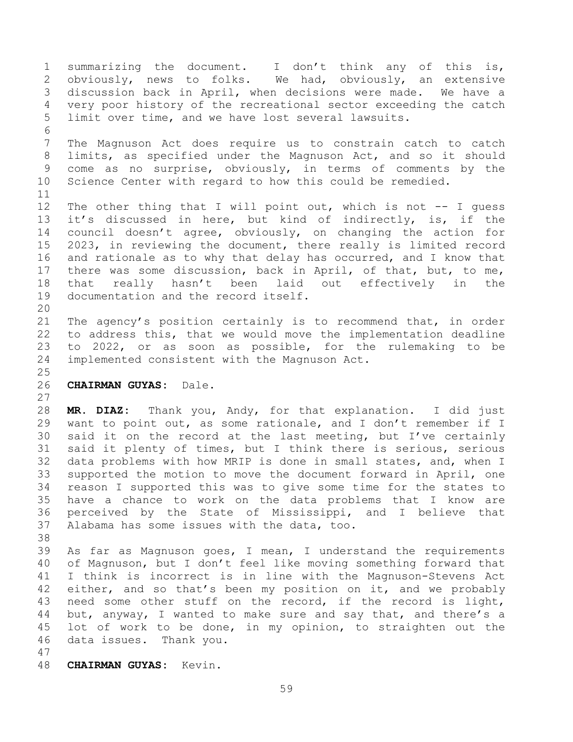1 summarizing the document. I don't think any of this is,<br>2 obviously, news to folks. We had, obviously, an extensive 2 obviously, news to folks. We had, obviously, an extensive<br>3 discussion back in April, when decisions were made. We have a 3 discussion back in April, when decisions were made.<br>4 verv poor history of the recreational sector exceeding 4 very poor history of the recreational sector exceeding the catch<br>5 limit over time, and we have lost several lawsuits. limit over time, and we have lost several lawsuits. 6<br>7 The Magnuson Act does require us to constrain catch to catch 8 limits, as specified under the Magnuson Act, and so it should 9 come as no surprise, obviously, in terms of comments by the<br>10 Science Center with regard to how this could be remedied. Science Center with regard to how this could be remedied. 11<br>12 12 The other thing that I will point out, which is not -- I guess<br>13 it's discussed in here, but kind of indirectly, is, if the 13 it's discussed in here, but kind of indirectly, is, if the<br>14 council doesn't agree, obviously, on changing the action for 14 council doesn't agree, obviously, on changing the action for<br>15 2023, in reviewing the document, there really is limited record 15 2023, in reviewing the document, there really is limited record<br>16 and rationale as to why that delay has occurred, and I know that and rationale as to why that delay has occurred, and I know that 17 there was some discussion, back in April, of that, but, to me,<br>18 that really hasn't been laid out effectively in the 18 that really hasn't been laid out effectively in<br>19 documentation\_and\_the\_record\_itself. documentation and the record itself. 20<br>21 21 The agency's position certainly is to recommend that, in order<br>22 to address this, that we would move the implementation deadline 22 to address this, that we would move the implementation deadline<br>23 to 2022, or as soon as possible, for the rulemaking to be 23 to 2022, or as soon as possible, for the rulemaking to be<br>24 implemented consistent with the Magnuson Act. implemented consistent with the Magnuson Act.  $\frac{25}{26}$ 26 **CHAIRMAN GUYAS:** Dale. 27<br>28 28 **MR. DIAZ:** Thank you, Andy, for that explanation. I did just 29 want to point out, as some rationale, and I don't remember if I<br>30 said it on the record at the last meeting, but I've certainly 30 said it on the record at the last meeting, but I've certainly<br>31 said it plenty of times, but I think there is serious, serious said it plenty of times, but I think there is serious, serious 32 data problems with how MRIP is done in small states, and, when I<br>33 supported the motion to move the document forward in April, one 33 supported the motion to move the document forward in April, one<br>34 reason I supported this was to give some time for the states to 34 reason I supported this was to give some time for the states to<br>35 have a chance to work on the data problems that I know are 35 have a chance to work on the data problems that I know are<br>36 perceived by the State of Mississippi, and I believe that 36 perceived by the State of Mississippi, and I believe that<br>37 Alabama has some issues with the data, too. Alabama has some issues with the data, too. 38<br>39 As far as Magnuson goes, I mean, I understand the requirements 40 of Magnuson, but I don't feel like moving something forward that 41 I think is incorrect is in line with the Magnuson-Stevens Act<br>42 either, and so that's been my position on it, and we probably 42 either, and so that's been my position on it, and we probably<br>43 need some other stuff on the record, if the record is light, 43 need some other stuff on the record, if the record is light,<br>44 but, anyway, I wanted to make sure and say that, and there's a 44 but, anyway, I wanted to make sure and say that, and there's a<br>45 lot of work to be done, in my opinion, to straighten out the 45 lot of work to be done, in my opinion, to straighten out the 46 data issues. Thank you. data issues. Thank you.

- 47
- 48 **CHAIRMAN GUYAS:** Kevin.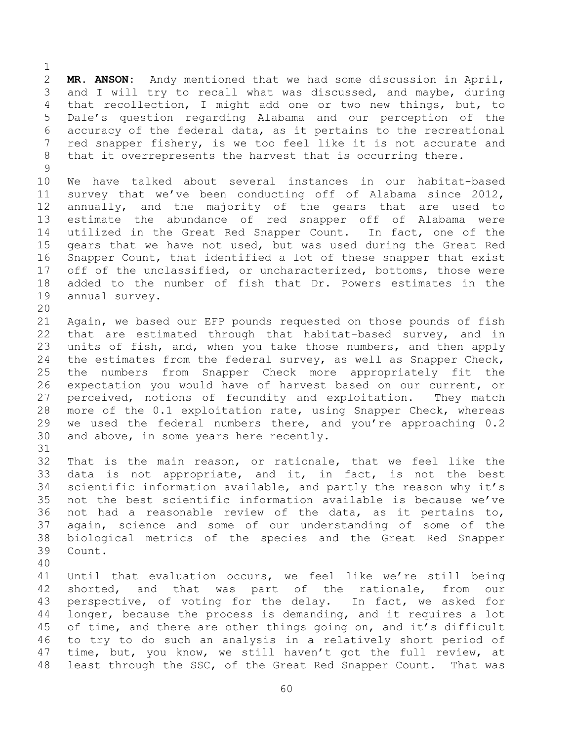$\frac{1}{2}$ 2 **MR. ANSON:** Andy mentioned that we had some discussion in April,<br>3 and I will try to recall what was discussed, and maybe, during 3 and I will try to recall what was discussed, and maybe, during<br>4 that recollection, I might add one or two new things, but, to 4 that recollection, I might add one or two new things, but, to<br>5 Dale's question regarding Alabama and our perception of the 5 Dale's question regarding Alabama and our perception of the<br>6 accuracy of the federal data, as it pertains to the recreational 6 accuracy of the federal data, as it pertains to the recreational<br>7 red snapper fishery, is we too feel like it is not accurate and red snapper fishery, is we too feel like it is not accurate and 8 that it overrepresents the harvest that is occurring there.

 $\begin{array}{c} 9 \\ 10 \end{array}$ 10 We have talked about several instances in our habitat-based<br>11 survey that we've been conducting off of Alabama since 2012, 11 survey that we've been conducting off of Alabama since 2012,<br>12 annually, and the majority of the gears that are used to 12 annually, and the majority of the gears that are used to<br>13 estimate the abundance of red snapper off of Alabama were 13 estimate the abundance of red snapper off of Alabama were<br>14 utilized in the Great Red Snapper Count. In fact, one of the 14 utilized in the Great Red Snapper Count.<br>15 gears that we have not used, but was used 15 gears that we have not used, but was used during the Great Red<br>16 Snapper Count, that identified a lot of these snapper that exist Snapper Count, that identified a lot of these snapper that exist 17 off of the unclassified, or uncharacterized, bottoms, those were<br>18 added to the number of fish that Dr. Powers estimates in the 18 added to the number of fish that Dr. Powers estimates in the 19 annual survey. annual survey.

20<br>21 21 Again, we based our EFP pounds requested on those pounds of fish<br>22 that are estimated through that habitat-based survey, and in 22 that are estimated through that habitat-based survey, and in<br>23 units of fish, and, when you take those numbers, and then apply 23 units of fish, and, when you take those numbers, and then apply<br>24 the estimates from the federal survey, as well as Snapper Check, 24 the estimates from the federal survey, as well as Snapper Check,<br>25 the numbers from Snapper Check more appropriately fit the 25 the numbers from Snapper Check more appropriately fit the<br>26 expectation vou would have of harvest based on our current, or 26 expectation you would have of harvest based on our current, or<br>27 perceived, notions of fecundity and exploitation. They match 27 perceived, notions of fecundity and exploitation.<br>28 more of the 0.1 exploitation rate, using Snapper Ch 28 more of the 0.1 exploitation rate, using Snapper Check, whereas<br>29 we used the federal numbers there, and you're approaching 0.2 29 we used the federal numbers there, and you're approaching  $0.2$ <br>30 and above, in some vears here recently. and above, in some years here recently.

32 That is the main reason, or rationale, that we feel like the<br>33 data is not appropriate, and it, in fact, is not the best 33 data is not appropriate, and it, in fact, is not the best<br>34 scientific information available, and partly the reason why it's 34 scientific information available, and partly the reason why it's<br>35 not the best scientific information available is because we've 35 not the best scientific information available is because we've<br>36 not had a reasonable review of the data, as it pertains to, 36 not had a reasonable review of the data, as it pertains to,<br>37 again, science and some of our understanding of some of the 37 again, science and some of our understanding of some of the<br>38 biological metrics of the species and the Great Red Snapper 38 biological metrics of the species and the Great Red Snapper Count.

40

31

41 Until that evaluation occurs, we feel like we're still being<br>42 shorted, and that was part of the rationale, from our 42 shorted, and that was part of the rationale,<br>43 perspective, of voting for the delay. In fact, we 43 perspective, of voting for the delay. In fact, we asked for<br>44 longer, because the process is demanding, and it requires a lot 44 longer, because the process is demanding, and it requires a lot<br>45 of time, and there are other things going on, and it's difficult 45 of time, and there are other things going on, and it's difficult<br>46 to try to do such an analysis in a relatively short period of 46 to try to do such an analysis in a relatively short period of<br>47 time, but, you know, we still haven't got the full review, at time, but, you know, we still haven't got the full review, at 48 least through the SSC, of the Great Red Snapper Count. That was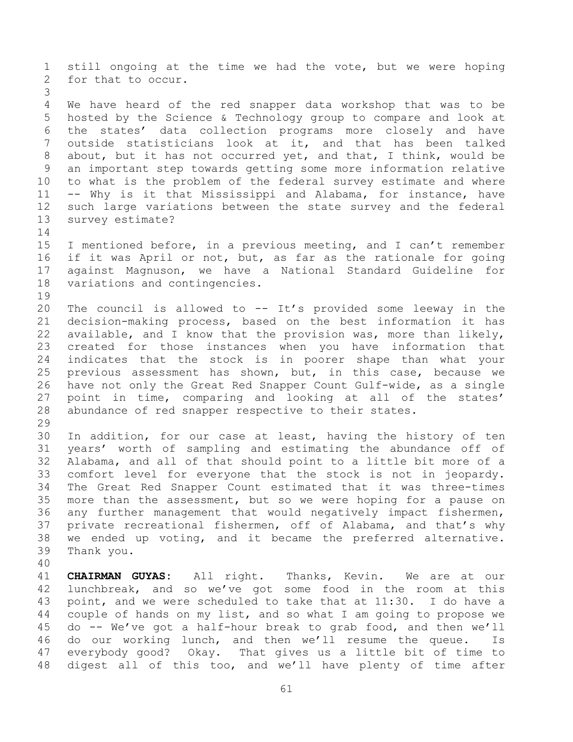1 still ongoing at the time we had the vote, but we were hoping<br>2 for that to occur. for that to occur. 3 4 We have heard of the red snapper data workshop that was to be<br>5 hosted by the Science & Technology group to compare and look at 5 hosted by the Science & Technology group to compare and look at<br>6 the states' data collection programs more closely and have 6 the states' data collection programs more closely and have outside statisticians look at it, and that has been talked 8 about, but it has not occurred yet, and that, I think, would be 9 an important step towards getting some more information relative<br>10 to what is the problem of the federal survey estimate and where 10 to what is the problem of the federal survey estimate and where<br>11 -- Why is it that Mississippi and Alabama, for instance, have 11 -- Why is it that Mississippi and Alabama, for instance, have<br>12 such large variations between the state survey and the federal 12 such large variations between the state survey and the federal<br>13 survey estimate? survey estimate?  $\begin{array}{c} 14 \\ 15 \end{array}$ 15 I mentioned before, in a previous meeting, and I can't remember<br>16 if it was April or not, but, as far as the rationale for going if it was April or not, but, as far as the rationale for going 17 against Magnuson, we have a National Standard Guideline for<br>18 variations and contingencies. variations and contingencies. 19<br>20 20 The council is allowed to  $--$  It's provided some leeway in the 21 decision-making process, based on the best information it has 21 decision-making process, based on the best information it has<br>22 available, and I know that the provision was, more than likely, 22 available, and I know that the provision was, more than likely,<br>23 created for those instances when you have information that 23 created for those instances when you have information that<br>24 indicates that the stock is in poorer shape than what your 24 indicates that the stock is in poorer shape than what your<br>25 previous assessment has shown, but, in this case, because we 25 previous assessment has shown, but, in this case, because we<br>26 have not only the Great Red Snapper Count Gulf-wide, as a single 26 have not only the Great Red Snapper Count Gulf-wide, as a single<br>27 point in time, comparing and looking at all of the states' 27 point in time, comparing and looking at all of the states'<br>28 abundance of red snapper respective to their states. abundance of red snapper respective to their states. 29<br>30 30 In addition, for our case at least, having the history of ten<br>31 vears' worth of sampling and estimating the abundance off of years' worth of sampling and estimating the abundance off of 32 Alabama, and all of that should point to a little bit more of a<br>33 comfort level for everyone that the stock is not in jeopardy. 33 comfort level for everyone that the stock is not in jeopardy.<br>34 The Great Red Snapper Count estimated that it was three-times 34 The Great Red Snapper Count estimated that it was three-times<br>35 more than the assessment, but so we were hoping for a pause on 35 more than the assessment, but so we were hoping for a pause on<br>36 any further management that would negatively impact fishermen, 36 any further management that would negatively impact fishermen,<br>37 private recreational fishermen, off of Alabama, and that's why 37 private recreational fishermen, off of Alabama, and that's why<br>38 we ended up voting, and it became the preferred alternative. 38 we ended up voting, and it became the preferred alternative.<br>39 Thank you. Thank you. 40 41 **CHAIRMAN GUYAS:** All right. Thanks, Kevin. We are at our 42 lunchbreak, and so we've got some food in the room at this<br>43 point, and we were scheduled to take that at 11:30. I do have a 43 point, and we were scheduled to take that at 11:30. I do have a<br>44 couple of hands on my list, and so what I am going to propose we 44 couple of hands on my list, and so what I am going to propose we<br>45 do  $-$ - We've got a half-hour break to grab food, and then we'll 45 do -- We've got a half-hour break to grab food, and then we'll<br>46 do our working lunch, and then we'll resume the queue. Is 46 do our working lunch, and then we'll resume the queue.<br>47 everybody good? Okay. That gives us a little bit of tim

61

everybody good? Okay. That gives us a little bit of time to

48 digest all of this too, and we'll have plenty of time after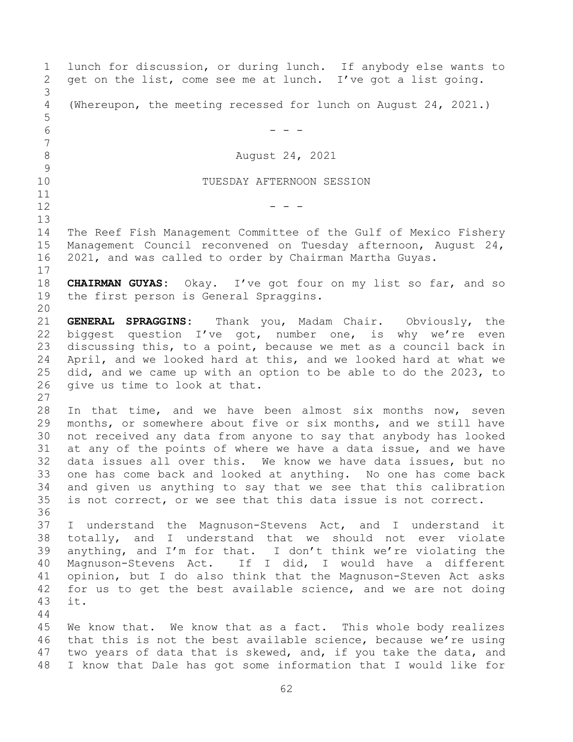1 lunch for discussion, or during lunch. If anybody else wants to<br>2 get on the list, come see me at lunch. I've got a list going. get on the list, come see me at lunch. I've got a list going. 3 (Whereupon, the meeting recessed for lunch on August 24, 2021.) 5  $6$   $-$ 7 8 August 24, 2021  $\frac{9}{10}$ 10 TUESDAY AFTERNOON SESSION 11<br>12  $12$  - - -13<br>14 14 The Reef Fish Management Committee of the Gulf of Mexico Fishery<br>15 Management Council reconvened on Tuesday afternoon, August 24, 15 Management Council reconvened on Tuesday afternoon, August 24,<br>16 2021, and was called to order by Chairman Martha Guyas. 2021, and was called to order by Chairman Martha Guyas.  $\begin{array}{c} 17 \\ 18 \end{array}$ 18 **CHAIRMAN GUYAS:** Okay. I've got four on my list so far, and so<br>19 the first person is General Spraggins. the first person is General Spraggins. 20<br>21 21 **GENERAL SPRAGGINS:** Thank you, Madam Chair. Obviously, the 22 biggest question I've got, number one, is why we're even<br>23 discussing this, to a point, because we met as a council back in 23 discussing this, to a point, because we met as a council back in<br>24 April, and we looked hard at this, and we looked hard at what we 24 April, and we looked hard at this, and we looked hard at what we<br>25 did, and we came up with an option to be able to do the 2023, to 25 did, and we came up with an option to be able to do the 2023, to 26 qive us time to look at that. give us time to look at that.  $\frac{27}{28}$ 28 In that time, and we have been almost six months now, seven<br>29 months, or somewhere about five or six months, and we still have 29 months, or somewhere about five or six months, and we still have<br>30 not received any data from anyone to say that anybody has looked 30 not received any data from anyone to say that anybody has looked<br>31 at any of the points of where we have a data issue, and we have at any of the points of where we have a data issue, and we have 32 data issues all over this. We know we have data issues, but no<br>33 one has come back and looked at anything. No one has come back 33 one has come back and looked at anything. No one has come back<br>34 and given us anything to say that we see that this calibration 34 and given us anything to say that we see that this calibration<br>35 is not correct, or we see that this data issue is not correct. is not correct, or we see that this data issue is not correct. 36<br>37 37 I understand the Magnuson-Stevens Act, and I understand it<br>38 totally, and I understand that we should not ever violate 38 totally, and I understand that we should not ever violate<br>39 anything, and I'm for that. I don't think we're violating the anything, and I'm for that. I don't think we're violating the 40 Magnuson-Stevens Act. If I did, I would have a different 41 opinion, but I do also think that the Magnuson-Steven Act asks<br>42 for us to get the best available science, and we are not doing 42 for us to get the best available science, and we are not doing<br>43 it. it.  $\begin{array}{c} 44 \\ 45 \end{array}$ 45 We know that. We know that as a fact. This whole body realizes<br>46 that this is not the best available science, because we're using 46 that this is not the best available science, because we're using<br>47 two years of data that is skewed, and, if you take the data, and two years of data that is skewed, and, if you take the data, and 48 I know that Dale has got some information that I would like for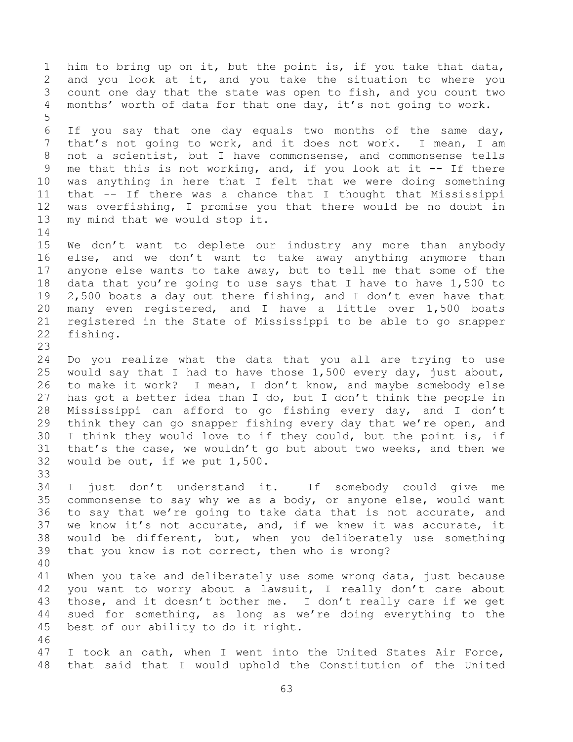1 him to bring up on it, but the point is, if you take that data,<br>2 and you look at it, and you take the situation to where you 2 and you look at it, and you take the situation to where you<br>3 count one day that the state was open to fish, and you count two 3 count one day that the state was open to fish, and you count two<br>4 months' worth of data for that one dav, it's not going to work. months' worth of data for that one day, it's not going to work. 5 6 If you say that one day equals two months of the same day,<br>7 that's not going to work, and it does not work. I mean, I am that's not going to work, and it does not work. I mean, I am 8 not a scientist, but I have commonsense, and commonsense tells 9 me that this is not working, and, if you look at it -- If there<br>10 was anything in here that I felt that we were doing something 10 was anything in here that I felt that we were doing something<br>11 that -- If there was a chance that I thought that Mississippi 11 that -- If there was a chance that I thought that Mississippi<br>12 was overfishing, I promise you that there would be no doubt in 12 was overfishing, I promise you that there would be no doubt in<br>13 my mind that we would stop it. my mind that we would stop it.  $\begin{array}{c} 14 \\ 15 \end{array}$ 15 We don't want to deplete our industry any more than anybody<br>16 else, and we don't want to take away anything anymore than else, and we don't want to take away anything anymore than 17 anyone else wants to take away, but to tell me that some of the<br>18 data that you're going to use says that I have to have 1,500 to 18 data that you're going to use says that I have to have 1,500 to<br>19 2,500 boats a dav out there fishing, and I don't even have that 19 2,500 boats a day out there fishing, and I don't even have that<br>20 many even registered, and I have a little over 1,500 boats 20 many even registered, and I have a little over 1,500 boats<br>21 registered in the State of Mississippi to be able to go snapper 21 registered in the State of Mississippi to be able to go snapper<br>22 fishing. fishing. 23 24 Do you realize what the data that you all are trying to use<br>25 would say that I had to have those 1,500 every day, just about, 25 would say that I had to have those 1,500 every day, just about,<br>26 to make it work? I mean, I don't know, and maybe somebody else 26 to make it work? I mean, I don't know, and maybe somebody else<br>27 has got a better idea than I do, but I don't think the people in 27 has got a better idea than I do, but I don't think the people in<br>28 Mississippi can afford to go fishing every day, and I don't 28 Mississippi can afford to go fishing every day, and I don't<br>29 think they can go snapper fishing every day that we're open, and 29 think they can go snapper fishing every day that we're open, and<br>30 I think they would love to if they could, but the point is, if 30 I think they would love to if they could, but the point is, if<br>31 that's the case, we wouldn't go but about two weeks, and then we that's the case, we wouldn't go but about two weeks, and then we 32 would be out, if we put 1,500. 33<br>34 34 I just don't understand it. If somebody could give me<br>35 commonsense to say why we as a body, or anyone else, would want 35 commonsense to say why we as a body, or anyone else, would want<br>36 to say that we're going to take data that is not accurate, and 36 to say that we're going to take data that is not accurate, and<br>37 we know it's not accurate, and, if we knew it was accurate, it 37 we know it's not accurate, and, if we knew it was accurate, it<br>38 would be different, but, when you deliberately use something 38 would be different, but, when you deliberately use something<br>39 that you know is not correct, then who is wrong? that you know is not correct, then who is wrong? 40 41 When you take and deliberately use some wrong data, just because<br>42 vou want to worry about a lawsuit, I really don't care about 42 you want to worry about a lawsuit, I really don't care about<br>43 those, and it doesn't bother me. I don't really care if we get 43 those, and it doesn't bother me. I don't really care if we get<br>44 sued for something, as long as we're doing everything to the 44 sued for something, as long as we're doing everything to the 45 best of our ability to do it right. best of our ability to do it right. 46<br>47 I took an oath, when I went into the United States Air Force, 48 that said that I would uphold the Constitution of the United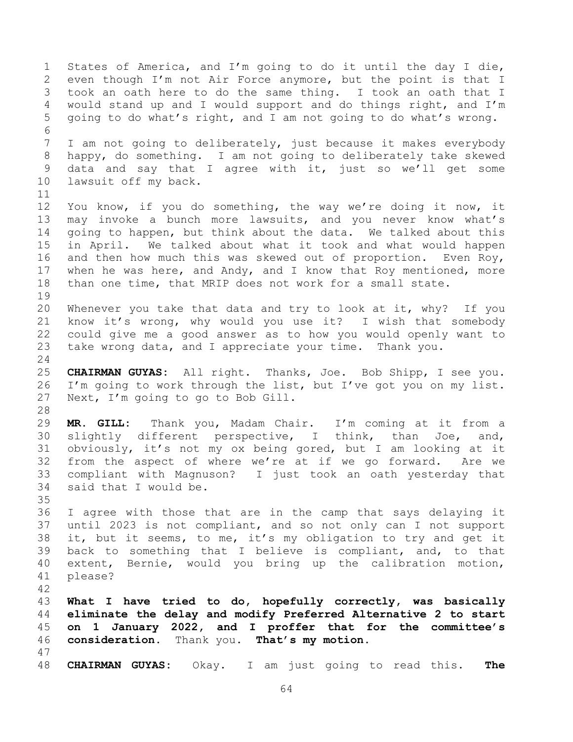1 States of America, and I'm going to do it until the day I die,<br>2 even though I'm not Air Force anymore, but the point is that I 2 even though I'm not Air Force anymore, but the point is that I<br>3 took an oath here to do the same thing. I took an oath that I 3 took an oath here to do the same thing. I took an oath that I<br>4 would stand up and I would support and do things right, and I'm 4 would stand up and I would support and do things right, and I'm<br>5 qoing to do what's right, and I am not going to do what's wrong. going to do what's right, and I am not going to do what's wrong. 6<br>7 I am not going to deliberately, just because it makes everybody 8 happy, do something. I am not going to deliberately take skewed 9 data and say that I agree with it, just so we'll get some<br>10 lawsuit off my back. lawsuit off my back. 11<br>12 12 You know, if you do something, the way we're doing it now, it<br>13 may invoke a bunch more lawsuits, and you never know what's 13 may invoke a bunch more lawsuits, and you never know what's<br>14 qoing to happen, but think about the data. We talked about this 14 going to happen, but think about the data. We talked about this<br>15 in April. We talked about what it took and what would happen 15 in April. We talked about what it took and what would happen<br>16 and then how much this was skewed out of proportion. Even Roy, and then how much this was skewed out of proportion. Even Roy, 17 when he was here, and Andy, and I know that Roy mentioned, more<br>18 than one time, that MRIP does not work for a small state. than one time, that MRIP does not work for a small state. 19<br>20 20 Whenever you take that data and try to look at it, why? If you<br>21 know it's wrong, why would you use it? I wish that somebody 21 know it's wrong, why would you use it? I wish that somebody<br>22 could give me a good answer as to how you would openly want to 22 could give me a good answer as to how you would openly want to<br>23 take wrong data, and I appreciate your time. Thank you. take wrong data, and I appreciate your time.  $\frac{24}{25}$ 25 **CHAIRMAN GUYAS:** All right. Thanks, Joe. Bob Shipp, I see you. 26 I'm going to work through the list, but I've got you on my list.<br>27 Next, I'm going to go to Bob Gill. Next, I'm going to go to Bob Gill. 28<br>29 29 **MR. GILL:** Thank you, Madam Chair. I'm coming at it from a 30 slightly different perspective, I think, than Joe, and,<br>31 obviously, it's not my ox being gored, but I am looking at it obviously, it's not my ox being gored, but I am looking at it 32 from the aspect of where we're at if we go forward. Are we<br>33 compliant with Magnuson? I just took an oath yesterday that 33 compliant with Magnuson? I just took an oath yesterday that said that I would be. 35<br>36 36 I agree with those that are in the camp that says delaying it<br>37 until 2023 is not compliant, and so not only can I not support 37 until 2023 is not compliant, and so not only can I not support<br>38 it, but it seems, to me, it's my obligation to try and get it 38 it, but it seems, to me, it's my obligation to try and get it<br>39 back to something that I believe is compliant, and, to that back to something that I believe is compliant, and, to that 40 extent, Bernie, would you bring up the calibration motion, 41 please? 42 43 **What I have tried to do, hopefully correctly, was basically** 44 **eliminate the delay and modify Preferred Alternative 2 to start** 45 **on 1 January 2022, and I proffer that for the committee's** 46 **consideration.** Thank you. **That's my motion.** 47 48 **CHAIRMAN GUYAS:** Okay. I am just going to read this. **The**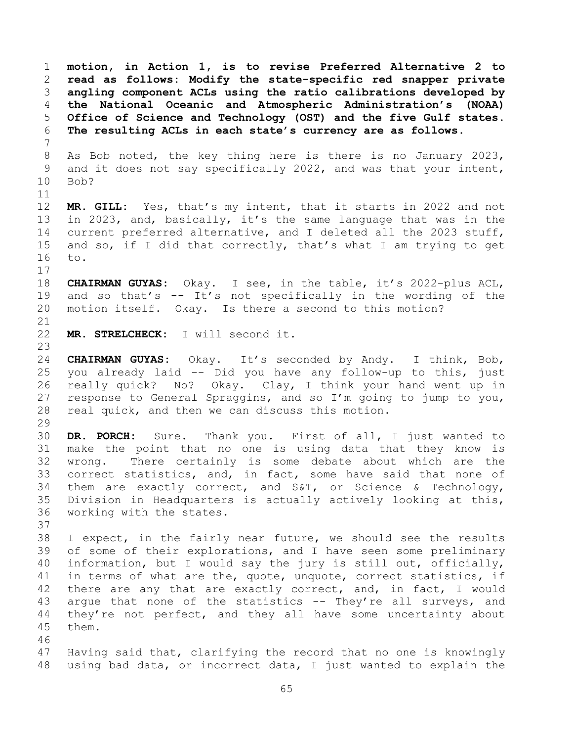1 **motion, in Action 1, is to revise Preferred Alternative 2 to** 2 **read as follows: Modify the state-specific red snapper private** 3 **angling component ACLs using the ratio calibrations developed by** 4 **the National Oceanic and Atmospheric Administration's (NOAA)** 5 **Office of Science and Technology (OST) and the five Gulf states.** 6 **The resulting ACLs in each state's currency are as follows.** 7 8 As Bob noted, the key thing here is there is no January 2023, 9 and it does not say specifically 2022, and was that your intent,<br>10 Bob? Bob? 11<br>12 12 **MR. GILL:** Yes, that's my intent, that it starts in 2022 and not<br>13 in 2023, and, basically, it's the same language that was in the 13 in 2023, and, basically, it's the same language that was in the<br>14 current preferred alternative, and I deleted all the 2023 stuff, 14 current preferred alternative, and I deleted all the 2023 stuff,<br>15 and so, if I did that correctly, that's what I am trying to get 15 and so, if I did that correctly, that's what I am trying to get<br>16 to. to.  $\begin{array}{c} 17 \\ 18 \end{array}$ 18 **CHAIRMAN GUYAS:** Okay. I see, in the table, it's 2022-plus ACL, 19 and so that's -- It's not specifically in the wording of the<br>20 motion itself. Okay. Is there a second to this motion? motion itself. Okay. Is there a second to this motion? 21<br>22 MR. STRELCHECK: I will second it. 23 24 **CHAIRMAN GUYAS:** Okay. It's seconded by Andy. I think, Bob, 25 you already laid -- Did you have any follow-up to this, just<br>26 really quick? No? Okay. Clay, I think your hand went up in 26 really quick? No? Okay. Clay, I think your hand went up in<br>27 response to General Spraggins, and so I'm going to jump to you, 27 response to General Spraggins, and so I'm going to jump to you,<br>28 real quick, and then we can discuss this motion. real quick, and then we can discuss this motion. 29<br>30 30 **DR. PORCH:** Sure. Thank you. First of all, I just wanted to make the point that no one is using data that they know is 32 wrong. There certainly is some debate about which are the<br>33 correct statistics, and, in fact, some have said that none of 33 correct statistics, and, in fact, some have said that none of<br>34 them are exactly correct, and S&T, or Science & Technology, 34 them are exactly correct, and S&T, or Science & Technology,<br>35 Division in Headquarters is actually actively looking at this, 35 Division in Headquarters is actually actively looking at this,<br>36 working with the states. working with the states. 37<br>38 38 I expect, in the fairly near future, we should see the results<br>39 of some of their explorations, and I have seen some preliminary of some of their explorations, and I have seen some preliminary 40 information, but I would say the jury is still out, officially, 41 in terms of what are the, quote, unquote, correct statistics, if<br>42 there are any that are exactly correct, and, in fact, I would 42 there are any that are exactly correct, and, in fact, I would<br>43 arque that none of the statistics -- They're all surveys, and 43 argue that none of the statistics -- They're all surveys, and<br>44 they're not perfect, and they all have some uncertainty about 44 they're not perfect, and they all have some uncertainty about 45 them. them. 46<br>47 Having said that, clarifying the record that no one is knowingly 48 using bad data, or incorrect data, I just wanted to explain the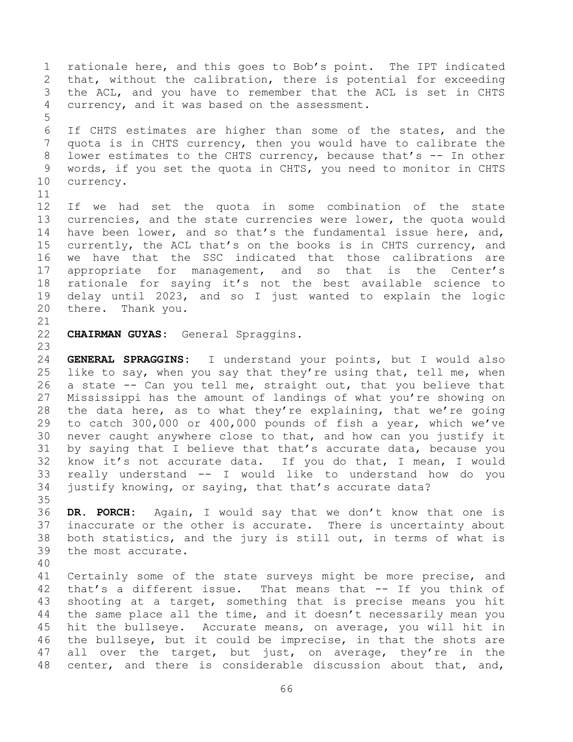1 rationale here, and this goes to Bob's point. The IPT indicated<br>2 that, without the calibration, there is potential for exceeding 2 that, without the calibration, there is potential for exceeding<br>3 the ACL, and you have to remember that the ACL is set in CHTS 3 the ACL, and you have to remember that the ACL is set in CHTS<br>4 currency, and it was based on the assessment. currency, and it was based on the assessment.

5 6 If CHTS estimates are higher than some of the states, and the<br>7 quota is in CHTS currency, then you would have to calibrate the quota is in CHTS currency, then you would have to calibrate the 8 lower estimates to the CHTS currency, because that's -- In other 9 words, if you set the quota in CHTS, you need to monitor in CHTS<br>10 currency. currency.

11<br>12 12 If we had set the quota in some combination of the state<br>13 currencies, and the state currencies were lower, the quota would 13 currencies, and the state currencies were lower, the quota would<br>14 have been lower, and so that's the fundamental issue here, and, 14 have been lower, and so that's the fundamental issue here, and,<br>15 currently, the ACL that's on the books is in CHTS currency, and 15 currently, the ACL that's on the books is in CHTS currency, and<br>16 we have that the SSC indicated that those calibrations are we have that the SSC indicated that those calibrations are 17 appropriate for management, and so that is the Center's<br>18 rationale for saying it's not the best available science to 18 rationale for saying it's not the best available science to<br>19 delav until 2023, and so I just wanted to explain the logic 19 delay until 2023, and so I just wanted to explain the logic<br>20 there. Thank you. there. Thank you.

21<br>22 22 **CHAIRMAN GUYAS:** General Spraggins.

23

24 **GENERAL SPRAGGINS:** I understand your points, but I would also 25 like to say, when you say that they're using that, tell me, when<br>26 a state -- Can you tell me, straight out, that you believe that 26 a state -- Can you tell me, straight out, that you believe that<br>27 Mississippi has the amount of landings of what you're showing on 27 Mississippi has the amount of landings of what you're showing on<br>28 the data here, as to what they're explaining, that we're going 28 the data here, as to what they're explaining, that we're going<br>29 to catch 300,000 or 400,000 pounds of fish a year, which we've 29 to catch 300,000 or 400,000 pounds of fish a year, which we've<br>30 never caught anywhere close to that, and how can you justify it 30 never caught anywhere close to that, and how can you justify it<br>31 by saying that I believe that that's accurate data, because you by saying that I believe that that's accurate data, because you 32 know it's not accurate data. If you do that, I mean, I would<br>33 really understand -- I would like to understand how do you 33 really understand -- I would like to understand how do you<br>34 justify knowing, or saving, that that's accurate data? justify knowing, or saying, that that's accurate data?

35<br>36 36 **DR. PORCH:** Again, I would say that we don't know that one is 37 inaccurate or the other is accurate. There is uncertainty about<br>38 both statistics, and the jury is still out, in terms of what is 38 both statistics, and the jury is still out, in terms of what is the most accurate. the most accurate.

40

41 Certainly some of the state surveys might be more precise, and<br>42 that's a different issue. That means that -- If you think of 42 that's a different issue. That means that -- If you think of<br>43 shooting at a target, something that is precise means you hit 43 shooting at a target, something that is precise means you hit<br>44 the same place all the time, and it doesn't necessarily mean you the same place all the time, and it doesn't necessarily mean you<br>hit the bullseye. Accurate means, on average, you will hit in 45 hit the bullseye. Accurate means, on average, you will hit in<br>46 the bullseve, but it could be imprecise, in that the shots are 46 the bullseye, but it could be imprecise, in that the shots are<br>47 all over the target, but just, on average, they're in the all over the target, but just, on average, they're in the 48 center, and there is considerable discussion about that, and,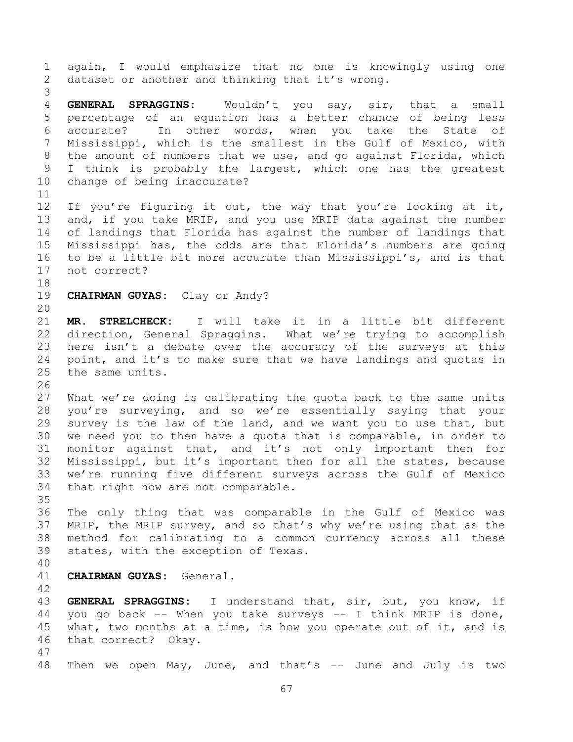1 again, I would emphasize that no one is knowingly using one<br>2 dataset or another and thinking that it's wrong. dataset or another and thinking that it's wrong. 3 4 **GENERAL SPRAGGINS:** Wouldn't you say, sir, that a small 5 percentage of an equation has a better chance of being less<br>6 accurate? In other words, when you take the State of 6 accurate? In other words, when you take the<br>7 Mississippi, which is the smallest in the Gulf of Mex Mississippi, which is the smallest in the Gulf of Mexico, with 8 the amount of numbers that we use, and go against Florida, which 9 I think is probably the largest, which one has the greatest<br>10 change of being inaccurate? change of being inaccurate? 11<br>12 12 If you're figuring it out, the way that you're looking at it,<br>13 and, if you take MRIP, and you use MRIP data against the number 13 and, if you take MRIP, and you use MRIP data against the number<br>14 of landings that Florida has against the number of landings that 14 of landings that Florida has against the number of landings that<br>15 Mississippi has, the odds are that Florida's numbers are going 15 Mississippi has, the odds are that Florida's numbers are going<br>16 to be a little bit more accurate than Mississippi's, and is that 16 to be a little bit more accurate than Mississippi's, and is that<br>17 not correct? not correct? 18<br>19 19 **CHAIRMAN GUYAS:** Clay or Andy? 20<br>21 21 **MR. STRELCHECK:** I will take it in a little bit different 22 direction, General Spraggins. What we're trying to accomplish<br>23 here isn't a debate over the accuracy of the surveys at this 23 here isn't a debate over the accuracy of the surveys at this<br>24 point, and it's to make sure that we have landings and quotas in 24 point, and it's to make sure that we have landings and quotas in 25 the same units. the same units. 26<br>27 27 What we're doing is calibrating the quota back to the same units<br>28 you're surveying, and so we're essentially saying that your 28 you're surveying, and so we're essentially saying that your<br>29 survey is the law of the land, and we want you to use that, but 29 survey is the law of the land, and we want you to use that, but<br>30 we need you to then have a quota that is comparable, in order to 30 we need you to then have a quota that is comparable, in order to<br>31 monitor against that, and it's not only important then for monitor against that, and it's not only important then for 32 Mississippi, but it's important then for all the states, because<br>33 we're running five different surveys across the Gulf of Mexico 33 we're running five different surveys across the Gulf of Mexico<br>34 that right now are not comparable. that right now are not comparable. 35<br>36 36 The only thing that was comparable in the Gulf of Mexico was<br>37 MRIP, the MRIP survey, and so that's why we're using that as the 37 MRIP, the MRIP survey, and so that's why we're using that as the<br>38 method for calibrating to a common currency across all these 38 method for calibrating to a common currency across all these<br>39 states, with the exception of Texas. states, with the exception of Texas. 40 41 **CHAIRMAN GUYAS:** General. 42 43 **GENERAL SPRAGGINS:** I understand that, sir, but, you know, if 44 you go back  $--$  When you take surveys  $--$  I think MRIP is done,<br>45 what, two months at a time, is how you operate out of it, and is 45 what, two months at a time, is how you operate out of it, and is 46 that correct? Okay. that correct? Okay. 47 48 Then we open May, June, and that's -- June and July is two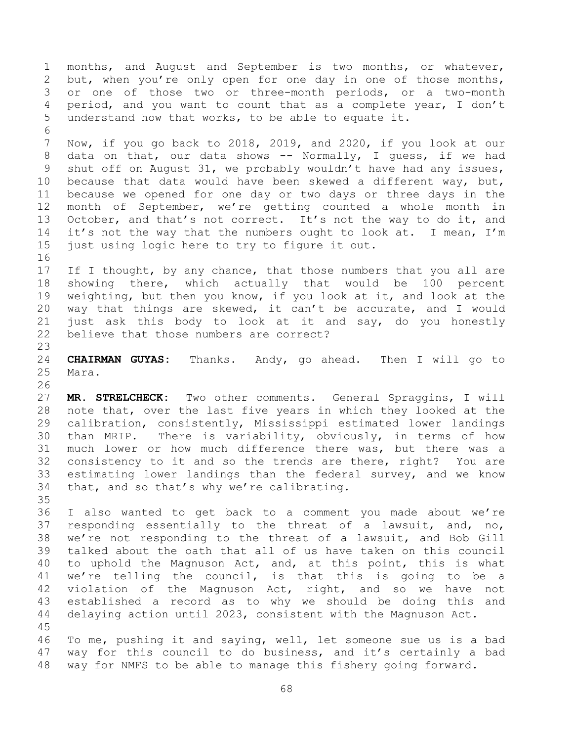1 months, and August and September is two months, or whatever,<br>2 but, when you're only open for one day in one of those months, 2 but, when you're only open for one day in one of those months,<br>3 or one of those two or three-month periods, or a two-month 3 or one of those two or three-month periods, or a two-month<br>4 period, and you want to count that as a complete year, I don't 4 period, and you want to count that as a complete year, I don't<br>5 understand how that works, to be able to equate it. understand how that works, to be able to equate it. 6<br>7 Now, if you go back to 2018, 2019, and 2020, if you look at our 8 data on that, our data shows -- Normally, I guess, if we had 9 shut off on August 31, we probably wouldn't have had any issues,<br>10 because that data would have been skewed a different way, but, 10 because that data would have been skewed a different way, but,<br>11 because we opened for one day or two days or three days in the 11 because we opened for one day or two days or three days in the<br>12 month of September, we're getting counted a whole month in 12 month of September, we're getting counted a whole month in<br>13 October, and that's not correct. It's not the way to do it, and 13 October, and that's not correct. It's not the way to do it, and<br>14 it's not the way that the numbers ought to look at. I mean, I'm 14 it's not the way that the numbers ought to look at. I mean, I'm<br>15 just using logic here to try to figure it out. just using logic here to try to figure it out. 16<br>17 17 If I thought, by any chance, that those numbers that you all are<br>18 showing there, which actually that would be 100 percent 18 showing there, which actually that would be 100 percent<br>19 weighting, but then you know, if you look at it, and look at the 19 weighting, but then you know, if you look at it, and look at the<br>20 way that things are skewed, it can't be accurate, and I would 20 way that things are skewed, it can't be accurate, and I would<br>21 just ask this body to look at it and sav, do vou honestly 21 just ask this body to look at it and say, do you honestly<br>22 believe that those numbers are correct? believe that those numbers are correct?  $\frac{23}{24}$ 24 **CHAIRMAN GUYAS:** Thanks. Andy, go ahead. Then I will go to Mara. 26<br>27 27 **MR. STRELCHECK:** Two other comments. General Spraggins, I will 28 note that, over the last five years in which they looked at the<br>29 calibration, consistently, Mississippi estimated lower landings 29 calibration, consistently, Mississippi estimated lower landings<br>30 than MRIP. There is variability, obviously, in terms of how 30 than MRIP. There is variability, obviously, in terms of how<br>31 much lower or how much difference there was, but there was a much lower or how much difference there was, but there was a<br>consistency to it and so the trends are there, right? You are 32 consistency to it and so the trends are there, right?<br>33 estimating lower landings than the federal survey, and 33 estimating lower landings than the federal survey, and we know<br>34 that, and so that's why we're calibrating. that, and so that's why we're calibrating. 35<br>36 36 I also wanted to get back to a comment you made about we're<br>37 responding essentially to the threat of a lawsuit, and, no, 37 responding essentially to the threat of a lawsuit, and, no,<br>38 we're not responding to the threat of a lawsuit, and Bob Gill 38 we're not responding to the threat of a lawsuit, and Bob Gill<br>39 talked about the oath that all of us have taken on this council talked about the oath that all of us have taken on this council 40 to uphold the Magnuson Act, and, at this point, this is what 41 we're telling the council, is that this is going to be a<br>42 violation of the Magnuson Act, right, and so we have not 42 violation of the Magnuson Act, right, and so we have not<br>43 established a record as to why we should be doing this and 43 established a record as to why we should be doing this and<br>44 delaying action until 2023, consistent with the Magnuson Act. delaying action until 2023, consistent with the Magnuson Act. 45 46 To me, pushing it and saying, well, let someone sue us is a bad<br>47 way for this council to do business, and it's certainly a bad way for this council to do business, and it's certainly a bad 48 way for NMFS to be able to manage this fishery going forward.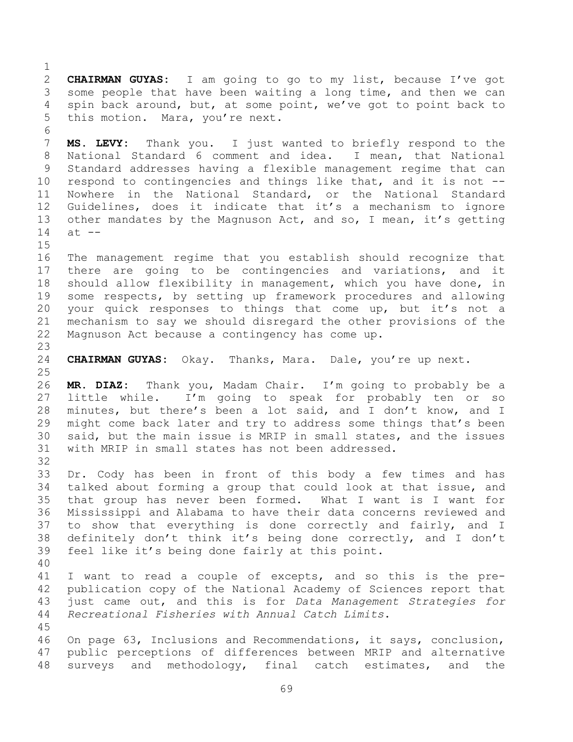$\frac{1}{2}$ 2 **CHAIRMAN GUYAS:** I am going to go to my list, because I've got 3 some people that have been waiting a long time, and then we can<br>4 spin back around, but, at some point, we've got to point back to 4 spin back around, but, at some point, we've got to point back to<br>5 this motion. Mara, you're next. this motion. Mara, you're next. 6<br>7 7 **MS. LEVY:** Thank you. I just wanted to briefly respond to the 8 National Standard 6 comment and idea. I mean, that National 9 Standard addresses having a flexible management regime that can<br>10 respond to contingencies and things like that, and it is not --10 respond to contingencies and things like that, and it is not --<br>11 Nowhere in the National Standard, or the National Standard 11 Nowhere in the National Standard, or the National Standard<br>12 Guidelines, does it indicate that it's a mechanism to ignore 12 Guidelines, does it indicate that it's a mechanism to ignore<br>13 other mandates by the Magnuson Act, and so, I mean, it's getting 13 other mandates by the Magnuson Act, and so, I mean, it's getting  $14$  at  $$  $at - 15$ <br> $16$ The management regime that you establish should recognize that 17 there are going to be contingencies and variations, and it<br>18 should allow flexibility in management, which you have done, in 18 should allow flexibility in management, which you have done, in<br>19 some respects, by setting up framework procedures and allowing 19 some respects, by setting up framework procedures and allowing<br>20 your quick responses to things that come up, but it's not a 20 your quick responses to things that come up, but it's not a<br>21 mechanism to sav we should disregard the other provisions of the 21 mechanism to say we should disregard the other provisions of the<br>22 Magnuson Act because a contingency has come up. Magnuson Act because a contingency has come up.  $\frac{23}{24}$ 24 **CHAIRMAN GUYAS:** Okay. Thanks, Mara. Dale, you're up next.  $\frac{25}{26}$ 26 **MR. DIAZ:** Thank you, Madam Chair. I'm going to probably be a 27 little while. I'm going to speak for probably ten or so<br>28 minutes, but there's been a lot said, and I don't know, and I 28 minutes, but there's been a lot said, and I don't know, and I<br>29 might come back later and try to address some things that's been 29 might come back later and try to address some things that's been<br>30 said, but the main issue is MRIP in small states, and the issues 30 said, but the main issue is MRIP in small states, and the issues<br>31 with MRIP in small states has not been addressed. with MRIP in small states has not been addressed. 32<br>33 33 Dr. Cody has been in front of this body a few times and has<br>34 talked about forming a group that could look at that issue, and 34 talked about forming a group that could look at that issue, and<br>35 that group has never been formed. What I want is I want for 35 that group has never been formed.<br>36 Mississippi and Alabama to have the: 36 Mississippi and Alabama to have their data concerns reviewed and<br>37 to show that everything is done correctly and fairly, and I 37 to show that everything is done correctly and fairly, and I<br>38 definitely don't think it's being done correctly, and I don't 38 definitely don't think it's being done correctly, and I don't<br>39 feel like it's being done fairly at this point. feel like it's being done fairly at this point. 40 41 I want to read a couple of excepts, and so this is the pre-<br>42 publication copy of the National Academy of Sciences report that 42 publication copy of the National Academy of Sciences report that<br>43 iust came out, and this is for Data Management Strategies for 43 just came out, and this is for *Data Management Strategies for* 44 *Recreational Fisheries with Annual Catch Limits*. 45 46 On page 63, Inclusions and Recommendations, it says, conclusion,<br>47 public perceptions of differences between MRIP and alternative public perceptions of differences between MRIP and alternative 48 surveys and methodology, final catch estimates, and the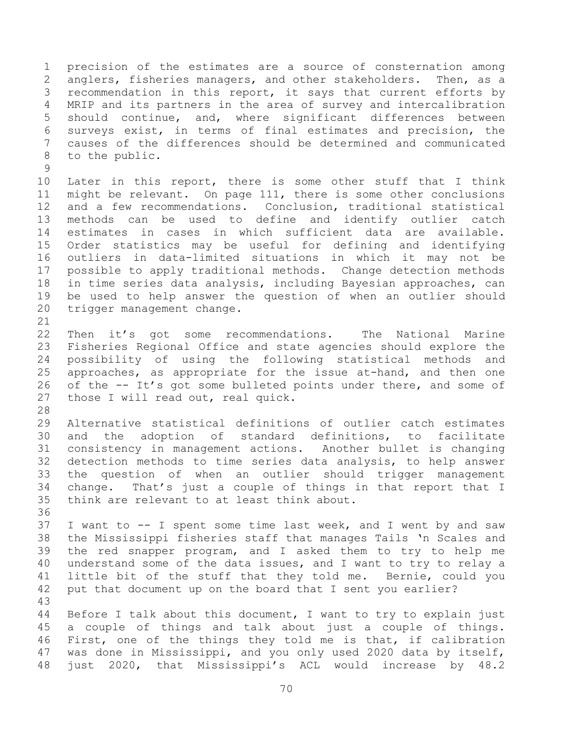1 precision of the estimates are a source of consternation among<br>2 anglers, fisheries managers, and other stakeholders. Then, as a 2 anglers, fisheries managers, and other stakeholders.<br>3 recommendation in this report, it says that current 3 recommendation in this report, it says that current efforts by<br>4 MRIP and its partners in the area of survev and intercalibration 4 MRIP and its partners in the area of survey and intercalibration<br>5 should continue, and, where significant differences between 5 should continue, and, where significant differences between<br>6 surveys exist, in terms of final estimates and precision, the 6 surveys exist, in terms of final estimates and precision, the<br>7 causes of the differences should be determined and communicated 7 causes of the differences should be determined and communicated 8 to the public.

 $\begin{array}{c} 9 \\ 10 \end{array}$ 10 Later in this report, there is some other stuff that I think<br>11 might be relevant. On page 111, there is some other conclusions 11 might be relevant. On page 111, there is some other conclusions<br>12 and a few recommendations. Conclusion, traditional statistical 12 and a few recommendations. Conclusion, traditional statistical<br>13 methods can be used to define and identify outlier catch 13 methods can be used to define and identify outlier catch<br>14 estimates in cases in which sufficient data are available. 14 estimates in cases in which sufficient data are available.<br>15 Order statistics may be useful for defining and identifying 15 Order statistics may be useful for defining and identifying<br>16 outliers in data-limited situations in which it may not be outliers in data-limited situations in which it may not be 17 possible to apply traditional methods. Change detection methods<br>18 in time series data analysis, including Bayesian approaches, can 18 in time series data analysis, including Bayesian approaches, can<br>19 be used to help answer the question of when an outlier should 19 be used to help answer the question of when an outlier should<br>20 trigger management change. trigger management change.

 $\frac{21}{22}$ 22 Then it's got some recommendations. The National Marine<br>23 Fisheries Regional Office and state agencies should explore the 23 Fisheries Regional Office and state agencies should explore the<br>24 possibility of using the following statistical methods and 24 possibility of using the following statistical methods and<br>25 approaches, as appropriate for the issue at-hand, and then one 25 approaches, as appropriate for the issue at-hand, and then one<br>26 of the -- It's got some bulleted points under there, and some of 26 of the -- It's got some bulleted points under there, and some of 27 those I will read out, real quick. those I will read out, real quick.

- 28<br>29 29 Alternative statistical definitions of outlier catch estimates<br>30 and the adoption of standard definitions, to facilitate 30 and the adoption of standard definitions, to facilitate<br>31 consistency in management actions. Another bullet is changing consistency in management actions. Another bullet is changing 32 detection methods to time series data analysis, to help answer<br>33 the question of when an outlier should trigger management 33 the question of when an outlier should trigger management<br>34 change. That's just a couple of things in that report that I 34 change. That's just a couple of things in that report that I<br>35 think are relevant to at least think about. think are relevant to at least think about.
- 36<br>37 37 I want to -- I spent some time last week, and I went by and saw<br>38 the Mississippi fisheries staff that manages Tails 'n Scales and 38 the Mississippi fisheries staff that manages Tails 'n Scales and<br>39 the red snapper program, and I asked them to try to help me the red snapper program, and I asked them to try to help me 40 understand some of the data issues, and I want to try to relay a 41 little bit of the stuff that they told me. Bernie, could you<br>42 put that document up on the board that I sent you earlier? put that document up on the board that I sent you earlier?
- 43 44 Before I talk about this document, I want to try to explain just<br>45 a couple of things and talk about just a couple of things. 45 a couple of things and talk about just a couple of things.<br>46 First, one of the things they told me is that, if calibration 46 First, one of the things they told me is that, if calibration<br>47 was done in Mississippi, and you only used 2020 data by itself, was done in Mississippi, and you only used 2020 data by itself, 48 just 2020, that Mississippi's ACL would increase by 48.2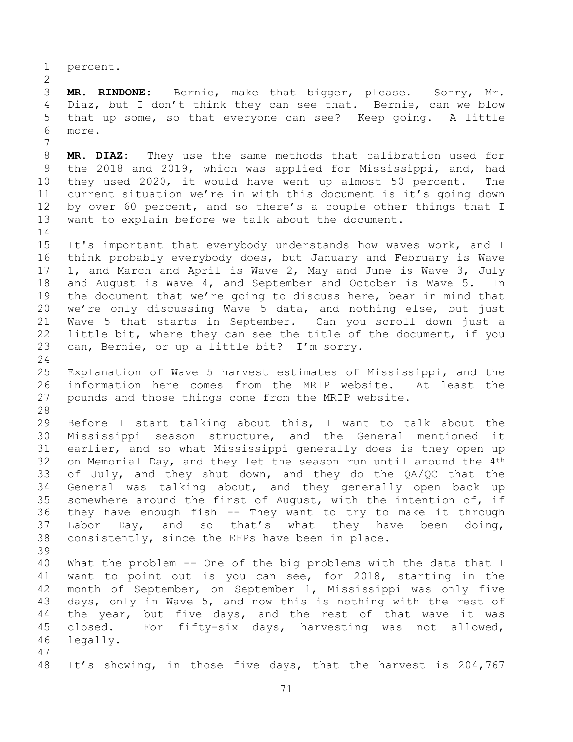1 percent.

 $\frac{2}{3}$ 3 **MR. RINDONE:** Bernie, make that bigger, please. Sorry, Mr. 4 Diaz, but I don't think they can see that. Bernie, can we blow<br>5 that up some, so that everyone can see? Keep going. A little 5 that up some, so that everyone can see? Keep going. A little form ore. more. 7

8 **MR. DIAZ:** They use the same methods that calibration used for 9 the 2018 and 2019, which was applied for Mississippi, and, had<br>10 they used 2020, it would have went up almost 50 percent. The 10 they used 2020, it would have went up almost 50 percent.<br>11 current situation we're in with this document is it's going 11 current situation we're in with this document is it's going down<br>12 by over 60 percent, and so there's a couple other things that I 12 by over 60 percent, and so there's a couple other things that I<br>13 want to explain before we talk about the document. want to explain before we talk about the document.

 $\begin{array}{c} 14 \\ 15 \end{array}$ 15 It's important that everybody understands how waves work, and I<br>16 think probably everybody does, but January and February is Wave think probably everybody does, but January and February is Wave 17 1, and March and April is Wave 2, May and June is Wave 3, July<br>18 and Auqust is Wave 4, and September and October is Wave 5. In 18 and August is Wave 4, and September and October is Wave 5.<br>19 the document that we're going to discuss here, bear in mind th 19 the document that we're going to discuss here, bear in mind that<br>20 we're only discussing Wave 5 data, and nothing else, but just 20 we're only discussing Wave 5 data, and nothing else, but just<br>21 Wave 5 that starts in September. Can vou scroll down just a 21 Wave 5 that starts in September. Can you scroll down just a<br>22 little bit, where they can see the title of the document, if you 22 little bit, where they can see the title of the document, if you<br>23 can. Bernie, or up a little bit? I'm sorry. can, Bernie, or up a little bit? I'm sorry.

 $\frac{24}{25}$ 25 Explanation of Wave 5 harvest estimates of Mississippi, and the<br>26 information here comes from the MRIP website. At least the 26 information here comes from the MRIP website.<br>27 pounds and those things come from the MRIP website pounds and those things come from the MRIP website.

28<br>29 29 Before I start talking about this, I want to talk about the<br>30 Mississippi season structure, and the General mentioned it 30 Mississippi season structure, and the General mentioned it<br>31 earlier, and so what Mississippi generally does is they open up earlier, and so what Mississippi generally does is they open up 32 on Memorial Day, and they let the season run until around the  $4^{\text{th}}$ <br>33 of July, and they shut down, and they do the QA/QC that the 33 of July, and they shut down, and they do the QA/QC that the<br>34 General was talking about, and they generally open back up 34 General was talking about, and they generally open back up<br>35 somewhere around the first of August, with the intention of, if 35 somewhere around the first of August, with the intention of, if  $36$  they have enough fish  $-$  They want to try to make it through 36 they have enough fish -- They want to try to make it through<br>37 Labor Day, and so that's what they have been doing, 37 Labor Day, and so that's what they have<br>38 consistently, since the EFPs have been in place. consistently, since the EFPs have been in place. 39

40 What the problem -- One of the big problems with the data that I 41 want to point out is you can see, for 2018, starting in the<br>42 month of September, on September 1, Mississippi was only five 42 month of September, on September 1, Mississippi was only five<br>43 days, only in Wave 5, and now this is nothing with the rest of 43 days, only in Wave 5, and now this is nothing with the rest of<br>44 the year, but five days, and the rest of that wave it was 44 the year, but five days, and the rest of that wave it was<br>45 closed. For fifty-six days, harvesting was not allowed, 45 closed. For fifty-six days, harvesting was not allowed,<br>46 legally. legally. 47

48 It's showing, in those five days, that the harvest is 204,767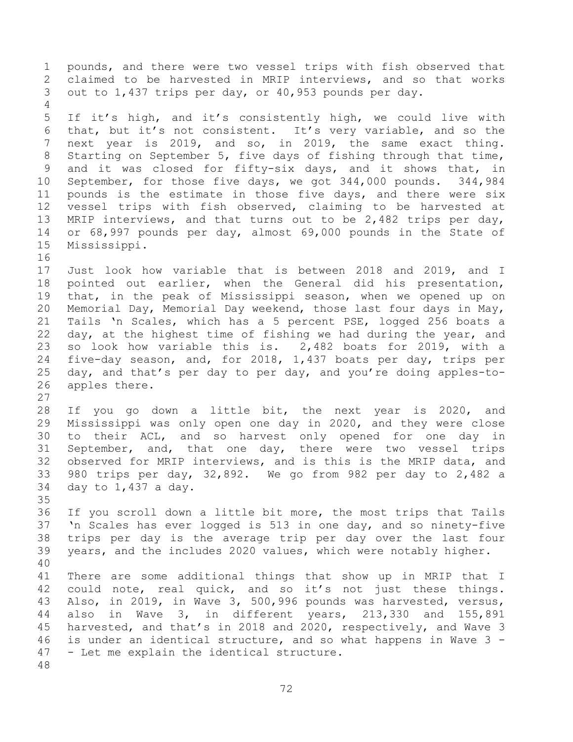1 pounds, and there were two vessel trips with fish observed that<br>2 claimed to be harvested in MRIP interviews, and so that works 2 claimed to be harvested in MRIP interviews, and so that works<br>3 out to 1,437 trips per day, or 40,953 pounds per day. out to 1,437 trips per day, or 40,953 pounds per day.  $\frac{4}{5}$ 5 If it's high, and it's consistently high, we could live with<br>6 that, but it's not consistent. It's very variable, and so the 6 that, but it's not consistent. It's very variable, and so the<br>7 next vear is 2019, and so, in 2019, the same exact thing. next year is 2019, and so, in 2019, the same exact thing. 8 Starting on September 5, five days of fishing through that time, 9 and it was closed for fifty-six days, and it shows that, in<br>10 September, for those five days, we got 344,000 pounds. 344,984 10 September, for those five days, we got 344,000 pounds.<br>11 pounds is the estimate in those five days, and there w 11 pounds is the estimate in those five days, and there were six<br>12 vessel trips with fish observed, claiming to be harvested at 12 vessel trips with fish observed, claiming to be harvested at<br>13 MRIP interviews, and that turns out to be 2,482 trips per day, 13 MRIP interviews, and that turns out to be 2,482 trips per day,<br>14 or 68,997 pounds per day, almost 69,000 pounds in the State of 14 or 68,997 pounds per day, almost 69,000 pounds in the State of 15 Mississippi. Mississippi. 16<br>17 17 Just look how variable that is between 2018 and 2019, and I<br>18 pointed out earlier, when the General did his presentation, 18 pointed out earlier, when the General did his presentation,<br>19 that, in the peak of Mississippi season, when we opened up on 19 that, in the peak of Mississippi season, when we opened up on<br>20 Memorial Day, Memorial Day weekend, those last four days in May, 20 Memorial Day, Memorial Day weekend, those last four days in May,<br>21 Tails 'n Scales, which has a 5 percent PSE, logged 256 boats a 21 Tails 'n Scales, which has a 5 percent PSE, logged 256 boats a<br>22 day, at the highest time of fishing we had during the year, and 22 day, at the highest time of fishing we had during the year, and<br>23 so look how variable this is. 2,482 boats for 2019, with a 23 so look how variable this is. 2,482 boats for 2019, with a<br>24 five-day season, and, for 2018, 1,437 boats per day, trips per 24 five-day season, and, for 2018, 1,437 boats per day, trips per<br>25 day, and that's per day to per day, and you're doing apples-to-25 day, and that's per day to per day, and you're doing apples-to-<br>26 apples there. apples there. 27<br>28 28 If you go down a little bit, the next year is 2020, and<br>29 Mississippi was only open one day in 2020, and they were close 29 Mississippi was only open one day in 2020, and they were close 30 to their ACL, and so harvest only opened for one day in<br>31 September, and, that one day, there were two vessel trips 31 September, and, that one day, there were two vessel trips<br>32 observed for MRIP interviews, and is this is the MRIP data, and 32 observed for MRIP interviews, and is this is the MRIP data, and<br>33 980 trips per day, 32,892. We go from 982 per day to 2,482 a 33 980 trips per day,  $32,892$ . We go from 982 per day to  $2,482$  a 34 day to  $1,437$  a day. day to  $1,437$  a day. 35<br>36 36 If you scroll down a little bit more, the most trips that Tails<br>37 'n Scales has ever logged is 513 in one day, and so ninety-five 37 'n Scales has ever logged is 513 in one day, and so ninety-five<br>38 trips per day is the average trip per day over the last four 38 trips per day is the average trip per day over the last four<br>39 vears, and the includes 2020 values, which were notably higher. years, and the includes 2020 values, which were notably higher. 40 41 There are some additional things that show up in MRIP that I<br>42 could note, real quick, and so it's not just these things. 42 could note, real quick, and so it's not just these things.<br>43 Also, in 2019, in Wave 3, 500,996 pounds was harvested, versus, 43 Also, in 2019, in Wave 3, 500,996 pounds was harvested, versus,<br>44 also in Wave 3, in different years, 213,330 and 155,891 44 also in Wave 3, in different years, 213,330 and 155,891<br>45 harvested, and that's in 2018 and 2020, respectively, and Wave 3 45 harvested, and that's in 2018 and 2020, respectively, and Wave 3<br>46 is under an identical structure, and so what happens in Wave 3 -46 is under an identical structure, and so what happens in Wave  $3 - 47$  - Let me explain the identical structure. - Let me explain the identical structure. 48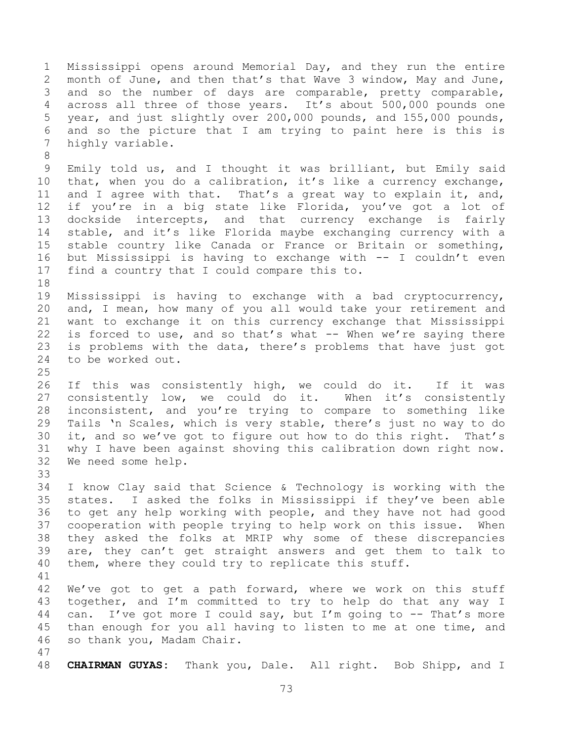1 Mississippi opens around Memorial Day, and they run the entire<br>2 month of June, and then that's that Wave 3 window, May and June, 2 month of June, and then that's that Wave 3 window, May and June,<br>3 and so the number of days are comparable, pretty comparable, 3 and so the number of days are comparable, pretty comparable,<br>4 across all three of those vears. It's about 500,000 pounds one 4 across all three of those years. It's about 500,000 pounds one<br>5 year, and just slightly over 200,000 pounds, and 155,000 pounds, 5 year, and just slightly over 200,000 pounds, and 155,000 pounds,<br>6 and so the picture that I am trving to paint here is this is 6 and so the picture that I am trying to paint here is this is highly variable. 8 9 Emily told us, and I thought it was brilliant, but Emily said<br>10 that, when you do a calibration, it's like a currency exchange, 10 that, when you do a calibration, it's like a currency exchange,<br>11 and I agree with that. That's a great way to explain it, and, 11 and I agree with that. That's a great way to explain it, and,<br>12 if you're in a big state like Florida, you've got a lot of 12 if you're in a big state like Florida, you've got a lot<br>13 dockside intercepts, and that currency exchange is fai: 13 dockside intercepts, and that currency exchange is fairly<br>14 stable, and it's like Florida maybe exchanging currency with a 14 stable, and it's like Florida maybe exchanging currency with a<br>15 stable country like Canada or France or Britain or something, 15 stable country like Canada or France or Britain or something,<br>16 but Mississippi is having to exchange with -- I couldn't even but Mississippi is having to exchange with  $-$  I couldn't even 17 find a country that I could compare this to. 18<br>19 19 Mississippi is having to exchange with a bad cryptocurrency,<br>20 and, I mean, how many of you all would take your retirement and 20 and, I mean, how many of you all would take your retirement and<br>21 want to exchange it on this currency exchange that Mississippi 21 want to exchange it on this currency exchange that Mississippi<br>22 is forced to use, and so that's what -- When we're saying there 22 is forced to use, and so that's what  $-$  When we're saying there<br>23 is problems with the data, there's problems that have just got 23 is problems with the data, there's problems that have just got<br>24 to be worked out. to be worked out.  $\frac{25}{26}$ 26 If this was consistently high, we could do it. If it was<br>27 consistently low, we could do it. When it's consistently 27 consistently low, we could do it.<br>28 inconsistent, and you're trying to c 28 inconsistent, and you're trying to compare to something like<br>29 Tails 'n Scales, which is very stable, there's just no way to do 29 Tails 'n Scales, which is very stable, there's just no way to do<br>30 it, and so we've got to figure out how to do this right. That's 30 it, and so we've got to figure out how to do this right. That's<br>31 why I have been against shoving this calibration down right now. why I have been against shoving this calibration down right now. 32 We need some help. 33<br>34 34 I know Clay said that Science & Technology is working with the<br>35 states. I asked the folks in Mississippi if they've been able 35 states. I asked the folks in Mississippi if they've been able<br>36 to get any help working with people, and they have not had good 36 to get any help working with people, and they have not had good<br>37 cooperation with people trying to help work on this issue. When 37 cooperation with people trying to help work on this issue. When<br>38 they asked the folks at MRIP why some of these discrepancies 38 they asked the folks at MRIP why some of these discrepancies<br>39 are, they can't get straight answers and get them to talk to are, they can't get straight answers and get them to talk to 40 them, where they could try to replicate this stuff. 41<br>42 42 We've got to get a path forward, where we work on this stuff<br>43 together, and I'm committed to try to help do that any way I 43 together, and I'm committed to try to help do that any way I<br>44 can. I've got more I could say, but I'm going to -- That's more 44 can. I've got more I could say, but I'm going to  $--$  That's more<br>45 than enough for you all having to listen to me at one time, and 45 than enough for you all having to listen to me at one time, and<br>46 so thank you, Madam Chair. so thank you, Madam Chair. 47 48 **CHAIRMAN GUYAS:** Thank you, Dale. All right. Bob Shipp, and I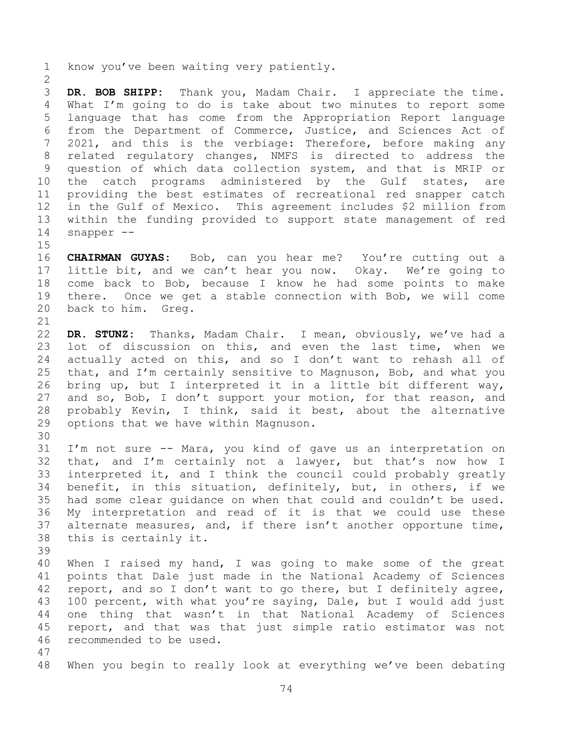1 know you've been waiting very patiently.

 $\frac{2}{3}$ 3 **DR. BOB SHIPP:** Thank you, Madam Chair. I appreciate the time. 4 What I'm going to do is take about two minutes to report some<br>5 language that has come from the Appropriation Report language 5 language that has come from the Appropriation Report language<br>6 from the Department of Commerce, Justice, and Sciences Act of 6 from the Department of Commerce, Justice, and Sciences Act of<br>7 2021, and this is the verbiage: Therefore, before making any 2021, and this is the verbiage: Therefore, before making any 8 related regulatory changes, NMFS is directed to address the 9 question of which data collection system, and that is MRIP or<br>10 the catch programs administered by the Gulf states, are 10 the catch programs administered by the Gulf states, are<br>11 providing the best estimates of recreational red snapper catch 11 providing the best estimates of recreational red snapper catch<br>12 in the Gulf of Mexico. This agreement includes \$2 million from 12 in the Gulf of Mexico. This agreement includes \$2 million from<br>13 within the funding provided to support state management of red 13 within the funding provided to support state management of red<br>14 snapper -snapper --

 $\frac{15}{16}$ 16 **CHAIRMAN GUYAS:** Bob, can you hear me? You're cutting out a 17 little bit, and we can't hear you now. Okay. We're going to<br>18 come back to Bob, because I know he had some points to make 18 come back to Bob, because I know he had some points to make<br>19 there. Once we get a stable connection with Bob, we will come 19 there. Once we get a stable connection with Bob, we will come<br>20 back to him. Greq. back to him. Greg.

21<br>22 22 **DR. STUNZ:** Thanks, Madam Chair. I mean, obviously, we've had a 23 lot of discussion on this, and even the last time, when we<br>24 actually acted on this, and so I don't want to rehash all of 24 actually acted on this, and so I don't want to rehash all of<br>25 that, and I'm certainly sensitive to Magnuson, Bob, and what you 25 that, and I'm certainly sensitive to Magnuson, Bob, and what you<br>26 bring up, but I interpreted it in a little bit different way, 26 bring up, but I interpreted it in a little bit different way,<br>27 and so, Bob, I don't support your motion, for that reason, and 27 and so, Bob, I don't support your motion, for that reason, and<br>28 probably Kevin, I think, said it best, about the alternative 28 probably Kevin, I think, said it best, about the alternative<br>29 options that we have within Magnuson. options that we have within Magnuson.

30<br>31 I'm not sure -- Mara, you kind of gave us an interpretation on 32 that, and I'm certainly not a lawyer, but that's now how I<br>33 interpreted it, and I think the council could probably greatly 33 interpreted it, and I think the council could probably greatly<br>34 benefit, in this situation, definitely, but, in others, if we 34 benefit, in this situation, definitely, but, in others, if we<br>35 had some clear quidance on when that could and couldn't be used. 35 had some clear guidance on when that could and couldn't be used.<br>36 My interpretation and read of it is that we could use these 36 My interpretation and read of it is that we could use these<br>37 alternate measures, and, if there isn't another opportune time, 37 alternate measures, and, if there isn't another opportune time,<br>38 this is certainly it. this is certainly it.

39

40 When I raised my hand, I was going to make some of the great 41 points that Dale just made in the National Academy of Sciences<br>42 report, and so I don't want to go there, but I definitely agree, 42 report, and so I don't want to go there, but I definitely agree,<br>43 100 percent, with what you're saying, Dale, but I would add just 43 100 percent, with what you're saying, Dale, but I would add just<br>44 one thing that wasn't in that National Academy of Sciences 44 one thing that wasn't in that National Academy of Sciences<br>45 report, and that was that just simple ratio estimator was not 45 report, and that was that just simple ratio estimator was not<br>46 recommended to be used. recommended to be used.

47

48 When you begin to really look at everything we've been debating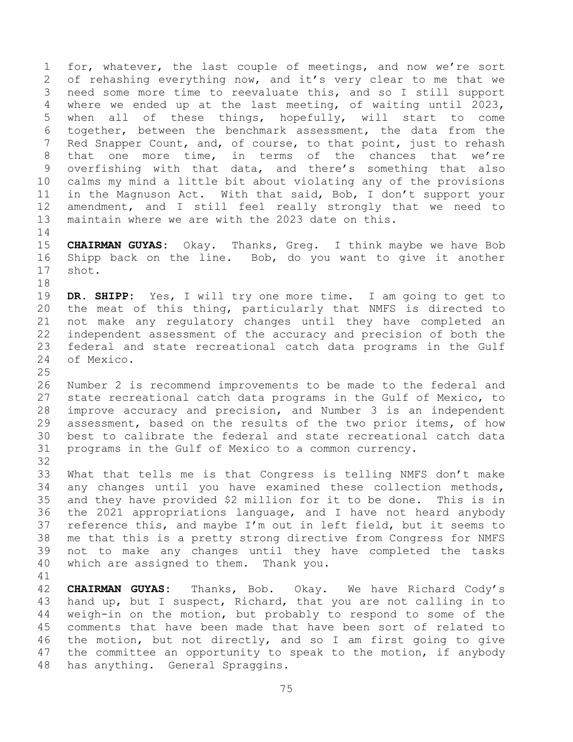1 for, whatever, the last couple of meetings, and now we're sort<br>2 of rehashing everything now, and it's very clear to me that we 2 of rehashing everything now, and it's very clear to me that we<br>3 need some more time to reevaluate this, and so I still support 3 need some more time to reevaluate this, and so I still support<br>4 where we ended up at the last meeting, of waiting until 2023, 4 where we ended up at the last meeting, of waiting until 2023,<br>5 when all of these things, hopefully, will start to come 5 when all of these things, hopefully, will start<br>6 together, between the benchmark assessment, the data 6 together, between the benchmark assessment, the data from the<br>7 Red Snapper Count, and, of course, to that point, just to rehash Red Snapper Count, and, of course, to that point, just to rehash 8 that one more time, in terms of the chances that we're 9 overfishing with that data, and there's something that also<br>10 calms my mind a little bit about violating any of the provisions 10 calms my mind a little bit about violating any of the provisions<br>11 in the Magnuson Act. With that said, Bob, I don't support your 11 in the Magnuson Act. With that said, Bob, I don't support your<br>12 amendment, and I still feel really strongly that we need to 12 amendment, and I still feel really strongly that we need to<br>13 maintain where we are with the 2023 date on this. maintain where we are with the 2023 date on this.

 $\begin{array}{c} 14 \\ 15 \end{array}$ 15 **CHAIRMAN GUYAS:** Okay. Thanks, Greg. I think maybe we have Bob<br>16 Shipp back on the line. Bob, do you want to give it another Shipp back on the line. Bob, do you want to give it another 17 shot.

18<br>19 19 DR. SHIPP: Yes, I will try one more time. I am going to get to<br>20 the meat of this thing, particularly that NMFS is directed to 20 the meat of this thing, particularly that NMFS is directed to<br>21 not make any regulatory changes until they have completed an 21 not make any regulatory changes until they have completed an<br>22 independent assessment of the accuracy and precision of both the 22 independent assessment of the accuracy and precision of both the<br>23 federal and state recreational catch data programs in the Gulf 23 federal and state recreational catch data programs in the Gulf<br>24 of Mexico. of Mexico.

 $\frac{25}{26}$ 

26 Number 2 is recommend improvements to be made to the federal and<br>27 state recreational catch data programs in the Gulf of Mexico, to 27 state recreational catch data programs in the Gulf of Mexico, to<br>28 improve accuracy and precision, and Number 3 is an independent 28 improve accuracy and precision, and Number 3 is an independent<br>29 assessment, based on the results of the two prior items, of how 29 assessment, based on the results of the two prior items, of how<br>30 best to calibrate the federal and state recreational catch data 30 best to calibrate the federal and state recreational catch data<br>31 programs in the Gulf of Mexico to a common currency. programs in the Gulf of Mexico to a common currency.

32<br>33 33 What that tells me is that Congress is telling NMFS don't make<br>34 any changes until you have examined these collection methods, 34 any changes until you have examined these collection methods,<br>35 and they have provided \$2 million for it to be done. This is in 35 and they have provided \$2 million for it to be done.<br>36 the 2021 appropriations language, and I have not hea 36 the 2021 appropriations language, and I have not heard anybody<br>37 reference this, and maybe I'm out in left field, but it seems to 37 reference this, and maybe I'm out in left field, but it seems to<br>38 me that this is a pretty strong directive from Congress for NMFS 38 me that this is a pretty strong directive from Congress for NMFS<br>39 not to make any changes until they have completed the tasks not to make any changes until they have completed the tasks 40 which are assigned to them. Thank you.

41<br>42 42 **CHAIRMAN GUYAS:** Thanks, Bob. Okay. We have Richard Cody's<br>43 hand up, but I suspect, Richard, that you are not calling in to 43 hand up, but I suspect, Richard, that you are not calling in to<br>44 weigh-in on the motion, but probably to respond to some of the 44 weigh-in on the motion, but probably to respond to some of the<br>45 comments that have been made that have been sort of related to 45 comments that have been made that have been sort of related to<br>46 the motion, but not directly, and so I am first going to give 46 the motion, but not directly, and so I am first going to give<br>47 the committee an opportunity to speak to the motion, if anybody the committee an opportunity to speak to the motion, if anybody 48 has anything. General Spraggins.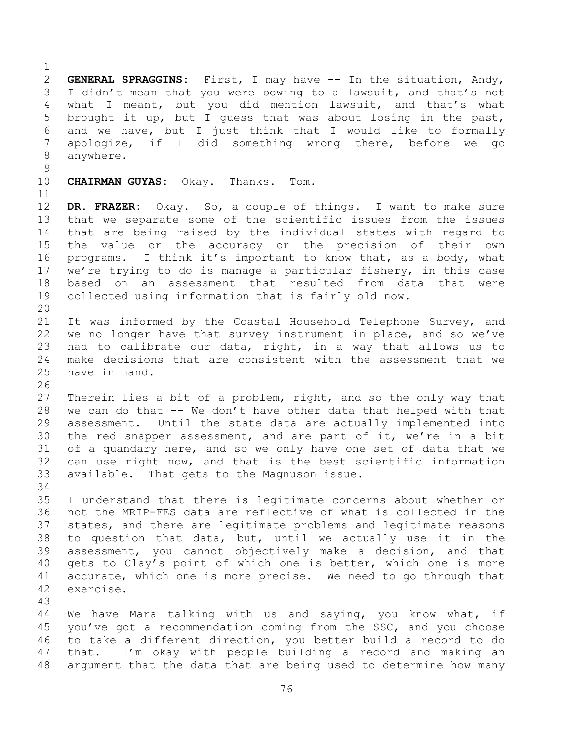$\frac{1}{2}$ 2 **GENERAL SPRAGGINS:** First, I may have -- In the situation, Andy,<br>3 I didn't mean that you were bowing to a lawsuit, and that's not 3 I didn't mean that you were bowing to a lawsuit, and that's not<br>4 what I meant, but you did mention lawsuit, and that's what 4 what I meant, but you did mention lawsuit, and that's what<br>5 brought it up, but I quess that was about losing in the past, 5 brought it up, but I guess that was about losing in the past,<br>6 and we have, but I just think that I would like to formally 6 and we have, but I just think that I would like to formally<br>7 apologize, if I did something wrong there, before we go apologize, if I did something wrong there, before we go 8 anywhere.  $\begin{array}{c} 9 \\ 10 \end{array}$ 10 **CHAIRMAN GUYAS:** Okay. Thanks. Tom. 11<br>12 12 **DR. FRAZER:** Okay. So, a couple of things. I want to make sure 13 that we separate some of the scientific issues from the issues<br>14 that are being raised by the individual states with regard to 14 that are being raised by the individual states with regard to<br>15 the value or the accuracy or the precision of their own 15 the value or the accuracy or the precision of their own<br>16 programs. I think it's important to know that, as a body, what programs. I think it's important to know that, as a body, what 17 we're trying to do is manage a particular fishery, in this case<br>18 based on an assessment that resulted from data that were 18 based on an assessment that resulted from data that were<br>19 collected using information that is fairly old now. collected using information that is fairly old now.  $\begin{array}{c} 20 \\ 21 \end{array}$ 21 It was informed by the Coastal Household Telephone Survey, and<br>22 we no longer have that survey instrument in place, and so we've 22 we no longer have that survey instrument in place, and so we've<br>23 had to calibrate our data, right, in a way that allows us to 23 had to calibrate our data, right, in a way that allows us to<br>24 make decisions that are consistent with the assessment that we 24 make decisions that are consistent with the assessment that we<br>25 have in hand. have in hand.  $\frac{26}{27}$ 27 Therein lies a bit of a problem, right, and so the only way that<br>28 we can do that -- We don't have other data that helped with that 28 we can do that -- We don't have other data that helped with that<br>29 assessment. Until the state data are actually implemented into 29 assessment. Until the state data are actually implemented into<br>30 the red snapper assessment, and are part of it, we're in a bit 30 the red snapper assessment, and are part of it, we're in a bit<br>31 of a quandary here, and so we only have one set of data that we of a quandary here, and so we only have one set of data that we 32 can use right now, and that is the best scientific information<br>33 available. That gets to the Magnuson issue. available. That gets to the Magnuson issue. 34<br>35 35 I understand that there is legitimate concerns about whether or<br>36 not the MRIP-FES data are reflective of what is collected in the 36 not the MRIP-FES data are reflective of what is collected in the<br>37 states, and there are legitimate problems and legitimate reasons 37 states, and there are legitimate problems and legitimate reasons<br>38 to question that data, but, until we actually use it in the 38 to question that data, but, until we actually use it in the<br>39 assessment, you cannot objectively make a decision, and that assessment, you cannot objectively make a decision, and that 40 gets to Clay's point of which one is better, which one is more 41 accurate, which one is more precise. We need to go through that<br>42 exercise. exercise. 43 44 We have Mara talking with us and saying, you know what, if<br>45 you've got a recommendation coming from the SSC, and you choose 45 you've got a recommendation coming from the SSC, and you choose<br>46 to take a different direction, you better build a record to do 46 to take a different direction, you better build a record to do<br>47 that. I'm okay with people building a record and making an that. I'm okay with people building a record and making an 48 argument that the data that are being used to determine how many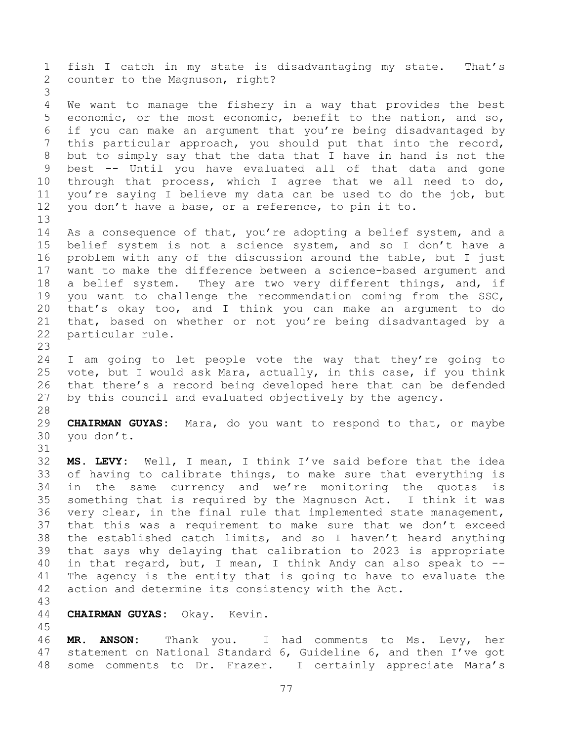1 fish I catch in my state is disadvantaging my state. That's<br>2 counter to the Magnuson, right? counter to the Magnuson, right? 3 4 We want to manage the fishery in a way that provides the best<br>5 economic, or the most economic, benefit to the nation, and so, 5 economic, or the most economic, benefit to the nation, and so,<br>6 if you can make an argument that you're being disadyantaged by 6 if you can make an argument that you're being disadvantaged by<br>7 this particular approach, you should put that into the record. this particular approach, you should put that into the record, 8 but to simply say that the data that I have in hand is not the 9 best -- Until you have evaluated all of that data and gone<br>10 through that process, which I agree that we all need to do, 10 through that process, which I agree that we all need to do,<br>11 you're saying I believe my data can be used to do the job, but 11 you're saying I believe my data can be used to do the job, but<br>12 you don't have a base, or a reference, to pin it to. you don't have a base, or a reference, to pin it to. 13<br>14 14 As a consequence of that, you're adopting a belief system, and a<br>15 belief system is not a science system, and so I don't have a 15 belief system is not a science system, and so I don't have a<br>16 problem with any of the discussion around the table, but I just 16 problem with any of the discussion around the table, but I just<br>17 want to make the difference between a science-based argument and 17 want to make the difference between a science-based argument and<br>18 a belief system. They are two very different things, and, if 18 a belief system. They are two very different things, and, if<br>19 vou want to challenge the recommendation coming from the SSC, 19 you want to challenge the recommendation coming from the SSC,<br>20 that's okay too, and I think you can make an arqument to do 20 that's okay too, and I think you can make an argument to do<br>21 that, based on whether or not vou're being disadvantaged by a 21 that, based on whether or not you're being disadvantaged by a<br>22 particular rule. particular rule.  $\frac{23}{24}$ 24 I am going to let people vote the way that they're going to<br>25 vote, but I would ask Mara, actually, in this case, if you think 25 vote, but I would ask Mara, actually, in this case, if you think<br>26 that there's a record being developed here that can be defended 26 that there's a record being developed here that can be defended<br>27 by this council and evaluated objectively by the agency. by this council and evaluated objectively by the agency. 28<br>29 29 **CHAIRMAN GUYAS:** Mara, do you want to respond to that, or maybe you don't. 31 32 **MS. LEVY:** Well, I mean, I think I've said before that the idea 33 of having to calibrate things, to make sure that everything is<br>34 in the same currency and we're monitoring the quotas is 34 in the same currency and we're monitoring the quotas is<br>35 something that is required by the Magnuson Act. I think it was 35 something that is required by the Magnuson Act. I think it was<br>36 very clear, in the final rule that implemented state management, 36 very clear, in the final rule that implemented state management,<br>37 that this was a requirement to make sure that we don't exceed 37 that this was a requirement to make sure that we don't exceed<br>38 the established catch limits, and so I haven't heard anything 38 the established catch limits, and so I haven't heard anything<br>39 that says why delaving that calibration to 2023 is appropriate that says why delaying that calibration to 2023 is appropriate 40 in that regard, but, I mean, I think Andy can also speak to -- 41 The agency is the entity that is going to have to evaluate the<br>42 action and determine its consistency with the Act. action and determine its consistency with the Act. 43

44 **CHAIRMAN GUYAS:** Okay. Kevin.

45 46 **MR. ANSON:** Thank you. I had comments to Ms. Levy, her statement on National Standard 6, Guideline 6, and then I've got 48 some comments to Dr. Frazer. I certainly appreciate Mara's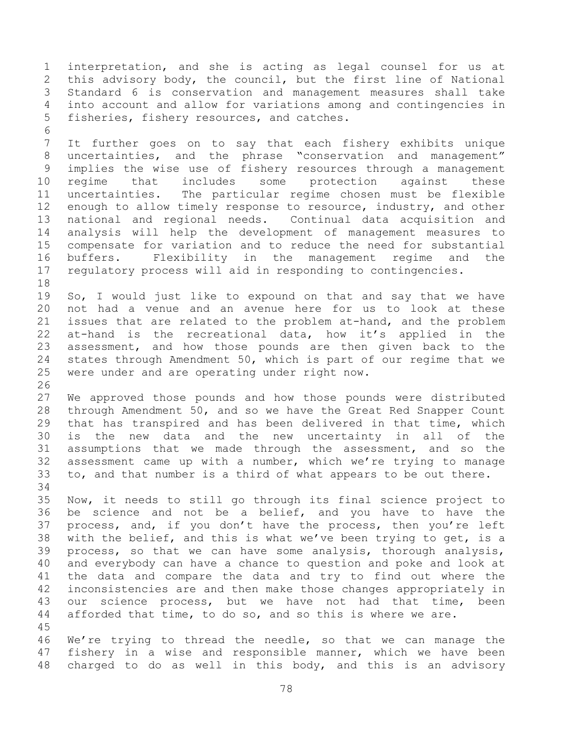1 interpretation, and she is acting as legal counsel for us at<br>2 this advisory body, the council, but the first line of National 2 this advisory body, the council, but the first line of National<br>3 Standard 6 is conservation and management measures shall take 3 Standard 6 is conservation and management measures shall take 4 into account and allow for variations among and contingencies in<br>5 fisheries, fishery resources, and catches. fisheries, fishery resources, and catches.

6<br>7 It further goes on to say that each fishery exhibits unique 8 uncertainties, and the phrase "conservation and management" 9 implies the wise use of fishery resources through a management<br>10 regime that includes some protection against these 10 regime that includes some protection against these<br>11 uncertainties. The particular regime chosen must be flexible 11 uncertainties. The particular regime chosen must be flexible<br>12 enough to allow timely response to resource, industry, and other 12 enough to allow timely response to resource, industry, and other<br>13 national and regional needs. Continual data acquisition and 13 national and regional needs. Continual data acquisition and<br>14 analysis will help the development of management measures to 14 analysis will help the development of management measures to<br>15 compensate for variation and to reduce the need for substantial 15 compensate for variation and to reduce the need for substantial<br>16 buffers. Flexibility in the management regime and the buffers. Flexibility in the management regime and the 17 regulatory process will aid in responding to contingencies.

18<br>19 19 So, I would just like to expound on that and say that we have<br>20 not had a venue and an avenue here for us to look at these 20 not had a venue and an avenue here for us to look at these<br>21 issues that are related to the problem at-hand, and the problem 21 issues that are related to the problem at-hand, and the problem<br>22 at-hand is the recreational data, how it's applied in the 22 at-hand is the recreational data, how it's applied in the<br>23 assessment, and how those pounds are then given back to the 23 assessment, and how those pounds are then given back to the<br>24 states through Amendment 50, which is part of our regime that we 24 states through Amendment 50, which is part of our regime that we<br>25 were under and are operating under right now. were under and are operating under right now.

 $\frac{26}{27}$ 27 We approved those pounds and how those pounds were distributed<br>28 through Amendment 50, and so we have the Great Red Snapper Count 28 through Amendment 50, and so we have the Great Red Snapper Count<br>29 that has transpired and has been delivered in that time, which 29 that has transpired and has been delivered in that time, which<br>30 is the new data and the new uncertainty in all of the 30 is the new data and the new uncertainty in all of the<br>31 assumptions that we made through the assessment, and so the assumptions that we made through the assessment, and so the 32 assessment came up with a number, which we're trying to manage<br>33 to, and that number is a third of what appears to be out there. to, and that number is a third of what appears to be out there.

34<br>35 35 Now, it needs to still go through its final science project to<br>36 be science and not be a belief, and you have to have the 36 be science and not be a belief, and you have to have the<br>37 process, and, if you don't have the process, then you're left 37 process, and, if you don't have the process, then you're left<br>38 with the belief, and this is what we've been trying to get, is a 38 with the belief, and this is what we've been trying to get, is a<br>39 process, so that we can have some analysis, thorough analysis, process, so that we can have some analysis, thorough analysis, 40 and everybody can have a chance to question and poke and look at 41 the data and compare the data and try to find out where the<br>42 inconsistencies are and then make those changes appropriately in 42 inconsistencies are and then make those changes appropriately in<br>43 our science process, but we have not had that time, been 43 our science process, but we have not had that time, been<br>44 afforded that time, to do so, and so this is where we are. afforded that time, to do so, and so this is where we are.

45 46 We're trying to thread the needle, so that we can manage the<br>47 fishery in a wise and responsible manner, which we have been fishery in a wise and responsible manner, which we have been 48 charged to do as well in this body, and this is an advisory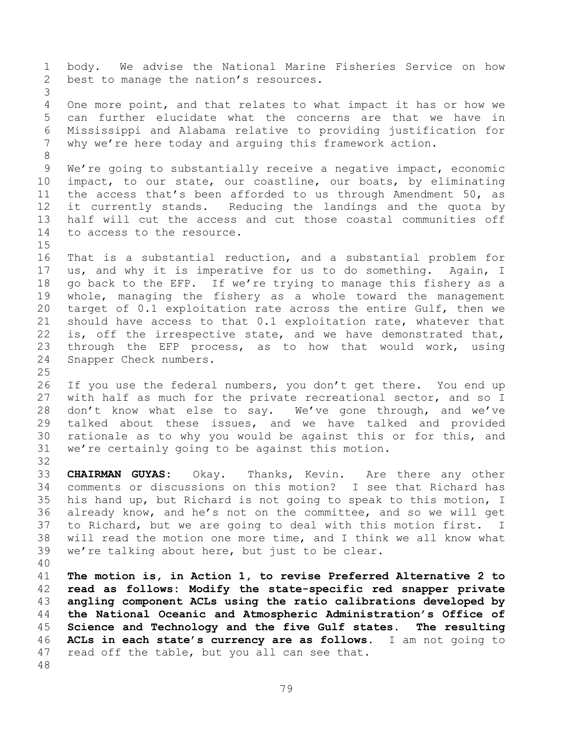1 body. We advise the National Marine Fisheries Service on how<br>2 best to manage the nation's resources. best to manage the nation's resources. 3 4 One more point, and that relates to what impact it has or how we<br>5 can further elucidate what the concerns are that we have in 5 can further elucidate what the concerns are that we have in 6 Mississippi and Alabama relative to providing justification for<br>7 why we're here today and arquing this framework action. why we're here today and arguing this framework action. 8 9 We're going to substantially receive a negative impact, economic<br>10 impact, to our state, our coastline, our boats, by eliminating 10 impact, to our state, our coastline, our boats, by eliminating<br>11 the access that's been afforded to us through Amendment 50, as 11 the access that's been afforded to us through Amendment 50, as<br>12 it currently stands. Reducing the landings and the quota by 12 it currently stands. Reducing the landings and the quota by<br>13 half will cut the access and cut those coastal communities off 13 half will cut the access and cut those coastal communities off<br>14 to access to the resource. to access to the resource.  $\frac{15}{16}$ That is a substantial reduction, and a substantial problem for 17 us, and why it is imperative for us to do something. Again, I<br>18 qo back to the EFP. If we're trying to manage this fishery as a 18 go back to the EFP. If we're trying to manage this fishery as a<br>19 whole, managing the fishery as a whole toward the management 19 whole, managing the fishery as a whole toward the management<br>20 target of 0.1 exploitation rate across the entire Gulf, then we 20 target of 0.1 exploitation rate across the entire Gulf, then we<br>21 should have access to that 0.1 exploitation rate, whatever that 21 should have access to that 0.1 exploitation rate, whatever that<br>22 is, off the irrespective state, and we have demonstrated that, 22 is, off the irrespective state, and we have demonstrated that,<br>23 through the EFP process, as to how that would work, using 23 through the EFP process, as to how that would work, using<br>24 Snapper Check numbers. Snapper Check numbers.  $\frac{25}{26}$ 26 If you use the federal numbers, you don't get there. You end up<br>27 with half as much for the private recreational sector, and so I 27 with half as much for the private recreational sector, and so I<br>28 don't know what else to say. We've gone through, and we've 28 don't know what else to say. We've gone through, and we've<br>29 talked about these issues, and we have talked and provided 29 talked about these issues, and we have talked and provided<br>30 rationale as to why you would be against this or for this, and 30 rationale as to why you would be against this or for this, and<br>31 we're certainly going to be against this motion. we're certainly going to be against this motion. 32<br>33 33 **CHAIRMAN GUYAS:** Okay. Thanks, Kevin. Are there any other 34 comments or discussions on this motion? I see that Richard has<br>35 his hand up, but Richard is not going to speak to this motion, I 35 his hand up, but Richard is not going to speak to this motion, I<br>36 already know, and he's not on the committee, and so we will get 36 already know, and he's not on the committee, and so we will get<br>37 to Richard, but we are going to deal with this motion first. I 37 to Richard, but we are going to deal with this motion first.<br>38 will read the motion one more time, and I think we all know wh. 38 will read the motion one more time, and I think we all know what<br>39 we're talking about here, but just to be clear. we're talking about here, but just to be clear. 40 41 **The motion is, in Action 1, to revise Preferred Alternative 2 to** 42 **read as follows: Modify the state-specific red snapper private** 43 **angling component ACLs using the ratio calibrations developed by** 44 **the National Oceanic and Atmospheric Administration's Office of 45 Science and Technology and the five Gulf states.**<br>46 ACLs in each state's currency are as follows. I 46 **ACLs in each state's currency are as follows.** I am not going to read off the table, but you all can see that.

48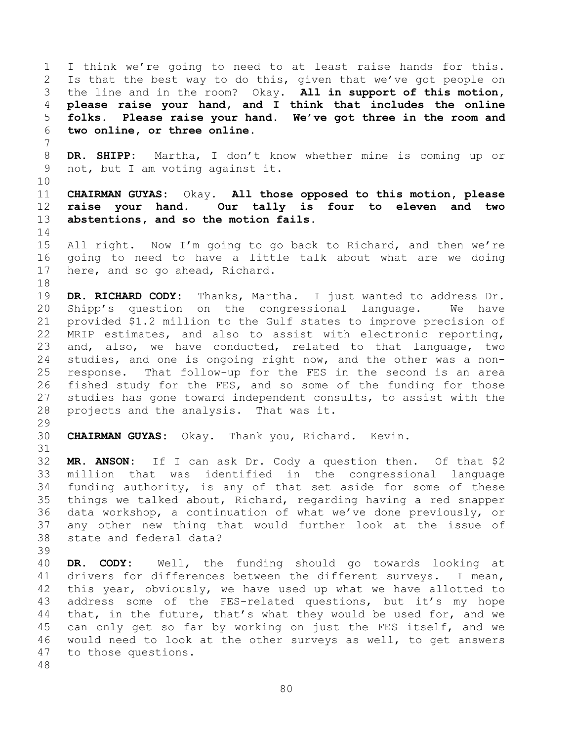1 I think we're going to need to at least raise hands for this.<br>2 Is that the best way to do this, given that we've got people on 2 Is that the best way to do this, given that we've got people on<br>3 the line and in the room? Okay. All in support of this motion, 3 the line and in the room? Okay. **All in support of this motion,** 4 **please raise your hand, and I think that includes the online** 5 **folks. Please raise your hand. We've got three in the room and** 6 **two online, or three online.** 7 8 **DR. SHIPP:** Martha, I don't know whether mine is coming up or 9 not, but I am voting against it. 10<br>11 11 **CHAIRMAN GUYAS:** Okay. **All those opposed to this motion, please** 12 **raise your hand. Our tally is four to eleven and two** 13 **abstentions, and so the motion fails.**  $\begin{array}{c} 14 \\ 15 \end{array}$ 15 All right. Now I'm going to go back to Richard, and then we're<br>16 going to need to have a little talk about what are we doing going to need to have a little talk about what are we doing 17 here, and so go ahead, Richard. 18<br>19 19 **DR. RICHARD CODY:** Thanks, Martha. I just wanted to address Dr.<br>20 Shipp's question on the congressional language. We have 20 Shipp's question on the congressional language.<br>21 provided \$1.2 million to the Gulf states to improve p 21 provided \$1.2 million to the Gulf states to improve precision of<br>22 MRIP estimates, and also to assist with electronic reporting, 22 MRIP estimates, and also to assist with electronic reporting,<br>23 and, also, we have conducted, related to that language, two 23 and, also, we have conducted, related to that language, two<br>24 studies, and one is ongoing right now, and the other was a non-24 studies, and one is ongoing right now, and the other was a non-<br>25 response. That follow-up for the FES in the second is an area 25 response. That follow-up for the FES in the second is an area<br>26 fished study for the FES, and so some of the funding for those 26 fished study for the FES, and so some of the funding for those<br>27 studies has gone toward independent consults, to assist with the 27 studies has gone toward independent consults, to assist with the<br>28 projects and the analysis. That was it. projects and the analysis. That was it. 29<br>30 30 **CHAIRMAN GUYAS:** Okay. Thank you, Richard. Kevin. 31 32 **MR. ANSON:** If I can ask Dr. Cody a question then. Of that \$2 33 million that was identified in the congressional language 34 funding authority, is any of that set aside for some of these<br>35 things we talked about, Richard, regarding having a red snapper 35 things we talked about, Richard, regarding having a red snapper<br>36 data workshop, a continuation of what we've done previously, or 36 data workshop, a continuation of what we've done previously, or<br>37 any other new thing that would further look at the issue of 37 any other new thing that would further look at the issue of<br>38 state and federal data? state and federal data? 39 40 **DR. CODY:** Well, the funding should go towards looking at 41 drivers for differences between the different surveys. I mean,<br>42 this vear, obviouslv, we have used up what we have allotted to 42 this year, obviously, we have used up what we have allotted to<br>43 address some of the FES-related questions, but it's my hope 43 address some of the FES-related questions, but it's my hope<br>44 that, in the future, that's what they would be used for, and we 44 that, in the future, that's what they would be used for, and we<br>45 can only get so far by working on just the FES itself, and we 45 can only get so far by working on just the FES itself, and we<br>46 would need to look at the other surveys as well, to get answers 46 would need to look at the other surveys as well, to get answers<br>47 to those questions. to those questions. 48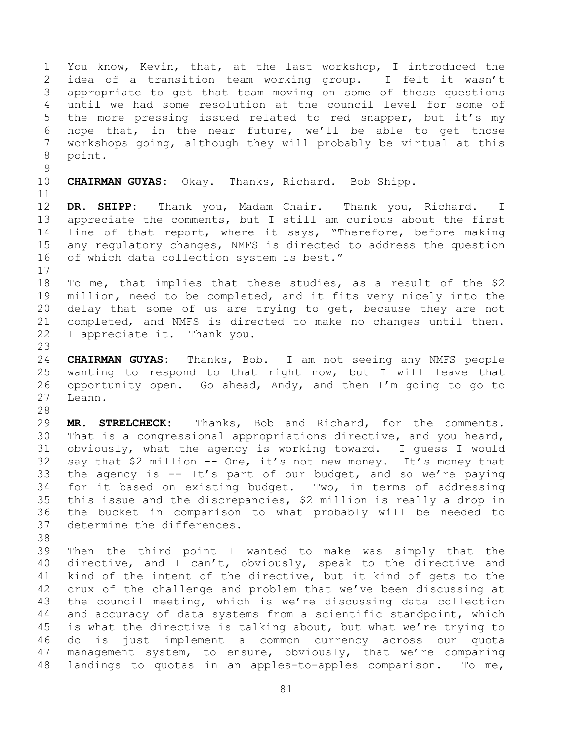1 You know, Kevin, that, at the last workshop, I introduced the<br>2 idea of a transition team working group. I felt it wasn't 2 idea of a transition team working group.<br>3 appropriate to get that team moving on some 3 appropriate to get that team moving on some of these questions<br>4 until we had some resolution at the council level for some of 4 until we had some resolution at the council level for some of<br>5 the more pressing issued related to red snapper, but it's my 5 the more pressing issued related to red snapper, but it's my<br>6 hope that, in the near future, we'll be able to get those 6 hope that, in the near future, we'll be able to get those<br>7 workshops going, although they will probably be virtual at this 7 workshops going, although they will probably be virtual at this point.  $\begin{array}{c} 9 \\ 10 \end{array}$ **CHAIRMAN GUYAS:** Okay. Thanks, Richard. Bob Shipp. 11<br>12 12 **DR. SHIPP:** Thank you, Madam Chair. Thank you, Richard. I 13 appreciate the comments, but I still am curious about the first<br>14 line of that report, where it says, "Therefore, before making 14 line of that report, where it says, "Therefore, before making<br>15 any requiatory changes, NMFS is directed to address the question 15 any regulatory changes, NMFS is directed to address the question<br>16 of which data collection system is best." of which data collection system is best."  $\begin{array}{c} 17 \\ 18 \end{array}$ 18 To me, that implies that these studies, as a result of the \$2<br>19 million, need to be completed, and it fits very nicely into the 19 million, need to be completed, and it fits very nicely into the<br>20 delay that some of us are trying to get, because they are not 20 delay that some of us are trying to get, because they are not<br>21 completed, and NMFS is directed to make no changes until then. 21 completed, and NMFS is directed to make no changes until then.<br>22 I appreciate it. Thank you. I appreciate it. 23 24 **CHAIRMAN GUYAS:** Thanks, Bob. I am not seeing any NMFS people 25 wanting to respond to that right now, but I will leave that<br>26 opportunity open. Go ahead, Andy, and then I'm going to go to 26 opportunity open. Go ahead, Andy, and then  $I'm$  going to go to  $27$  Leann. Leann. 28<br>29 29 **MR. STRELCHECK:** Thanks, Bob and Richard, for the comments. 30 That is a congressional appropriations directive, and you heard,<br>31 obviously, what the agency is working toward. I guess I would 31 obviously, what the agency is working toward. I guess I would<br>32 say that \$2 million -- One, it's not new money. It's money that 32 say that \$2 million  $--$  One, it's not new money. It's money that<br>33 the agency is  $--$  It's part of our budget, and so we're paying 33 the agency is  $-$  It's part of our budget, and so we're paying<br>34 for it based on existing budget. Two, in terms of addressing 34 for it based on existing budget. Two, in terms of addressing<br>35 this issue and the discrepancies, \$2 million is really a drop in 35 this issue and the discrepancies, \$2 million is really a drop in 36 the bucket in comparison to what probably will be needed to determine the differences. 38<br>39 Then the third point I wanted to make was simply that the 40 directive, and I can't, obviously, speak to the directive and 41 kind of the intent of the directive, but it kind of gets to the<br>42 crux of the challenge and problem that we've been discussing at 42 crux of the challenge and problem that we've been discussing at<br>43 the council meeting, which is we're discussing data collection 43 the council meeting, which is we're discussing data collection<br>44 and accuracy of data systems from a scientific standpoint, which 44 and accuracy of data systems from a scientific standpoint, which<br>45 is what the directive is talking about, but what we're trying to 45 is what the directive is talking about, but what we're trying to<br>46 do is just implement a common currency across our quota 46 do is just implement a common currency across our quota<br>47 management system, to ensure, obviously, that we're comparing management system, to ensure, obviously, that we're comparing 48 landings to quotas in an apples-to-apples comparison. To me,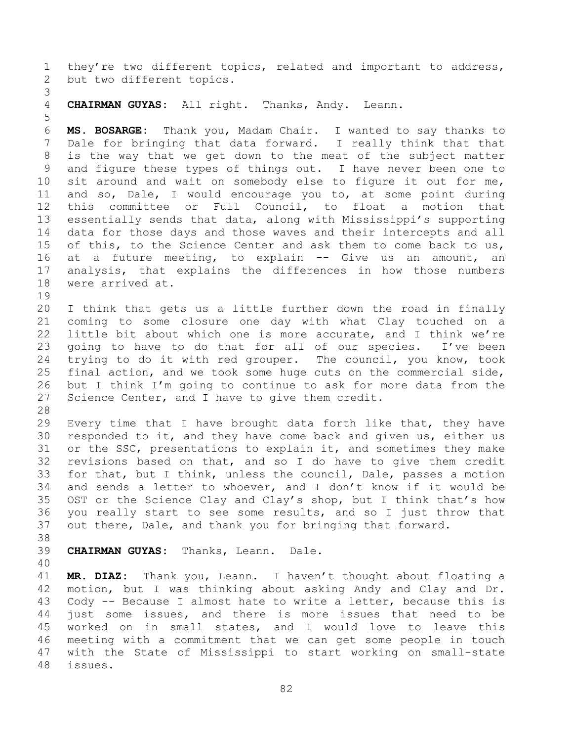1 they're two different topics, related and important to address,<br>2 but two different topics. but two different topics.

3 4 **CHAIRMAN GUYAS:** All right. Thanks, Andy. Leann.

5 6 **MS. BOSARGE:** Thank you, Madam Chair. I wanted to say thanks to Dale for bringing that data forward. I really think that that 8 is the way that we get down to the meat of the subject matter 9 and figure these types of things out. I have never been one to<br>10 sit around and wait on somebody else to figure it out for me, 10 sit around and wait on somebody else to figure it out for me,<br>11 and so, Dale, I would encourage you to, at some point during 11 and so, Dale, I would encourage you to, at some point during<br>12 this committee or Full Council, to float a motion that 12 this committee or Full Council, to float a motion that<br>13 essentially sends that data, along with Mississippi's supporting 13 essentially sends that data, along with Mississippi's supporting<br>14 data for those days and those waves and their intercepts and all 14 data for those days and those waves and their intercepts and all<br>15 of this, to the Science Center and ask them to come back to us, 15 of this, to the Science Center and ask them to come back to us,<br>16 at a future meeting, to explain -- Give us an amount, an at a future meeting, to explain -- Give us an amount, an 17 analysis, that explains the differences in how those numbers<br>18 were arrived at. were arrived at.

19<br>20 20 I think that gets us a little further down the road in finally<br>21 coming to some closure one day with what Clay touched on a 21 coming to some closure one day with what Clay touched on a<br>22 little bit about which one is more accurate, and I think we're 22 little bit about which one is more accurate, and I think we're<br>23 qoing to have to do that for all of our species. I've been 23 going to have to do that for all of our species.<br>24 trying to do it with red grouper. The council, you 24 trying to do it with red grouper. The council, you know, took<br>25 final action, and we took some huge cuts on the commercial side, 25 final action, and we took some huge cuts on the commercial side,<br>26 but I think I'm going to continue to ask for more data from the 26 but I think I'm going to continue to ask for more data from the<br>27 Science Center, and I have to give them credit. Science Center, and I have to give them credit.

28<br>29

29 Every time that I have brought data forth like that, they have<br>30 responded to it, and they have come back and given us, either us 30 responded to it, and they have come back and given us, either us<br>31 or the SSC, presentations to explain it, and sometimes they make or the SSC, presentations to explain it, and sometimes they make 32 revisions based on that, and so I do have to give them credit<br>33 for that, but I think, unless the council, Dale, passes a motion 33 for that, but I think, unless the council, Dale, passes a motion<br>34 and sends a letter to whoever, and I don't know if it would be 34 and sends a letter to whoever, and I don't know if it would be 35 0ST or the Science Clay and Clay's shop, but I think that's how 35 OST or the Science Clay and Clay's shop, but I think that's how<br>36 vou really start to see some results, and so I just throw that 36 you really start to see some results, and so I just throw that<br>37 out there, Dale, and thank you for bringing that forward. out there, Dale, and thank you for bringing that forward.

38<br>39

39 **CHAIRMAN GUYAS:** Thanks, Leann. Dale.

40

41 **MR. DIAZ:** Thank you, Leann. I haven't thought about floating a 42 motion, but I was thinking about asking Andy and Clay and Dr.<br>43 Cody -- Because I almost hate to write a letter, because this is 43 Cody -- Because I almost hate to write a letter, because this is<br>44 just some issues, and there is more issues that need to be 44 just some issues, and there is more issues that need to be<br>45 worked on in small states, and I would love to leave this 45 worked on in small states, and I would love to leave this<br>46 meeting with a commitment that we can get some people in touch 46 meeting with a commitment that we can get some people in touch<br>47 with the State of Mississippi to start working on small-state with the State of Mississippi to start working on small-state 48 issues.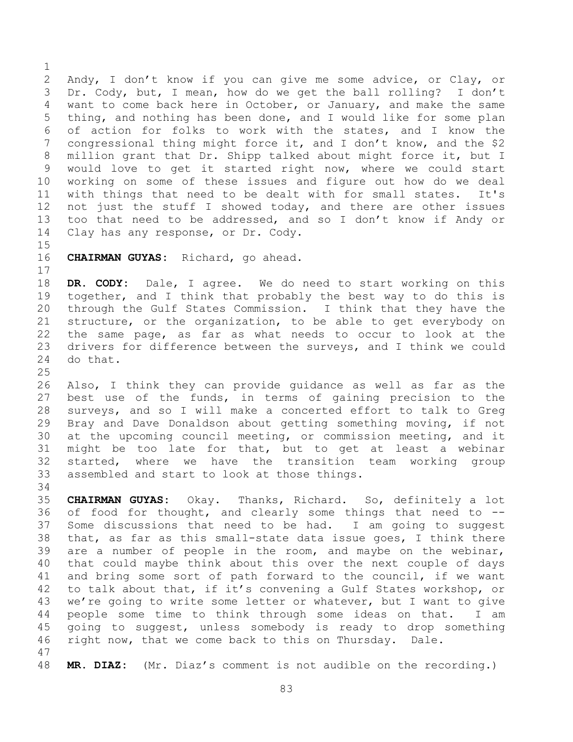$\frac{1}{2}$ 2 Andy, I don't know if you can give me some advice, or Clay, or<br>3 Dr. Cody, but, I mean, how do we get the ball rolling? I don't 3 Dr. Cody, but, I mean, how do we get the ball rolling?<br>4 want to come back here in October, or January, and make t 4 want to come back here in October, or January, and make the same<br>5 thing, and nothing has been done, and I would like for some plan 5 thing, and nothing has been done, and I would like for some plan<br>6 of action for folks to work with the states, and I know the 6 of action for folks to work with the states, and I know the<br>7 congressional thing might force it, and I don't know, and the \$2 congressional thing might force it, and I don't know, and the \$2 8 million grant that Dr. Shipp talked about might force it, but I 9 would love to get it started right now, where we could start<br>10 working on some of these issues and figure out how do we deal 10 working on some of these issues and figure out how do we deal<br>11 with things that need to be dealt with for small states. It's 11 with things that need to be dealt with for small states. It's<br>12 not just the stuff I showed today, and there are other issues 12 not just the stuff I showed today, and there are other issues<br>13 too that need to be addressed, and so I don't know if Andy or 13 too that need to be addressed, and so I don't know if Andy or<br>14 Clav has any response, or Dr. Cody. Clay has any response, or Dr. Cody.

## $15$ <br> $16$ 16 **CHAIRMAN GUYAS:** Richard, go ahead.

 $\frac{17}{18}$ 18 **DR. CODY:** Dale, I agree. We do need to start working on this<br>19 together, and I think that probably the best way to do this is 19 together, and I think that probably the best way to do this is<br>20 through the Gulf States Commission. I think that they have the 20 through the Gulf States Commission. I think that they have the<br>21 structure, or the organization, to be able to get everybody on 21 structure, or the organization, to be able to get everybody on<br>22 the same page, as far as what needs to occur to look at the 22 the same page, as far as what needs to occur to look at the<br>23 drivers for difference between the surveys, and I think we could 23 drivers for difference between the surveys, and I think we could<br>24 do that. do that.

 $\frac{25}{26}$ 

26 Also, I think they can provide guidance as well as far as the<br>27 best use of the funds, in terms of gaining precision to the 27 best use of the funds, in terms of gaining precision to the<br>28 surveys, and so I will make a concerted effort to talk to Greq 28 surveys, and so I will make a concerted effort to talk to Greg<br>29 Bray and Dave Donaldson about getting something moving, if not 29 Bray and Dave Donaldson about getting something moving, if not<br>30 at the upcoming council meeting, or commission meeting, and it 30 at the upcoming council meeting, or commission meeting, and it<br>31 might be too late for that, but to get at least a webinar might be too late for that, but to get at least a webinar 32 started, where we have the transition team working group<br>33 assembled and start to look at those things. assembled and start to look at those things.

34<br>35 35 **CHAIRMAN GUYAS:** Okay. Thanks, Richard. So, definitely a lot 36 of food for thought, and clearly some things that need to  $-$ -<br>37 Some discussions that need to be had. I am going to suggest 37 Some discussions that need to be had.<br>38 that, as far as this small-state data i 38 that, as far as this small-state data issue goes, I think there<br>39 are a number of people in the room, and maybe on the webinar, are a number of people in the room, and maybe on the webinar, 40 that could maybe think about this over the next couple of days 41 and bring some sort of path forward to the council, if we want<br>42 to talk about that, if it's convening a Gulf States workshop, or 42 to talk about that, if it's convening a Gulf States workshop, or<br>43 we're going to write some letter or whatever, but I want to give 43 we're going to write some letter or whatever, but I want to give<br>44 people some time to think through some ideas on that. I am 44 people some time to think through some ideas on that.<br>45 qoing to suggest, unless somebody is ready to drop som 45 going to suggest, unless somebody is ready to drop something<br>46 right now, that we come back to this on Thursday. Dale. right now, that we come back to this on Thursday. Dale. 47

48 **MR. DIAZ:** (Mr. Diaz's comment is not audible on the recording.)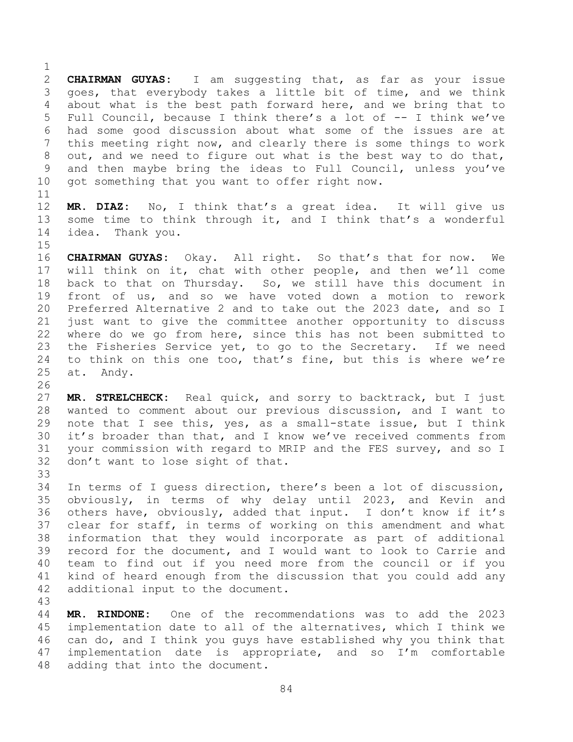$\frac{1}{2}$ 2 **CHAIRMAN GUYAS:** I am suggesting that, as far as your issue 3 goes, that everybody takes a little bit of time, and we think<br>4 about what is the best path forward here, and we bring that to 4 about what is the best path forward here, and we bring that to<br>5 Full Council, because I think there's a lot of -- I think we've 5 Full Council, because I think there's a lot of -- I think we've<br>6 had some good discussion about what some of the issues are at 6 had some good discussion about what some of the issues are at<br>7 this meeting right now, and clearly there is some things to work this meeting right now, and clearly there is some things to work 8 out, and we need to figure out what is the best way to do that, 9 and then maybe bring the ideas to Full Council, unless you've<br>10 got something that you want to offer right now. got something that you want to offer right now.

11<br>12 12 **MR. DIAZ:** No, I think that's a great idea. It will give us 13 some time to think through it, and I think that's a wonderful<br>14 idea. Thank you. idea. Thank you.

 $\begin{array}{c} 15 \\ 16 \end{array}$ 16 **CHAIRMAN GUYAS:** Okay. All right. So that's that for now. We 17 will think on it, chat with other people, and then we'll come<br>18 back to that on Thursday. So, we still have this document in 18 back to that on Thursday. So, we still have this document in<br>19 front of us, and so we have voted down a motion to rework 19 front of us, and so we have voted down a motion to rework<br>20 Preferred Alternative 2 and to take out the 2023 date, and so I 20 Preferred Alternative 2 and to take out the 2023 date, and so I<br>21 just want to give the committee another opportunity to discuss 21 just want to give the committee another opportunity to discuss<br>22 where do we go from here, since this has not been submitted to 22 where do we go from here, since this has not been submitted to<br>23 the Fisheries Service yet, to go to the Secretary. If we need 23 the Fisheries Service yet, to go to the Secretary.<br>24 to think on this one too, that's fine, but this is w 24 to think on this one too, that's fine, but this is where we're  $25$  at. Andy. at. Andy.

 $\frac{26}{27}$ 27 **MR. STRELCHECK:** Real quick, and sorry to backtrack, but I just 28 wanted to comment about our previous discussion, and I want to<br>29 note that I see this, yes, as a small-state issue, but I think 29 note that I see this, yes, as a small-state issue, but I think<br>30 it's broader than that, and I know we've received comments from 30 it's broader than that, and I know we've received comments from<br>31 your commission with regard to MRIP and the FES survey, and so I your commission with regard to MRIP and the FES survey, and so I 32 don't want to lose sight of that.

33<br>34 34 In terms of I guess direction, there's been a lot of discussion,<br>35 obviously, in terms of why delay until 2023, and Kevin and 35 obviously, in terms of why delay until 2023, and Kevin and<br>36 others have, obviously, added that input. I don't know if it's 36 others have, obviously, added that input. I don't know if it's<br>37 clear for staff, in terms of working on this amendment and what 37 clear for staff, in terms of working on this amendment and what<br>38 information that they would incorporate as part of additional 38 information that they would incorporate as part of additional<br>39 record for the document, and I would want to look to Carrie and record for the document, and I would want to look to Carrie and 40 team to find out if you need more from the council or if you 41 kind of heard enough from the discussion that you could add any<br>42 additional input to the document. additional input to the document.

43 44 **MR. RINDONE:** One of the recommendations was to add the 2023 45 implementation date to all of the alternatives, which I think we<br>46 can do, and I think you quys have established why you think that 46 can do, and I think you guys have established why you think that<br>47 implementation date is appropriate, and so I'm comfortable implementation date is appropriate, and so I'm comfortable 48 adding that into the document.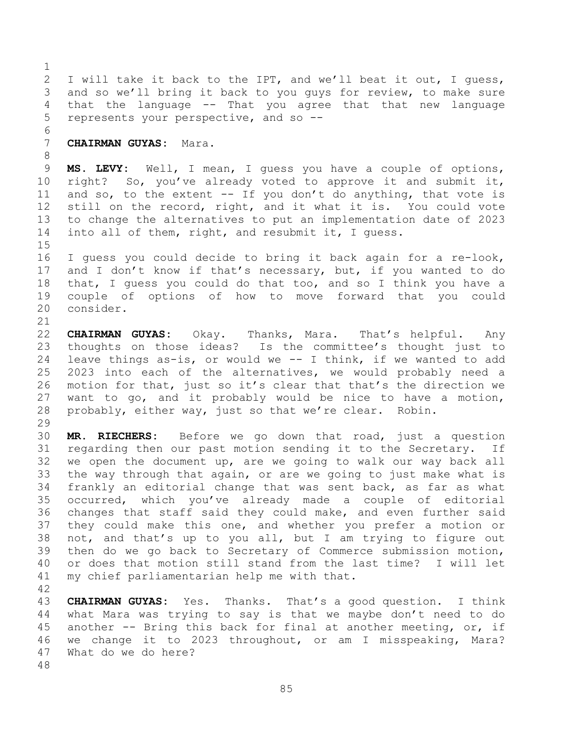$\frac{1}{2}$ 2 I will take it back to the IPT, and we'll beat it out, I guess,<br>3 and so we'll bring it back to you quys for review, to make sure 3 and so we'll bring it back to you guys for review, to make sure<br>4 that the language -- That you agree that that new language 4 that the language  $--$  That you agree that that new language<br>5 represents your perspective, and so  $-$ represents your perspective, and so  $-$ -

## 6<br>7 7 **CHAIRMAN GUYAS:** Mara.

8

9 **MS. LEVY:** Well, I mean, I guess you have a couple of options,<br>10 right? So, you've already voted to approve it and submit it, 10 right? So, you've already voted to approve it and submit it,<br>11 and so, to the extent -- If you don't do anything, that vote is 11 and so, to the extent -- If you don't do anything, that vote is<br>12 still on the record, right, and it what it is. You could vote 12 still on the record, right, and it what it is. You could vote<br>13 to change the alternatives to put an implementation date of 2023 13 to change the alternatives to put an implementation date of 2023<br>14 into all of them, right, and resubmit it, I quess. into all of them, right, and resubmit it, I guess.

 $\frac{15}{16}$ I guess you could decide to bring it back again for a re-look, 17 and I don't know if that's necessary, but, if you wanted to do<br>18 that, I quess you could do that too, and so I think you have a 18 that, I guess you could do that too, and so I think you have a<br>19 couple of options of how to move forward that you could 19 couple of options of how to move forward that you could<br>20 consider. consider.

21<br>22 22 **CHAIRMAN GUYAS:** Okay. Thanks, Mara. That's helpful. Any 23 thoughts on those ideas? Is the committee's thought just to<br>24 leave things as-is, or would we -- I think, if we wanted to add 24 leave things as-is, or would we -- I think, if we wanted to add<br>25 2023 into each of the alternatives, we would probably need a 25 2023 into each of the alternatives, we would probably need a<br>26 motion for that, just so it's clear that that's the direction we 26 motion for that, just so it's clear that that's the direction we<br>27 want to go, and it probably would be nice to have a motion, 27 want to go, and it probably would be nice to have a motion,<br>28 probably, either way, just so that we're clear. Robin. probably, either way, just so that we're clear. Robin.

 $\frac{29}{30}$ 

30 **MR. RIECHERS:** Before we go down that road, just a question regarding then our past motion sending it to the Secretary. If 32 we open the document up, are we going to walk our way back all<br>33 the way through that again, or are we going to just make what is 33 the way through that again, or are we going to just make what is<br>34 frankly an editorial change that was sent back, as far as what 34 frankly an editorial change that was sent back, as far as what<br>35 occurred, which you've already made a couple of editorial 35 occurred, which you've already made a couple of editorial<br>36 changes that staff said they could make, and even further said 36 changes that staff said they could make, and even further said<br>37 they could make this one, and whether you prefer a motion or 37 they could make this one, and whether you prefer a motion or<br>38 not, and that's up to you all, but I am trying to figure out 38 not, and that's up to you all, but I am trying to figure out<br>39 then do we go back to Secretary of Commerce submission motion, then do we go back to Secretary of Commerce submission motion, 40 or does that motion still stand from the last time? I will let 41 my chief parliamentarian help me with that.

42

43 **CHAIRMAN GUYAS:** Yes. Thanks. That's a good question. I think<br>44 what Mara was trying to say is that we maybe don't need to do 44 what Mara was trying to say is that we maybe don't need to do<br>45 another -- Bring this back for final at another meeting, or, if 45 another -- Bring this back for final at another meeting, or, if<br>46 we change it to 2023 throughout, or am I misspeaking, Mara? 46 we change it to 2023 throughout, or am I misspeaking, Mara?<br>47 What do we do here? What do we do here?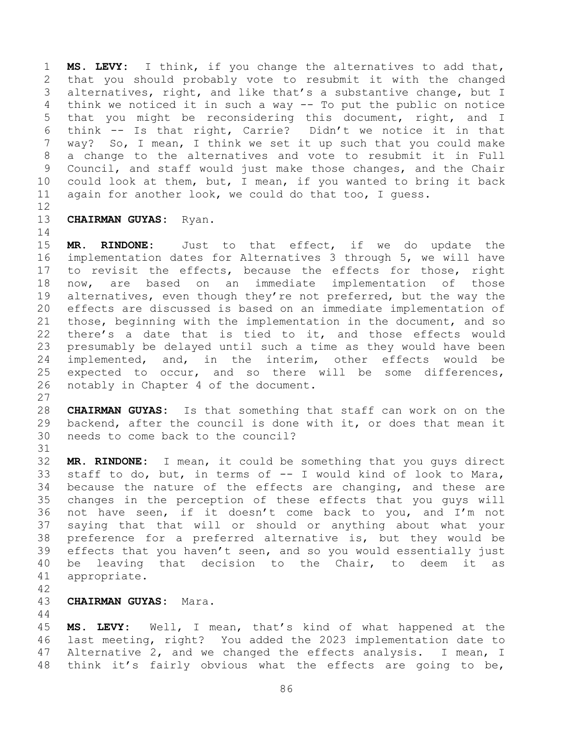1 **MS. LEVY:** I think, if you change the alternatives to add that, 2 that you should probably vote to resubmit it with the changed<br>3 alternatives, right, and like that's a substantive change, but I 3 alternatives, right, and like that's a substantive change, but I<br>4 think we noticed it in such a way -- To put the public on notice 4 think we noticed it in such a way -- To put the public on notice<br>5 that you might be reconsidering this document, right, and I 5 that you might be reconsidering this document, right, and I<br>6 think -- Is that right, Carrie? Didn't we notice it in that 6 think -- Is that right, Carrie? Didn't we notice it in that way? So, I mean, I think we set it up such that you could make 8 a change to the alternatives and vote to resubmit it in Full 9 Council, and staff would just make those changes, and the Chair<br>10 could look at them, but, I mean, if you wanted to bring it back 10 could look at them, but, I mean, if you wanted to bring it back<br>11 again for another look, we could do that too, I quess. again for another look, we could do that too, I guess.

 $\begin{array}{c} 12 \\ 13 \end{array}$ 

13 **CHAIRMAN GUYAS:** Ryan.

 $\begin{array}{c} 14 \\ 15 \end{array}$ 

15 **MR. RINDONE:** Just to that effect, if we do update the implementation dates for Alternatives 3 through 5, we will have 17 to revisit the effects, because the effects for those, right<br>18 now, are based on an immediate implementation of those 18 now, are based on an immediate implementation of those<br>19 alternatives, even though they're not preferred, but the way the 19 alternatives, even though they're not preferred, but the way the<br>20 effects are discussed is based on an immediate implementation of 20 effects are discussed is based on an immediate implementation of<br>21 those, beginning with the implementation in the document, and so 21 those, beginning with the implementation in the document, and so<br>22 there's a date that is tied to it, and those effects would 22 there's a date that is tied to it, and those effects would<br>23 presumably be delaved until such a time as they would have been 23 presumably be delayed until such a time as they would have been<br>24 implemented, and, in the interim, other effects would be 24 implemented, and, in the interim, other effects would be<br>25 expected to occur, and so there will be some differences, 25 expected to occur, and so there will be some differences,<br>26 notably in Chapter 4 of the document. notably in Chapter 4 of the document.

 $\begin{array}{c} 27 \\ 28 \end{array}$ 28 **CHAIRMAN GUYAS:** Is that something that staff can work on on the<br>29 backend, after the council is done with it, or does that mean it 29 backend, after the council is done with it, or does that mean it  $30$  needs to come back to the council? needs to come back to the council?

32 **MR. RINDONE:** I mean, it could be something that you guys direct 33 staff to do, but, in terms of  $-$  I would kind of look to Mara,<br>34 because the nature of the effects are changing, and these are 34 because the nature of the effects are changing, and these are<br>35 changes in the perception of these effects that you guys will 35 changes in the perception of these effects that you guys will<br>36 not have seen, if it doesn't come back to you, and I'm not 36 not have seen, if it doesn't come back to you, and I'm not<br>37 saying that that will or should or anything about what your 37 saying that that will or should or anything about what your<br>38 preference for a preferred alternative is, but they would be 38 preference for a preferred alternative is, but they would be<br>39 effects that you haven't seen, and so you would essentially just effects that you haven't seen, and so you would essentially just 40 be leaving that decision to the Chair, to deem it as 41 appropriate.

42

31

## 43 **CHAIRMAN GUYAS:** Mara.

 $\begin{array}{c} 44 \\ 45 \end{array}$ 45 **MS. LEVY:** Well, I mean, that's kind of what happened at the 46 last meeting, right? You added the 2023 implementation date to<br>47 Alternative 2, and we changed the effects analysis. I mean, I Alternative 2, and we changed the effects analysis. I mean,  $I$ 48 think it's fairly obvious what the effects are going to be,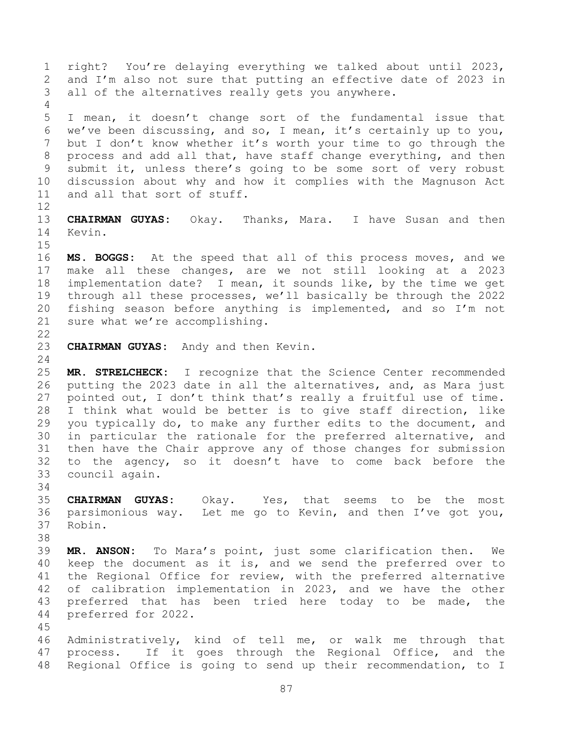1 right? You're delaying everything we talked about until 2023,<br>2 and I'm also not sure that putting an effective date of 2023 in 2 and I'm also not sure that putting an effective date of 2023 in<br>3 all of the alternatives really gets you anywhere. all of the alternatives really gets you anywhere.  $\frac{4}{5}$ 5 I mean, it doesn't change sort of the fundamental issue that<br>6 we've been discussing, and so, I mean, it's certainly up to you, 6 we've been discussing, and so, I mean, it's certainly up to you,<br>7 but I don't know whether it's worth your time to go through the but I don't know whether it's worth your time to go through the 8 process and add all that, have staff change everything, and then 9 submit it, unless there's going to be some sort of very robust<br>10 discussion about why and how it complies with the Magnuson Act 10 discussion about why and how it complies with the Magnuson Act<br>11 and all that sort of stuff. and all that sort of stuff.  $\begin{array}{c} 12 \\ 13 \end{array}$ 13 **CHAIRMAN GUYAS:** Okay. Thanks, Mara. I have Susan and then<br>14 Kevin. Kevin.  $15$ <br> $16$ MS. BOGGS: At the speed that all of this process moves, and we 17 make all these changes, are we not still looking at a 2023<br>18 implementation date? I mean, it sounds like, by the time we get 18 implementation date? I mean, it sounds like, by the time we get<br>19 through all these processes, we'll basically be through the 2022 19 through all these processes, we'll basically be through the 2022<br>20 fishing season before anything is implemented, and so I'm not 20 fishing season before anything is implemented, and so  $I'm$  not  $21$  sure what we're accomplishing. sure what we're accomplishing.  $\frac{22}{23}$ **CHAIRMAN GUYAS:** Andy and then Kevin.  $\frac{24}{25}$ 25 **MR. STRELCHECK:** I recognize that the Science Center recommended 26 putting the 2023 date in all the alternatives, and, as Mara just<br>27 pointed out, I don't think that's really a fruitful use of time. 27 pointed out, I don't think that's really a fruitful use of time.<br>28 I think what would be better is to give staff direction, like 28 I think what would be better is to give staff direction, like<br>29 vou typically do, to make any further edits to the document, and 29 you typically do, to make any further edits to the document, and<br>30 in particular the rationale for the preferred alternative, and 30 in particular the rationale for the preferred alternative, and<br>31 then have the Chair approve any of those changes for submission then have the Chair approve any of those changes for submission 32 to the agency, so it doesn't have to come back before the 33 council again. council again. 34<br>35 35 **CHAIRMAN GUYAS:** Okay. Yes, that seems to be the most 36 parsimonious way. Let me go to Kevin, and then I've got you, Robin. 38<br>39 39 **MR. ANSON:** To Mara's point, just some clarification then. We 40 keep the document as it is, and we send the preferred over to 41 the Regional Office for review, with the preferred alternative<br>42 of calibration implementation in 2023, and we have the other 42 of calibration implementation in 2023, and we have the other<br>43 preferred that has been tried here today to be made, the 43 preferred that has been tried here today to be made, the 44 preferred for 2022. preferred for 2022. 45 46 Administratively, kind of tell me, or walk me through that<br>47 process. If it goes through the Regional Office, and the process. If it goes through the Regional Office, and the 48 Regional Office is going to send up their recommendation, to I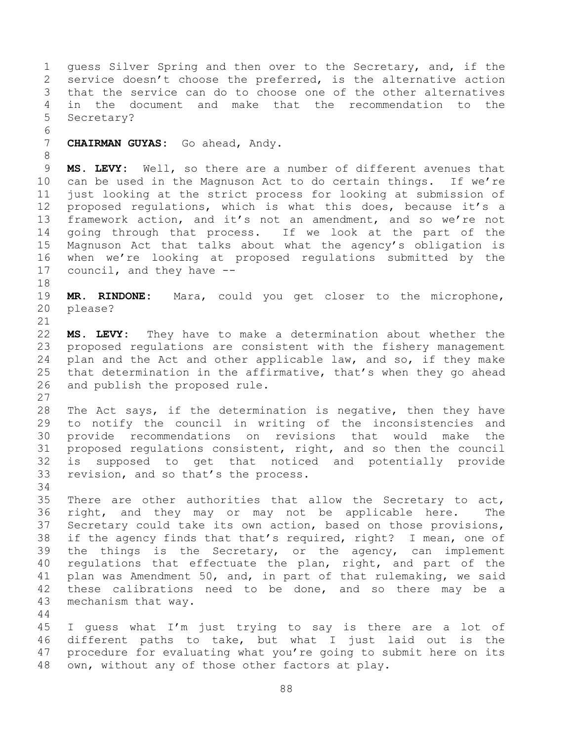1 guess Silver Spring and then over to the Secretary, and, if the<br>2 service doesn't choose the preferred, is the alternative action 2 service doesn't choose the preferred, is the alternative action<br>3 that the service can do to choose one of the other alternatives 3 that the service can do to choose one of the other alternatives<br>4 in the document and make that the recommendation to the 4 in the document and make that the recommendation to the<br>5 Secretary? Secretary? 6<br>7 7 **CHAIRMAN GUYAS:** Go ahead, Andy. 8 9 **MS. LEVY:** Well, so there are a number of different avenues that<br>10 can be used in the Magnuson Act to do certain things. If we're 10 can be used in the Magnuson Act to do certain things. If we're<br>11 just looking at the strict process for looking at submission of 11 just looking at the strict process for looking at submission of<br>12 proposed requlations, which is what this does, because it's a 12 proposed regulations, which is what this does, because it's a<br>13 framework action, and it's not an amendment, and so we're not 13 framework action, and it's not an amendment, and so we're not<br>14 qoing through that process. If we look at the part of the 14 going through that process. If we look at the part of the<br>15 Magnuson Act that talks about what the agency's obligation is 15 Magnuson Act that talks about what the agency's obligation is<br>16 when we're looking at proposed regulations submitted by the when we're looking at proposed regulations submitted by the 17 council, and they have -- 18<br>19 19 **MR. RINDONE:** Mara, could you get closer to the microphone, please? 21<br>22 22 **MS. LEVY:** They have to make a determination about whether the<br>23 proposed requiations are consistent with the fishery management 23 proposed regulations are consistent with the fishery management<br>24 plan and the Act and other applicable law, and so, if they make 24 plan and the Act and other applicable law, and so, if they make<br>25 that determination in the affirmative, that's when they go ahead 25 that determination in the affirmative, that's when they go ahead<br>26 and publish the proposed rule. and publish the proposed rule.  $\frac{27}{28}$ 28 The Act says, if the determination is negative, then they have<br>29 to notify the council in writing of the inconsistencies and 29 to notify the council in writing of the inconsistencies and<br>30 provide recommendations on revisions that would make the 30 provide recommendations on revisions that would make the<br>31 proposed requlations consistent, right, and so then the council proposed regulations consistent, right, and so then the council 32 is supposed to get that noticed and potentially provide<br>33 revision, and so that's the process. revision, and so that's the process. 34<br>35 35 There are other authorities that allow the Secretary to act,<br>36 right, and they may or may not be applicable here. The 36 right, and they may or may not be applicable here. The<br>37 Secretary could take its own action, based on those provisions, 37 Secretary could take its own action, based on those provisions,<br>38 if the agency finds that that's required, right? I mean, one of 38 if the agency finds that that's required, right? I mean, one of<br>39 the things is the Secretary, or the agency, can implement the things is the Secretary, or the agency, can implement 40 regulations that effectuate the plan, right, and part of the 41 plan was Amendment 50, and, in part of that rulemaking, we said<br>42 these calibrations need to be done, and so there may be a 42 these calibrations need to be done, and so there may be a<br>43 mechanism that wav. mechanism that way.  $\begin{array}{c} 44 \\ 45 \end{array}$ 45 I guess what I'm just trying to say is there are a lot of<br>46 different paths to take, but what I just laid out is the 46 different paths to take, but what I just laid out is the<br>47 procedure for evaluating what you're going to submit here on its procedure for evaluating what you're going to submit here on its 48 own, without any of those other factors at play.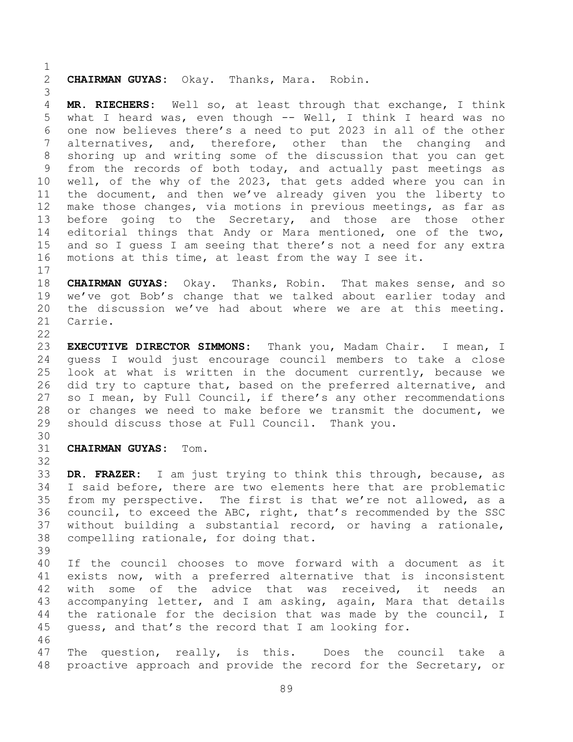$\frac{1}{2}$ 2 **CHAIRMAN GUYAS:** Okay. Thanks, Mara. Robin.

3 4 **MR. RIECHERS:** Well so, at least through that exchange, I think<br>5 what I heard was, even though -- Well, I think I heard was no 5 what I heard was, even though -- Well, I think I heard was no<br>6 one now believes there's a need to put 2023 in all of the other 6 one now believes there's a need to put 2023 in all of the other<br>7 alternatives, and, therefore, other than the changing and alternatives, and, therefore, other than the changing and 8 shoring up and writing some of the discussion that you can get 9 from the records of both today, and actually past meetings as<br>10 well, of the why of the 2023, that gets added where you can in 10 well, of the why of the 2023, that gets added where you can in<br>11 the document, and then we've already given you the liberty to 11 the document, and then we've already given you the liberty to<br>12 make those changes, via motions in previous meetings, as far as 12 make those changes, via motions in previous meetings, as far as<br>13 before going to the Secretary, and those are those other 13 before going to the Secretary, and those are those other<br>14 editorial things that Andy or Mara mentioned, one of the two, 14 editorial things that Andy or Mara mentioned, one of the two,<br>15 and so I quess I am seeing that there's not a need for any extra 15 and so I guess I am seeing that there's not a need for any extra<br>16 motions at this time, at least from the way I see it. motions at this time, at least from the way I see it.

 $\frac{17}{18}$ 18 **CHAIRMAN GUYAS:** Okay. Thanks, Robin. That makes sense, and so<br>19 we've got Bob's change that we talked about earlier today and 19 we've got Bob's change that we talked about earlier today and<br>20 the discussion we've had about where we are at this meeting. 20 the discussion we've had about where we are at this meeting.<br>21 Carrie. Carrie.

 $\frac{22}{23}$ 23 **EXECUTIVE DIRECTOR SIMMONS:** Thank you, Madam Chair. I mean, I 24 guess I would just encourage council members to take a close<br>25 look at what is written in the document currently, because we 25 look at what is written in the document currently, because we<br>26 did try to capture that, based on the preferred alternative, and 26 did try to capture that, based on the preferred alternative, and<br>27 so I mean, by Full Council, if there's any other recommendations 27 so I mean, by Full Council, if there's any other recommendations<br>28 or changes we need to make before we transmit the document, we 28 or changes we need to make before we transmit the document, we<br>29 should discuss those at Full Council. Thank you. should discuss those at Full Council. Thank you.

30<br>31

31 **CHAIRMAN GUYAS:** Tom.

32<br>33

33 **DR. FRAZER:** I am just trying to think this through, because, as 34 I said before, there are two elements here that are problematic<br>35 from my perspective. The first is that we're not allowed, as a 35 from my perspective. The first is that we're not allowed, as a<br>36 council, to exceed the ABC, right, that's recommended by the SSC 36 council, to exceed the ABC, right, that's recommended by the SSC<br>37 without building a substantial record, or having a rationale, 37 without building a substantial record, or having a rationale,<br>38 compelling rationale, for doing that. compelling rationale, for doing that.

39

40 If the council chooses to move forward with a document as it 41 exists now, with a preferred alternative that is inconsistent<br>42 with some of the advice that was received, it needs an 42 with some of the advice that was received, it needs an<br>43 accompanying letter, and I am asking, again, Mara that details 43 accompanying letter, and I am asking, again, Mara that details<br>44 the rationale for the decision that was made by the council, I 44 the rationale for the decision that was made by the council, I<br>45 quess, and that's the record that I am looking for. quess, and that's the record that I am looking for.

46<br>47 The question, really, is this. Does the council take a 48 proactive approach and provide the record for the Secretary, or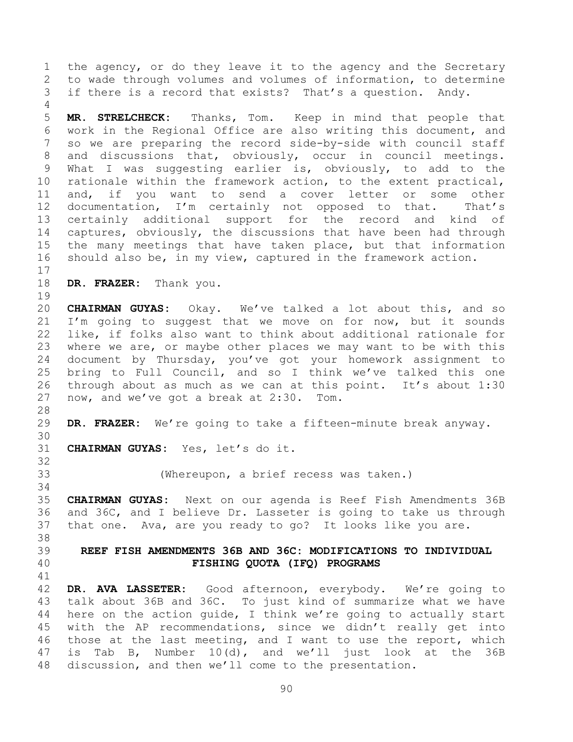1 the agency, or do they leave it to the agency and the Secretary<br>2 to wade through volumes and volumes of information, to determine 2 to wade through volumes and volumes of information, to determine<br>3 if there is a record that exists? That's a question. Andy. if there is a record that exists? That's a question. Andy.

 $\frac{4}{5}$ 5 **MR. STRELCHECK:** Thanks, Tom. Keep in mind that people that 6 work in the Regional Office are also writing this document, and<br>7 so we are preparing the record side-by-side with council staff 7 so we are preparing the record side-by-side with council staff 8 and discussions that, obviously, occur in council meetings. 9 What I was suggesting earlier is, obviously, to add to the<br>10 rationale within the framework action, to the extent practical, 10 rationale within the framework action, to the extent practical,<br>11 and, if you want to send a cover letter or some other 11 and, if you want to send a cover letter or some other<br>12 documentation, I'm certainly not opposed to that. That's 12 documentation, I'm certainly not opposed to that.<br>13 certainly additional support for the record and 13 certainly additional support for the record and kind of<br>14 captures, obviously, the discussions that have been had through 14 captures, obviously, the discussions that have been had through<br>15 the many meetings that have taken place, but that information 15 the many meetings that have taken place, but that information<br>16 should also be, in my view, captured in the framework action. should also be, in my view, captured in the framework action.

 $\frac{17}{18}$ 

18 **DR. FRAZER:** Thank you.

31 **CHAIRMAN GUYAS:** Yes, let's do it.

19<br>20 20 **CHAIRMAN GUYAS:** Okay. We've talked a lot about this, and so<br>21 I'm going to suggest that we move on for now, but it sounds 21 I'm going to suggest that we move on for now, but it sounds<br>22 like, if folks also want to think about additional rationale for 22 like, if folks also want to think about additional rationale for<br>23 where we are, or maybe other places we may want to be with this 23 where we are, or maybe other places we may want to be with this<br>24 document by Thursday, you've got your homework assignment to 24 document by Thursday, you've got your homework assignment to<br>25 bring to Full Council, and so I think we've talked this one 25 bring to Full Council, and so I think we've talked this one<br>26 through about as much as we can at this point. It's about 1:30 26 through about as much as we can at this point. It's about  $1:30$ <br>27 now, and we've got a break at  $2:30$ . Tom. now, and we've got a break at 2:30. Tom.

28<br>29 29 **DR. FRAZER:** We're going to take a fifteen-minute break anyway. 30<br>31

32<br>33

(Whereupon, a brief recess was taken.)

34<br>35 35 **CHAIRMAN GUYAS:** Next on our agenda is Reef Fish Amendments 36B 36 and 36C, and I believe Dr. Lasseter is going to take us through<br>37 that one. Ava, are you ready to go? It looks like you are. that one. Ava, are you ready to go? It looks like you are.

## 38<br>39 39 **REEF FISH AMENDMENTS 36B AND 36C: MODIFICATIONS TO INDIVIDUAL** 40 **FISHING QUOTA (IFQ) PROGRAMS**

41<br>42 42 **DR. AVA LASSETER:** Good afternoon, everybody. We're going to 43 talk about 36B and 36C. To just kind of summarize what we have<br>44 here on the action quide, I think we're qoing to actually start here on the action guide, I think we're going to actually start 45 with the AP recommendations, since we didn't really get into<br>46 those at the last meeting, and I want to use the report, which 46 those at the last meeting, and I want to use the report, which<br>47 is Tab B, Number 10(d), and we'll just look at the 36B is Tab B, Number 10(d), and we'll just look at the 36B 48 discussion, and then we'll come to the presentation.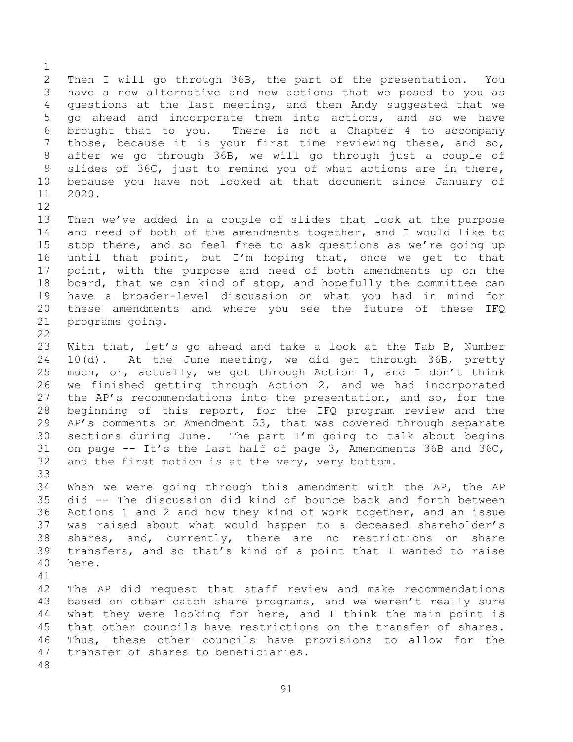$\frac{1}{2}$ 2 Then I will go through 36B, the part of the presentation. You<br>3 have a new alternative and new actions that we posed to you as 3 have a new alternative and new actions that we posed to you as<br>4 questions at the last meeting, and then Andy suggested that we 4 questions at the last meeting, and then Andy suggested that we<br>5 qo ahead and incorporate them into actions, and so we have 5 go ahead and incorporate them into actions, and so we have<br>6 brought that to you. There is not a Chapter 4 to accompany 6 brought that to you. There is not a Chapter 4 to accompany<br>7 those, because it is your first time reviewing these, and so, those, because it is your first time reviewing these, and so, 8 after we go through 36B, we will go through just a couple of 9 slides of 36C, just to remind you of what actions are in there,<br>10 because you have not looked at that document since January of 10 because you have not looked at that document since January of 11 2020.

 $\begin{array}{c} 12 \\ 13 \end{array}$ 13 Then we've added in a couple of slides that look at the purpose<br>14 and need of both of the amendments together, and I would like to 14 and need of both of the amendments together, and I would like to<br>15 stop there, and so feel free to ask questions as we're going up 15 stop there, and so feel free to ask questions as we're going up<br>16 until that point, but I'm hoping that, once we get to that until that point, but I'm hoping that, once we get to that 17 point, with the purpose and need of both amendments up on the<br>18 board, that we can kind of stop, and hopefully the committee can 18 board, that we can kind of stop, and hopefully the committee can<br>19 have a broader-level discussion on what you had in mind for 19 have a broader-level discussion on what you had in mind for 20 these amendments and where you see the future of these IFQ<br>21 programs going. programs going.

 $\frac{22}{23}$ 23 With that, let's go ahead and take a look at the Tab B, Number<br>24 10(d). At the June meeting, we did get through 36B, pretty 24 10(d). At the June meeting, we did get through 36B, pretty<br>25 much, or, actually, we got through Action 1, and I don't think 25 much, or, actually, we got through Action 1, and I don't think<br>26 we finished getting through Action 2, and we had incorporated 26 we finished getting through Action 2, and we had incorporated<br>27 the AP's recommendations into the presentation, and so, for the 27 the AP's recommendations into the presentation, and so, for the<br>28 beginning of this report, for the IFQ program review and the 28 beginning of this report, for the IFQ program review and the<br>29 AP's comments on Amendment 53, that was covered through separate 29 AP's comments on Amendment 53, that was covered through separate<br>30 sections during June. The part I'm going to talk about begins 30 sections during June. The part I'm going to talk about begins<br>31 on page  $-$  It's the last half of page 3, Amendments 36B and 36C, 31 on page  $-$  It's the last half of page 3, Amendments 36B and 36C,<br>32 and the first motion is at the very, very bottom. and the first motion is at the very, very bottom.

33<br>34

34 When we were going through this amendment with the AP, the AP<br>35 did -- The discussion did kind of bounce back and forth between 35 did -- The discussion did kind of bounce back and forth between<br>36 Actions 1 and 2 and how they kind of work together, and an issue 36 Actions 1 and 2 and how they kind of work together, and an issue<br>37 was raised about what would happen to a deceased shareholder's 37 was raised about what would happen to a deceased shareholder's<br>38 shares, and, currently, there are no restrictions on share 38 shares, and, currently, there are no restrictions on share<br>39 transfers, and so that's kind of a point that I wanted to raise transfers, and so that's kind of a point that I wanted to raise 40 here.

41<br>42

42 The AP did request that staff review and make recommendations<br>43 based on other catch share programs, and we weren't really sure 43 based on other catch share programs, and we weren't really sure<br>44 what they were looking for here, and I think the main point is 44 what they were looking for here, and I think the main point is<br>45 that other councils have restrictions on the transfer of shares. 45 that other councils have restrictions on the transfer of shares.<br>46 Thus, these other councils have provisions to allow for the 46 Thus, these other councils have provisions to allow for the 47 transfer of shares to beneficiaries. transfer of shares to beneficiaries.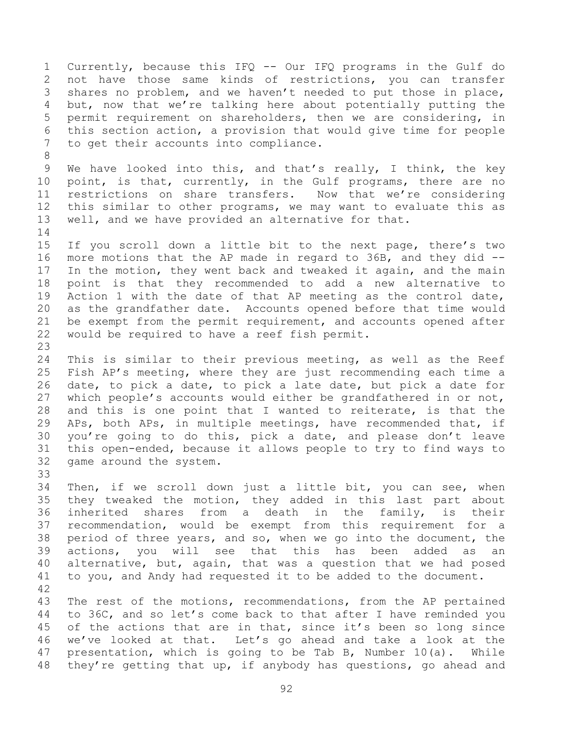1 Currently, because this IFQ -- Our IFQ programs in the Gulf do<br>2 not have those same kinds of restrictions, you can transfer 2 not have those same kinds of restrictions, you can transfer<br>3 shares no problem, and we haven't needed to put those in place, 3 shares no problem, and we haven't needed to put those in place,<br>4 but, now that we're talking here about potentially putting the 4 but, now that we're talking here about potentially putting the<br>5 permit requirement on shareholders, then we are considering, in 5 permit requirement on shareholders, then we are considering,<br>6 this section action, a provision that would give time for peor 6 this section action, a provision that would give time for people<br>7 to get their accounts into compliance. to get their accounts into compliance.

9 We have looked into this, and that's really, I think, the key<br>10 point, is that, currently, in the Gulf programs, there are no 10 point, is that, currently, in the Gulf programs, there are no<br>11 restrictions on share transfers. Now that we're considering 11 restrictions on share transfers.<br>12 this similar to other programs, we 12 this similar to other programs, we may want to evaluate this as<br>13 well, and we have provided an alternative for that. well, and we have provided an alternative for that.

8

 $\frac{14}{15}$ 15 If you scroll down a little bit to the next page, there's two<br>16 more motions that the AP made in regard to 36B, and they did -more motions that the AP made in regard to 36B, and they did  $-$ -17 In the motion, they went back and tweaked it again, and the main<br>18 point is that they recommended to add a new alternative to 18 point is that they recommended to add a new alternative to<br>19 Action 1 with the date of that AP meeting as the control date. 19 Action 1 with the date of that AP meeting as the control date,<br>20 as the grandfather date. Accounts opened before that time would 20 as the grandfather date. Accounts opened before that time would<br>21 be exempt from the permit requirement, and accounts opened after 21 be exempt from the permit requirement, and accounts opened after<br>22 would be required to have a reef fish permit. would be required to have a reef fish permit.

 $\frac{23}{24}$ 24 This is similar to their previous meeting, as well as the Reef<br>25 Fish AP's meeting, where they are just recommending each time a 25 Fish AP's meeting, where they are just recommending each time a<br>26 date, to pick a date, to pick a late date, but pick a date for 26 date, to pick a date, to pick a late date, but pick a date for<br>27 which people's accounts would either be grandfathered in or not, 27 which people's accounts would either be grandfathered in or not,<br>28 and this is one point that I wanted to reiterate, is that the 28 and this is one point that I wanted to reiterate, is that the<br>29 APs, both APs, in multiple meetings, have recommended that, if 29 APs, both APs, in multiple meetings, have recommended that, if<br>30 vou're going to do this, pick a date, and please don't leave 30 you're going to do this, pick a date, and please don't leave<br>31 this open-ended, because it allows people to try to find ways to this open-ended, because it allows people to try to find ways to 32 game around the system.

33<br>34 34 Then, if we scroll down just a little bit, you can see, when<br>35 they tweaked the motion, they added in this last part about 35 they tweaked the motion, they added in this last part about<br>36 inherited shares from a death in the family, is their 36 inherited shares from a death in the family, is their<br>37 recommendation, would be exempt from this requirement for a 37 recommendation, would be exempt from this requirement for a<br>38 period of three years, and so, when we go into the document, the 38 period of three years, and so, when we go into the document, the<br>39 actions, you will see that this has been added as an actions, you will see that this has been added as 40 alternative, but, again, that was a question that we had posed 41 to you, and Andy had requested it to be added to the document.

42 43 The rest of the motions, recommendations, from the AP pertained<br>44 to 36C, and so let's come back to that after I have reminded you 44 to 36C, and so let's come back to that after I have reminded you<br>45 of the actions that are in that, since it's been so long since 45 of the actions that are in that, since it's been so long since<br>46 we've looked at that. Let's go ahead and take a look at the 46 we've looked at that. Let's go ahead and take a look at the<br>47 presentation, which is going to be Tab B, Number 10(a). While presentation, which is going to be Tab B, Number 10(a). While 48 they're getting that up, if anybody has questions, go ahead and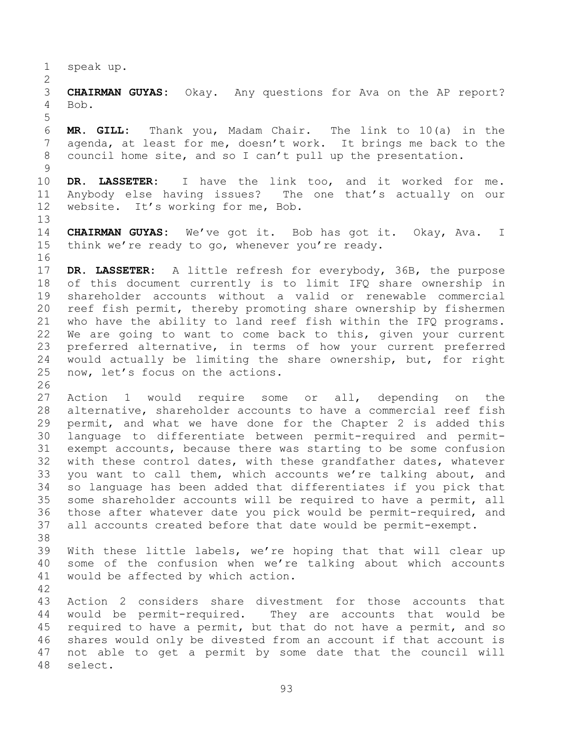1 speak up.

 $\frac{2}{3}$ 3 **CHAIRMAN GUYAS:** Okay. Any questions for Ava on the AP report? 4 Bob.

5 6 **MR. GILL:** Thank you, Madam Chair. The link to 10(a) in the agenda, at least for me, doesn't work. It brings me back to the 8 council home site, and so I can't pull up the presentation.

 $\begin{array}{c} 9 \\ 10 \end{array}$ 10 **DR. LASSETER:** I have the link too, and it worked for me. 11 Anybody else having issues? The one that's actually on our<br>12 website. It's working for me, Bob. website. It's working for me, Bob.

13<br>14 14 **CHAIRMAN GUYAS:** We've got it. Bob has got it. Okay, Ava. I<br>15 think we're ready to go, whenever you're ready. think we're ready to go, whenever you're ready. 16

17 **DR. LASSETER:** A little refresh for everybody, 36B, the purpose 18 of this document currently is to limit IFQ share ownership in<br>19 shareholder accounts without a valid or renewable commercial 19 shareholder accounts without a valid or renewable commercial<br>20 reef fish permit, thereby promoting share ownership by fishermen 20 reef fish permit, thereby promoting share ownership by fishermen<br>21 who have the ability to land reef fish within the IFO programs. 21 who have the ability to land reef fish within the IFQ programs.<br>22 We are going to want to come back to this, given your current 22 We are going to want to come back to this, given your current<br>23 preferred alternative, in terms of how your current preferred 23 preferred alternative, in terms of how your current preferred<br>24 would actually be limiting the share ownership, but, for right 24 would actually be limiting the share ownership, but, for right<br>25 now, let's focus on the actions. now, let's focus on the actions.

26<br>27 27 Action 1 would require some or all, depending on the<br>28 alternative, shareholder-accounts to have a commercial reef fish 28 alternative, shareholder accounts to have a commercial reef fish<br>29 permit, and what we have done for the Chapter 2 is added this 29 permit, and what we have done for the Chapter 2 is added this<br>30 language to differentiate between permit-required and permit-30 language to differentiate between permit-required and permitexempt accounts, because there was starting to be some confusion 32 with these control dates, with these grandfather dates, whatever<br>33 you want to call them, which accounts we're talking about, and 33 you want to call them, which accounts we're talking about, and<br>34 so language has been added that differentiates if you pick that 34 so language has been added that differentiates if you pick that<br>35 some shareholder accounts will be required to have a permit, all 35 some shareholder accounts will be required to have a permit, all<br>36 those after whatever date you pick would be permit-required, and 36 those after whatever date you pick would be permit-required, and<br>37 all accounts created before that date would be permit-exempt. all accounts created before that date would be permit-exempt.

38<br>39 With these little labels, we're hoping that that will clear up 40 some of the confusion when we're talking about which accounts 41 would be affected by which action.

42 43 Action 2 considers share divestment for those accounts that<br>44 would be permit-required. They are accounts that would be 44 would be permit-required. They are accounts that would be<br>45 required to have a permit, but that do not have a permit, and so 45 required to have a permit, but that do not have a permit, and so<br>46 shares would only be divested from an account if that account is 46 shares would only be divested from an account if that account is<br>47 not able to get a permit by some date that the council will not able to get a permit by some date that the council will 48 select.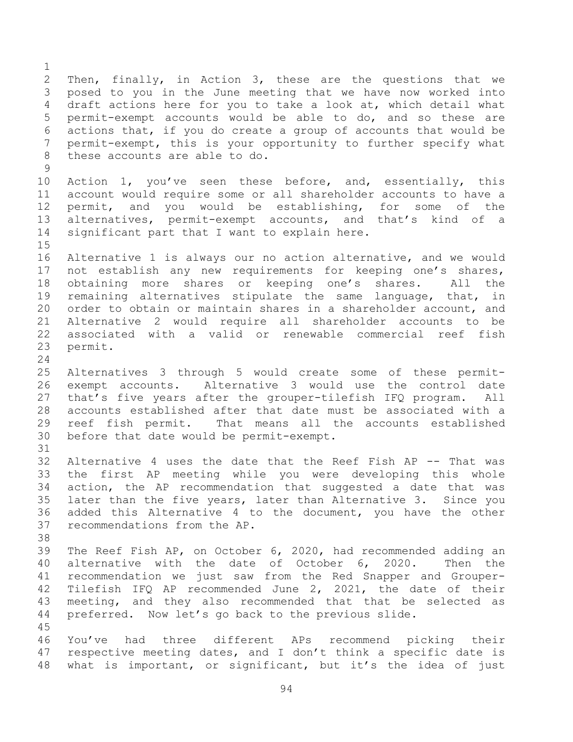$\frac{1}{2}$ 2 Then, finally, in Action 3, these are the questions that we<br>3 posed to you in the June meeting that we have now worked into 3 posed to you in the June meeting that we have now worked into<br>4 draft actions here for you to take a look at, which detail what 4 draft actions here for you to take a look at, which detail what<br>5 permit-exempt accounts would be able to do, and so these are 5 permit-exempt accounts would be able to do, and so these are<br>6 actions that, if you do create a group of accounts that would be 6 actions that, if you do create a group of accounts that would be<br>7 permit-exempt, this is your opportunity to further specify what permit-exempt, this is your opportunity to further specify what 8 these accounts are able to do.  $\begin{array}{c} 9 \\ 10 \end{array}$ 10 Action 1, you've seen these before, and, essentially, this<br>11 account would require some or all shareholder accounts to have a 11 account would require some or all shareholder accounts to have a<br>12 permit, and you would be establishing, for some of the 12 permit, and you would be establishing, for some of the<br>13 alternatives, permit-exempt accounts, and that's kind of a 13 alternatives, permit-exempt accounts, and that's kind of a<br>14 significant part that I want to explain here. significant part that I want to explain here.  $\frac{15}{16}$ Alternative 1 is always our no action alternative, and we would 17 not establish any new requirements for keeping one's shares,<br>18 obtaining more shares or keeping one's shares. All the 18 obtaining more shares or keeping one's shares.<br>19 remaining alternatives stipulate the same language 19 remaining alternatives stipulate the same language, that, in<br>20 order to obtain or maintain shares in a shareholder account, and 20 order to obtain or maintain shares in a shareholder account, and<br>21 Alternative 2 would require all shareholder accounts to be 21 Alternative 2 would require all shareholder accounts to be<br>22 associated with a valid or renewable commercial reef fish 22 associated with a valid or renewable commercial reef fish<br>23 permit. permit.  $\frac{24}{25}$ 25 Alternatives 3 through 5 would create some of these permit-<br>26 exempt accounts. Alternative 3 would use the control date 26 exempt accounts. Alternative 3 would use the control date<br>27 that's five years after the grouper-tilefish IFQ program. All 27 that's five years after the grouper-tilefish IFQ program. All<br>28 accounts established after that date must be associated with a 28 accounts established after that date must be associated with a<br>29 reef fish permit. That means all the accounts established 29 reef fish permit. That means all the accounts established<br>30 before that date would be permit-exempt. before that date would be permit-exempt. 31 32 Alternative 4 uses the date that the Reef Fish AP -- That was<br>33 the first AP meeting while you were developing this whole 33 the first AP meeting while you were developing this whole<br>34 action, the AP recommendation that suggested a date that was 34 action, the AP recommendation that suggested a date that was<br>35 later than the five years, later than Alternative 3. Since you 35 later than the five years, later than Alternative 3. Since you<br>36 added this Alternative 4 to the document, you have the other 36 added this Alternative 4 to the document, you have the other<br>37 recommendations from the AP. recommendations from the AP. 38<br>39 The Reef Fish AP, on October 6, 2020, had recommended adding an<br>alternative with the date of October 6, 2020. Then the 40 alternative with the date of October 6, 2020. 41 recommendation we just saw from the Red Snapper and Grouper-<br>42 Tilefish IFO AP recommended June 2, 2021, the date of their 42 Tilefish IFQ AP recommended June 2, 2021, the date of their<br>43 meeting, and they also recommended that that be selected as 43 meeting, and they also recommended that that be selected as<br>44 preferred. Now let's go back to the previous slide. preferred. Now let's go back to the previous slide. 45 46 You've had three different APs recommend picking their<br>47 respective meeting dates, and I don't think a specific date is respective meeting dates, and I don't think a specific date is 48 what is important, or significant, but it's the idea of just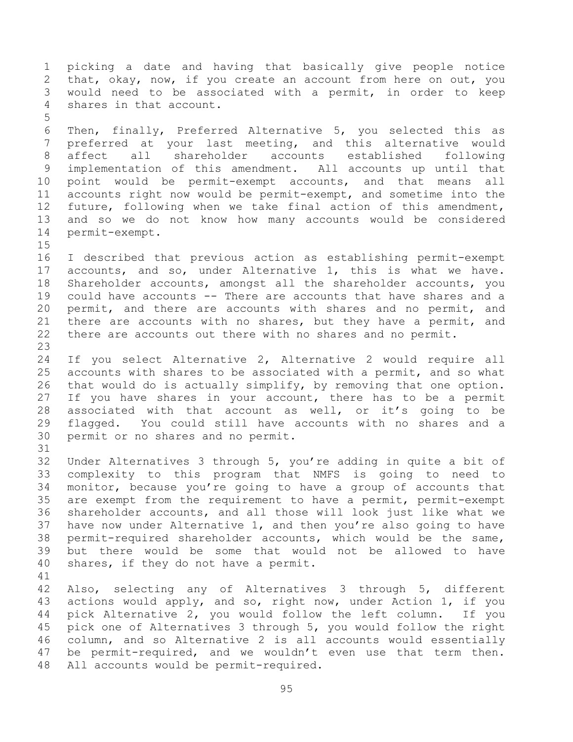1 picking a date and having that basically give people notice<br>2 that, okay, now, if you create an account from here on out, you 2 that, okay, now, if you create an account from here on out, you<br>3 would need to be associated with a permit, in order to keep 3 would need to be associated with a permit, in order to keep<br>4 shares in that account. shares in that account. 5 6 Then, finally, Preferred Alternative 5, you selected this as<br>7 preferred at your last meeting, and this alternative would preferred at your last meeting, and this alternative would<br>affect all shareholder accounts established following 8 affect all shareholder accounts established following 9 implementation of this amendment. All accounts up until that<br>10 point would be permit-exempt accounts, and that means all 10 point would be permit-exempt accounts, and that means all<br>11 accounts right now would be permit-exempt, and sometime into the 11 accounts right now would be permit-exempt, and sometime into the<br>12 future, following when we take final action of this amendment, 12 future, following when we take final action of this amendment,<br>13 and so we do not know how many accounts would be considered 13 and so we do not know how many accounts would be considered<br>14 permit-exempt. permit-exempt.  $15$ <br> $16$ I described that previous action as establishing permit-exempt 17 accounts, and so, under Alternative 1, this is what we have.<br>18 Shareholder accounts, amongst all the shareholder accounts, you 18 Shareholder accounts, amongst all the shareholder accounts, you<br>19 could have accounts -- There are accounts that have shares and a 19 could have accounts -- There are accounts that have shares and a<br>20 permit, and there are accounts with shares and no permit, and 20 permit, and there are accounts with shares and no permit, and<br>21 there are accounts with no shares, but they have a permit, and 21 there are accounts with no shares, but they have a permit, and<br>22 there are accounts out there with no shares and no permit. there are accounts out there with no shares and no permit.  $\frac{23}{24}$ 24 If you select Alternative 2, Alternative 2 would require all<br>25 accounts with shares to be associated with a permit, and so what 25 accounts with shares to be associated with a permit, and so what<br>26 that would do is actually simplify, by removing that one option. 26 that would do is actually simplify, by removing that one option.<br>27 If you have shares in your account, there has to be a permit 27 If you have shares in your account, there has to be a permit<br>28 associated with that account as well, or it's going to be 28 associated with that account as well, or it's going to be<br>29 flagged. You could still have accounts with no shares and a 29 flagged. You could still have accounts with no shares and a<br>30 permit or no shares and no permit. permit or no shares and no permit. 31 32 Under Alternatives 3 through 5, you're adding in quite a bit of<br>33 complexity to this program that NMFS is going to need to 33 complexity to this program that NMFS is going to need to<br>34 monitor, because vou're going to have a group of accounts that 34 monitor, because you're going to have a group of accounts that<br>35 are exempt from the requirement to have a permit, permit-exempt 35 are exempt from the requirement to have a permit, permit-exempt<br>36 shareholder accounts, and all those will look just like what we 36 shareholder accounts, and all those will look just like what we<br>37 have now under Alternative 1, and then you're also going to have 37 have now under Alternative 1, and then you're also going to have<br>38 permit-required shareholder accounts, which would be the same, 38 permit-required shareholder accounts, which would be the same,<br>39 but there would be some that would not be allowed to have but there would be some that would not be allowed to have 40 shares, if they do not have a permit. 41<br>42 42 Also, selecting any of Alternatives 3 through 5, different<br>43 actions would apply, and so, right now, under Action 1, if you 43 actions would apply, and so, right now, under Action 1, if you<br>44 pick Alternative 2, you would follow the left column. If you 44 pick Alternative 2, you would follow the left column. If you<br>45 pick one of Alternatives 3 through 5, you would follow the right 45 pick one of Alternatives 3 through 5, you would follow the right<br>46 column, and so Alternative 2 is all accounts would essentially 46 column, and so Alternative 2 is all accounts would essentially<br>47 be permit-required, and we wouldn't even use that term then. be permit-required, and we wouldn't even use that term then. 48 All accounts would be permit-required.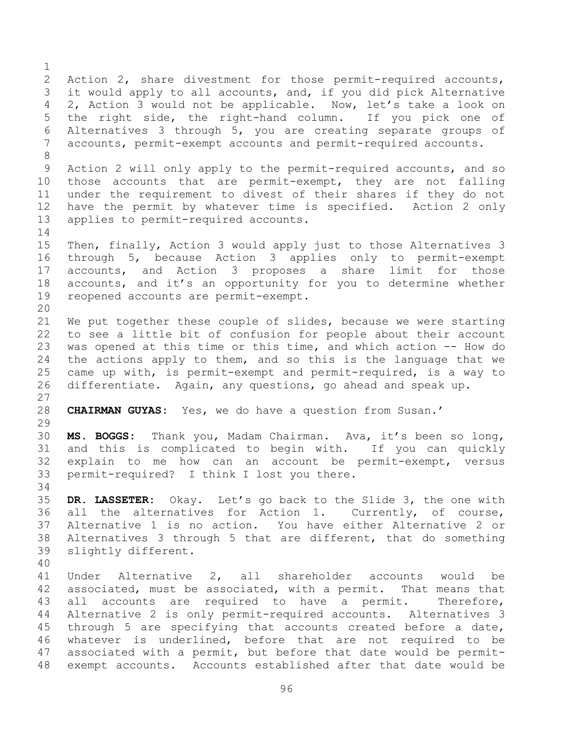$\frac{1}{2}$ 2 Action 2, share divestment for those permit-required accounts,<br>3 it would apply to all accounts, and, if you did pick Alternative 3 it would apply to all accounts, and, if you did pick Alternative<br>4 2. Action 3 would not be applicable. Now, let's take a look on 4 2, Action 3 would not be applicable. Now, let's take a look on<br>5 the right side, the right-hand column. If you pick one of 5 the right side, the right-hand column. If you pick one of<br>6 Alternatives 3 through 5, you are creating separate groups of 6 Alternatives 3 through 5, you are creating separate groups of<br>7 accounts, permit-exempt accounts and permit-required accounts. accounts, permit-exempt accounts and permit-required accounts. 8 9 Action 2 will only apply to the permit-required accounts, and so<br>10 those accounts that are permit-exempt, they are not falling 10 those accounts that are permit-exempt, they are not falling<br>11 under the requirement to divest of their shares if they do not 11 under the requirement to divest of their shares if they do not<br>12 have the permit by whatever time is specified. Action 2 only 12 have the permit by whatever time is specified. Action 2 only<br>13 applies to permit-required accounts. applies to permit-required accounts.  $\frac{14}{15}$ 15 Then, finally, Action 3 would apply just to those Alternatives 3<br>16 through 5, because Action 3 applies only to permit-exempt through 5, because Action 3 applies only to permit-exempt 17 accounts, and Action 3 proposes a share limit for those<br>18 accounts, and it's an opportunity for you to determine whether 18 accounts, and it's an opportunity for you to determine whether<br>19 reopened accounts are permit-exempt. reopened accounts are permit-exempt. 20<br>21 21 We put together these couple of slides, because we were starting<br>22 to see a little bit of confusion for people about their account 22 to see a little bit of confusion for people about their account<br>23 was opened at this time or this time, and which action -- How do 23 was opened at this time or this time, and which action -- How do<br>24 the actions apply to them, and so this is the language that we 24 the actions apply to them, and so this is the language that we<br>25 came up with, is permit-exempt and permit-required, is a way to 25 came up with, is permit-exempt and permit-required, is a way to<br>26 differentiate. Again, any questions, go ahead and speak up. differentiate. Again, any questions, go ahead and speak up.  $\frac{27}{28}$ 28 **CHAIRMAN GUYAS:** Yes, we do have a question from Susan.'  $\frac{29}{30}$ 30 **MS. BOGGS:** Thank you, Madam Chairman. Ava, it's been so long, and this is complicated to begin with. If you can quickly 32 explain to me how can an account be permit-exempt, versus<br>33 permit-required? I think I lost you there. permit-required? I think I lost you there. 34<br>35 35 **DR. LASSETER:** Okay. Let's go back to the Slide 3, the one with 36 all the alternatives for Action 1. Currently, of course,<br>37 Alternative 1 is no action. You have either Alternative 2 or 37 Alternative 1 is no action. You have either Alternative 2 or<br>38 Alternatives 3 through 5 that are different, that do something 38 Alternatives 3 through 5 that are different, that do something<br>39 slightly different. slightly different. 40 41 Under Alternative 2, all shareholder accounts would be<br>42 associated, must be associated, with a permit. That means that 42 associated, must be associated, with a permit. That means that<br>43 all accounts are required to have a permit. Therefore, 43 all accounts are required to have a permit.<br>44 Alternative 2 is only permit-required accounts. *I* 44 Alternative 2 is only permit-required accounts. Alternatives 3<br>45 through 5 are specifying that accounts created before a date, 45 through 5 are specifying that accounts created before a date,<br>46 whatever is underlined, before that are not required to be 46 whatever is underlined, before that are not required to be<br>47 associated with a permit, but before that date would be permitassociated with a permit, but before that date would be permit-48 exempt accounts. Accounts established after that date would be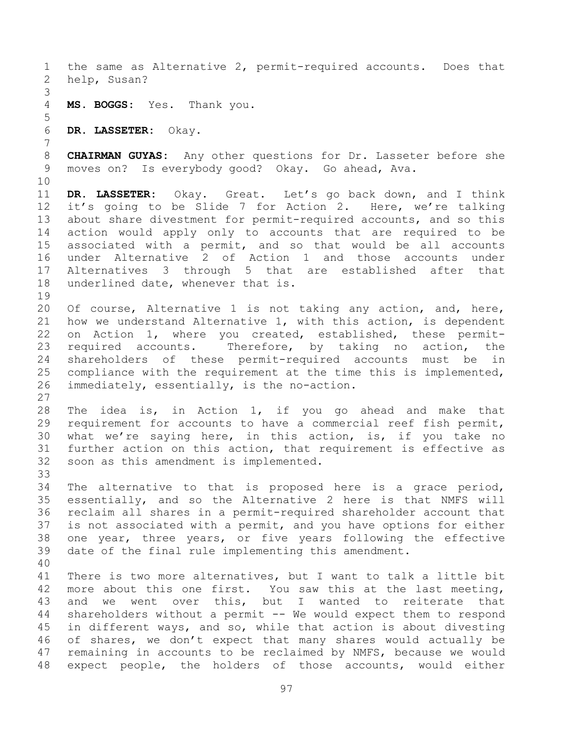1 the same as Alternative 2, permit-required accounts. Does that<br>2 help, Susan? help, Susan? 3 4 **MS. BOGGS:** Yes. Thank you. 5 6 **DR. LASSETER:** Okay. 7 8 **CHAIRMAN GUYAS:** Any other questions for Dr. Lasseter before she 9 moves on? Is everybody good? Okay. Go ahead, Ava. 10<br>11 11 **DR. LASSETER:** Okay. Great. Let's go back down, and I think 12 it's going to be Slide 7 for Action 2. Here, we're talking<br>13 about share divestment for permit-required accounts, and so this 13 about share divestment for permit-required accounts, and so this<br>14 action would apply only to accounts that are required to be 14 action would apply only to accounts that are required to be<br>15 associated with a permit, and so that would be all accounts 15 associated with a permit, and so that would be all accounts<br>16 under Alternative 2 of Action 1 and those accounts under 16 under Alternative 2 of Action 1 and those accounts under<br>17 Alternatives 3 through 5 that are established after that 17 Alternatives 3 through 5 that are established after that<br>18 underlined date, whenever that is. underlined date, whenever that is. 19<br>20 20 Of course, Alternative 1 is not taking any action, and, here,<br>21 how we understand Alternative 1, with this action, is dependent 21 how we understand Alternative 1, with this action, is dependent<br>22 on Action 1, where you created, established, these permit-22 on Action 1, where you created, established, these permit-<br>23 required accounts. Therefore, by taking no action, the 23 required accounts. Therefore, by taking no action, the<br>24 shareholders of these permit-required accounts must be in 24 shareholders of these permit-required accounts must be in<br>25 compliance with the requirement at the time this is implemented, 25 compliance with the requirement at the time this is implemented,<br>26 immediately, essentially, is the no-action. immediately, essentially, is the no-action.  $\frac{27}{28}$ 28 The idea is, in Action 1, if you go ahead and make that<br>29 requirement for accounts to have a commercial reef fish permit, 29 requirement for accounts to have a commercial reef fish permit,<br>30 what we're saying here, in this action, is, if you take no 30 what we're saying here, in this action, is, if you take no<br>31 further action on this action, that requirement is effective as further action on this action, that requirement is effective as 32 soon as this amendment is implemented. 33<br>34 34 The alternative to that is proposed here is a grace period,<br>35 essentially, and so the Alternative 2 here is that NMFS will 35 essentially, and so the Alternative 2 here is that NMFS will<br>36 reclaim all shares in a permit-required shareholder account that 36 reclaim all shares in a permit-required shareholder account that<br>37 is not associated with a permit, and you have options for either 37 is not associated with a permit, and you have options for either<br>38 one year, three years, or five years following the effective 38 one year, three years, or five years following the effective<br>39 date of the final rule implementing this amendment. date of the final rule implementing this amendment. 40 41 There is two more alternatives, but I want to talk a little bit<br>42 more about this one first. You saw this at the last meeting, 42 more about this one first. You saw this at the last meeting,<br>43 and we went over this, but I wanted to reiterate that 43 and we went over this, but I wanted to reiterate that<br>44 shareholders without a permit -- We would expect them to respond 44 shareholders without a permit -- We would expect them to respond<br>45 in different ways, and so, while that action is about divesting 45 in different ways, and so, while that action is about divesting<br>46 of shares, we don't expect that many shares would actually be 46 of shares, we don't expect that many shares would actually be<br>47 remaining in accounts to be reclaimed by NMFS, because we would remaining in accounts to be reclaimed by NMFS, because we would 48 expect people, the holders of those accounts, would either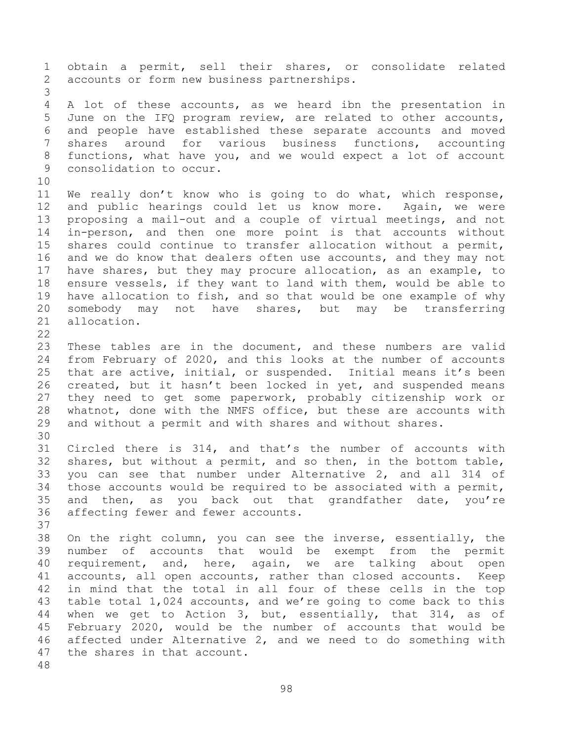1 obtain a permit, sell their shares, or consolidate related<br>2 accounts or form new business partnerships. accounts or form new business partnerships. 3 4 A lot of these accounts, as we heard ibn the presentation in<br>5 June on the IFQ program review, are related to other accounts, June on the IFQ program review, are related to other accounts, 6 and people have established these separate accounts and moved<br>7 shares around for various business functions, accounting shares around for various business 8 functions, what have you, and we would expect a lot of account 9 consolidation to occur. 10<br>11 11 We really don't know who is going to do what, which response,<br>12 and public hearings could let us know more. Again, we were 12 and public hearings could let us know more. Again, we were<br>13 proposing a mail-out and a couple of virtual meetings, and not 13 proposing a mail-out and a couple of virtual meetings, and not<br>14 in-person, and then one more point is that accounts without 14 in-person, and then one more point is that accounts without<br>15 shares could continue to transfer allocation without a permit, 15 shares could continue to transfer allocation without a permit,<br>16 and we do know that dealers often use accounts, and they may not and we do know that dealers often use accounts, and they may not 17 have shares, but they may procure allocation, as an example, to<br>18 ensure vessels, if they want to land with them, would be able to 18 ensure vessels, if they want to land with them, would be able to<br>19 have allocation to fish, and so that would be one example of why 19 have allocation to fish, and so that would be one example of why<br>20 somebody may not have shares, but may be transferring 20 somebody may not have shares, but<br>21 allocation. allocation.  $\frac{22}{23}$ 23 These tables are in the document, and these numbers are valid<br>24 from February of 2020, and this looks at the number of accounts 24 from February of 2020, and this looks at the number of accounts<br>25 that are active, initial, or suspended. Initial means it's been 25 that are active, initial, or suspended. Initial means it's been<br>26 created, but it hasn't been locked in yet, and suspended means 26 created, but it hasn't been locked in yet, and suspended means<br>27 they need to get some paperwork, probably citizenship work or 27 they need to get some paperwork, probably citizenship work or<br>28 whatnot, done with the NMFS office, but these are accounts with 28 whatnot, done with the NMFS office, but these are accounts with<br>29 and without a permit and with shares and without shares. and without a permit and with shares and without shares. 30<br>31 Circled there is 314, and that's the number of accounts with 32 shares, but without a permit, and so then, in the bottom table,<br>33 you can see that number under Alternative 2, and all 314 of 33 you can see that number under Alternative 2, and all 314 of<br>34 those accounts would be required to be associated with a permit, 34 those accounts would be required to be associated with a permit,<br>35 and then, as you back out that grandfather date, you're 35 and then, as you back out that grandfather date, you're<br>36 affecting fewer and fewer accounts. affecting fewer and fewer accounts. 37<br>38 38 On the right column, you can see the inverse, essentially, the<br>39 number of accounts that would be exempt from the permit number of accounts that would be exempt from the permit 40 requirement, and, here, again, we are talking about open 41 accounts, all open accounts, rather than closed accounts. Keep<br>42 in mind that the total in all four of these cells in the top 42 in mind that the total in all four of these cells in the top<br>43 table total 1,024 accounts, and we're going to come back to this 43 table total 1,024 accounts, and we're going to come back to this<br>44 when we get to Action 3, but, essentially, that 314, as of 44 when we get to Action 3, but, essentially, that 314, as of<br>45 February 2020, would be the number of accounts that would be 45 February 2020, would be the number of accounts that would be<br>46 affected under Alternative 2, and we need to do something with 46 affected under Alternative 2, and we need to do something with  $47$  the shares in that account. the shares in that account. 48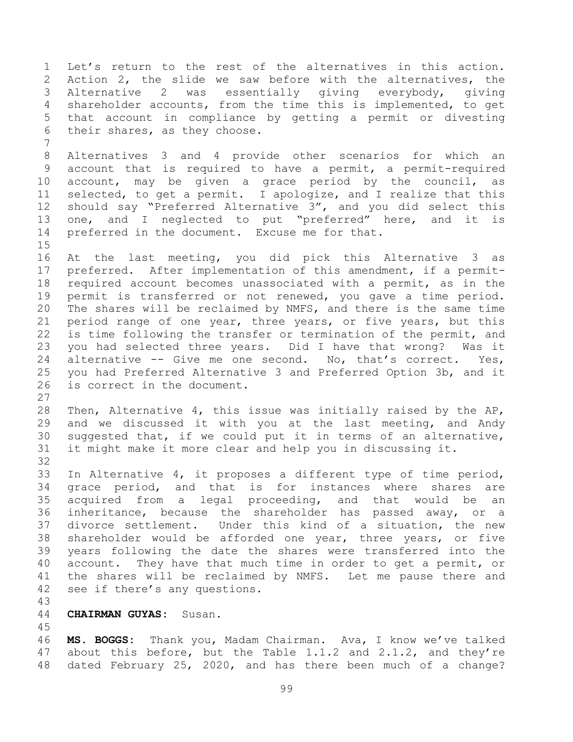1 Let's return to the rest of the alternatives in this action.<br>2 Action 2, the slide we saw before with the alternatives, the 2 Action 2, the slide we saw before with the alternatives, the<br>3 Alternative 2 was essentially giving everybody, giving 3 Alternative 2 was essentially giving everybody,<br>4 shareholder accounts, from the time this is implemented 4 shareholder accounts, from the time this is implemented, to get<br>5 that account in compliance by getting a permit or divesting 5 that account in compliance by getting a permit or divesting<br>6 their shares, as they choose. their shares, as they choose. 7 8 Alternatives 3 and 4 provide other scenarios for which an 9 account that is required to have a permit, a permit-required<br>10 account, may be given a grace period by the council, as 10 account, may be given a grace period by the council, as<br>11 selected, to get a permit. I apologize, and I realize that this 11 selected, to get a permit. I apologize, and I realize that this<br>12 should say "Preferred Alternative 3", and you did select this 12 should say "Preferred Alternative 3", and you did select this<br>13 one, and I neglected to put "preferred" here, and it is 13 one, and I neglected to put "preferred" here, and it is<br>14 preferred in the document. Excuse me for that. preferred in the document. Excuse me for that.  $15$ <br> $16$ At the last meeting, you did pick this Alternative 3 as 17 preferred. After implementation of this amendment, if a permit-<br>18 required account becomes unassociated with a permit, as in the 18 required account becomes unassociated with a permit, as in the<br>19 permit is transferred or not renewed, you gave a time period. 19 permit is transferred or not renewed, you gave a time period.<br>20 The shares will be reclaimed by NMFS, and there is the same time 20 The shares will be reclaimed by NMFS, and there is the same time<br>21 period range of one vear, three vears, or five vears, but this 21 period range of one year, three years, or five years, but this<br>22 is time following the transfer or termination of the permit, and 22 is time following the transfer or termination of the permit, and<br>23 you had selected three years. Did I have that wrong? Was it 23 you had selected three years. Did I have that wrong? Was it<br>24 alternative -- Give me one second. No, that's correct. Yes, 24 alternative -- Give me one second. No, that's correct. Yes,<br>25 you had Preferred Alternative 3 and Preferred Option 3b, and it 25 you had Preferred Alternative 3 and Preferred Option 3b, and it<br>26 is correct in the document. is correct in the document.  $\frac{27}{28}$ 28 Then, Alternative 4, this issue was initially raised by the AP,<br>29 and we discussed it with you at the last meeting, and Andy 29 and we discussed it with you at the last meeting, and Andy<br>30 suggested that, if we could put it in terms of an alternative, 30 suggested that, if we could put it in terms of an alternative,<br>31 it might make it more clear and help you in discussing it. it might make it more clear and help you in discussing it. 32<br>33 33 In Alternative 4, it proposes a different type of time period,<br>34 grace period, and that is for instances where shares are 34 grace period, and that is for instances where shares are<br>35 acquired from a legal proceeding, and that would be an 35 acquired from a legal proceeding, and that would be an<br>36 inheritance, because the shareholder has passed away, or a 36 inheritance, because the shareholder has passed away, or a 37 divorce settlement. Under this kind of a situation, the new<br>38 shareholder would be afforded one year, three years, or five 38 shareholder would be afforded one year, three years, or five<br>39 vears following the date the shares were transferred into the years following the date the shares were transferred into the 40 account. They have that much time in order to get a permit, or 41 the shares will be reclaimed by NMFS. Let me pause there and<br>42 see if there's anv questions. see if there's any questions. 43 44 **CHAIRMAN GUYAS:** Susan.

45 46 **MS. BOGGS:** Thank you, Madam Chairman. Ava, I know we've talked about this before, but the Table 1.1.2 and  $2.1.2$ , and they're 48 dated February 25, 2020, and has there been much of a change?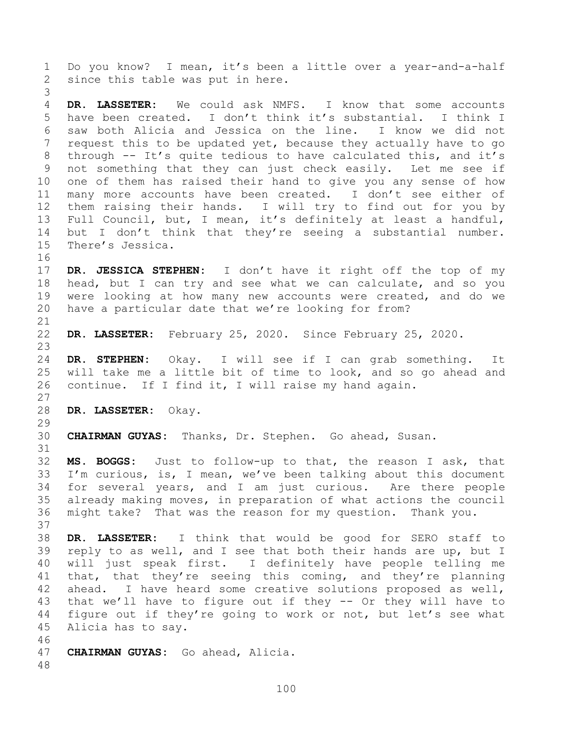1 Do you know? I mean, it's been a little over a year-and-a-half<br>2 since this table was put in here. since this table was put in here.

3 4 **DR. LASSETER:** We could ask NMFS. I know that some accounts I don't think it's substantial. I think I<br>Jessica on the line. I know we did not 6 saw both Alicia and Jessica on the line.<br>7 request this to be updated vet, because they request this to be updated yet, because they actually have to go 8 through -- It's quite tedious to have calculated this, and it's 9 not something that they can just check easily. Let me see if<br>10 one of them has raised their hand to give you any sense of how 10 one of them has raised their hand to give you any sense of how<br>11 many more accounts have been created. I don't see either of 11 many more accounts have been created. I don't see either of<br>12 them raising their hands. I will try to find out for you by 12 them raising their hands. I will try to find out for you by<br>13 Full Council, but, I mean, it's definitely at least a handful, 13 Full Council, but, I mean, it's definitely at least a handful,<br>14 but I don't think that they're seeing a substantial number. 14 but I don't think that they're seeing a substantial number.<br>15 There's Jessica. There's Jessica.

17 **DR. JESSICA STEPHEN:** I don't have it right off the top of my 18 head, but I can try and see what we can calculate, and so you<br>19 were looking at how many new accounts were created, and do we 19 were looking at how many new accounts were created, and do we<br>20 have a particular date that we're looking for from? have a particular date that we're looking for from?

21<br>22 22 **DR. LASSETER:** February 25, 2020. Since February 25, 2020.

23 24 **DR. STEPHEN:** Okay. I will see if I can grab something. It 25 will take me a little bit of time to look, and so go ahead and<br>26 continue. If I find it, I will raise my hand again. continue. If I find it, I will raise my hand again.

 $\frac{27}{28}$ 28 **DR. LASSETER:** Okay.

16

31

29<br>30 30 **CHAIRMAN GUYAS:** Thanks, Dr. Stephen. Go ahead, Susan.

32 **MS. BOGGS:** Just to follow-up to that, the reason I ask, that 33 I'm curious, is, I mean, we've been talking about this document<br>34 for several vears, and I am just curious. Are there people 34 for several years, and I am just curious. Are there people<br>35 already making moves, in preparation of what actions the council 35 already making moves, in preparation of what actions the council<br>36 might take? That was the reason for my question. Thank you. might take? That was the reason for my question. Thank you.

37<br>38 38 **DR. LASSETER:** I think that would be good for SERO staff to reply to as well, and I see that both their hands are up, but I 40 will just speak first. I definitely have people telling me 41 that, that they're seeing this coming, and they're planning<br>42 ahead. I have heard some creative solutions proposed as well, 42 ahead. I have heard some creative solutions proposed as well,<br>43 that we'll have to figure out if they -- Or they will have to 43 that we'll have to figure out if they -- Or they will have to<br>44 figure out if they're going to work or not, but let's see what 44 figure out if they're going to work or not, but let's see what<br>45 Alicia has to say. Alicia has to say.

```
46<br>47
     47 CHAIRMAN GUYAS: Go ahead, Alicia.
48
```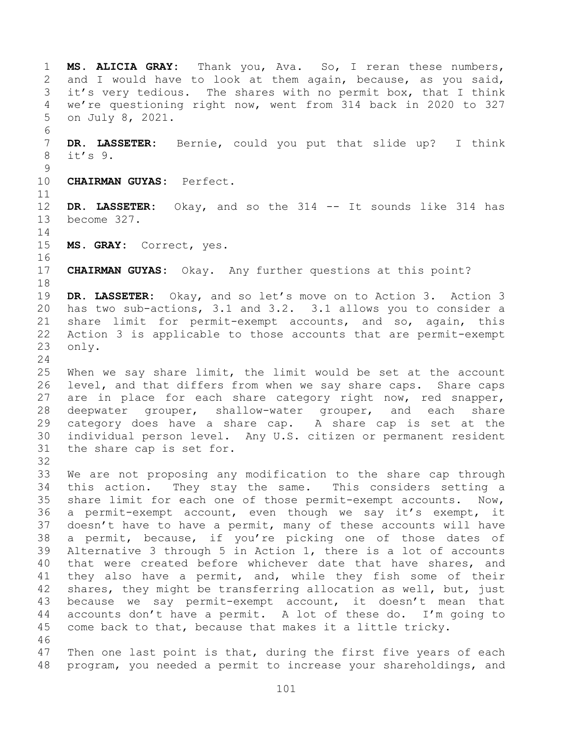1 **MS. ALICIA GRAY:** Thank you, Ava. So, I reran these numbers, 2 and I would have to look at them again, because, as you said,<br>3 it's very tedious. The shares with no permit box, that I think 3 it's very tedious. The shares with no permit box, that I think<br>4 we're questioning right now, went from 314 back in 2020 to 327 4 we're questioning right now, went from 314 back in 2020 to 327<br>5 on July 8, 2021. 5 on July 8, 2021. 6<br>7 7 **DR. LASSETER:** Bernie, could you put that slide up? I think 8 it's 9.  $\begin{array}{c} 9 \\ 10 \end{array}$ 10 **CHAIRMAN GUYAS:** Perfect. 11<br>12 12 **DR. LASSETER:** Okay, and so the 314 -- It sounds like 314 has become 327.  $\frac{14}{15}$ 15 **MS. GRAY:** Correct, yes. 16<br>17 **CHAIRMAN GUYAS:** Okay. Any further questions at this point? 18<br>19 19 **DR. LASSETER:** Okay, and so let's move on to Action 3. Action 3 20 has two sub-actions, 3.1 and 3.2. 3.1 allows you to consider a<br>21 share limit for permit-exempt accounts, and so, again, this 21 share limit for permit-exempt accounts, and so, again, this<br>22 Action 3 is applicable to those accounts that are permit-exempt 22 Action 3 is applicable to those accounts that are permit-exempt<br>23 only. only.  $\frac{24}{25}$ 25 When we say share limit, the limit would be set at the account<br>26 level, and that differs from when we say share caps. Share caps 26 level, and that differs from when we say share caps. Share caps<br>27 are in place for each share category right now, red snapper, 27 are in place for each share category right now, red snapper,<br>28 deepwater grouper, shallow-water grouper, and each share 28 deepwater grouper, shallow-water grouper, and each share<br>29 category does have a share cap. A share cap is set at the 29 category does have a share cap. A share cap is set at the<br>30 individual person level. Any U.S. citizen or permanent resident 30 individual person level. Any U.S. citizen or permanent resident the share cap is set for. 32<br>33 33 We are not proposing any modification to the share cap through<br>34 this action. Thev stav the same. This considers setting a 34 this action. They stay the same. This considers setting a<br>35 share limit for each one of those permit-exempt accounts. Now, 35 share limit for each one of those permit-exempt accounts. Now,<br>36 a permit-exempt account, even though we say it's exempt, it 36 a permit-exempt account, even though we say it's exempt, it<br>37 doesn't have to have a permit, many of these accounts will have 37 doesn't have to have a permit, many of these accounts will have<br>38 a permit, because, if you're picking one of those dates of 38 a permit, because, if you're picking one of those dates of<br>39 Alternative 3 through 5 in Action 1, there is a lot of accounts Alternative 3 through 5 in Action 1, there is a lot of accounts 40 that were created before whichever date that have shares, and 41 they also have a permit, and, while they fish some of their<br>42 shares, thev might be transferring allocation as well, but, just 42 shares, they might be transferring allocation as well, but, just<br>43 because we say permit-exempt account, it doesn't mean that 43 because we say permit-exempt account, it doesn't mean that<br>44 accounts don't have a permit. A lot of these do. I'm going to 44 accounts don't have a permit. A lot of these do. I'm going to  $45$  come back to that, because that makes it a little tricky. come back to that, because that makes it a little tricky. 46<br>47 Then one last point is that, during the first five years of each 48 program, you needed a permit to increase your shareholdings, and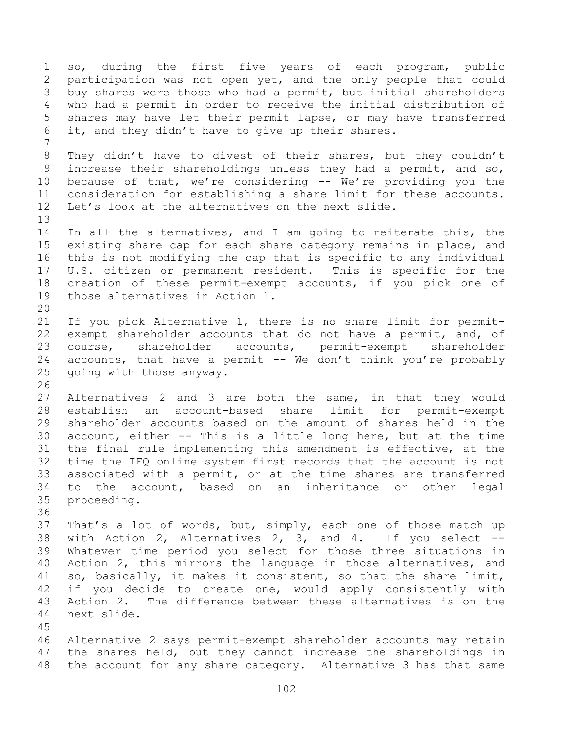1 so, during the first five years of each program, public<br>2 participation was not open yet, and the only people that could 2 participation was not open yet, and the only people that could<br>3 buy shares were those who had a permit, but initial shareholders 3 buy shares were those who had a permit, but initial shareholders<br>4 who had a permit in order to receive the initial distribution of 4 who had a permit in order to receive the initial distribution of<br>5 shares may have let their permit lapse, or may have transferred 5 shares may have let their permit lapse, or may have transferred<br>6 it, and thev didn't have to give up their shares. it, and they didn't have to give up their shares. 7 8 They didn't have to divest of their shares, but they couldn't 9 increase their shareholdings unless they had a permit, and so,<br>10 because of that, we're considering -- We're providing you the 10 because of that, we're considering -- We're providing you the<br>11 consideration for establishing a share limit for these accounts. 11 consideration for establishing a share limit for these accounts.<br>12 Let's look at the alternatives on the next slide. Let's look at the alternatives on the next slide. 13<br>14 14 In all the alternatives, and I am going to reiterate this, the<br>15 existing share cap for each share category remains in place, and 15 existing share cap for each share category remains in place, and<br>16 this is not modifying the cap that is specific to any individual this is not modifying the cap that is specific to any individual 17 U.S. citizen or permanent resident. This is specific for the<br>18 creation of these permit-exempt accounts, if you pick one of 18 creation of these permit-exempt accounts, if you pick one of<br>19 those alternatives in Action 1. those alternatives in Action 1. 20<br>21 21 If you pick Alternative 1, there is no share limit for permit-<br>22 exempt shareholder accounts that do not have a permit, and, of 22 exempt shareholder accounts that do not have a permit, and, of<br>23 course, shareholder accounts, permit-exempt shareholder 23 course, shareholder accounts,<br>24 accounts, that have a permit -- W 24 accounts, that have a permit  $-$  We don't think you're probably 25 qoing with those anyway. going with those anyway. 26<br>27 27 Alternatives 2 and 3 are both the same, in that they would<br>28 establish an account-based share limit for permit-exempt 28 establish an account-based share<br>29 shareholder accounts based on the am 29 shareholder accounts based on the amount of shares held in the<br>30 account, either -- This is a little long here, but at the time 30 account, either -- This is a little long here, but at the time<br>31 the final rule implementing this amendment is effective, at the the final rule implementing this amendment is effective, at the 32 time the IFQ online system first records that the account is not<br>33 associated with a permit, or at the time shares are transferred 33 associated with a permit, or at the time shares are transferred<br>34 to the account, based on an inheritance or other legal 34 to the account, based on an inheritance or other legal<br>35 proceeding. proceeding. 36<br>37 37 That's a lot of words, but, simply, each one of those match up<br>38 with Action 2, Alternatives 2, 3, and 4. If you select  $-$ 38 with Action 2, Alternatives 2, 3, and 4. If you select  $-$ -<br>39 Whatever time period you select for those three situations in Whatever time period you select for those three situations in 40 Action 2, this mirrors the language in those alternatives, and 41 so, basically, it makes it consistent, so that the share limit,<br>42 if vou decide to create one, would apply consistently with 42 if you decide to create one, would apply consistently with<br>43 Action 2. The difference between these alternatives is on the 43 Action 2. The difference between these alternatives is on the 44 next slide. next slide. 45 46 Alternative 2 says permit-exempt shareholder accounts may retain<br>47 the shares held, but they cannot increase the shareholdings in the shares held, but they cannot increase the shareholdings in 48 the account for any share category. Alternative 3 has that same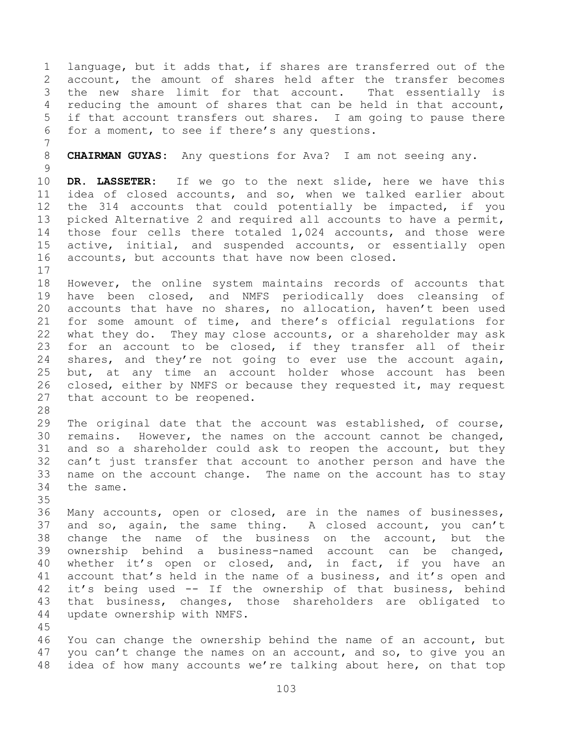1 language, but it adds that, if shares are transferred out of the<br>2 account, the amount of shares held after the transfer becomes 2 account, the amount of shares held after the transfer becomes<br>3 the new share limit for that account. That essentially is 3 the new share limit for that account.<br>4 reducing the amount of shares that can be 4 reducing the amount of shares that can be held in that account,<br>5 if that account transfers out shares. I am going to pause there 5 if that account transfers out shares. I am going to pause there<br>6 for a moment, to see if there's any questions. for a moment, to see if there's any questions. 7

8 **CHAIRMAN GUYAS:** Any questions for Ava? I am not seeing any.

 $\begin{array}{c} 9 \\ 10 \end{array}$ 10 **DR. LASSETER:** If we go to the next slide, here we have this 11 idea of closed accounts, and so, when we talked earlier about<br>12 the 314 accounts that could potentially be impacted, if you 12 the 314 accounts that could potentially be impacted, if you<br>13 picked Alternative 2 and required all accounts to have a permit, 13 picked Alternative 2 and required all accounts to have a permit,<br>14 those four cells there totaled 1,024 accounts, and those were 14 those four cells there totaled 1,024 accounts, and those were<br>15 active, initial, and suspended accounts, or essentially open 15 active, initial, and suspended accounts, or essentially open<br>16 accounts, but accounts that have now been closed. accounts, but accounts that have now been closed.

 $\begin{array}{c} 17 \\ 18 \end{array}$ 18 However, the online system maintains records of accounts that<br>19 have been closed, and NMFS periodically does cleansing of 19 have been closed, and NMFS periodically does cleansing of<br>20 accounts that have no shares, no allocation, haven't been used 20 accounts that have no shares, no allocation, haven't been used<br>21 for some amount of time, and there's official regulations for 21 for some amount of time, and there's official regulations for<br>22 what they do. They may close accounts, or a shareholder may ask 22 what they do. They may close accounts, or a shareholder may ask<br>23 for an account to be closed, if they transfer all of their 23 for an account to be closed, if they transfer all of their<br>24 shares, and they're not going to ever use the account again, 24 shares, and they're not going to ever use the account again,<br>25 but, at any time an account holder whose account has been 25 but, at any time an account holder whose account has been<br>26 closed, either by NMFS or because they requested it, may request 26 closed, either by NMFS or because they requested it, may request<br>27 that account to be reopened. that account to be reopened.

28<br>29

29 The original date that the account was established, of course,<br>30 remains. However, the names on the account cannot be changed, 30 remains. However, the names on the account cannot be changed,<br>31 and so a shareholder could ask to reopen the account, but they and so a shareholder could ask to reopen the account, but they 32 can't just transfer that account to another person and have the<br>33 name on the account change. The name on the account has to stay 33 name on the account change. The name on the account has to stay<br>34 the same. the same.

35<br>36

36 Many accounts, open or closed, are in the names of businesses,<br>37 and so, again, the same thing. A closed account, you can't 37 and so, again, the same thing.<br>38 change the name of the busine 38 change the name of the business on the account, but the<br>39 ownership behind a business-named account can be changed,  $overship$  behind a business-named account can be changed, 40 whether it's open or closed, and, in fact, if you have an 41 account that's held in the name of a business, and it's open and<br>42 it's being used -- If the ownership of that business, behind 42 it's being used -- If the ownership of that business, behind<br>43 that business, changes, those shareholders are obligated to 43 that business, changes, those shareholders are obligated to<br>44 update ownership with NMFS. update ownership with NMFS.

45

46 You can change the ownership behind the name of an account, but<br>47 you can't change the names on an account, and so, to give you an you can't change the names on an account, and so, to give you an 48 idea of how many accounts we're talking about here, on that top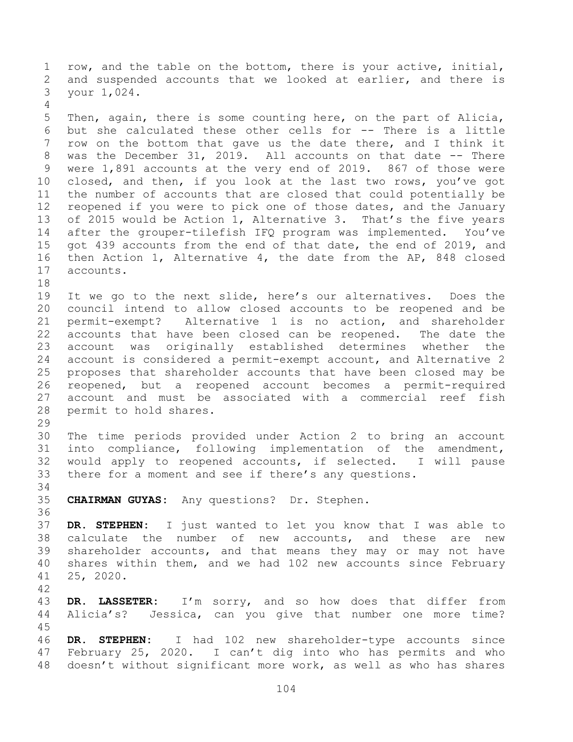1 row, and the table on the bottom, there is your active, initial,<br>2 and suspended accounts that we looked at earlier, and there is 2 and suspended accounts that we looked at earlier, and there is your 1,024. your 1,024.  $\frac{4}{5}$ 5 Then, again, there is some counting here, on the part of Alicia,<br>6 but she calculated these other cells for -- There is a little 6 but she calculated these other cells for  $-$ - There is a little  $7$  row on the bottom that gave us the date there, and I think it row on the bottom that gave us the date there, and I think it 8 was the December 31, 2019. All accounts on that date -- There 9 were 1,891 accounts at the very end of 2019. 867 of those were<br>10 closed, and then, if you look at the last two rows, you've got 10 closed, and then, if you look at the last two rows, you've got<br>11 the number of accounts that are closed that could potentially be 11 the number of accounts that are closed that could potentially be<br>12 reopened if you were to pick one of those dates, and the January 12 reopened if you were to pick one of those dates, and the January<br>13 of 2015 would be Action 1, Alternative 3. That's the five years 13 of 2015 would be Action 1, Alternative 3. That's the five years<br>14 after the grouper-tilefish IFO program was implemented. You've 14 after the grouper-tilefish IFQ program was implemented.<br>15 got 439 accounts from the end of that date, the end of 2 15 got 439 accounts from the end of that date, the end of 2019, and<br>16 then Action 1, Alternative 4, the date from the AP, 848 closed 16 then Action 1, Alternative 4, the date from the AP, 848 closed<br>17 accounts. accounts. 18<br>19 19 It we go to the next slide, here's our alternatives. Does the<br>20 council intend to allow closed accounts to be reopened and be 20 council intend to allow closed accounts to be reopened and be<br>21 permit-exempt? Alternative 1 is no action, and shareholder 21 permit-exempt? Alternative 1 is no action, and shareholder<br>22 accounts that have been closed can be reopened. The date the 22 accounts that have been closed can be reopened.<br>23 account was originally established determines 23 account was originally established determines whether the<br>24 account is considered a permit-exempt account, and Alternative 2 24 account is considered a permit-exempt account, and Alternative 2<br>25 proposes that shareholder accounts that have been closed may be 25 proposes that shareholder accounts that have been closed may be<br>26 reopened, but a reopened account becomes a permit-required 26 reopened, but a reopened account becomes a permit-required<br>27 account and must be associated with a commercial reef fish 27 account and must be associated with a commercial reef fish<br>28 permit to hold shares. permit to hold shares.  $\frac{29}{30}$ 30 The time periods provided under Action 2 to bring an account<br>31 into compliance, following implementation of the amendment, into compliance, following implementation of the amendment, 32 would apply to reopened accounts, if selected. I will pause<br>33 there for a moment and see if there's any questions. there for a moment and see if there's any questions. 34<br>35 35 **CHAIRMAN GUYAS:** Any questions? Dr. Stephen. 36<br>37 37 **DR. STEPHEN:** I just wanted to let you know that I was able to 38 calculate the number of new accounts, and these are new<br>39 shareholder accounts, and that means they may or may not have shareholder accounts, and that means they may or may not have 40 shares within them, and we had 102 new accounts since February 41 25, 2020. 42 43 **DR. LASSETER:** I'm sorry, and so how does that differ from Jessica, can you give that number one more time? 45 46 **DR. STEPHEN:** I had 102 new shareholder-type accounts since February 25, 2020. I can't dig into who has permits and who 48 doesn't without significant more work, as well as who has shares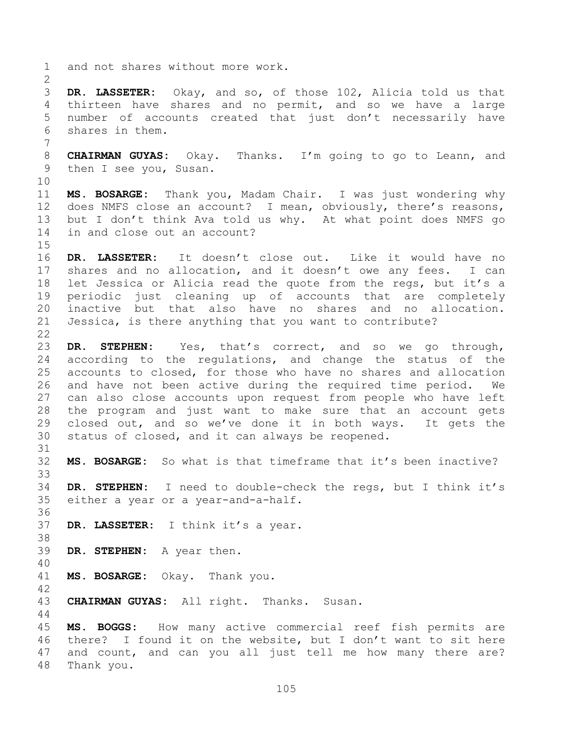1 and not shares without more work.  $\frac{2}{3}$ 3 **DR. LASSETER:** Okay, and so, of those 102, Alicia told us that 4 thirteen have shares and no permit, and so we have a large<br>5 number of accounts created that just don't necessarily have 5 number of accounts created that just don't necessarily have<br>6 shares in them. shares in them. 7 8 **CHAIRMAN GUYAS:** Okay. Thanks. I'm going to go to Leann, and 9 then I see you, Susan. 10<br>11 11 **MS. BOSARGE:** Thank you, Madam Chair. I was just wondering why 12 does NMFS close an account? I mean, obviously, there's reasons,<br>13 but I don't think Ava told us why. At what point does NMFS go 13 but I don't think Ava told us why. At what point does NMFS go<br>14 in and close out an account? in and close out an account?  $\frac{15}{16}$ DR. LASSETER: It doesn't close out. Like it would have no 17 shares and no allocation, and it doesn't owe any fees. I can<br>18 let Jessica or Alicia read the quote from the regs, but it's a 18 let Jessica or Alicia read the quote from the regs, but it's a<br>19 periodic just cleaning up of accounts that are completely 19 periodic just cleaning up of accounts that are completely<br>20 inactive but that also have no shares and no allocation. 20 inactive but that also have no shares and no allocation.<br>21 Jessica, is there anything that you want to contribute? Jessica, is there anything that you want to contribute?  $\frac{22}{23}$ 23 DR. STEPHEN: Yes, that's correct, and so we go through,<br>24 according to the regulations, and change the status of the 24 according to the regulations, and change the status of the<br>25 accounts to closed, for those who have no shares and allocation 25 accounts to closed, for those who have no shares and allocation<br>26 and have not been active during the required time period. We 26 and have not been active during the required time period.<br>27 can also close accounts upon request from people who have 27 can also close accounts upon request from people who have left<br>28 the program and just want to make sure that an account gets 28 the program and just want to make sure that an account gets<br>29 closed out, and so we've done it in both ways. It gets the 29 closed out, and so we've done it in both ways. It gets the<br>30 status of closed, and it can always be reopened. status of closed, and it can always be reopened. 31<br>32 MS. BOSARGE: So what is that timeframe that it's been inactive? 33<br>34 34 **DR. STEPHEN:** I need to double-check the regs, but I think it's either a year or a year-and-a-half. 36<br>37 DR. LASSETER: I think it's a year. 38<br>39 DR. STEPHEN: A year then. 40 41 **MS. BOSARGE:** Okay. Thank you. 42 43 **CHAIRMAN GUYAS:** All right. Thanks. Susan.  $\begin{array}{c} 44 \\ 45 \end{array}$ 45 **MS. BOGGS:** How many active commercial reef fish permits are 46 there? I found it on the website, but I don't want to sit here<br>47 and count, and can you all just tell me how many there are? and count, and can you all just tell me how many there are?

48 Thank you.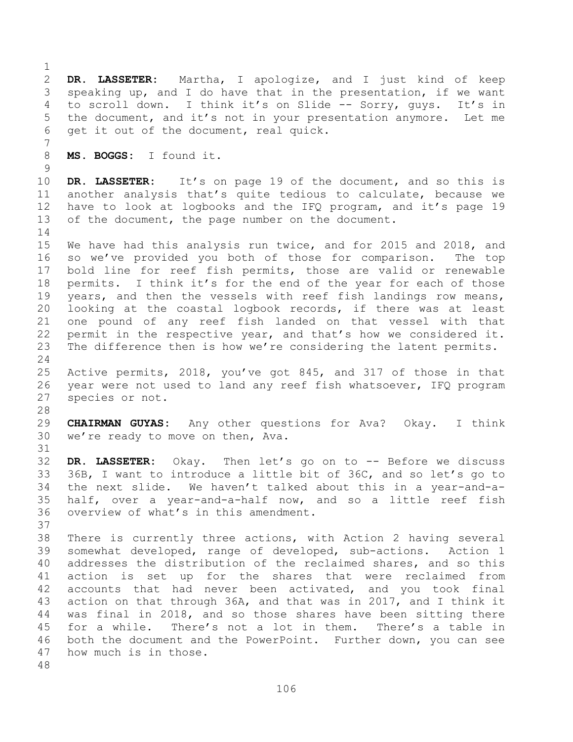$\frac{1}{2}$ 2 **DR. LASSETER:** Martha, I apologize, and I just kind of keep 3 speaking up, and I do have that in the presentation, if we want<br>4 to scroll down. I think it's on Slide -- Sorry, guys. It's in 4 to scroll down. I think it's on Slide -- Sorry, guys. It's in<br>5 the document, and it's not in your presentation anymore. Let me 5 the document, and it's not in your presentation anymore.<br>6 qet it out of the document, real quick. get it out of the document, real quick. 7 8 **MS. BOGGS:** I found it.  $\begin{array}{c} 9 \\ 10 \end{array}$ 10 **DR. LASSETER:** It's on page 19 of the document, and so this is 11 another analysis that's quite tedious to calculate, because we<br>12 have to look at logbooks and the IFQ program, and it's page 19 12 have to look at logbooks and the IFQ program, and it's page 19<br>13 of the document, the page number on the document. of the document, the page number on the document.  $\begin{array}{c} 14 \\ 15 \end{array}$ 15 We have had this analysis run twice, and for 2015 and 2018, and<br>16 so we've provided you both of those for comparison. The top so we've provided you both of those for comparison. The top 17 bold line for reef fish permits, those are valid or renewable<br>18 permits. I think it's for the end of the year for each of those 18 permits. I think it's for the end of the year for each of those<br>19 vears, and then the vessels with reef fish landings row means, 19 years, and then the vessels with reef fish landings row means,<br>20 looking at the coastal logbook records, if there was at least 20 looking at the coastal logbook records, if there was at least<br>21 one pound of any reef fish landed on that vessel with that 21 one pound of any reef fish landed on that vessel with that<br>22 permit in the respective vear, and that's how we considered it. 22 permit in the respective year, and that's how we considered it.<br>23 The difference then is how we're considering the latent permits. The difference then is how we're considering the latent permits.  $\frac{24}{25}$ 25 Active permits, 2018, you've got 845, and 317 of those in that<br>26 year were not used to land any reef fish whatsoever, IFQ program 26 year were not used to land any reef fish whatsoever, IFQ program<br>27 species or not. species or not. 28<br>29 29 **CHAIRMAN GUYAS:** Any other questions for Ava? Okay. I think we're ready to move on then, Ava. 31 32 **DR. LASSETER:** Okay. Then let's go on to -- Before we discuss 33 36B, I want to introduce a little bit of 36C, and so let's go to<br>34 the next slide. We haven't talked about this in a vear-and-a-34 the next slide. We haven't talked about this in a year-and-a-<br>35 half, over a vear-and-a-half now, and so a little reef fish 35 half, over a year-and-a-half now, and so a little reef fish<br>36 overview of what's in this amendment. overview of what's in this amendment. 37<br>38 38 There is currently three actions, with Action 2 having several<br>39 somewhat developed, range of developed, sub-actions. Action 1 somewhat developed, range of developed, sub-actions. Action 1 40 addresses the distribution of the reclaimed shares, and so this 41 action is set up for the shares that were reclaimed from<br>42 accounts that had never been activated, and vou took final 42 accounts that had never been activated, and you took final<br>43 action on that through 36A, and that was in 2017, and I think it 43 action on that through 36A, and that was in 2017, and I think it<br>44 was final in 2018, and so those shares have been sitting there 44 was final in 2018, and so those shares have been sitting there<br>45 for a while. There's not a lot in them. There's a table in 45 for a while. There's not a lot in them.<br>46 both the document and the PowerPoint. Furt 46 both the document and the PowerPoint. Further down, you can see<br>47 how much is in those. how much is in those. 48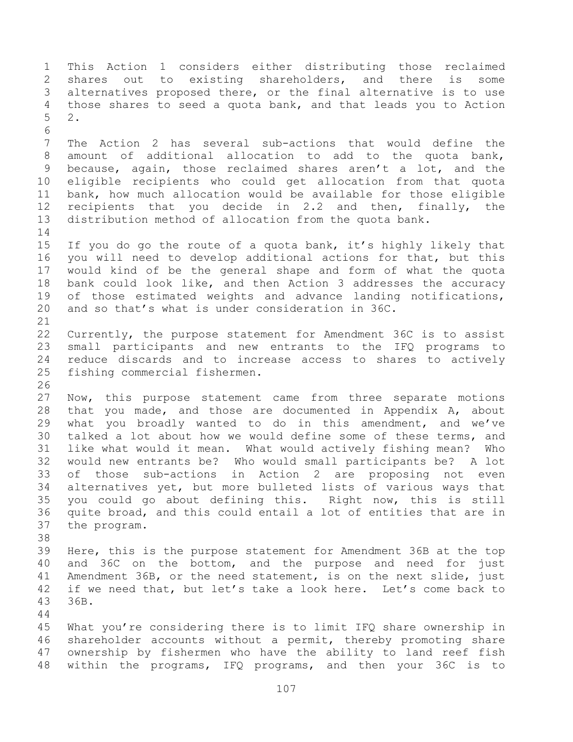1 This Action 1 considers either distributing those reclaimed<br>2 shares out to existing shareholders, and there is some 2 shares out to existing shareholders, and there is some<br>3 alternatives proposed there, or the final alternative is to use 3 alternatives proposed there, or the final alternative is to use<br>4 those shares to seed a quota bank, and that leads vou to Action 4 those shares to seed a quota bank, and that leads you to Action 2. 6<br>7 The Action 2 has several sub-actions that would define the 8 amount of additional allocation to add to the quota bank, 9 because, again, those reclaimed shares aren't a lot, and the<br>10 eligible recipients who could get allocation from that quota 10 eligible recipients who could get allocation from that quota<br>11 bank, how much allocation would be available for those eligible 11 bank, how much allocation would be available for those eligible<br>12 recipients that you decide in 2.2 and then, finally, the 12 recipients that you decide in 2.2 and then, finally, the<br>13 distribution method of allocation from the quota bank. distribution method of allocation from the quota bank.  $\frac{14}{15}$ 15 If you do go the route of a quota bank, it's highly likely that<br>16 you will need to develop additional actions for that, but this you will need to develop additional actions for that, but this 17 would kind of be the general shape and form of what the quota<br>18 bank could look like, and then Action 3 addresses the accuracy 18 bank could look like, and then Action 3 addresses the accuracy<br>19 of those estimated weights and advance landing notifications, 19 of those estimated weights and advance landing notifications,<br>20 and so that's what is under consideration in 36C. and so that's what is under consideration in 36C.  $\begin{array}{c} 21 \\ 22 \end{array}$ 22 Currently, the purpose statement for Amendment 36C is to assist<br>23 small participants and new entrants to the IFO programs to 23 small participants and new entrants to the IFQ programs to<br>24 reduce discards and to increase access to shares to actively 24 reduce discards and to increase access to shares to actively<br>25 fishing commercial fishermen. fishing commercial fishermen. 26<br>27 27 Now, this purpose statement came from three separate motions<br>28 that vou made, and those are documented in Appendix A, about 28 that you made, and those are documented in Appendix A, about<br>29 what you broadly wanted to do in this amendment, and we've 29 what you broadly wanted to do in this amendment, and we've<br>30 talked a lot about how we would define some of these terms, and 30 talked a lot about how we would define some of these terms, and<br>31 like what would it mean. What would actively fishing mean? Who like what would it mean. What would actively fishing mean? Who 32 would new entrants be? Who would small participants be? A lot 33 of those sub-actions in Action 2 are proposing not even<br>34 alternatives vet, but more bulleted lists of various wavs that 34 alternatives yet, but more bulleted lists of various ways that<br>35 you could go about defining this. Right now, this is still 35 you could go about defining this. Right now, this is still<br>36 quite broad, and this could entail a lot of entities that are in 36 quite broad, and this could entail a lot of entities that are in<br>37 the program. the program. 38<br>39 Here, this is the purpose statement for Amendment 36B at the top 40 and 36C on the bottom, and the purpose and need for just 41 Amendment 36B, or the need statement, is on the next slide, just<br>42 if we need that, but let's take a look here. Let's come back to 42 if we need that, but let's take a look here. Let's come back to 43 36B. 43 36B.  $\begin{array}{c} 44 \\ 45 \end{array}$ 45 What you're considering there is to limit IFQ share ownership in<br>46 shareholder accounts without a permit, thereby promoting share 46 shareholder accounts without a permit, thereby promoting share<br>47 ownership by fishermen who have the ability to land reef fish ownership by fishermen who have the ability to land reef fish

48 within the programs, IFQ programs, and then your 36C is to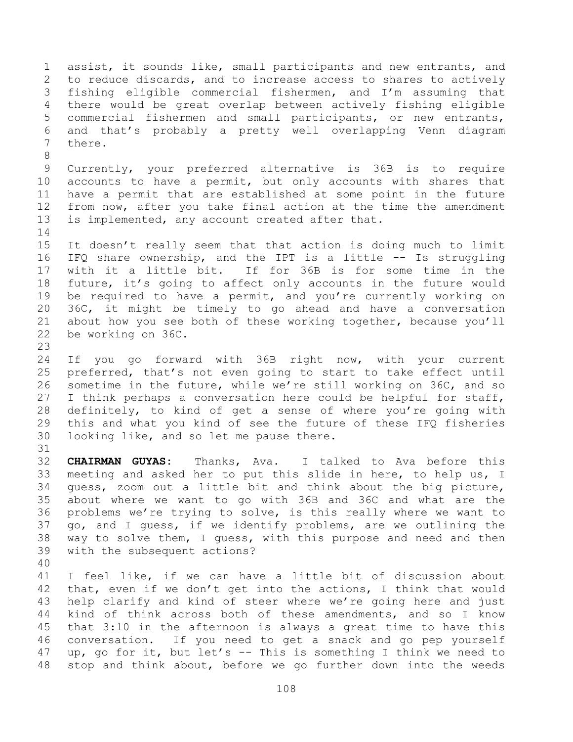1 assist, it sounds like, small participants and new entrants, and<br>2 to reduce discards, and to increase access to shares to actively 2 to reduce discards, and to increase access to shares to actively<br>3 fishing eligible commercial fishermen, and I'm assuming that 3 fishing eligible commercial fishermen, and I'm assuming that<br>4 there would be great overlap between actively fishing eligible 4 there would be great overlap between actively fishing eligible<br>5 commercial fishermen and small participants, or new entrants, 5 commercial fishermen and small participants, or new entrants,<br>6 and that's probably a pretty well overlapping Venn diagram 6 and that's probably a pretty well overlapping Venn diagram there. 8 9 Currently, your preferred alternative is 36B is to require<br>10 accounts to have a permit, but only accounts with shares that 10 accounts to have a permit, but only accounts with shares that<br>11 have a permit that are established at some point in the future 11 have a permit that are established at some point in the future<br>12 from now, after you take final action at the time the amendment 12 from now, after you take final action at the time the amendment<br>13 is implemented, any account created after that. is implemented, any account created after that.  $\frac{14}{15}$ 15 It doesn't really seem that that action is doing much to limit<br>16 IFQ share ownership, and the IPT is a little -- Is struggling IFQ share ownership, and the IPT is a little -- Is struggling 17 with it a little bit. If for 36B is for some time in the<br>18 future, it's going to affect only accounts in the future would 18 future, it's going to affect only accounts in the future would<br>19 be required to have a permit, and vou're currently working on 19 be required to have a permit, and you're currently working on<br>20 36C, it might be timely to go ahead and have a conversation 20 36C, it might be timely to go ahead and have a conversation<br>21 about how you see both of these working together, because you'll 21 about how you see both of these working together, because you'll<br>22 be working on 36C. be working on 36C. 23 24 If you go forward with 36B right now, with your current<br>25 preferred, that's not even going to start to take effect until 25 preferred, that's not even going to start to take effect until<br>26 sometime in the future, while we're still working on 36C, and so 26 sometime in the future, while we're still working on 36C, and so<br>27 I think perhaps a conversation here could be helpful for staff, 27 I think perhaps a conversation here could be helpful for staff,<br>28 definitely, to kind of get a sense of where you're going with 28 definitely, to kind of get a sense of where you're going with<br>29 this and what you kind of see the future of these IFQ fisheries 29 this and what you kind of see the future of these IFQ fisheries<br>30 looking like, and so let me pause there. looking like, and so let me pause there. 31<br>32 32 **CHAIRMAN GUYAS:** Thanks, Ava. I talked to Ava before this 33 meeting and asked her to put this slide in here, to help us, I<br>34 quess, zoom out a little bit and think about the big picture, 34 guess, zoom out a little bit and think about the big picture,<br>35 about where we want to go with 36B and 36C and what are the 35 about where we want to go with 36B and 36C and what are the 36 problems we're trying to solve, is this really where we want to<br>37 qo, and I quess, if we identify problems, are we outlining the 37 go, and I guess, if we identify problems, are we outlining the<br>38 way to solve them, I quess, with this purpose and need and then 38 way to solve them, I guess, with this purpose and need and then<br>39 with the subsequent actions? with the subsequent actions? 40 41 I feel like, if we can have a little bit of discussion about<br>42 that, even if we don't get into the actions, I think that would 42 that, even if we don't get into the actions, I think that would<br>43 help clarify and kind of steer where we're going here and just 43 help clarify and kind of steer where we're going here and just<br>44 kind of think across both of these amendments, and so I know 44 kind of think across both of these amendments, and so I know<br>45 that 3:10 in the afternoon is always a great time to have this 45 that 3:10 in the afternoon is always a great time to have this<br>46 conversation. If you need to get a snack and go pep yourself 46 conversation. If you need to get a snack and go pep yourself<br>47 up, go for it, but let's -- This is something I think we need to up, go for it, but let's -- This is something I think we need to 48 stop and think about, before we go further down into the weeds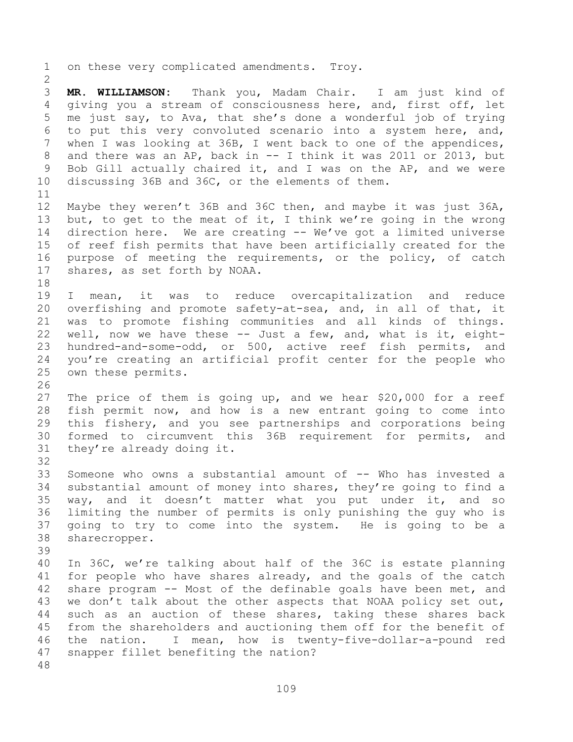1 on these very complicated amendments. Troy.  $\frac{2}{3}$ 3 **MR. WILLIAMSON:** Thank you, Madam Chair. I am just kind of 4 giving you a stream of consciousness here, and, first off, let<br>5 me just say, to Ava, that she's done a wonderful job of trying 5 me just say, to Ava, that she's done a wonderful job of trying<br>6 to put this verv convoluted scenario into a system here, and, 6 to put this very convoluted scenario into a system here, and,<br>7 when I was looking at 36B, I went back to one of the appendices, when I was looking at 36B, I went back to one of the appendices, 8 and there was an AP, back in -- I think it was 2011 or 2013, but 9 Bob Gill actually chaired it, and I was on the AP, and we were<br>10 discussing 36B and 36C, or the elements of them. discussing 36B and 36C, or the elements of them. 11<br>12 12 Maybe they weren't 36B and 36C then, and maybe it was just 36A,<br>13 but, to get to the meat of it, I think we're going in the wrong 13 but, to get to the meat of it, I think we're going in the wrong<br>14 direction here. We are creating -- We've got a limited universe 14 direction here. We are creating -- We've got a limited universe<br>15 of reef fish permits that have been artificially created for the 15 of reef fish permits that have been artificially created for the<br>16 purpose of meeting the requirements, or the policy, of catch purpose of meeting the requirements, or the policy, of catch 17 shares, as set forth by NOAA. 18<br>19 19 I mean, it was to reduce overcapitalization and reduce<br>20 overfishing and promote safety-at-sea, and, in all of that, it 20 overfishing and promote safety-at-sea, and, in all of that, it<br>21 was to promote fishing communities and all kinds of things. 21 was to promote fishing communities and all kinds of things.<br>22 well, now we have these -- Just a few, and, what is it, eight-22 well, now we have these -- Just a few, and, what is it, eight-<br>23 hundred-and-some-odd, or 500, active reef fish permits, and 23 hundred-and-some-odd, or 500, active reef fish permits, and<br>24 you're creating an artificial profit center for the people who 24 you're creating an artificial profit center for the people who<br>25 own these permits. own these permits. 26<br>27 27 The price of them is going up, and we hear \$20,000 for a reef<br>28 fish permit now, and how is a new entrant going to come into 28 fish permit now, and how is a new entrant going to come into<br>29 this fishery, and you see partnerships and corporations being 29 this fishery, and you see partnerships and corporations being<br>30 formed to circumvent this 36B requirement for permits, and 30 formed to circumvent this 36B requirement for permits, and<br>31 they're already doing it. they're already doing it. 32<br>33 33 Someone who owns a substantial amount of -- Who has invested a<br>34 substantial amount of monev into shares, thev're going to find a 34 substantial amount of money into shares, they're going to find a<br>35 way, and it doesn't matter what you put under it, and so 35 way, and it doesn't matter what you put under it, and so<br>36 limiting the number of permits is only punishing the guy who is 36 limiting the number of permits is only punishing the guy who is<br>37 qoing to try to come into the system. He is going to be a 37 going to try to come into the system. He is going to be a 38 sharecropper. sharecropper. 39 40 In 36C, we're talking about half of the 36C is estate planning 41 for people who have shares already, and the goals of the catch<br>42 share program -- Most of the definable goals have been met, and 42 share program -- Most of the definable goals have been met, and<br>43 we don't talk about the other aspects that NOAA policy set out, 43 we don't talk about the other aspects that NOAA policy set out,<br>44 such as an auction of these shares, taking these shares back 44 such as an auction of these shares, taking these shares back<br>45 from the shareholders and auctioning them off for the benefit of 45 from the shareholders and auctioning them off for the benefit of<br>46 the nation. I mean, how is twenty-five-dollar-a-pound red

109

46 the nation. I mean, how is twenty-five-dollar-a-pound red<br>47 snapper fillet benefiting the nation?

snapper fillet benefiting the nation?

48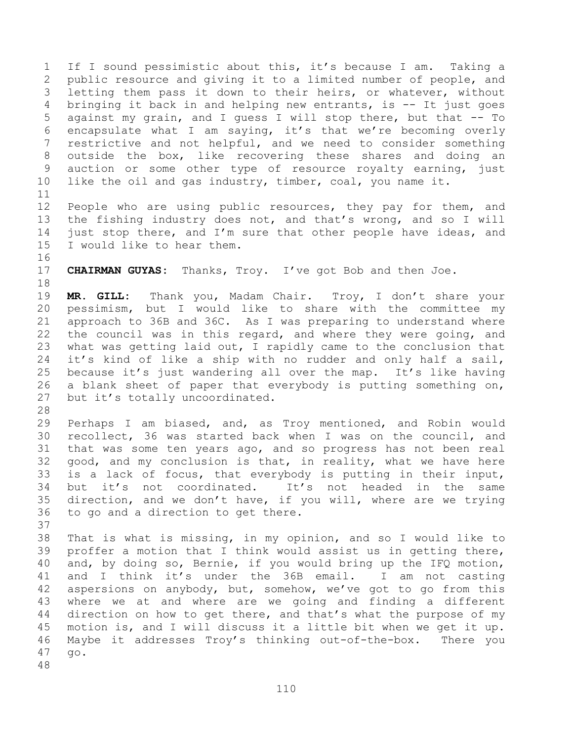1 If I sound pessimistic about this, it's because I am. Taking a<br>2 public resource and giving it to a limited number of people, and 2 public resource and giving it to a limited number of people, and<br>3 letting them pass it down to their heirs, or whatever, without 3 letting them pass it down to their heirs, or whatever, without<br>4 bringing it back in and helping new entrants, is -- It just goes 4 bringing it back in and helping new entrants, is  $-$  It just goes<br>5 against my grain, and I quess I will stop there, but that  $-$  To 5 against my grain, and I guess I will stop there, but that -- To<br>6 encapsulate what I am saving, it's that we're becoming overly 6 encapsulate what I am saying, it's that we're becoming overly<br>7 restrictive and not helpful, and we need to consider something restrictive and not helpful, and we need to consider something 8 outside the box, like recovering these shares and doing an 9 auction or some other type of resource royalty earning, just<br>10 like the oil and gas industry, timber, coal, you name it. like the oil and gas industry, timber, coal, you name it. 11<br>12 12 People who are using public resources, they pay for them, and<br>13 the fishing industry does not, and that's wrong, and so I will 13 the fishing industry does not, and that's wrong, and so I will<br>14 just stop there, and I'm sure that other people have ideas, and 14 just stop there, and I'm sure that other people have ideas, and<br>15 I would like to hear them. I would like to hear them. 16<br>17 **CHAIRMAN GUYAS:** Thanks, Troy. I've got Bob and then Joe. 18<br>19 19 **MR. GILL:** Thank you, Madam Chair. Troy, I don't share your 20 pessimism, but I would like to share with the committee my<br>21 approach to 36B and 36C. As I was preparing to understand where 21 approach to 36B and 36C. As I was preparing to understand where<br>22 the council was in this regard, and where they were going, and 22 the council was in this regard, and where they were going, and<br>23 what was getting laid out, I rapidly came to the conclusion that 23 what was getting laid out, I rapidly came to the conclusion that<br>24 it's kind of like a ship with no rudder and only half a sail, 24 it's kind of like a ship with no rudder and only half a sail,<br>25 because it's just wandering all over the map. It's like having 25 because it's just wandering all over the map. It's like having<br>26 a blank sheet of paper that everybody is putting something on, 26 a blank sheet of paper that everybody is putting something on,<br>27 but it's totally uncoordinated. but it's totally uncoordinated. 28<br>29 29 Perhaps I am biased, and, as Troy mentioned, and Robin would<br>30 recollect, 36 was started back when I was on the council, and 30 recollect, 36 was started back when I was on the council, and<br>31 that was some ten years ago, and so progress has not been real that was some ten years ago, and so progress has not been real 32 good, and my conclusion is that, in reality, what we have here<br>33 is a lack of focus, that everybody is putting in their input, 33 is a lack of focus, that everybody is putting in their input,<br>34 but it's not coordinated. It's not headed in the same 34 but it's not coordinated. It's not headed in the same<br>35 direction, and we don't have, if you will, where are we trying 35 direction, and we don't have, if you will, where are we trying<br>36 to go and a direction to get there. to go and a direction to get there. 37<br>38 38 That is what is missing, in my opinion, and so I would like to<br>39 proffer a motion that I think would assist us in getting there, proffer a motion that I think would assist us in getting there, 40 and, by doing so, Bernie, if you would bring up the IFQ motion, 41 and I think it's under the 36B email. I am not casting<br>42 aspersions on anvbodv, but, somehow, we've got to go from this 42 aspersions on anybody, but, somehow, we've got to go from this<br>43 where we at and where are we going and finding a different 43 where we at and where are we going and finding a different<br>44 direction on how to get there, and that's what the purpose of my 44 direction on how to get there, and that's what the purpose of my<br>45 motion is, and I will discuss it a little bit when we get it up. 45 motion is, and I will discuss it a little bit when we get it up.<br>46 Maybe it addresses Troy's thinking out-of-the-box. There you 46 Maybe it addresses Troy's thinking out-of-the-box. There you 47 go. 48

110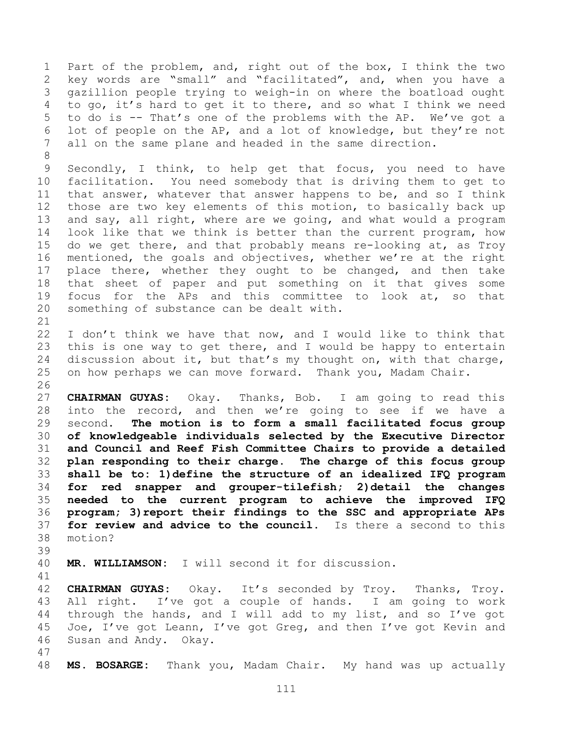1 Part of the problem, and, right out of the box, I think the two<br>2 key words are "small" and "facilitated", and, when you have a 2 key words are "small" and "facilitated", and, when you have a<br>3 qazillion people trying to weigh-in on where the boatload ought 3 gazillion people trying to weigh-in on where the boatload ought<br>4 to go, it's hard to get it to there, and so what I think we need 4 to go, it's hard to get it to there, and so what I think we need<br>5 to do is -- That's one of the problems with the AP. We've got a 5 to do is -- That's one of the problems with the AP. We've got a<br>6 lot of people on the AP, and a lot of knowledge, but thev're not 6 lot of people on the AP, and a lot of knowledge, but they're not<br>7 all on the same plane and headed in the same direction. all on the same plane and headed in the same direction.

9 Secondly, I think, to help get that focus, you need to have<br>10 facilitation. You need somebody that is driving them to get to 10 facilitation. You need somebody that is driving them to get to<br>11 that answer, whatever that answer happens to be, and so I think 11 that answer, whatever that answer happens to be, and so I think<br>12 those are two key elements of this motion, to basically back up 12 those are two key elements of this motion, to basically back up<br>13 and sav, all right, where are we going, and what would a program 13 and say, all right, where are we going, and what would a program<br>14 look like that we think is better than the current program, how 14 look like that we think is better than the current program, how<br>15 do we get there, and that probably means re-looking at, as Troy 15 do we get there, and that probably means re-looking at, as Troy<br>16 mentioned, the goals and objectives, whether we're at the right mentioned, the goals and objectives, whether we're at the right 17 place there, whether they ought to be changed, and then take<br>18 that sheet of paper and put something on it that gives some 18 that sheet of paper and put something on it that gives some<br>19 focus for the APs and this committee to look at, so that 19 focus for the APs and this committee to look at, so that<br>20 something of substance can be dealt with. something of substance can be dealt with.

21<br>22 22 I don't think we have that now, and I would like to think that<br>23 this is one way to get there, and I would be happy to entertain 23 this is one way to get there, and I would be happy to entertain<br>24 discussion about it, but that's my thought on, with that charge, 24 discussion about it, but that's my thought on, with that charge,<br>25 on how perhaps we can move forward. Thank you, Madam Chair. on how perhaps we can move forward. Thank you, Madam Chair.

26<br>27 **CHAIRMAN GUYAS:** Okay. Thanks, Bob. I am going to read this 28 into the record, and then we're going to see if we have a<br>29 second. The motion is to form a small facilitated focus group second. **The motion is to form a small facilitated focus group of knowledgeable individuals selected by the Executive Director and Council and Reef Fish Committee Chairs to provide a detailed plan responding to their charge. The charge of this focus group shall be to: 1)define the structure of an idealized IFQ program for red snapper and grouper-tilefish; 2)detail the changes needed to the current program to achieve the improved IFQ program; 3)report their findings to the SSC and appropriate APs for review and advice to the council.** Is there a second to this motion?

39

8

40 **MR. WILLIAMSON:** I will second it for discussion.

41<br>42 42 **CHAIRMAN GUYAS:** Okay. It's seconded by Troy. Thanks, Troy. 43 All right. I've got a couple of hands. I am going to work<br>44 through the hands, and I will add to my list, and so I've got 44 through the hands, and I will add to my list, and so I've got<br>45 Joe, I've got Leann, I've got Greg, and then I've got Kevin and 45 Joe, I've got Leann, I've got Greg, and then I've got Kevin and Andy. Okav. Susan and Andy. Okay.

47

48 **MS. BOSARGE:** Thank you, Madam Chair. My hand was up actually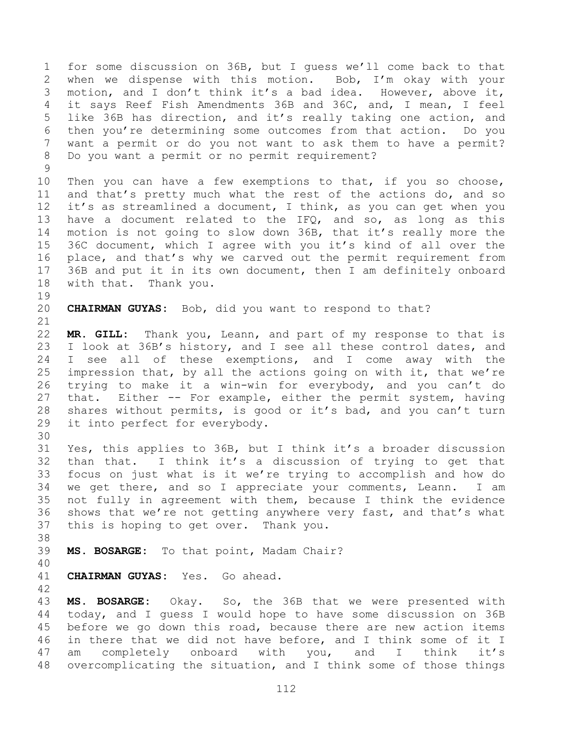1 for some discussion on 36B, but I guess we'll come back to that<br>2 when we dispense with this motion. Bob, I'm okay with your 2 when we dispense with this motion.<br>3 motion, and I don't think it's a bad 3 motion, and I don't think it's a bad idea. However, above it,<br>4 it savs Reef Fish Amendments 36B and 36C, and, I mean, I feel 4 it says Reef Fish Amendments 36B and 36C, and, I mean, I feel<br>5 like 36B has direction, and it's really taking one action, and 5 like 36B has direction, and it's really taking one action, and<br>6 then vou're determining some outcomes from that action. Do vou 6 then you're determining some outcomes from that action.<br>7 want a permit or do you not want to ask them to have a p want a permit or do you not want to ask them to have a permit? 8 Do you want a permit or no permit requirement?

 $\begin{array}{c} 9 \\ 10 \end{array}$ 10 Then you can have a few exemptions to that, if you so choose,<br>11 and that's pretty much what the rest of the actions do, and so 11 and that's pretty much what the rest of the actions do, and so<br>12 it's as streamlined a document, I think, as you can get when you 12 it's as streamlined a document, I think, as you can get when you<br>13 have a document related to the IFO, and so, as long as this 13 have a document related to the IFQ, and so, as long as this<br>14 motion is not going to slow down 36B, that it's really more the 14 motion is not going to slow down 36B, that it's really more the<br>15 36C document, which I agree with you it's kind of all over the 15 36C document, which I agree with you it's kind of all over the<br>16 place, and that's why we carved out the permit requirement from place, and that's why we carved out the permit requirement from 17 36B and put it in its own document, then I am definitely onboard<br>18 with that. Thank you. with that. Thank you.

19<br>20

20 **CHAIRMAN GUYAS:** Bob, did you want to respond to that?

21<br>22 22 **MR. GILL:** Thank you, Leann, and part of my response to that is 23 I look at 36B's history, and I see all these control dates, and<br>24 I see all of these exemptions, and I come away with the 24 I see all of these exemptions, and I come away with the<br>25 impression that, by all the actions going on with it, that we're 25 impression that, by all the actions going on with it, that we're<br>26 trying to make it a win-win for everybody, and you can't do 26 trying to make it a win-win for everybody, and you can't do<br>27 that. Either -- For example, either the permit system, having 27 that. Either -- For example, either the permit system, having<br>28 shares without permits, is good or it's bad, and you can't turn 28 shares without permits, is good or it's bad, and you can't turn<br>29 it into perfect for everybody. it into perfect for everybody.

30<br>31

Yes, this applies to 36B, but I think it's a broader discussion 32 than that. I think it's a discussion of trying to get that<br>33 focus on just what is it we're trying to accomplish and how do 33 focus on just what is it we're trying to accomplish and how do<br>34 we get there, and so I appreciate vour comments, Leann. I am 34 we get there, and so I appreciate your comments, Leann. I am<br>35 not fully in agreement with them, because I think the evidence 35 not fully in agreement with them, because I think the evidence<br>36 shows that we're not getting anywhere very fast, and that's what 36 shows that we're not getting anywhere very fast, and that's what<br>37 this is hoping to get over. Thank you. this is hoping to get over. Thank you.

38<br>39

MS. BOSARGE: To that point, Madam Chair?

40

41 **CHAIRMAN GUYAS:** Yes. Go ahead.

42 43 **MS. BOSARGE:** Okay. So, the 36B that we were presented with 44 today, and I guess I would hope to have some discussion on 36B<br>45 before we go down this road, because there are new action items 45 before we go down this road, because there are new action items<br>46 in there that we did not have before, and I think some of it I 46 in there that we did not have before, and I think some of it I<br>47 am completely onboard with you, and I think it's am completely onboard with you, and I think it's 48 overcomplicating the situation, and I think some of those things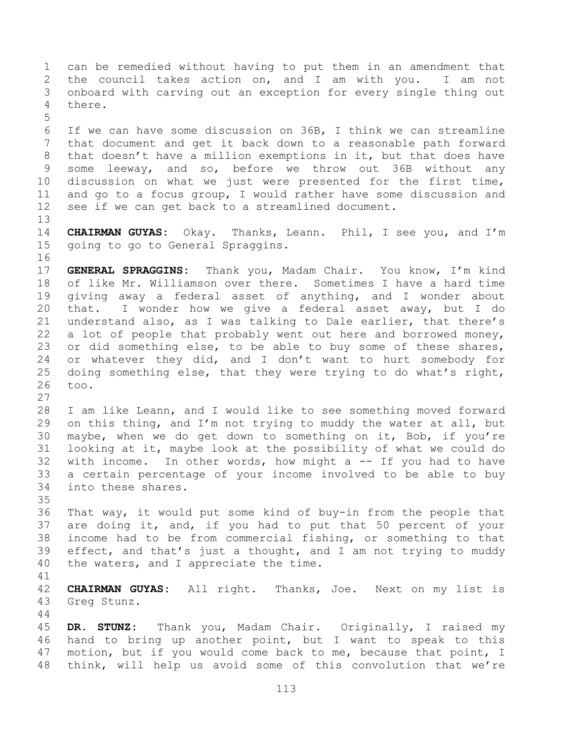1 can be remedied without having to put them in an amendment that<br>2 the council takes action on, and I am with you. I am not 2 the council takes action on, and I am with you. I am not<br>3 onboard with carving out an exception for every single thing out 3 onboard with carving out an exception for every single thing out<br>4 there. there.

5 6 If we can have some discussion on 36B, I think we can streamline<br>7 that document and get it back down to a reasonable path forward 7 that document and get it back down to a reasonable path forward 8 that doesn't have a million exemptions in it, but that does have 9 some leeway, and so, before we throw out 36B without any<br>10 discussion on what we just were presented for the first time, 10 discussion on what we just were presented for the first time,<br>11 and go to a focus group, I would rather have some discussion and 11 and go to a focus group, I would rather have some discussion and<br>12 see if we can get back to a streamlined document. see if we can get back to a streamlined document.

13<br>14 14 **CHAIRMAN GUYAS:** Okay. Thanks, Leann. Phil, I see you, and I'm<br>15 going to go to General Spraggins. going to go to General Spraggins.

17 **GENERAL SPRAGGINS:** Thank you, Madam Chair. You know, I'm kind 18 of like Mr. Williamson over there. Sometimes I have a hard time<br>19 qiving away a federal asset of anything, and I wonder about 19 giving away a federal asset of anything, and I wonder about<br>20 that. I wonder how we give a federal asset away, but I do 20 that. I wonder how we give a federal asset away, but I do<br>21 understand also, as I was talking to Dale earlier, that there's 21 understand also, as I was talking to Dale earlier, that there's<br>22 a lot of people that probably went out here and borrowed money, 22 a lot of people that probably went out here and borrowed money,<br>23 or did something else, to be able to buy some of these shares, or did something else, to be able to buy some of these shares, 24 or whatever they did, and I don't want to hurt somebody for<br>25 doing something else, that they were trying to do what's right, 25 doing something else, that they were trying to do what's right,<br>26 too. too.

 $\frac{27}{28}$ 28 I am like Leann, and I would like to see something moved forward<br>29 on this thing, and I'm not trying to muddy the water at all, but 29 on this thing, and I'm not trying to muddy the water at all, but<br>30 maybe, when we do get down to something on it, Bob, if you're 30 maybe, when we do get down to something on it, Bob, if you're<br>31 looking at it, maybe look at the possibility of what we could do looking at it, maybe look at the possibility of what we could do 32 with income. In other words, how might  $a$  -- If you had to have 33 a certain percentage of your income involved to be able to buy 33 a certain percentage of your income involved to be able to buy<br>34 into these shares. into these shares.

35<br>36 36 That way, it would put some kind of buy-in from the people that<br>37 are doing it, and, if you had to put that 50 percent of your 37 are doing it, and, if you had to put that 50 percent of your<br>38 income had to be from commercial fishing, or something to that 38 income had to be from commercial fishing, or something to that<br>39 effect, and that's just a thought, and I am not trying to muddy  $effect,$  and that's just a thought, and I am not trying to muddy 40 the waters, and I appreciate the time.

41<br>42

16

42 **CHAIRMAN GUYAS:** All right. Thanks, Joe. Next on my list is Greg Stunz.

 $\begin{array}{c} 44 \\ 45 \end{array}$ 45 **DR. STUNZ:** Thank you, Madam Chair. Originally, I raised my 46 hand to bring up another point, but I want to speak to this<br>47 motion, but if you would come back to me, because that point, I motion, but if you would come back to me, because that point, I 48 think, will help us avoid some of this convolution that we're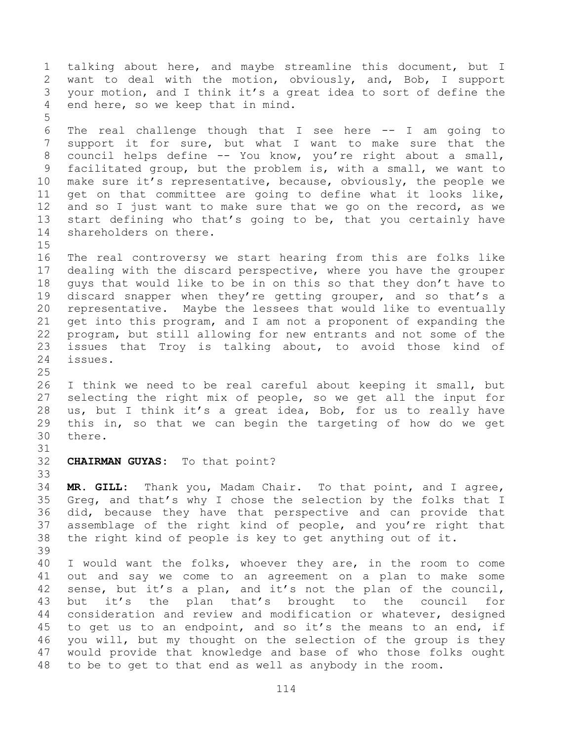1 talking about here, and maybe streamline this document, but I<br>2 want to deal with the motion, obviously, and, Bob, I support 2 want to deal with the motion, obviously, and, Bob, I support<br>3 your motion, and I think it's a great idea to sort of define the 3 your motion, and I think it's a great idea to sort of define the<br>4 end here, so we keep that in mind. end here, so we keep that in mind. 5 6 The real challenge though that I see here -- I am going to support it for sure, but what I want to make sure that the 8 council helps define -- You know, you're right about a small, 9 facilitated group, but the problem is, with a small, we want to<br>10 make sure it's representative, because, obviously, the people we 10 make sure it's representative, because, obviously, the people we<br>11 get on that committee are going to define what it looks like, 11 get on that committee are going to define what it looks like,<br>12 and so I just want to make sure that we go on the record, as we 12 and so I just want to make sure that we go on the record, as we<br>13 start defining who that's going to be, that you certainly have 13 start defining who that's going to be, that you certainly have<br>14 shareholders on there. shareholders on there.  $\frac{15}{16}$ The real controversy we start hearing from this are folks like 17 dealing with the discard perspective, where you have the grouper<br>18 quys that would like to be in on this so that they don't have to 18 guys that would like to be in on this so that they don't have to<br>19 discard snapper when they're getting grouper, and so that's a 19 discard snapper when they're getting grouper, and so that's a<br>20 representative. Maybe the lessees that would like to eventually 20 representative. Maybe the lessees that would like to eventually<br>21 get into this program, and I am not a proponent of expanding the 21 get into this program, and I am not a proponent of expanding the<br>22 program, but still allowing for new entrants and not some of the 22 program, but still allowing for new entrants and not some of the<br>23 issues that Trov is talking about, to avoid those kind of 23 issues that Troy is talking about, to avoid those kind of 24 issues. issues.  $\frac{25}{26}$ 26 I think we need to be real careful about keeping it small, but<br>27 selecting the right mix of people, so we get all the input for 27 selecting the right mix of people, so we get all the input for<br>28 us, but I think it's a great idea, Bob, for us to really have 28 us, but I think it's a great idea, Bob, for us to really have<br>29 this in, so that we can begin the targeting of how do we get 29 this in, so that we can begin the targeting of how do we get<br>30 there. there. 31 32 **CHAIRMAN GUYAS:** To that point? 33<br>34 34 **MR. GILL:** Thank you, Madam Chair. To that point, and I agree, 35 Greg, and that's why I chose the selection by the folks that I<br>36 did, because they have that perspective and can provide that 36 did, because they have that perspective and can provide that<br>37 assemblage of the right kind of people, and you're right that 37 assemblage of the right kind of people, and you're right that<br>38 the right kind of people is key to get anything out of it. the right kind of people is key to get anything out of it. 39 40 I would want the folks, whoever they are, in the room to come 41 out and say we come to an agreement on a plan to make some<br>42 sense, but it's a plan, and it's not the plan of the council, 42 sense, but it's a plan, and it's not the plan of the council,<br>43 but it's the plan that's brought to the council for 43 but it's the plan that's brought to the council<br>44 consideration and review and modification or whatever, des 44 consideration and review and modification or whatever, designed<br>45 to get us to an endpoint, and so it's the means to an end, if

45 to get us to an endpoint, and so it's the means to an end, if<br>46 you will, but my thought on the selection of the group is they 46 you will, but my thought on the selection of the group is they<br>47 would provide that knowledge and base of who those folks ought would provide that knowledge and base of who those folks ought 48 to be to get to that end as well as anybody in the room.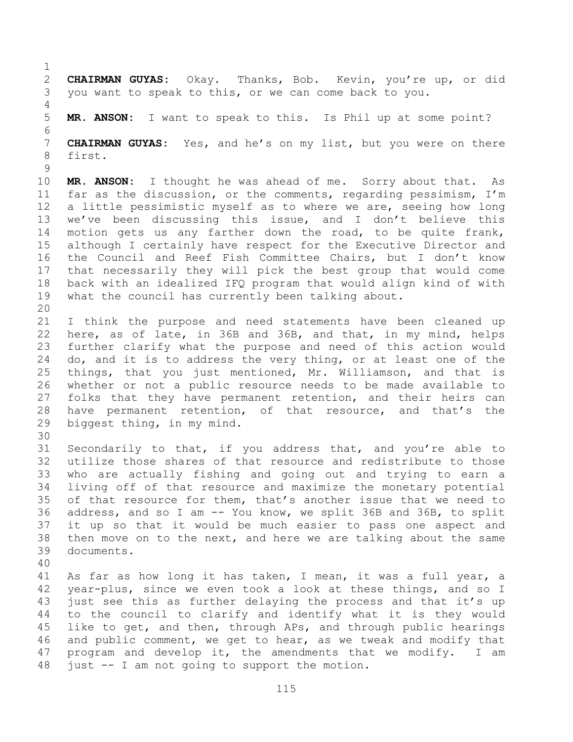$\frac{1}{2}$ 2 **CHAIRMAN GUYAS:** Okay. Thanks, Bob. Kevin, you're up, or did you want to speak to this, or we can come back to you.  $\frac{4}{5}$ MR. ANSON: I want to speak to this. Is Phil up at some point? 6<br>7 7 **CHAIRMAN GUYAS:** Yes, and he's on my list, but you were on there

8 first.

 $\begin{array}{c} 9 \\ 10 \end{array}$ 10 **MR. ANSON:** I thought he was ahead of me. Sorry about that. As<br>11 far as the discussion, or the comments, regarding pessimism, I'm 11 far as the discussion, or the comments, regarding pessimism, I'm<br>12 a little pessimistic myself as to where we are, seeing how long 12 a little pessimistic myself as to where we are, seeing how long<br>13 we've been discussing this issue, and I don't believe this 13 we've been discussing this issue, and I don't believe this<br>14 motion gets us any farther down the road, to be quite frank, 14 motion gets us any farther down the road, to be quite frank,<br>15 although I certainly have respect for the Executive Director and 15 although I certainly have respect for the Executive Director and<br>16 the Council and Reef Fish Committee Chairs, but I don't know the Council and Reef Fish Committee Chairs, but I don't know 17 that necessarily they will pick the best group that would come<br>18 back with an idealized IFQ program that would align kind of with 18 back with an idealized IFQ program that would align kind of with<br>19 what the council has currently been talking about. what the council has currently been talking about.

20<br>21 21 I think the purpose and need statements have been cleaned up<br>22 here, as of late, in 36B and 36B, and that, in my mind, helps 22 here, as of late, in 36B and 36B, and that, in my mind, helps<br>23 further clarify what the purpose and need of this action would 23 further clarify what the purpose and need of this action would<br>24 do, and it is to address the very thing, or at least one of the 24 do, and it is to address the very thing, or at least one of the<br>25 things, that you just mentioned, Mr. Williamson, and that is 25 things, that you just mentioned, Mr. Williamson, and that is<br>26 whether or not a public resource needs to be made available to 26 whether or not a public resource needs to be made available to<br>27 folks that they have permanent retention, and their heirs can 27 folks that they have permanent retention, and their heirs can<br>28 have permanent retention, of that resource, and that's the 28 have permanent retention, of that resource, and that's the<br>29 biggest thing, in my mind. biggest thing, in my mind.

30<br>31

Secondarily to that, if you address that, and you're able to 32 utilize those shares of that resource and redistribute to those<br>33 who are actually fishing and going out and trying to earn a 33 who are actually fishing and going out and trying to earn a 34 living off of that resource and maximize the monetary potential<br>35 of that resource for them, that's another issue that we need to 35 of that resource for them, that's another issue that we need to<br>36 address, and so I am -- You know, we split 36B and 36B, to split 36 address, and so I am -- You know, we split 36B and 36B, to split<br>37 it up so that it would be much easier to pass one aspect and 37 it up so that it would be much easier to pass one aspect and<br>38 then move on to the next, and here we are talking about the same 38 then move on to the next, and here we are talking about the same documents. documents.

40

41 As far as how long it has taken, I mean, it was a full year, a<br>42 vear-plus, since we even took a look at these things, and so I 42 year-plus, since we even took a look at these things, and so I<br>43 just see this as further delaying the process and that it's up 43 just see this as further delaying the process and that it's up<br>44 to the council to clarify and identify what it is they would 44 to the council to clarify and identify what it is they would<br>45 like to get, and then, through APs, and through public hearings 45 like to get, and then, through APs, and through public hearings<br>46 and public comment, we get to hear, as we tweak and modify that 46 and public comment, we get to hear, as we tweak and modify that<br>47 program and develop it, the amendments that we modify. I am program and develop it, the amendments that we modify. I am 48 just -- I am not going to support the motion.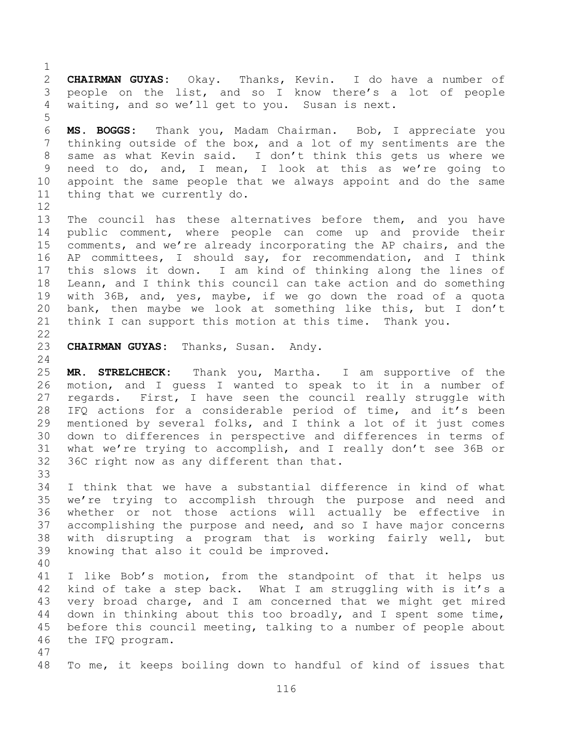$\frac{1}{2}$ 2 **CHAIRMAN GUYAS:** Okay. Thanks, Kevin. I do have a number of 3 people on the list, and so I know there's a lot of people<br>4 waiting, and so we'll get to you. Susan is next. waiting, and so we'll get to you. Susan is next.

5 6 **MS. BOGGS:** Thank you, Madam Chairman. Bob, I appreciate you thinking outside of the box, and a lot of my sentiments are the 8 same as what Kevin said. I don't think this gets us where we 9 need to do, and, I mean, I look at this as we're going to<br>10 appoint the same people that we always appoint and do the same 10 appoint the same people that we always appoint and do the same<br>11 thing that we currently do. thing that we currently do.

 $\begin{array}{c} 12 \\ 13 \end{array}$ 13 The council has these alternatives before them, and you have<br>14 public comment, where people can come up and provide their 14 public comment, where people can come up and provide their<br>15 comments, and we're already incorporating the AP chairs, and the 15 comments, and we're already incorporating the AP chairs, and the<br>16 AP committees, I should say, for recommendation, and I think AP committees, I should say, for recommendation, and I think 17 this slows it down. I am kind of thinking along the lines of<br>18 Leann, and I think this council can take action and do something 18 Leann, and I think this council can take action and do something<br>19 with 36B, and, ves, mavbe, if we go down the road of a guota 19 with 36B, and, yes, maybe, if we go down the road of a quota<br>20 bank, then maybe we look at something like this, but I don't 20 bank, then maybe we look at something like this, but I don't<br>21 think I can support this motion at this time. Thank you. think I can support this motion at this time. Thank you.

 $\frac{22}{23}$ 

23 **CHAIRMAN GUYAS:** Thanks, Susan. Andy.

 $\frac{24}{25}$ 25 **MR. STRELCHECK:** Thank you, Martha. I am supportive of the 26 motion, and I guess I wanted to speak to it in a number of<br>27 regards. First, I have seen the council really struggle with 27 regards. First, I have seen the council really struggle with<br>28 IFO actions for a considerable period of time, and it's been 28 IFQ actions for a considerable period of time, and it's been<br>29 mentioned by several folks, and I think a lot of it just comes 29 mentioned by several folks, and I think a lot of it just comes<br>30 down to differences in perspective and differences in terms of 30 down to differences in perspective and differences in terms of<br>31 what we're trying to accomplish, and I really don't see 36B or what we're trying to accomplish, and I really don't see 36B or 32 36C right now as any different than that.

33<br>34 34 I think that we have a substantial difference in kind of what<br>35 we're trying to accomplish through the purpose and need and 35 we're trying to accomplish through the purpose and need and<br>36 whether or not those actions will actually be effective in 36 whether or not those actions will actually be effective in<br>37 accomplishing the purpose and need, and so I have major concerns 37 accomplishing the purpose and need, and so I have major concerns<br>38 with disrupting a program that is working fairly well, but 38 with disrupting a program that is working fairly well, but<br>39 knowing that also it could be improved. knowing that also it could be improved.

40

41 I like Bob's motion, from the standpoint of that it helps us<br>42 kind of take a step back. What I am struggling with is it's a 42 kind of take a step back. What I am struggling with is it's a<br>43 very broad charge, and I am concerned that we might get mired 43 very broad charge, and I am concerned that we might get mired<br>44 down in thinking about this too broadly, and I spent some time, 44 down in thinking about this too broadly, and I spent some time,<br>45 before this council meeting, talking to a number of people about 45 before this council meeting, talking to a number of people about<br>46 the IFO program. the IFO program.

47

48 To me, it keeps boiling down to handful of kind of issues that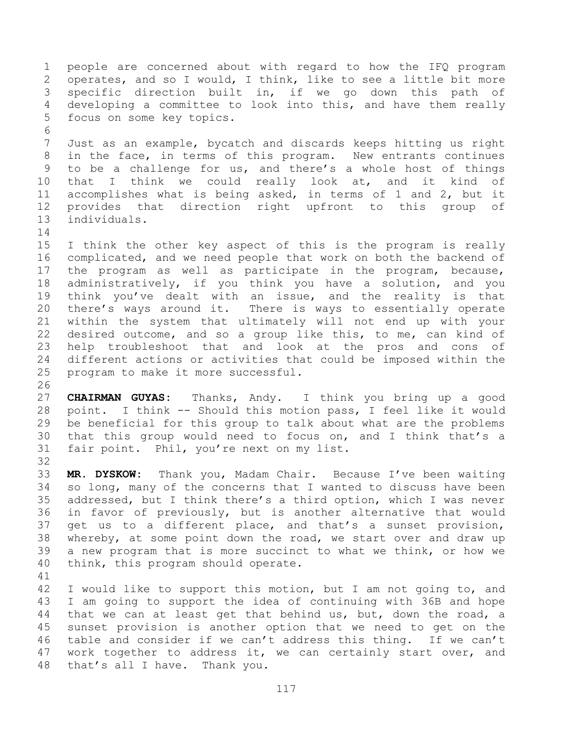1 people are concerned about with regard to how the IFQ program<br>2 operates, and so I would, I think, like to see a little bit more 2 operates, and so I would, I think, like to see a little bit more<br>3 specific direction built in, if we go down this path of 3 specific direction built in, if we go down this path of<br>4 developing a committee to look into this, and have them really 4 developing a committee to look into this, and have them really<br>5 focus on some key topics. focus on some key topics.

6<br>7 Just as an example, bycatch and discards keeps hitting us right 8 in the face, in terms of this program. New entrants continues 9 to be a challenge for us, and there's a whole host of things<br>10 that I think we could really look at, and it kind of 10 that I think we could really look at, and it kind<br>11 accomplishes what is being asked, in terms of 1 and 2, but 11 accomplishes what is being asked, in terms of 1 and 2, but it<br>12 provides that direction right upfront to this group of 12 provides that direction right upfront to this group<br>13 individuals. individuals.

 $\begin{array}{c} 14 \\ 15 \end{array}$ 15 I think the other key aspect of this is the program is really<br>16 complicated, and we need people that work on both the backend of complicated, and we need people that work on both the backend of 17 the program as well as participate in the program, because,<br>18 administratively, if you think you have a solution, and you 18 administratively, if you think you have a solution, and you<br>19 think vou've dealt with an issue, and the reality is that 19 think you've dealt with an issue, and the reality is that<br>20 there's ways around it. There is ways to essentially operate 20 there's ways around it. There is ways to essentially operate<br>21 within the system that ultimately will not end up with your 21 within the system that ultimately will not end up with your<br>22 desired outcome, and so a group like this, to me, can kind of 22 desired outcome, and so a group like this, to me, can kind of<br>23 help troubleshoot that and look at the pros and cons of 23 help troubleshoot that and look at the pros and cons<br>24 different actions or activities that could be imposed within t 24 different actions or activities that could be imposed within the<br>25 program to make it more successful. program to make it more successful.

26<br>27 27 **CHAIRMAN GUYAS:** Thanks, Andy. I think you bring up a good 28 point. I think -- Should this motion pass, I feel like it would<br>29 be beneficial for this group to talk about what are the problems 29 be beneficial for this group to talk about what are the problems<br>30 that this group would need to focus on, and I think that's a 30 that this group would need to focus on, and I think that's a<br>31 fair point. Phil, you're next on my list. fair point. Phil, you're next on my list.

32<br>33 33 **MR. DYSKOW:** Thank you, Madam Chair. Because I've been waiting 34 so long, many of the concerns that I wanted to discuss have been<br>35 addressed, but I think there's a third option, which I was never 35 addressed, but I think there's a third option, which I was never<br>36 in favor of previously, but is another alternative that would 36 in favor of previously, but is another alternative that would<br>37 get us to a different place, and that's a sunset provision, 37 get us to a different place, and that's a sunset provision,<br>38 whereby, at some point down the road, we start over and draw up 38 whereby, at some point down the road, we start over and draw up<br>39 a new program that is more succinct to what we think, or how we a new program that is more succinct to what we think, or how we 40 think, this program should operate.

41<br>42

42 I would like to support this motion, but I am not going to, and<br>43 I am going to support the idea of continuing with 36B and hope 43 I am going to support the idea of continuing with 36B and hope<br>44 that we can at least get that behind us, but, down the road, a 44 that we can at least get that behind us, but, down the road, a<br>45 sunset provision is another option that we need to get on the 45 sunset provision is another option that we need to get on the<br>46 table and consider if we can't address this thing. If we can't 46 table and consider if we can't address this thing. If we can't<br>47 work together to address it, we can certainly start over, and work together to address it, we can certainly start over, and 48 that's all I have. Thank you.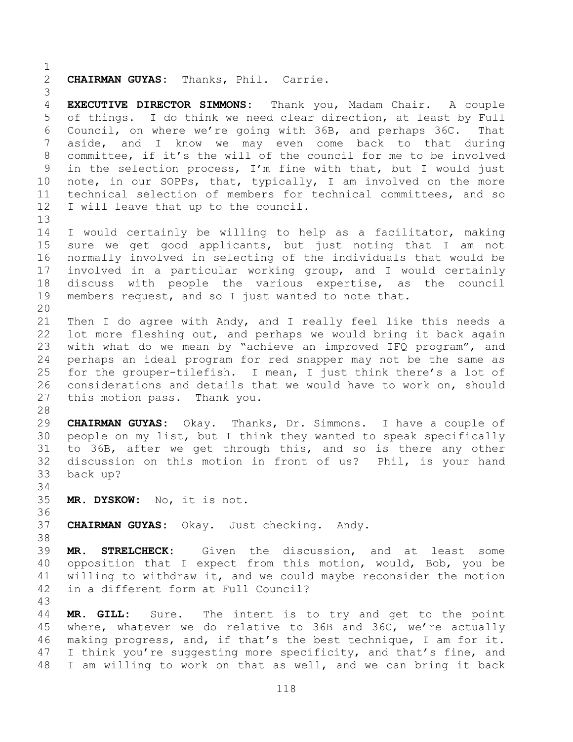$\frac{1}{2}$ 2 **CHAIRMAN GUYAS:** Thanks, Phil. Carrie. 3 4 **EXECUTIVE DIRECTOR SIMMONS:** Thank you, Madam Chair. A couple 5 of things. I do think we need clear direction, at least by Full<br>6 Council, on where we're going with 36B, and perhaps 36C. That 6 Council, on where we're going with 36B, and perhaps 36C. That<br>7 aside, and I know we may even come back to that during aside, and I know we may even come back to that during 8 committee, if it's the will of the council for me to be involved 9 in the selection process, I'm fine with that, but I would just<br>10 note, in our SOPPs, that, typically, I am involved on the more 10 note, in our SOPPs, that, typically, I am involved on the more<br>11 technical selection of members for technical committees, and so 11 technical selection of members for technical committees, and so<br>12 I will leave that up to the council. I will leave that up to the council. 13<br>14 14 I would certainly be willing to help as a facilitator, making<br>15 sure we get good applicants, but just noting that I am not 15 sure we get good applicants, but just noting that I am not<br>16 normally involved in selecting of the individuals that would be normally involved in selecting of the individuals that would be 17 involved in a particular working group, and I would certainly<br>18 discuss with people the various expertise, as the council 18 discuss with people the various expertise, as the council<br>19 members request, and so I just wanted to note that. members request, and so I just wanted to note that. 20<br>21 21 Then I do agree with Andy, and I really feel like this needs a<br>22 lot more fleshing out, and perhaps we would bring it back again 22 lot more fleshing out, and perhaps we would bring it back again<br>23 with what do we mean by "achieve an improved IFO program", and 23 with what do we mean by "achieve an improved IFQ program", and<br>24 perhaps an ideal program for red snapper may not be the same as 24 perhaps an ideal program for red snapper may not be the same as<br>25 for the grouper-tilefish. I mean, I just think there's a lot of 25 for the grouper-tilefish. I mean, I just think there's a lot of<br>26 considerations and details that we would have to work on, should 26 considerations and details that we would have to work on, should<br>27 this motion pass. Thank you. this motion pass. Thank you. 28<br>29 29 **CHAIRMAN GUYAS:** Okay. Thanks, Dr. Simmons. I have a couple of 30 people on my list, but I think they wanted to speak specifically<br>31 to 36B, after we get through this, and so is there any other to 36B, after we get through this, and so is there any other 32 discussion on this motion in front of us? Phil, is your hand<br>33 back up? back up? 34<br>35 35 **MR. DYSKOW:** No, it is not. 36<br>37 37 **CHAIRMAN GUYAS:** Okay. Just checking. Andy. 38<br>39 MR. STRELCHECK: Given the discussion, and at least some 40 opposition that I expect from this motion, would, Bob, you be 41 willing to withdraw it, and we could maybe reconsider the motion<br>42 in a different form at Full Council? in a different form at Full Council? 43 44 **MR. GILL:** Sure. The intent is to try and get to the point 45 where, whatever we do relative to 36B and 36C, we're actually<br>46 making progress, and, if that's the best technique, I am for it. 46 making progress, and, if that's the best technique, I am for it.<br>47 I think you're suggesting more specificity, and that's fine, and

118

I think you're suggesting more specificity, and that's fine, and

48 I am willing to work on that as well, and we can bring it back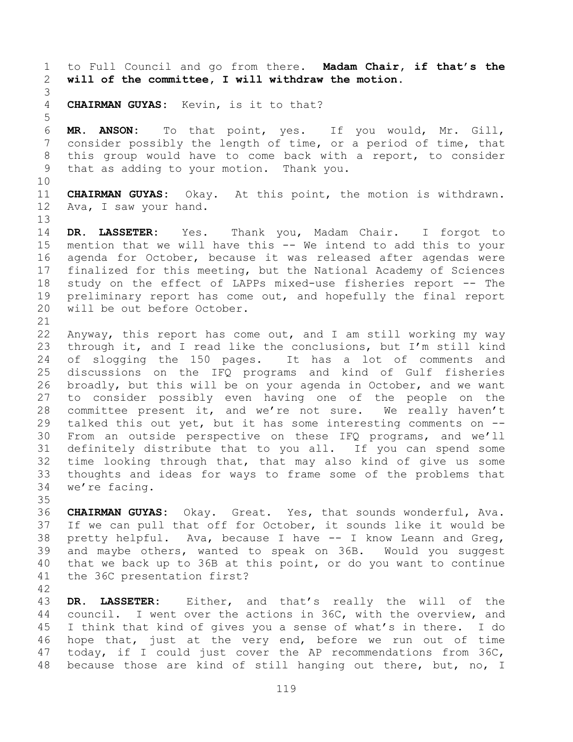1 to Full Council and go from there. **Madam Chair, if that's the** 2 **will of the committee, I will withdraw the motion.** 3 4 **CHAIRMAN GUYAS:** Kevin, is it to that? 5 6 **MR. ANSON:** To that point, yes. If you would, Mr. Gill, consider possibly the length of time, or a period of time, that 8 this group would have to come back with a report, to consider 9 that as adding to your motion. Thank you. 10<br>11 11 **CHAIRMAN GUYAS:** Okay. At this point, the motion is withdrawn.<br>12 Ava, I saw your hand. Ava, I saw your hand. 13<br>14 14 **DR. LASSETER:** Yes. Thank you, Madam Chair. I forgot to 15 mention that we will have this -- We intend to add this to your<br>16 agenda for October, because it was released after agendas were agenda for October, because it was released after agendas were 17 finalized for this meeting, but the National Academy of Sciences<br>18 study on the effect of LAPPs mixed-use fisheries report -- The 18 study on the effect of LAPPs mixed-use fisheries report -- The<br>19 preliminary report has come out, and hopefully the final report 19 preliminary report has come out, and hopefully the final report<br>20 will be out before October. will be out before October. 21<br>22 22 Anyway, this report has come out, and I am still working my way<br>23 through it, and I read like the conclusions, but I'm still kind 23 through it, and I read like the conclusions, but I'm still kind<br>24 of slogging the 150 pages. It has a lot of comments and 24 of slogging the 150 pages. It has a lot of comments and<br>25 discussions on the IFO programs and kind of Gulf fisheries 25 discussions on the IFQ programs and kind of Gulf fisheries<br>26 broadly, but this will be on your agenda in October, and we want 26 broadly, but this will be on your agenda in October, and we want<br>27 to consider possibly even having one of the people on the 27 to consider possibly even having one of the people on the<br>28 committee present it, and we're not sure. We really haven't 28 committee present it, and we're not sure.<br>29 talked this out yet, but it has some intere 29 talked this out yet, but it has some interesting comments on --<br>30 From an outside perspective on these IFO programs, and we'll 30 From an outside perspective on these IFQ programs, and we'll<br>31 definitely distribute that to you all. If you can spend some definitely distribute that to you all. If you can spend some 32 time looking through that, that may also kind of give us some<br>33 thoughts and ideas for ways to frame some of the problems that 33 thoughts and ideas for ways to frame some of the problems that<br>34 we're facing. we're facing. 35<br>36

36 **CHAIRMAN GUYAS:** Okay. Great. Yes, that sounds wonderful, Ava. 37 If we can pull that off for October, it sounds like it would be<br>38 pretty helpful. Ava, because I have -- I know Leann and Greq, 38 pretty helpful. Ava, because I have -- I know Leann and Greg,<br>39 and mavbe others, wanted to speak on 36B. Would you suggest and maybe others, wanted to speak on 36B. Would you suggest 40 that we back up to 36B at this point, or do you want to continue 41 the 36C presentation first?

42

43 **DR. LASSETER:** Either, and that's really the will of the 44 council. I went over the actions in 36C, with the overview, and<br>45 I think that kind of gives you a sense of what's in there. I do 45 I think that kind of gives you a sense of what's in there. I do<br>46 hope that, just at the very end, before we run out of time 46 hope that, just at the very end, before we run out of time<br>47 today, if I could just cover the AP recommendations from 36C, today, if I could just cover the AP recommendations from  $36C$ , 48 because those are kind of still hanging out there, but, no, I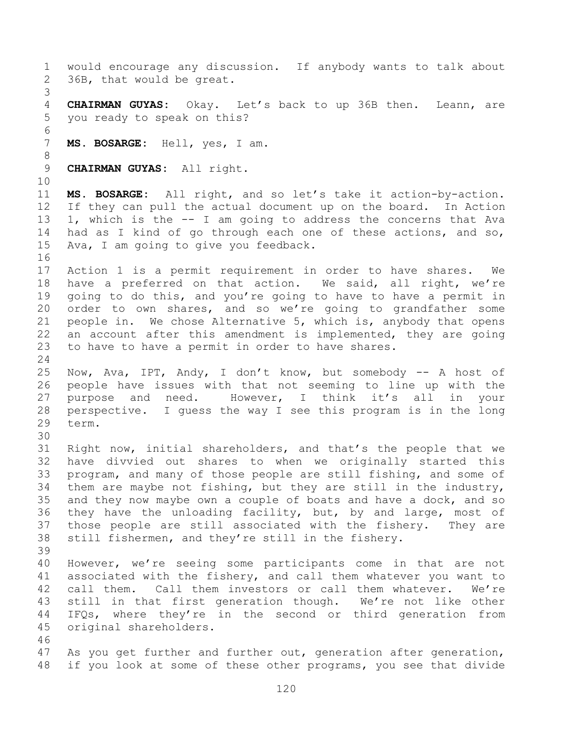1 would encourage any discussion. If anybody wants to talk about<br>2 36B, that would be great. 36B, that would be great. 3 4 **CHAIRMAN GUYAS:** Okay. Let's back to up 36B then. Leann, are you ready to speak on this? 6<br>7 7 **MS. BOSARGE:** Hell, yes, I am. 8 9 **CHAIRMAN GUYAS:** All right. 10<br>11 11 **MS. BOSARGE:** All right, and so let's take it action-by-action. 12 If they can pull the actual document up on the board. In Action<br>13 1, which is the -- I am going to address the concerns that Ava 13 1, which is the -- I am going to address the concerns that Ava<br>14 had as I kind of go through each one of these actions, and so, 14 had as I kind of go through each one of these actions, and so,<br>15 Ava, I am going to give you feedback. Ava, I am going to give you feedback. 16 17 Action 1 is a permit requirement in order to have shares. We<br>18 have a preferred on that action. We said, all right, we're 18 have a preferred on that action. We said, all right, we're<br>19 going to do this, and you're going to have to have a permit in 19 going to do this, and you're going to have to have a permit in<br>20 order to own shares, and so we're going to grandfather some 20 order to own shares, and so we're going to grandfather some<br>21 people in. We chose Alternative 5, which is, anybody that opens 21 people in. We chose Alternative 5, which is, anybody that opens<br>22 an account after this amendment is implemented, they are going 22 an account after this amendment is implemented, they are going<br>23 to have to have a permit in order to have shares. to have to have a permit in order to have shares.  $\frac{24}{25}$ 25 Now, Ava, IPT, Andy, I don't know, but somebody -- A host of<br>26 people have issues with that not seeming to line up with the 26 people have issues with that not seeming to line up with the<br>27 purpose and need. However, I think it's all in your 27 purpose and need. However, I think it's all in your<br>28 perspective. I quess the way I see this program is in the long 28 perspective. I guess the way I see this program is in the long term. 30<br>31 Right now, initial shareholders, and that's the people that we 32 have divvied out shares to when we originally started this<br>33 program, and many of those people are still fishing, and some of 33 program, and many of those people are still fishing, and some of<br>34 them are mavbe not fishing, but thev are still in the industry, 34 them are maybe not fishing, but they are still in the industry,<br>35 and they now maybe own a couple of boats and have a dock, and so 35 and they now maybe own a couple of boats and have a dock, and so<br>36 they have the unloading facility, but, by and large, most of 36 they have the unloading facility, but, by and large, most of<br>37 those people are still associated with the fishery. They are 37 those people are still associated with the fishery.<br>38 still fishermen, and they're still in the fishery. still fishermen, and they're still in the fishery. 39 40 However, we're seeing some participants come in that are not 41 associated with the fishery, and call them whatever you want to<br>42 call them. Call them investors or call them whatever. We're 42 call them. Call them investors or call them whatever. We're<br>43 still in that first generation though. We're not like other 43 still in that first generation though.<br>44 IFOs, where they're in the second or 44 IFQs, where they're in the second or third generation from<br>45 original shareholders. original shareholders. 46<br>47 As you get further and further out, generation after generation, 48 if you look at some of these other programs, you see that divide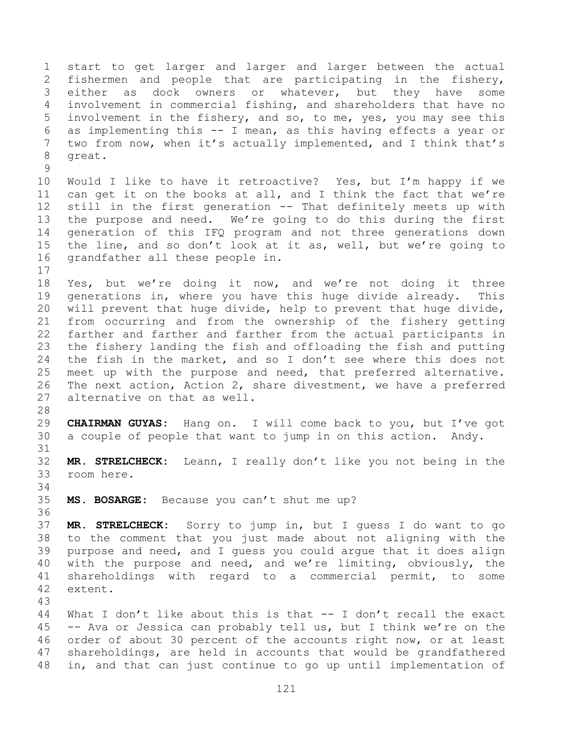1 start to get larger and larger and larger between the actual<br>2 fishermen and people that are participating in the fishery, 2 fishermen and people that are participating in the fishery,<br>3 either as dock owners or whatever, but they have some 3 either as dock owners or whatever, but they have some<br>4 involvement in commercial fishing, and shareholders that have no 4 involvement in commercial fishing, and shareholders that have no<br>5 involvement in the fishery, and so, to me, yes, you may see this 5 involvement in the fishery, and so, to me, yes, you may see this<br>6 as implementing this -- I mean, as this having effects a vear or 6 as implementing this -- I mean, as this having effects a year or<br>7 two from now, when it's actually implemented, and I think that's two from now, when it's actually implemented, and I think that's 8 great.

 $\begin{array}{c} 9 \\ 10 \end{array}$ 10 Would I like to have it retroactive? Yes, but I'm happy if we<br>11 can get it on the books at all, and I think the fact that we're 11 can get it on the books at all, and I think the fact that we're<br>12 still in the first generation -- That definitely meets up with 12 still in the first generation -- That definitely meets up with<br>13 the purpose and need. We're going to do this during the first 13 the purpose and need. We're going to do this during the first<br>14 qeneration of this IFO program and not three generations down 14 generation of this IFQ program and not three generations down<br>15 the line, and so don't look at it as, well, but we're going to 15 the line, and so don't look at it as, well, but we're going to<br>16 qrandfather all these people in. grandfather all these people in.

 $\begin{array}{c} 17 \\ 18 \end{array}$ 18 Yes, but we're doing it now, and we're not doing it three<br>19 qenerations in, where you have this huge divide already. This 19 generations in, where you have this huge divide already.<br>20 will prevent that huge divide, help to prevent that huge d 20 will prevent that huge divide, help to prevent that huge divide,<br>21 from occurring and from the ownership of the fishery getting 21 from occurring and from the ownership of the fishery getting<br>22 farther and farther and farther from the actual participants in 22 farther and farther and farther from the actual participants in<br>23 the fishery landing the fish and offloading the fish and putting 23 the fishery landing the fish and offloading the fish and putting<br>24 the fish in the market, and so I don't see where this does not 24 the fish in the market, and so I don't see where this does not<br>25 meet up with the purpose and need, that preferred alternative. 25 meet up with the purpose and need, that preferred alternative.<br>26 The next action, Action 2, share divestment, we have a preferred 26 The next action, Action 2, share divestment, we have a preferred<br>27 alternative on that as well. alternative on that as well.

28<br>29 29 **CHAIRMAN GUYAS:** Hang on. I will come back to you, but I've got a couple of people that want to jump in on this action. Andy.

31<br>32 32 **MR. STRELCHECK:** Leann, I really don't like you not being in the room here.

34<br>35 MS. BOSARGE: Because you can't shut me up?

36<br>37 37 **MR. STRELCHECK:** Sorry to jump in, but I guess I do want to go 38 to the comment that you just made about not aligning with the<br>39 purpose and need, and I quess you could arque that it does align purpose and need, and I quess you could arque that it does align 40 with the purpose and need, and we're limiting, obviously, the 41 shareholdings with regard to a commercial permit, to some<br>42 extent. extent.

43 44 What I don't like about this is that  $--$  I don't recall the exact 45  $--$  Ava or Jessica can probably tell us, but I think we're on the 45 -- Ava or Jessica can probably tell us, but I think we're on the<br>46 order of about 30 percent of the accounts right now, or at least 46 order of about 30 percent of the accounts right now, or at least<br>47 shareholdings, are held in accounts that would be grandfathered shareholdings, are held in accounts that would be grandfathered 48 in, and that can just continue to go up until implementation of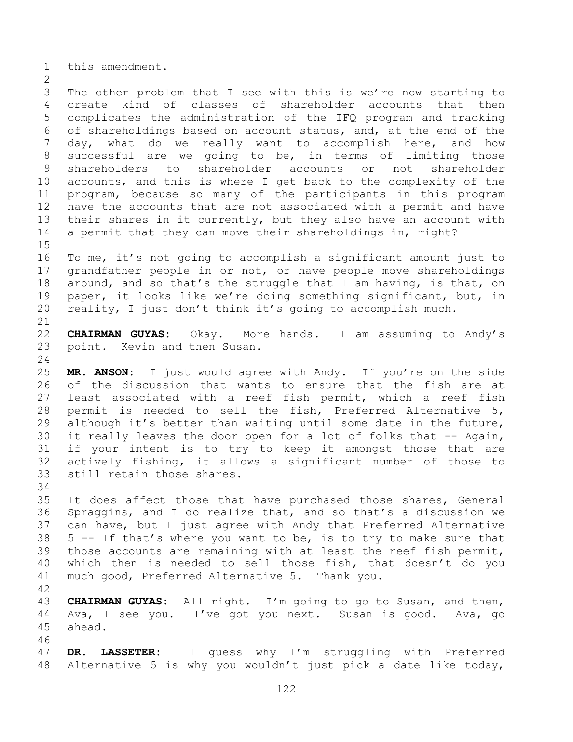1 this amendment.

 $\frac{2}{3}$ 3 The other problem that I see with this is we're now starting to<br>4 create kind of classes of shareholder accounts that then 4 create kind of classes of shareholder accounts that then<br>5 complicates the administration of the IFQ program and tracking 5 complicates the administration of the IFQ program and tracking<br>6 of shareholdings based on account status, and, at the end of the 6 of shareholdings based on account status, and, at the end of the<br>7 day, what do we really want to accomplish here, and how day, what do we really want to accomplish here, and how 8 successful are we going to be, in terms of limiting those 9 shareholders to shareholder accounts or not shareholder<br>10 accounts, and this is where I get back to the complexity of the 10 accounts, and this is where I get back to the complexity of the<br>11 program, because so many of the participants in this program 11 program, because so many of the participants in this program<br>12 have the accounts that are not associated with a permit and have 12 have the accounts that are not associated with a permit and have<br>13 their shares in it currently, but they also have an account with 13 their shares in it currently, but they also have an account with<br>14 a permit that they can move their shareholdings in, right? a permit that they can move their shareholdings in, right?

 $15$ <br> $16$ To me, it's not going to accomplish a significant amount just to 17 grandfather people in or not, or have people move shareholdings<br>18 around, and so that's the struggle that I am having, is that, on 18 around, and so that's the struggle that I am having, is that, on<br>19 paper, it looks like we're doing something significant, but, in 19 paper, it looks like we're doing something significant, but, in<br>20 reality, I just don't think it's going to accomplish much. reality, I just don't think it's going to accomplish much.

 $\frac{21}{22}$ 22 **CHAIRMAN GUYAS:** Okay. More hands. I am assuming to Andy's 23 point. Kevin and then Susan. point. Kevin and then Susan.

 $\frac{24}{25}$ 25 **MR. ANSON:** I just would agree with Andy. If you're on the side 26 of the discussion that wants to ensure that the fish are at<br>27 least associated with a reef fish permit, which a reef fish 27 least associated with a reef fish permit, which a reef fish<br>28 permit is needed to sell the fish, Preferred Alternative 5, 28 permit is needed to sell the fish, Preferred Alternative 5,<br>29 although it's better than waiting until some date in the future, 29 although it's better than waiting until some date in the future,<br>30 it really leaves the door open for a lot of folks that -- Again, 30 it really leaves the door open for a lot of folks that -- Again,<br>31 if your intent is to try to keep it amongst those that are 31 if your intent is to try to keep it amongst those that are<br>32 actively fishing, it allows a significant number of those to 32 actively fishing, it allows a significant number of those to<br>33 still retain those shares. still retain those shares.

34<br>35 35 It does affect those that have purchased those shares, General<br>36 Spraggins, and I do realize that, and so that's a discussion we 36 Spraggins, and I do realize that, and so that's a discussion we<br>37 can have, but I just agree with Andy that Preferred Alternative 37 can have, but I just agree with Andy that Preferred Alternative<br>38 5 -- If that's where you want to be, is to try to make sure that  $38$  5 -- If that's where you want to be, is to try to make sure that  $39$  those accounts are remaining with at least the reef fish permit. those accounts are remaining with at least the reef fish permit, 40 which then is needed to sell those fish, that doesn't do you 41 much good, Preferred Alternative 5. Thank you.

42

43 **CHAIRMAN GUYAS:** All right. I'm going to go to Susan, and then,<br>44 Ava, I see you. I've got you next. Susan is good. Ava, go 44 Ava, I see you. I've got you next. Susan is good. Ava, go ahead.

46<br>47 DR. LASSETER: I guess why I'm struggling with Preferred 48 Alternative 5 is why you wouldn't just pick a date like today,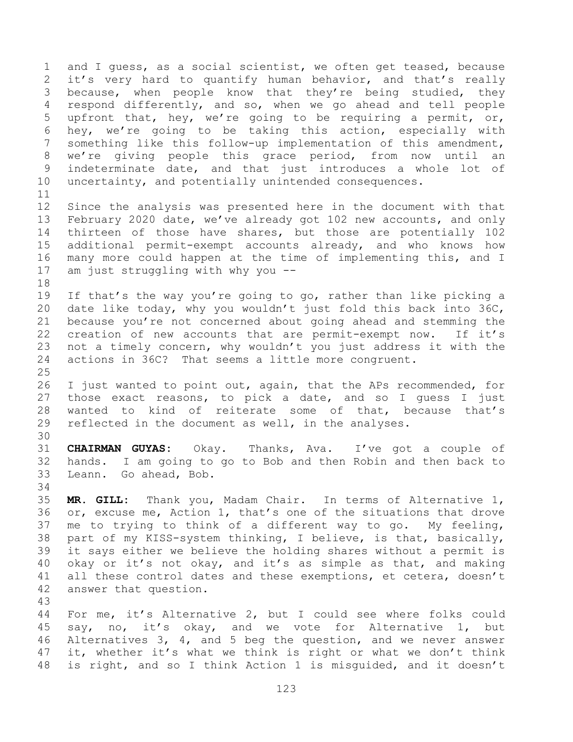1 and I guess, as a social scientist, we often get teased, because<br>2 it's very hard to quantify human behavior, and that's really 2 it's very hard to quantify human behavior, and that's really<br>3 because, when people know that they're being studied, they 3 because, when people know that they're being studied, they<br>4 respond differently, and so, when we go ahead and tell people 4 respond differently, and so, when we go ahead and tell people<br>5 upfront that, hey, we're going to be requiring a permit, or, 5 upfront that, hey, we're going to be requiring a permit, or,<br>6 hev, we're going to be taking this action, especially with 6 hey, we're going to be taking this action, especially with something like this follow-up implementation of this amendment, 8 we're giving people this grace period, from now until an 9 indeterminate date, and that just introduces a whole lot of<br>10 uncertainty, and potentially unintended consequences. uncertainty, and potentially unintended consequences. 11<br>12 12 Since the analysis was presented here in the document with that<br>13 February 2020 date, we've already got 102 new accounts, and only 13 February 2020 date, we've already got 102 new accounts, and only<br>14 thirteen of those have shares, but those are potentially 102 14 thirteen of those have shares, but those are potentially 102<br>15 additional permit-exempt accounts already, and who knows how 15 additional permit-exempt accounts already, and who knows how<br>16 many more could happen at the time of implementing this, and I 16 many more could happen at the time of implementing this, and I<br>17 am just struggling with why you -am just struggling with why you  $-$ 18<br>19 19 If that's the way you're going to go, rather than like picking a<br>20 date like today, why you wouldn't just fold this back into 36C, 20 date like today, why you wouldn't just fold this back into 36C,  $\frac{21}{100}$  because vou're not concerned about going ahead and stemming the 21 because you're not concerned about going ahead and stemming the<br>22 creation of new accounts that are permit-exempt now. If it's 22 creation of new accounts that are permit-exempt now.<br>23 not a timely concern, why wouldn't you just address it 23 not a timely concern, why wouldn't you just address it with the<br>24 actions in 36C? That seems a little more congruent. actions in 36C? That seems a little more congruent.  $\frac{25}{26}$ 26 I just wanted to point out, again, that the APs recommended, for<br>27 those exact reasons, to pick a date, and so I quess I just 27 those exact reasons, to pick a date, and so I guess I just<br>28 wanted to kind of reiterate some of that, because that's 28 wanted to kind of reiterate some of that, because that's<br>29 reflected in the document as well, in the analyses. reflected in the document as well, in the analyses. 30<br>31 31 **CHAIRMAN GUYAS:** Okay. Thanks, Ava. I've got a couple of 32 hands. I am going to go to Bob and then Robin and then back to Leann. Go ahead, Bob. 34<br>35 35 **MR. GILL:** Thank you, Madam Chair. In terms of Alternative 1, 36 or, excuse me, Action 1, that's one of the situations that drove<br>37 me to trying to think of a different way to go. My feeling, 37 me to trying to think of a different way to go. My feeling,<br>38 part of my KISS-system thinking, I believe, is that, basically, 38 part of my KISS-system thinking, I believe, is that, basically,<br>39 it savs either we believe the holding shares without a permit is it says either we believe the holding shares without a permit is 40 okay or it's not okay, and it's as simple as that, and making 41 all these control dates and these exemptions, et cetera, doesn't<br>42 answer that question. answer that question. 43 44 For me, it's Alternative 2, but I could see where folks could<br>45 say, no, it's okay, and we vote for Alternative 1, but 45 say, no, it's okay, and we vote for Alternative 1, but<br>46 Alternatives 3, 4, and 5 beg the question, and we never answer 46 Alternatives 3, 4, and 5 beg the question, and we never answer<br>47 it, whether it's what we think is right or what we don't think it, whether it's what we think is right or what we don't think

123

48 is right, and so I think Action 1 is misguided, and it doesn't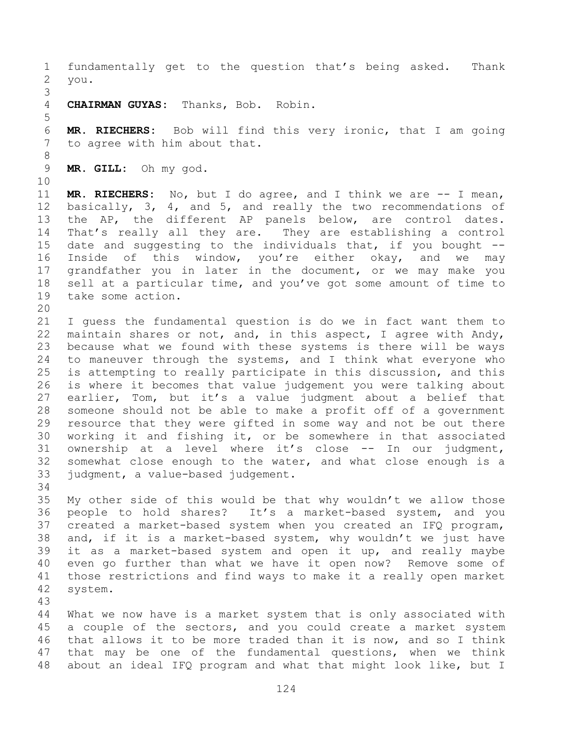1 fundamentally get to the question that's being asked. Thank 2 you.

3

4 **CHAIRMAN GUYAS:** Thanks, Bob. Robin.

5 6 **MR. RIECHERS:** Bob will find this very ironic, that I am going to agree with him about that.

- 9 **MR. GILL:** Oh my god.
- 

8

10<br>11 11 **MR. RIECHERS:** No, but I do agree, and I think we are -- I mean,<br>12 basically, 3, 4, and 5, and really the two recommendations of 12 basically, 3, 4, and 5, and really the two recommendations of<br>13 the AP, the different AP panels below, are control dates. 13 the AP, the different AP panels below, are control dates.<br>14 That's really all they are. They are establishing a control 14 That's really all they are. They are establishing a control<br>15 date and suggesting to the individuals that, if you bought --15 date and suggesting to the individuals that, if you bought --<br>16 Inside of this window, you're either okay, and we may Inside of this window, you're either okay, and we may 17 grandfather you in later in the document, or we may make you<br>18 sell at a particular time, and you've got some amount of time to 18 sell at a particular time, and you've got some amount of time to<br>19 take some action. take some action.

20<br>21 21 I guess the fundamental question is do we in fact want them to<br>22 maintain shares or not, and, in this aspect, I agree with Andy, 22 maintain shares or not, and, in this aspect, I agree with Andy,<br>23 because what we found with these systems is there will be ways 23 because what we found with these systems is there will be ways<br>24 to maneuver through the systems, and I think what everyone who 24 to maneuver through the systems, and I think what everyone who<br>25 is attempting to really participate in this discussion, and this 25 is attempting to really participate in this discussion, and this<br>26 is where it becomes that value judgement you were talking about 26 is where it becomes that value judgement you were talking about<br>27 earlier, Tom, but it's a value judgment about a belief that 27 earlier, Tom, but it's a value judgment about a belief that<br>28 someone should not be able to make a profit off of a government 28 someone should not be able to make a profit off of a government<br>29 resource that they were gifted in some way and not be out there 29 resource that they were gifted in some way and not be out there<br>30 working it and fishing it, or be somewhere in that associated 30 working it and fishing it, or be somewhere in that associated  $\overline{31}$  ownership at a level where it's close -- In our judgment, 31 ownership at a level where it's close -- In our judgment,<br>32 somewhat close enough to the water, and what close enough is a 32 somewhat close enough to the water, and what close enough is a<br>33 judgment, a value-based judgement. judgment, a value-based judgement.

34<br>35

35 My other side of this would be that why wouldn't we allow those<br>36 people to hold shares? It's a market-based system, and you 36 people to hold shares? It's a market-based system, and you<br>37 created a market-based system when you created an IFQ program, 37 created a market-based system when you created an IFQ program,<br>38 and, if it is a market-based system, why wouldn't we just have 38 and, if it is a market-based system, why wouldn't we just have<br>39 it as a market-based system and open it up, and really maybe it as a market-based system and open it up, and really maybe 40 even go further than what we have it open now? Remove some of 41 those restrictions and find ways to make it a really open market<br>42 svstem. system.

43 44 What we now have is a market system that is only associated with<br>45 a couple of the sectors, and you could create a market system 45 a couple of the sectors, and you could create a market system<br>46 that allows it to be more traded than it is now, and so I think 46 that allows it to be more traded than it is now, and so I think<br>47 that may be one of the fundamental questions, when we think that may be one of the fundamental questions, when we think 48 about an ideal IFQ program and what that might look like, but I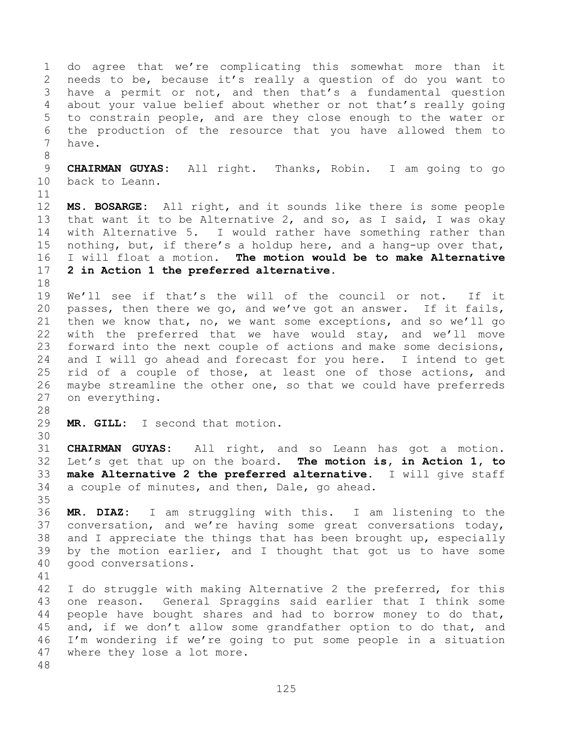1 do agree that we're complicating this somewhat more than it<br>2 needs to be, because it's really a question of do you want to 2 needs to be, because it's really a question of do you want to<br>3 have a permit or not, and then that's a fundamental question 3 have a permit or not, and then that's a fundamental question<br>4 about vour value belief about whether or not that's really going 4 about your value belief about whether or not that's really going<br>5 to constrain people, and are they close enough to the water or 5 to constrain people, and are they close enough to the water or<br>6 the production of the resource that you have allowed them to 6 the production of the resource that you have allowed them to<br>7 have. have. 8 9 **CHAIRMAN GUYAS:** All right. Thanks, Robin. I am going to go back to Leann. 11<br>12 12 **MS. BOSARGE:** All right, and it sounds like there is some people 13 that want it to be Alternative 2, and so, as I said, I was okay<br>14 with Alternative 5. I would rather have something rather than 14 with Alternative 5. I would rather have something rather than<br>15 nothing, but, if there's a holdup here, and a hang-up over that, 15 nothing, but, if there's a holdup here, and a hang-up over that,<br>16 I will float a motion. The motion would be to make Alternative 16 I will float a motion. **The motion would be to make Alternative** 17 **2 in Action 1 the preferred alternative.** 18<br>19 19 We'll see if that's the will of the council or not. If it<br>20 passes, then there we go, and we've got an answer. If it fails, 20 passes, then there we go, and we've got an answer. If it fails,<br>21 then we know that, no, we want some exceptions, and so we'll go 21 then we know that, no, we want some exceptions, and so we'll go<br>22 with the preferred that we have would stav, and we'll move 22 with the preferred that we have would stay, and we'll move<br>23 forward into the next couple of actions and make some decisions. forward into the next couple of actions and make some decisions, 24 and I will go ahead and forecast for you here. I intend to get<br>25 rid of a couple of those, at least one of those actions, and 25 rid of a couple of those, at least one of those actions, and<br>26 maybe streamline the other one, so that we could have preferreds 26 maybe streamline the other one, so that we could have preferreds<br>27 on everything. on everything. 28<br>29 MR. GILL: I second that motion. 30<br>31 31 **CHAIRMAN GUYAS:** All right, and so Leann has got a motion. 32 Let's get that up on the board. **The motion is, in Action 1, to** 33 **make Alternative 2 the preferred alternative.** I will give staff a couple of minutes, and then, Dale, go ahead. 35<br>36 36 **MR. DIAZ:** I am struggling with this. I am listening to the 37 conversation, and we're having some great conversations today,<br>38 and I appreciate the things that has been brought up, especially 38 and I appreciate the things that has been brought up, especially<br>39 by the motion earlier, and I thought that got us to have some by the motion earlier, and I thought that got us to have some 40 good conversations. 41<br>42 42 I do struggle with making Alternative 2 the preferred, for this<br>43 one reason. General Spraggins said earlier that I think some 43 one reason. General Spraggins said earlier that I think some<br>44 people have bought shares and had to borrow money to do that, 44 people have bought shares and had to borrow money to do that,<br>45 and, if we don't allow some grandfather option to do that, and 45 and, if we don't allow some grandfather option to do that, and<br>46 I'm wondering if we're going to put some people in a situation 46 I'm wondering if we're going to put some people in a situation<br>47 where they lose a lot more. where they lose a lot more. 48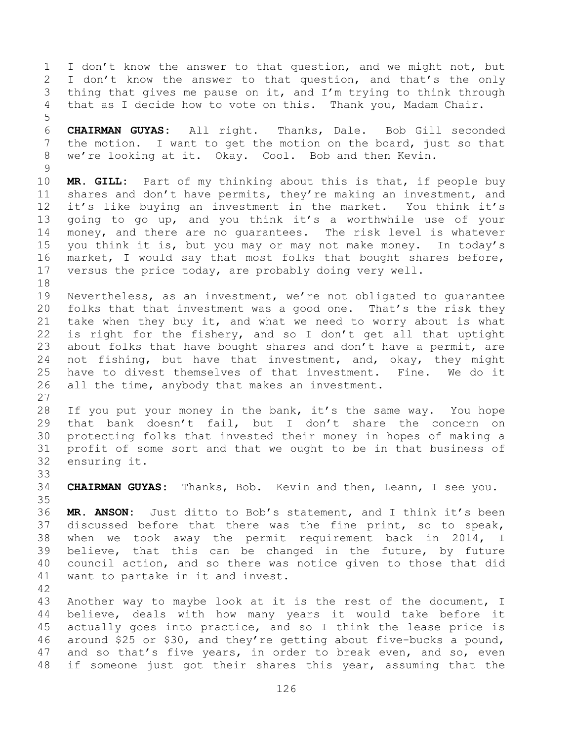1 I don't know the answer to that question, and we might not, but<br>2 I don't know the answer to that question, and that's the only 2 I don't know the answer to that question, and that's the only<br>3 thing that gives me pause on it, and I'm trying to think through 3 thing that gives me pause on it, and I'm trying to think through<br>4 that as I decide how to vote on this. Thank vou, Madam Chair. that as I decide how to vote on this. Thank you, Madam Chair. 5

6 **CHAIRMAN GUYAS:** All right. Thanks, Dale. Bob Gill seconded the motion. I want to get the motion on the board, just so that 8 we're looking at it. Okay. Cool. Bob and then Kevin.

 $\begin{array}{c} 9 \\ 10 \end{array}$ 10 **MR. GILL:** Part of my thinking about this is that, if people buy<br>11 shares and don't have permits, they're making an investment, and 11 shares and don't have permits, they're making an investment, and<br>12 it's like buying an investment in the market. You think it's 12 it's like buying an investment in the market. You think it's<br>13 going to go up, and you think it's a worthwhile use of your 13 going to go up, and you think it's a worthwhile use of your<br>14 money, and there are no quarantees. The risk level is whatever 14 money, and there are no guarantees. The risk level is whatever<br>15 you think it is, but you may or may not make money. In today's 15 you think it is, but you may or may not make money. In today's<br>16 market, I would say that most folks that bought shares before, market, I would say that most folks that bought shares before, 17 versus the price today, are probably doing very well.

18<br>19 19 Nevertheless, as an investment, we're not obligated to guarantee<br>20 folks that that investment was a good one. That's the risk they 20 folks that that investment was a good one. That's the risk they<br>21 take when they buy it, and what we need to worry about is what 21 take when they buy it, and what we need to worry about is what<br>22 is right for the fishery, and so I don't get all that uptight 22 is right for the fishery, and so I don't get all that uptight<br>23 about folks that have bought shares and don't have a permit, are 23 about folks that have bought shares and don't have a permit, are<br>24 not fishing, but have that investment, and, okay, they might 24 not fishing, but have that investment, and, okay, they might<br>25 have to divest themselves of that investment. Fine. We do it 25 have to divest themselves of that investment. Fine. We do it<br>26 all the time, anybody that makes an investment. all the time, anybody that makes an investment.

27<br>28 28 If you put your money in the bank, it's the same way. You hope<br>29 that bank doesn't fail, but I don't share the concern on 29 that bank doesn't fail, but I don't share the concern on<br>30 protecting folks that invested their money in hopes of making a 30 protecting folks that invested their money in hopes of making a<br>31 profit of some sort and that we ought to be in that business of profit of some sort and that we ought to be in that business of 32 ensuring it.

33<br>34 34 **CHAIRMAN GUYAS:** Thanks, Bob. Kevin and then, Leann, I see you.

35<br>36 36 **MR. ANSON:** Just ditto to Bob's statement, and I think it's been 37 discussed before that there was the fine print, so to speak,<br>38 when we took away the permit requirement back in 2014, I 38 when we took away the permit requirement back in 2014, I<br>39 believe, that this can be changed in the future, by future believe, that this can be changed in the future, by future 40 council action, and so there was notice given to those that did 41 want to partake in it and invest.

42 43 Another way to maybe look at it is the rest of the document, I<br>44 believe, deals with how many years it would take before it 44 believe, deals with how many years it would take before it<br>45 actually goes into practice, and so I think the lease price is 45 actually goes into practice, and so I think the lease price is<br>46 around \$25 or \$30, and they're getting about five-bucks a pound, 46 around \$25 or \$30, and they're getting about five-bucks a pound,<br>47 and so that's five vears, in order to break even, and so, even and so that's five years, in order to break even, and so, even 48 if someone just got their shares this year, assuming that the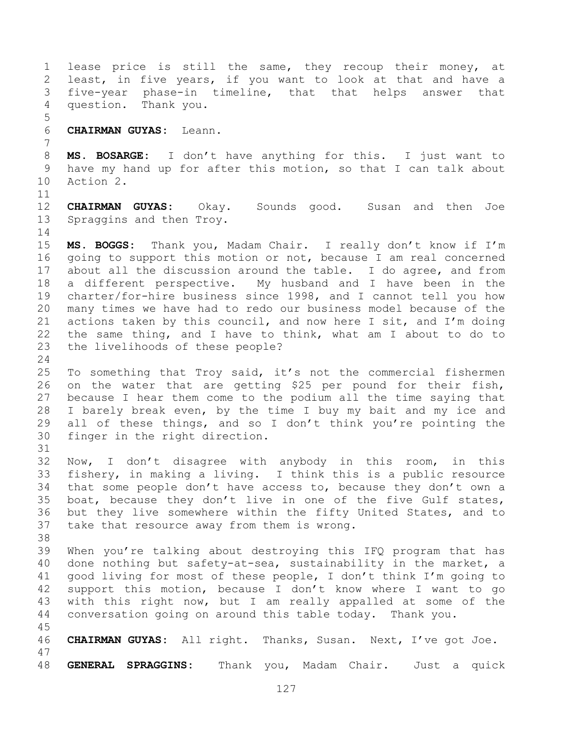1 lease price is still the same, they recoup their money, at<br>2 least, in five years, if you want to look at that and have a 2 least, in five years, if you want to look at that and have a<br>3 five-year phase-in timeline, that that helps answer that 3 five-year phase-in timeline, that that helps answer that<br>4 question. Thank you. question. Thank you. 5 6 **CHAIRMAN GUYAS:** Leann. 7 8 **MS. BOSARGE:** I don't have anything for this. I just want to 9 have my hand up for after this motion, so that I can talk about<br>10 Action 2. Action 2. 11<br>12 12 **CHAIRMAN GUYAS:** Okay. Sounds good. Susan and then Joe Spraggins and then Troy.  $\frac{14}{15}$ 15 **MS. BOGGS:** Thank you, Madam Chair. I really don't know if I'm going to support this motion or not, because I am real concerned 17 about all the discussion around the table. I do agree, and from<br>18 a different perspective. My husband and I have been in the 18 a different perspective. My husband and I have been in the<br>19 charter/for-hire business since 1998, and I cannot tell vou how 19 charter/for-hire business since 1998, and I cannot tell you how<br>20 many times we have had to redo our business model because of the 20 many times we have had to redo our business model because of the<br>21 actions taken by this council, and now here I sit, and I'm doing 21 actions taken by this council, and now here I sit, and I'm doing<br>22 the same thing, and I have to think, what am I about to do to 22 the same thing, and I have to think, what am I about to do to  $23$  the livelihoods of these people? the livelihoods of these people?  $\frac{24}{25}$ 25 To something that Troy said, it's not the commercial fishermen<br>26 on the water that are getting \$25 per pound for their fish, 26 on the water that are getting \$25 per pound for their fish,<br>27 because I hear them come to the podium all the time saying that 27 because I hear them come to the podium all the time saying that<br>28 I barely break even, by the time I buy my bait and my ice and 28 I barely break even, by the time I buy my bait and my ice and<br>29 all of these things, and so I don't think you're pointing the 29 all of these things, and so I don't think you're pointing the<br>30 finger in the right direction. finger in the right direction. 31 32 Now, I don't disagree with anybody in this room, in this<br>33 fishery, in making a living. I think this is a public resource 33 fishery, in making a living. I think this is a public resource<br>34 that some people don't have access to, because they don't own a 34 that some people don't have access to, because they don't own a<br>35 boat, because they don't live in one of the five Gulf states, 35 boat, because they don't live in one of the five Gulf states,<br>36 but they live somewhere within the fifty United States, and to 36 but they live somewhere within the fifty United States, and to<br>37 take that resource away from them is wrong. take that resource away from them is wrong. 38<br>39 When you're talking about destroying this IFQ program that has 40 done nothing but safety-at-sea, sustainability in the market, a 41 good living for most of these people, I don't think I'm going to<br>42 support this motion, because I don't know where I want to go 42 support this motion, because I don't know where I want to go<br>43 with this right now, but I am really appalled at some of the 43 with this right now, but I am really appalled at some of the<br>44 conversation going on around this table today. Thank you. conversation going on around this table today. Thank you. 45 46 **CHAIRMAN GUYAS:** All right. Thanks, Susan. Next, I've got Joe. 47 48 **GENERAL SPRAGGINS:** Thank you, Madam Chair. Just a quick

127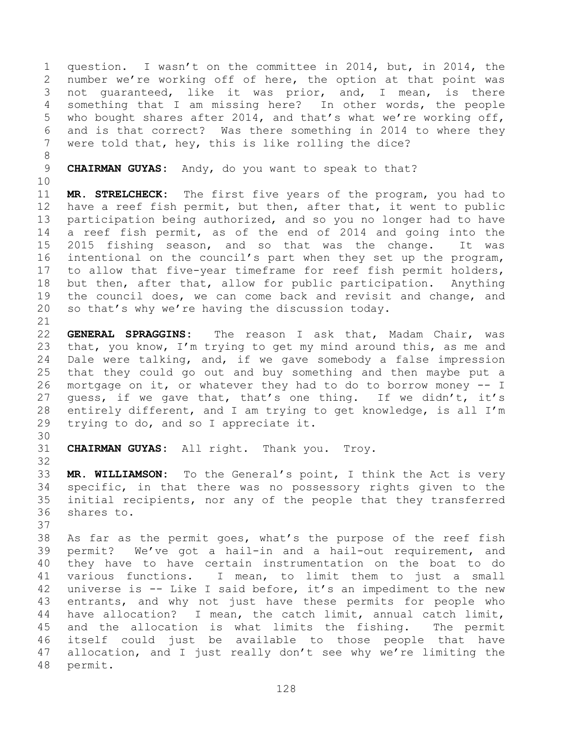1 question. I wasn't on the committee in 2014, but, in 2014, the<br>2 number we're working off of here, the option at that point was 2 number we're working off of here, the option at that point was<br>3 not quaranteed, like it was prior, and, I mean, is there 3 not guaranteed, like it was prior, and, I mean, is there<br>4 something that I am missing here? In other words, the people 4 something that I am missing here? In other words, the people<br>5 who bought shares after 2014, and that's what we're working off, 5 who bought shares after 2014, and that's what we're working off,<br>6 and is that correct? Was there something in 2014 to where thev 6 and is that correct? Was there something in 2014 to where they<br>7 were told that, hev, this is like rolling the dice? were told that, hey, this is like rolling the dice?

8

9 **CHAIRMAN GUYAS:** Andy, do you want to speak to that?

10<br>11

11 **MR. STRELCHECK:** The first five years of the program, you had to 12 have a reef fish permit, but then, after that, it went to public<br>13 participation being authorized, and so vou no longer had to have 13 participation being authorized, and so you no longer had to have<br>14 a reef fish permit, as of the end of 2014 and going into the 14 a reef fish permit, as of the end of 2014 and going into the<br>15 2015 fishing season, and so that was the change. It was 15 2015 fishing season, and so that was the change. It was<br>16 intentional on the council's part when they set up the program, intentional on the council's part when they set up the program, 17 to allow that five-year timeframe for reef fish permit holders,<br>18 but then, after that, allow for public participation. Anything 18 but then, after that, allow for public participation. Anything<br>19 the council does, we can come back and revisit and change, and 19 the council does, we can come back and revisit and change, and<br>20 so that's why we're having the discussion today. so that's why we're having the discussion today.

21<br>22 22 **GENERAL SPRAGGINS:** The reason I ask that, Madam Chair, was<br>23 that, you know, I'm trying to get my mind around this, as me and 23 that, you know, I'm trying to get my mind around this, as me and<br>24 Dale were talking, and, if we gave somebody a false impression 24 Dale were talking, and, if we gave somebody a false impression<br>25 that they could go out and buy something and then maybe put a 25 that they could go out and buy something and then maybe put a<br>26 mortgage on it, or whatever they had to do to borrow money -- I 26 mortgage on it, or whatever they had to do to borrow money -- I<br>27 quess, if we qave that, that's one thing. If we didn't, it's 27 guess, if we gave that, that's one thing. If we didn't, it's<br>28 entirely different, and I am trying to get knowledge, is all I'm 28 entirely different, and I am trying to get knowledge, is all I'm  $29$  trying to do, and so I appreciate it. trying to do, and so I appreciate it.

30<br>31

31 **CHAIRMAN GUYAS:** All right. Thank you. Troy.

32<br>33

33 **MR. WILLIAMSON:** To the General's point, I think the Act is very 34 specific, in that there was no possessory rights given to the<br>35 initial recipients, nor any of the people that they transferred 35 initial recipients, nor any of the people that they transferred shares to.

37<br>38 38 As far as the permit goes, what's the purpose of the reef fish<br>39 permit? We've got a hail-in and a hail-out requirement, and permit? We've got a hail-in and a hail-out requirement, and 40 they have to have certain instrumentation on the boat to do 41 various functions. I mean, to limit them to just a small<br>42 universe is -- Like I said before, it's an impediment to the new 42 universe is  $-$  Like I said before, it's an impediment to the new<br>43 entrants, and why not just have these permits for people who 43 entrants, and why not just have these permits for people who<br>44 have allocation? I mean, the catch limit, annual catch limit, 44 have allocation? I mean, the catch limit, annual catch limit,<br>45 and the allocation is what limits the fishing. The permit 45 and the allocation is what limits the fishing.<br>46 itself could just be available to those peopl 46 itself could just be available to those people that have<br>47 allocation, and I just really don't see why we're limiting the allocation, and I just really don't see why we're limiting the 48 permit.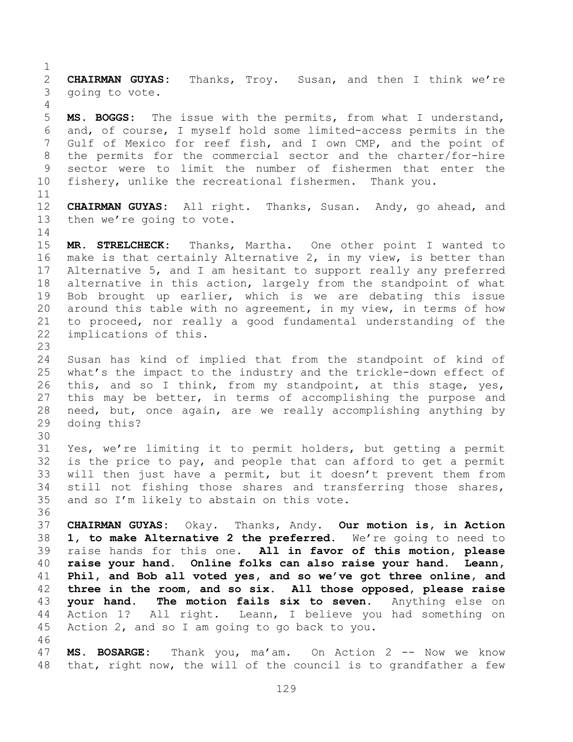$\frac{1}{2}$ 2 **CHAIRMAN GUYAS:** Thanks, Troy. Susan, and then I think we're going to vote.

 $\frac{4}{5}$ 5 **MS. BOGGS:** The issue with the permits, from what I understand,<br>6 and, of course, I myself hold some limited-access permits in the 6 and, of course, I myself hold some limited-access permits in the<br>7 Gulf of Mexico for reef fish, and I own CMP, and the point of Gulf of Mexico for reef fish, and I own CMP, and the point of 8 the permits for the commercial sector and the charter/for-hire 9 sector were to limit the number of fishermen that enter the<br>10 fishery, unlike the recreational fishermen. Thank you. fishery, unlike the recreational fishermen. Thank you.

11<br>12 12 **CHAIRMAN GUYAS:** All right. Thanks, Susan. Andy, go ahead, and<br>13 then we're going to vote. then we're going to vote.

 $\frac{14}{15}$ 15 **MR. STRELCHECK:** Thanks, Martha. One other point I wanted to make is that certainly Alternative  $2$ , in my view, is better than 17 Alternative 5, and I am hesitant to support really any preferred<br>18 alternative in this action, largely from the standpoint of what 18 alternative in this action, largely from the standpoint of what<br>19 Bob brought up earlier, which is we are debating this issue 19 Bob brought up earlier, which is we are debating this issue<br>20 around this table with no agreement, in my view, in terms of how 20 around this table with no agreement, in my view, in terms of how<br>21 to proceed, nor really a good fundamental understanding of the 21 to proceed, nor really a good fundamental understanding of the<br>22 implications of this. implications of this.

23 24 Susan has kind of implied that from the standpoint of kind of<br>25 what's the impact to the industry and the trickle-down effect of 25 what's the impact to the industry and the trickle-down effect of<br>26 this, and so I think, from my standpoint, at this stage, yes, 26 this, and so I think, from my standpoint, at this stage, yes,<br>27 this may be better, in terms of accomplishing the purpose and 27 this may be better, in terms of accomplishing the purpose and<br>28 need, but, once again, are we really accomplishing anything by 28 need, but, once again, are we really accomplishing anything by<br>29 doing this? doing this?

30<br>31 Yes, we're limiting it to permit holders, but getting a permit 32 is the price to pay, and people that can afford to get a permit<br>33 will then just have a permit, but it doesn't prevent them from 33 will then just have a permit, but it doesn't prevent them from<br>34 still not fishing those shares and transferring those shares, 34 still not fishing those shares and transferring those shares,<br>35 and so I'm likely to abstain on this vote. and so I'm likely to abstain on this vote.

36<br>37 **CHAIRMAN GUYAS:** Okay. Thanks, Andy. **Our motion is, in Action 1, to make Alternative 2 the preferred.** We're going to need to raise hands for this one. **All in favor of this motion, please raise your hand. Online folks can also raise your hand. Leann, Phil, and Bob all voted yes, and so we've got three online, and three in the room, and so six. All those opposed, please raise your hand. The motion fails six to seven.**<br>44 Action 1? All right. Leann, I believe you 44 Action 1? All right. Leann, I believe you had something on<br>45 Action 2, and so I am going to go back to you. Action  $2$ , and so I am going to go back to you.

46<br>47 47 **MS. BOSARGE:** Thank you, ma'am. On Action 2 -- Now we know 48 that, right now, the will of the council is to grandfather a few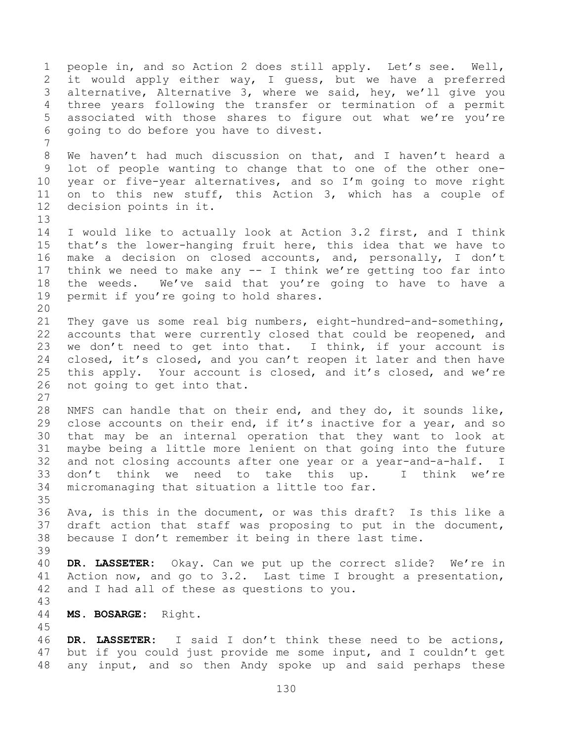1 people in, and so Action 2 does still apply. Let's see. Well,<br>2 it would apply either way, I quess, but we have a preferred 2 it would apply either way, I guess, but we have a preferred<br>3 alternative, Alternative 3, where we said, hey, we'll give you 3 alternative, Alternative 3, where we said, hey, we'll give you<br>4 three vears following the transfer or termination of a permit 4 three years following the transfer or termination of a permit<br>5 associated with those shares to fiqure out what we're you're 5 associated with those shares to figure out what we're you're<br>6 qoing to do before you have to divest. going to do before you have to divest. 7 8 We haven't had much discussion on that, and I haven't heard a 9 lot of people wanting to change that to one of the other one-<br>10 year or five-year alternatives, and so I'm going to move right 10 year or five-year alternatives, and so I'm going to move right<br>11 on to this new stuff, this Action 3, which has a couple of 11 on to this new stuff, this Action 3, which has a couple of 12 decision points in it. decision points in it. 13<br>14 14 I would like to actually look at Action 3.2 first, and I think<br>15 that's the lower-hanging fruit here, this idea that we have to 15 that's the lower-hanging fruit here, this idea that we have to<br>16 make a decision on closed accounts, and, personally, I don't make a decision on closed accounts, and, personally, I don't 17 think we need to make any -- I think we're getting too far into<br>18 the weeds. We've said that you're going to have to have a 18 the weeds. We've said that you're going to have to have a<br>19 permit if you're going to hold shares. permit if you're going to hold shares. 20<br>21 21 They gave us some real big numbers, eight-hundred-and-something,<br>22 accounts that were currently closed that could be reopened, and 22 accounts that were currently closed that could be reopened, and<br>23 we don't need to get into that. I think, if your account is 23 we don't need to get into that. I think, if your account is<br>24 closed, it's closed, and you can't reopen it later and then have 24 closed, it's closed, and you can't reopen it later and then have<br>25 this apply. Your account is closed, and it's closed, and we're 25 this apply. Your account is closed, and it's closed, and we're<br>26 not going to get into that. not going to get into that.  $\frac{27}{28}$ 28 NMFS can handle that on their end, and they do, it sounds like,<br>29 close accounts on their end, if it's inactive for a year, and so 29 close accounts on their end, if it's inactive for a year, and so<br>30 that may be an internal operation that they want to look at 30 that may be an internal operation that they want to look at<br>31 maybe being a little more lenient on that going into the future maybe being a little more lenient on that going into the future 32 and not closing accounts after one year or a year-and-a-half. I<br>33 don't think we need to take this up. I think we're 33 don't think we need to take this up. I think we're<br>34 micromanaging that situation a little too far. micromanaging that situation a little too far. 35<br>36 36 Ava, is this in the document, or was this draft? Is this like a<br>37 draft action that staff was proposing to put in the document, 37 draft action that staff was proposing to put in the document,<br>38 because I don't remember it being in there last time. because I don't remember it being in there last time. 39 40 **DR. LASSETER:** Okay. Can we put up the correct slide? We're in 41 Action now, and go to 3.2. Last time I brought a presentation,<br>42 and I had all of these as questions to vou. and I had all of these as questions to you. 43 44 **MS. BOSARGE:** Right. 45 46 **DR. LASSETER:** I said I don't think these need to be actions,<br>47 but if you could just provide me some input, and I couldn't get but if you could just provide me some input, and I couldn't get

130

48 any input, and so then Andy spoke up and said perhaps these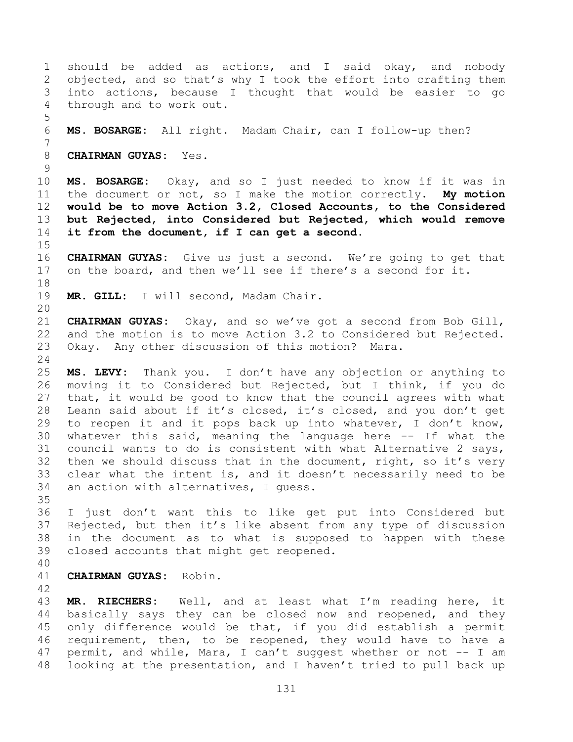1 should be added as actions, and I said okay, and nobody<br>2 objected, and so that's why I took the effort into crafting them 2 objected, and so that's why I took the effort into crafting them<br>3 into actions, because I thought that would be easier to go 3 into actions, because I thought that would be easier to go<br>4 through and to work out. through and to work out. 5 6 **MS. BOSARGE:** All right. Madam Chair, can I follow-up then? 7 8 **CHAIRMAN GUYAS:** Yes.  $\begin{array}{c} 9 \\ 10 \end{array}$ 10 **MS. BOSARGE:** Okay, and so I just needed to know if it was in 11 the document or not, so I make the motion correctly. **My motion** 12 **would be to move Action 3.2, Closed Accounts, to the Considered** 13 **but Rejected, into Considered but Rejected, which would remove** 14 **it from the document, if I can get a second.**  $\frac{15}{16}$ 16 **CHAIRMAN GUYAS:** Give us just a second. We're going to get that 17 on the board, and then we'll see if there's a second for it. 18<br>19 MR. GILL: I will second, Madam Chair. 20<br>21 21 **CHAIRMAN GUYAS:** Okay, and so we've got a second from Bob Gill,<br>22 and the motion is to move Action 3.2 to Considered but Rejected. 22 and the motion is to move Action 3.2 to Considered but Rejected.<br>23 Okav. Any other discussion of this motion? Mara. Okay. Any other discussion of this motion? Mara.  $\frac{24}{25}$ 25 **MS. LEVY:** Thank you. I don't have any objection or anything to 26 moving it to Considered but Rejected, but I think, if you do<br>27 that, it would be good to know that the council agrees with what 27 that, it would be good to know that the council agrees with what<br>28 Leann said about if it's closed, it's closed, and you don't get 28 Leann said about if it's closed, it's closed, and you don't get<br>29 to reopen it and it pops back up into whatever, I don't know, 29 to reopen it and it pops back up into whatever, I don't know,<br>30 whatever this said, meaning the language here -- If what the 30 whatever this said, meaning the language here -- If what the<br>31 council wants to do is consistent with what Alternative 2 says, council wants to do is consistent with what Alternative 2 says, 32 then we should discuss that in the document, right, so it's very<br>33 clear what the intent is, and it doesn't necessarily need to be 33 clear what the intent is, and it doesn't necessarily need to be 34 an action with alternatives. I quess. an action with alternatives, I guess. 35<br>36 36 I just don't want this to like get put into Considered but<br>37 Rejected, but then it's like absent from any type of discussion 37 Rejected, but then it's like absent from any type of discussion<br>38 in the document as to what is supposed to happen with these 38 in the document as to what is supposed to happen with these<br>39 closed accounts that might get reopened. closed accounts that might get reopened. 40 41 **CHAIRMAN GUYAS:** Robin. 42 43 **MR. RIECHERS:** Well, and at least what I'm reading here, it 44 basically says they can be closed now and reopened, and they<br>45 only difference would be that, if you did establish a permit 45 only difference would be that, if you did establish a permit<br>46 requirement, then, to be reopened, they would have to have a 46 requirement, then, to be reopened, they would have to have a<br>47 permit, and while, Mara, I can't suggest whether or not -- I am permit, and while, Mara, I can't suggest whether or not -- I am

48 looking at the presentation, and I haven't tried to pull back up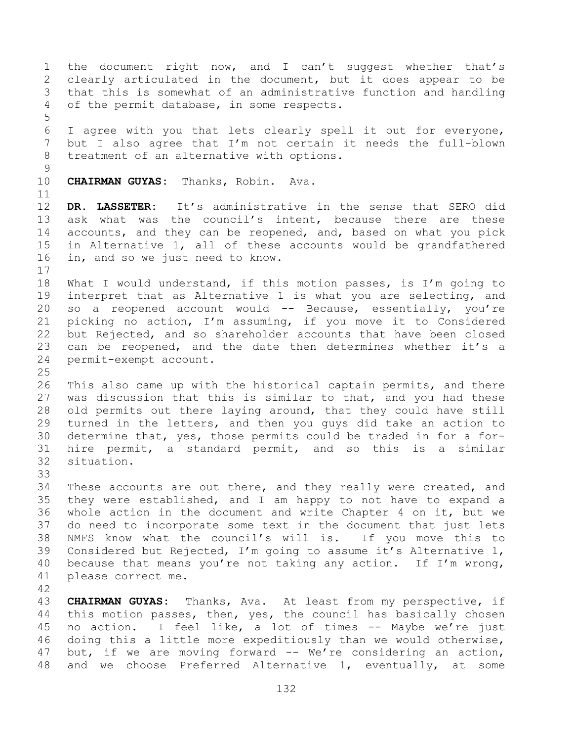1 the document right now, and I can't suggest whether that's<br>2 clearly articulated in the document, but it does appear to be 2 clearly articulated in the document, but it does appear to be<br>3 that this is somewhat of an administrative function and handling 3 that this is somewhat of an administrative function and handling<br>4 of the permit database, in some respects. of the permit database, in some respects. 5 6 I agree with you that lets clearly spell it out for everyone,<br>7 but I also agree that I'm not certain it needs the full-blown but I also agree that I'm not certain it needs the full-blown 8 treatment of an alternative with options.  $\begin{array}{c} 9 \\ 10 \end{array}$ 10 **CHAIRMAN GUYAS:** Thanks, Robin. Ava. 11<br>12 12 **DR. LASSETER:** It's administrative in the sense that SERO did 13 ask what was the council's intent, because there are these<br>14 accounts, and they can be reopened, and, based on what you pick 14 accounts, and they can be reopened, and, based on what you pick<br>15 in Alternative 1, all of these accounts would be grandfathered 15 in Alternative 1, all of these accounts would be grandfathered<br>16 in, and so we just need to know. in, and so we just need to know.  $\begin{array}{c} 17 \\ 18 \end{array}$ 18 What I would understand, if this motion passes, is I'm going to<br>19 interpret that as Alternative 1 is what you are selecting, and 19 interpret that as Alternative 1 is what you are selecting, and<br>20 so a reopened account would -- Because, essentially, you're 20 so a reopened account would -- Because, essentially, you're<br>21 picking no action, I'm assuming, if you move it to Considered 21 picking no action, I'm assuming, if you move it to Considered<br>22 but Rejected, and so shareholder accounts that have been closed 22 but Rejected, and so shareholder accounts that have been closed<br>23 can be reopened, and the date then determines whether it's a 23 can be reopened, and the date then determines whether it's a<br>24 permit-exempt account. permit-exempt account.  $\frac{25}{26}$ 26 This also came up with the historical captain permits, and there<br>27 was discussion that this is similar to that, and you had these 27 was discussion that this is similar to that, and you had these<br>28 old permits out there laying around, that they could have still 28 old permits out there laying around, that they could have still<br>29 turned in the letters, and then you quys did take an action to 29 turned in the letters, and then you guys did take an action to<br>30 determine that, yes, those permits could be traded in for a for-30 determine that, yes, those permits could be traded in for a for-<br>31 hire permit, a standard permit, and so this is a similar hire permit, a standard permit, and so this is a similar 32 situation. 33<br>34 34 These accounts are out there, and they really were created, and<br>35 they were established, and I am happy to not have to expand a 35 they were established, and I am happy to not have to expand a<br>36 whole action in the document and write Chapter 4 on it, but we 36 whole action in the document and write Chapter 4 on it, but we<br>37 do need to incorporate some text in the document that just lets 37 do need to incorporate some text in the document that just lets<br>38 NMFS know what the council's will is. If you move this to 38 NMFS know what the council's will is. If you move this to<br>39 Considered but Rejected, I'm going to assume it's Alternative 1, Considered but Rejected, I'm going to assume it's Alternative 1, 40 because that means you're not taking any action. If I'm wrong, 41 please correct me. 42 43 **CHAIRMAN GUYAS:** Thanks, Ava. At least from my perspective, if<br>44 this motion passes, then, yes, the council has basically chosen 44 this motion passes, then, yes, the council has basically chosen<br>45 no action. I feel like, a lot of times -- Maybe we're just 45 no action. I feel like, a lot of times -- Maybe we're just<br>46 doing this a little more expeditiously than we would otherwise, 46 doing this a little more expeditiously than we would otherwise,<br>47 but, if we are moving forward -- We're considering an action, but, if we are moving forward -- We're considering an action,

132

48 and we choose Preferred Alternative 1, eventually, at some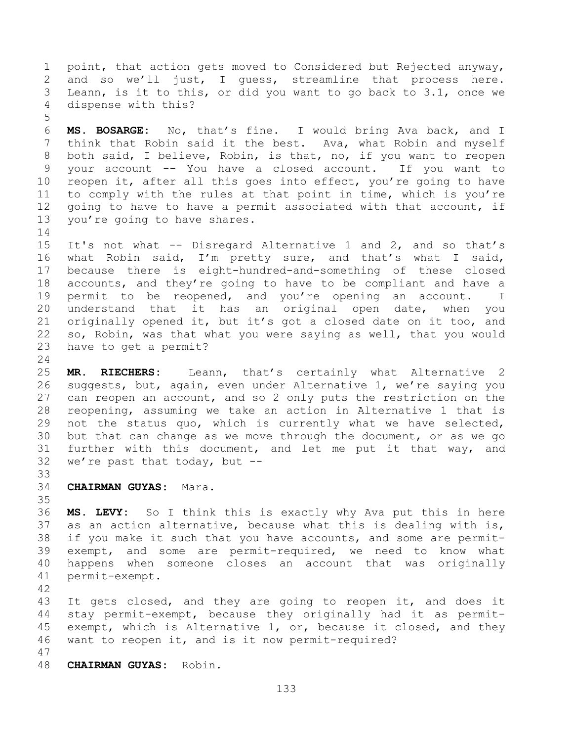1 point, that action gets moved to Considered but Rejected anyway,<br>2 and so we'll just, I quess, streamline that process here. 2 and so we'll just, I guess, streamline that process here.<br>3 Leann, is it to this, or did you want to go back to 3.1, once we 3 Leann, is it to this, or did you want to go back to 3.1, once we<br>4 dispense with this? dispense with this?

5 6 **MS. BOSARGE:** No, that's fine. I would bring Ava back, and I think that Robin said it the best. Ava, what Robin and myself 8 both said, I believe, Robin, is that, no, if you want to reopen 9 your account -- You have a closed account. If you want to<br>10 reopen it, after all this goes into effect, you're going to have 10 reopen it, after all this goes into effect, you're going to have<br>11 to comply with the rules at that point in time, which is you're 11 to comply with the rules at that point in time, which is you're<br>12 qoing to have to have a permit associated with that account, if 12 going to have to have a permit associated with that account, if<br>13 you're going to have shares. you're going to have shares.

 $\frac{14}{15}$ 15 It's not what -- Disregard Alternative 1 and 2, and so that's<br>16 what Robin said, I'm pretty sure, and that's what I said, what Robin said, I'm pretty sure, and that's what I said, 17 because there is eight-hundred-and-something of these closed<br>18 accounts, and they're going to have to be compliant and have a 18 accounts, and they're going to have to be compliant and have a<br>19 permit to be reopened, and vou're opening an account. I 19 permit to be reopened, and you're opening an account. I<br>20 understand that it has an original open date, when you 20 understand that it has an original open date, when you<br>21 originally opened it, but it's got a closed date on it too, and 21 originally opened it, but it's got a closed date on it too, and<br>22 so, Robin, was that what you were saying as well, that you would 22 so, Robin, was that what you were saying as well, that you would<br>23 have to get a permit? have to get a permit?

 $\frac{24}{25}$ 25 **MR. RIECHERS:** Leann, that's certainly what Alternative 2 26 suggests, but, again, even under Alternative 1, we're saying you<br>27 can reopen an account, and so 2 only puts the restriction on the 27 can reopen an account, and so 2 only puts the restriction on the<br>28 reopening, assuming we take an action in Alternative 1 that is 28 reopening, assuming we take an action in Alternative 1 that is<br>29 not the status quo, which is currently what we have selected, 29 not the status quo, which is currently what we have selected,<br>30 but that can change as we move through the document, or as we go 30 but that can change as we move through the document, or as we go<br>31 further with this document, and let me put it that way, and further with this document, and let me put it that way, and 32 we're past that today, but --

## 33<br>34 34 **CHAIRMAN GUYAS:** Mara.

35<br>36 36 **MS. LEVY:** So I think this is exactly why Ava put this in here 37 as an action alternative, because what this is dealing with is,<br>38 if you make it such that you have accounts, and some are permit-38 if you make it such that you have accounts, and some are permit-<br>39 exempt, and some are permit-required, we need to know what exempt, and some are permit-required, we need to know what 40 happens when someone closes an account that was originally 41 permit-exempt.

42

43 It gets closed, and they are going to reopen it, and does it<br>44 stay permit-exempt, because they originally had it as permit-44 stay permit-exempt, because they originally had it as permit-<br>45 exempt, which is Alternative 1, or, because it closed, and they 45 exempt, which is Alternative 1, or, because it closed, and they<br>46 want to reopen it, and is it now permit-required? want to reopen it, and is it now permit-required?

- 47
- 48 **CHAIRMAN GUYAS:** Robin.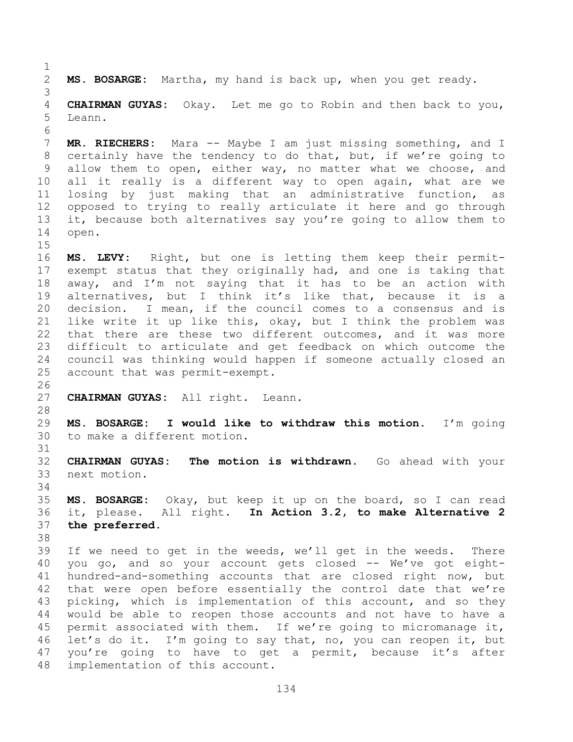$\frac{1}{2}$ 2 **MS. BOSARGE:** Martha, my hand is back up, when you get ready. 3 4 **CHAIRMAN GUYAS:** Okay. Let me go to Robin and then back to you, Leann. 6<br>7 MR. RIECHERS: Mara -- Maybe I am just missing something, and I 8 certainly have the tendency to do that, but, if we're going to 9 allow them to open, either way, no matter what we choose, and<br>10 all it really is a different way to open again, what are we 10 all it really is a different way to open again, what are we<br>11 losing by just making that an administrative function, as 11 losing by just making that an administrative function, as<br>12 opposed to trying to really articulate it here and go through 12 opposed to trying to really articulate it here and go through<br>13 it, because both alternatives sav vou're going to allow them to 13 it, because both alternatives say you're going to allow them to<br>14 open. open.  $\frac{15}{16}$ 16 **MS. LEVY:** Right, but one is letting them keep their permit-17 exempt status that they originally had, and one is taking that<br>18 away, and I'm not saying that it has to be an action with 18 away, and I'm not saying that it has to be an action with<br>19 alternatives, but I think it's like that, because it is a 19 alternatives, but I think it's like that, because it is a<br>20 decision. I mean, if the council comes to a consensus and is 20 decision. I mean, if the council comes to a consensus and is<br>21 like write it up like this, okav, but I think the problem was 21 like write it up like this, okay, but I think the problem was<br>22 that there are these two different outcomes, and it was more 22 that there are these two different outcomes, and it was more<br>23 difficult to articulate and get feedback on which outcome the 23 difficult to articulate and get feedback on which outcome the<br>24 council was thinking would happen if someone actually closed an 24 council was thinking would happen if someone actually closed an<br>25 account that was permit-exempt. account that was permit-exempt. 26<br>27 27 **CHAIRMAN GUYAS:** All right. Leann. 28<br>29 29 **MS. BOSARGE: I would like to withdraw this motion.** I'm going to make a different motion. 31<br>32 32 **CHAIRMAN GUYAS: The motion is withdrawn.** Go ahead with your next motion. 34<br>35 35 **MS. BOSARGE:** Okay, but keep it up on the board, so I can read 36 it, please. All right. **In Action 3.2, to make Alternative 2** 37 **the preferred.** 38<br>39 If we need to get in the weeds, we'll get in the weeds. There 40 you go, and so your account gets closed -- We've got eight-41 hundred-and-something accounts that are closed right now, but<br>42 that were open before essentially the control date that we're 42 that were open before essentially the control date that we're<br>43 picking, which is implementation of this account, and so they 43 picking, which is implementation of this account, and so they<br>44 would be able to reopen those accounts and not have to have a 44 would be able to reopen those accounts and not have to have a<br>45 permit associated with them. If we're going to micromanage it, 45 permit associated with them. If we're going to micromanage it,<br>46 let's do it. I'm going to say that, no, you can reopen it, but 46 let's do it. I'm going to say that, no, you can reopen it, but<br>47 you're going to have to get a permit, because it's after you're going to have to get a permit, because it's after 48 implementation of this account.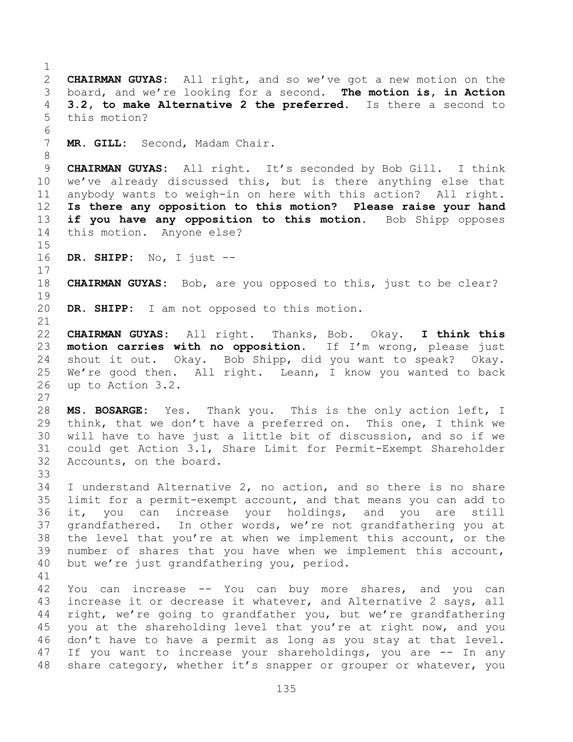$\frac{1}{2}$ 2 **CHAIRMAN GUYAS:** All right, and so we've got a new motion on the<br>3 board, and we're looking for a second. The motion is, in Action 3 board, and we're looking for a second. **The motion is, in Action** 4 **3.2, to make Alternative 2 the preferred.** Is there a second to this motion? 6<br>7 MR. GILL: Second, Madam Chair. 8 9 **CHAIRMAN GUYAS:** All right. It's seconded by Bob Gill. I think<br>10 we've already discussed this, but is there anything else that 10 we've already discussed this, but is there anything else that<br>11 anybody wants to weigh-in on here with this action? All right. 11 anybody wants to weigh-in on here with this action? All right.<br>12 Is there any opposition to this motion? Please raise your hand 12 **Is there any opposition to this motion? Please raise your hand** 13 **if you have any opposition to this motion.** Bob Shipp opposes this motion. Anyone else?  $\frac{15}{16}$ 16 **DR. SHIPP:** No, I just --  $\frac{17}{18}$ 18 **CHAIRMAN GUYAS:** Bob, are you opposed to this, just to be clear? 19<br>20 DR. SHIPP: I am not opposed to this motion. 21<br>22 22 **CHAIRMAN GUYAS:** All right. Thanks, Bob. Okay. **I think this** 23 **motion carries with no opposition.** If I'm wrong, please just 24 shout it out. Okay. Bob Shipp, did you want to speak? Okay.<br>25 We're good then. All right. Leann, I know you wanted to back 25 We're good then. All right. Leann, I know you wanted to back<br>26 up to Action 3.2. up to Action 3.2.  $\frac{27}{28}$ 28 **MS. BOSARGE:** Yes. Thank you. This is the only action left, I 29 think, that we don't have a preferred on. This one, I think we<br>30 will have to have just a little bit of discussion, and so if we 30 will have to have just a little bit of discussion, and so if we could get Action 3.1, Share Limit for Permit-Exempt Shareholder 32 Accounts, on the board. 33<br>34 34 I understand Alternative 2, no action, and so there is no share<br>35 Iimit for a permit-exempt account, and that means you can add to 35 limit for a permit-exempt account, and that means you can add to<br>36 it, you can increase your holdings, and you are still 36 it, you can increase your holdings, and you are still<br>37 grandfathered. In other words, we're not grandfathering you at 37 grandfathered. In other words, we're not grandfathering you at<br>38 the level that you're at when we implement this account, or the 38 the level that you're at when we implement this account, or the<br>39 number of shares that you have when we implement this account, number of shares that you have when we implement this account, 40 but we're just grandfathering you, period. 41<br>42 42 You can increase -- You can buy more shares, and you can<br>43 increase it or decrease it whatever, and Alternative 2 says, all 43 increase it or decrease it whatever, and Alternative 2 says, all<br>44 right, we're going to grandfather you, but we're grandfathering 44 right, we're going to grandfather you, but we're grandfathering<br>45 you at the shareholding level that you're at right now, and you 45 you at the shareholding level that you're at right now, and you<br>46 don't have to have a permit as long as you stay at that level. 46 don't have to have a permit as long as you stay at that level.<br>47 If you want to increase your shareholdings, you are -- In any If you want to increase your shareholdings, you are -- In any 48 share category, whether it's snapper or grouper or whatever, you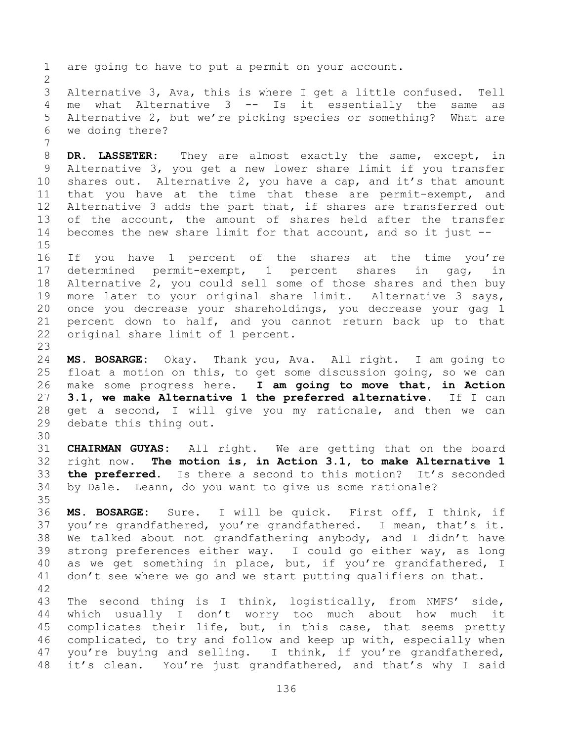1 are going to have to put a permit on your account.  $\frac{2}{3}$ 3 Alternative 3, Ava, this is where I get a little confused. Tell<br>4 me what Alternative 3 -- Is it essentially the same as 4 me what Alternative  $3$  -- Is it essentially the same as<br>5 Alternative 2, but we're picking species or something? What are 5 Alternative 2, but we're picking species or something?<br>6 we doing there? we doing there? 7 8 **DR. LASSETER:** They are almost exactly the same, except, in 9 Alternative 3, you get a new lower share limit if you transfer<br>10 shares out. Alternative 2, you have a cap, and it's that amount 10 shares out. Alternative 2, you have a cap, and it's that amount<br>11 that you have at the time that these are permit-exempt, and 11 that you have at the time that these are permit-exempt, and<br>12 Alternative 3 adds the part that, if shares are transferred out 12 Alternative 3 adds the part that, if shares are transferred out<br>13 of the account, the amount of shares held after the transfer 13 of the account, the amount of shares held after the transfer<br>14 becomes the new share limit for that account, and so it just -becomes the new share limit for that account, and so it just  $-$ - $\frac{15}{16}$ 16 If you have 1 percent of the shares at the time you're 17 determined permit-exempt, 1 percent shares in gag, in<br>18 Alternative 2, you could sell some of those shares and then buy 18 Alternative 2, you could sell some of those shares and then buy<br>19 more later to vour original share limit. Alternative 3 savs, 19 more later to your original share limit. Alternative 3 says,<br>20 once you decrease your shareholdings, you decrease your gag 1 20 once you decrease your shareholdings, you decrease your gag 1<br>21 percent down to half, and you cannot return back up to that 21 percent down to half, and you cannot return back up to that<br>22 original share limit of 1 percent. original share limit of 1 percent. 23 24 **MS. BOSARGE:** Okay. Thank you, Ava. All right. I am going to 25 float a motion on this, to get some discussion going, so we can<br>26 make some progress here. I am going to move that, in Action 26 make some progress here. **I am going to move that, in Action** 27 **3.1, we make Alternative 1 the preferred alternative.** If I can 28 get a second, I will give you my rationale, and then we can<br>29 debate this thing out. debate this thing out. 30<br>31 31 **CHAIRMAN GUYAS:** All right. We are getting that on the board 32 right now. **The motion is, in Action 3.1, to make Alternative 1** 33 **the preferred.** Is there a second to this motion? It's seconded<br>34 by Dale. Leann, do you want to give us some rationale? by Dale. Leann, do you want to give us some rationale? 35<br>36 36 **MS. BOSARGE:** Sure. I will be quick. First off, I think, if 37 you're grandfathered, you're grandfathered. I mean, that's it.<br>38 We talked about not grandfathering anybody, and I didn't have 38 We talked about not grandfathering anybody, and I didn't have<br>39 strong preferences either way. I could go either way, as long strong preferences either way. I could go either way, as long 40 as we get something in place, but, if you're grandfathered, I 41 don't see where we go and we start putting qualifiers on that. 42 43 The second thing is I think, logistically, from NMFS' side,<br>44 which usually I don't worry too much about how much it 44 which usually I don't worry too much about how much it<br>45 complicates their life, but, in this case, that seems pretty 45 complicates their life, but, in this case, that seems pretty<br>46 complicated, to try and follow and keep up with, especially when 46 complicated, to try and follow and keep up with, especially when<br>47 you're buying and selling. I think, if you're grandfathered, you're buying and selling. I think, if you're grandfathered, 48 it's clean. You're just grandfathered, and that's why I said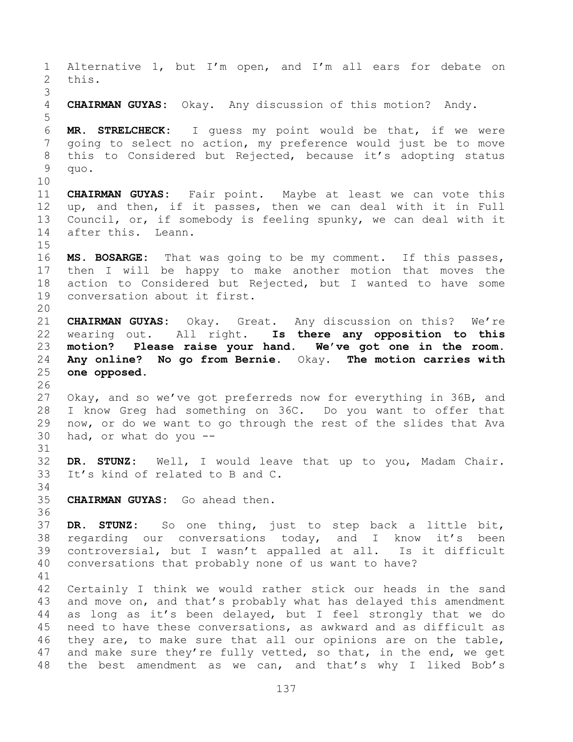1 Alternative 1, but I'm open, and I'm all ears for debate on<br>2 this. this. 3 4 **CHAIRMAN GUYAS:** Okay. Any discussion of this motion? Andy. 5 6 **MR. STRELCHECK:** I guess my point would be that, if we were going to select no action, my preference would just be to move 8 this to Considered but Rejected, because it's adopting status 9 quo. 10<br>11 11 **CHAIRMAN GUYAS:** Fair point. Maybe at least we can vote this 12 up, and then, if it passes, then we can deal with it in Full<br>13 Council, or, if somebody is feeling spunky, we can deal with it 13 Council, or, if somebody is feeling spunky, we can deal with it 14 after this. Leann. after this. Leann.  $\frac{15}{16}$ MS. BOSARGE: That was going to be my comment. If this passes, 17 then I will be happy to make another motion that moves the<br>18 action to Considered but Rejected, but I wanted to have some 18 action to Considered but Rejected, but I wanted to have some<br>19 conversation about it first. conversation about it first. 20<br>21 21 **CHAIRMAN GUYAS:** Okay. Great. Any discussion on this? We're<br>22 wearing out. All right. Is there any opposition to this 22 wearing out. All right. **Is there any opposition to this** 23 **motion? Please raise your hand. We've got one in the room.** 24 **Any online? No go from Bernie.** Okay. **The motion carries with** 25 **one opposed.** 26<br>27 27 Okay, and so we've got preferreds now for everything in 36B, and<br>28 I know Greg had something on 36C. Do vou want to offer that 28 I know Greg had something on 36C. Do you want to offer that<br>29 now, or do we want to go through the rest of the slides that Ava 29 now, or do we want to go through the rest of the slides that Ava  $30$  had, or what do you  $$ had, or what do you  $-$ -31<br>32 32 **DR. STUNZ:** Well, I would leave that up to you, Madam Chair. It's kind of related to B and C. 34<br>35 35 **CHAIRMAN GUYAS:** Go ahead then. 36<br>37 37 **DR. STUNZ:** So one thing, just to step back a little bit, 38 regarding our conversations today, and I know it's been<br>39 controversial, but I wasn't appalled at all. Is it difficult controversial, but I wasn't appalled at all. Is it difficult 40 conversations that probably none of us want to have? 41<br>42 42 Certainly I think we would rather stick our heads in the sand<br>43 and move on, and that's probably what has delayed this amendment 43 and move on, and that's probably what has delayed this amendment<br>44 as long as it's been delayed, but I feel strongly that we do 44 as long as it's been delayed, but I feel strongly that we do<br>45 need to have these conversations, as awkward and as difficult as 45 need to have these conversations, as awkward and as difficult as<br>46 they are, to make sure that all our opinions are on the table, 46 they are, to make sure that all our opinions are on the table,<br>47 and make sure they're fully vetted, so that, in the end, we get and make sure they're fully vetted, so that, in the end, we get 48 the best amendment as we can, and that's why I liked Bob's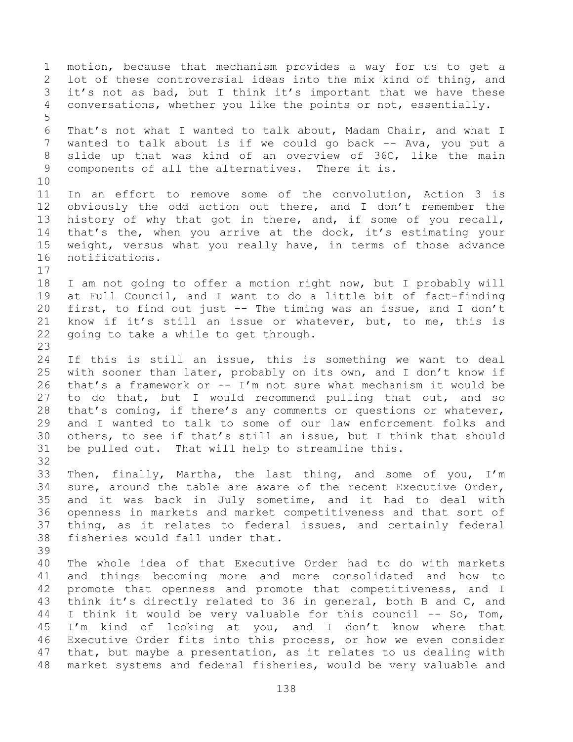1 motion, because that mechanism provides a way for us to get a<br>2 lot of these controversial ideas into the mix kind of thing, and 2 lot of these controversial ideas into the mix kind of thing, and<br>3 it's not as bad, but I think it's important that we have these 3 it's not as bad, but I think it's important that we have these<br>4 conversations, whether vou like the points or not, essentially. conversations, whether you like the points or not, essentially. 5 6 That's not what I wanted to talk about, Madam Chair, and what I<br>7 wanted to talk about is if we could go back -- Ava, you put a wanted to talk about is if we could go back -- Ava, you put a 8 slide up that was kind of an overview of 36C, like the main 9 components of all the alternatives. There it is. 10<br>11 11 In an effort to remove some of the convolution, Action 3 is<br>12 obviously the odd action out there, and I don't remember the 12 obviously the odd action out there, and I don't remember the<br>13 history of why that got in there, and, if some of you recall, 13 history of why that got in there, and, if some of you recall,<br>14 that's the, when you arrive at the dock, it's estimating your 14 that's the, when you arrive at the dock, it's estimating your<br>15 weight, versus what you really have, in terms of those advance 15 weight, versus what you really have, in terms of those advance<br>16 notifications. notifications.  $17$ <br> $18$ 18 I am not going to offer a motion right now, but I probably will<br>19 at Full Council, and I want to do a little bit of fact-finding 19 at Full Council, and I want to do a little bit of fact-finding<br>20 first, to find out just -- The timing was an issue, and I don't 20 first, to find out just -- The timing was an issue, and I don't<br>21 know if it's still an issue or whatever, but, to me, this is 21 know if it's still an issue or whatever, but, to me, this is  $22$  going to take a while to get through. going to take a while to get through. 23 24 If this is still an issue, this is something we want to deal<br>25 with sooner than later, probably on its own, and I don't know if 25 with sooner than later, probably on its own, and I don't know if<br>26 that's a framework or  $--$  I'm not sure what mechanism it would be 26 that's a framework or  $--$  I'm not sure what mechanism it would be 27 to do that, but I would recommend pulling that out, and so 27 to do that, but I would recommend pulling that out, and so<br>28 that's coming, if there's any comments or questions or whatever, 28 that's coming, if there's any comments or questions or whatever,<br>29 and I wanted to talk to some of our law enforcement folks and 29 and I wanted to talk to some of our law enforcement folks and<br>30 others, to see if that's still an issue, but I think that should 30 others, to see if that's still an issue, but I think that should<br>31 be pulled out. That will help to streamline this. be pulled out. That will help to streamline this. 32<br>33 33 Then, finally, Martha, the last thing, and some of you, I'm<br>34 sure, around the table are aware of the recent Executive Order, 34 sure, around the table are aware of the recent Executive Order,<br>35 and it was back in July sometime, and it had to deal with 35 and it was back in July sometime, and it had to deal with<br>36 openness in markets and market competitiveness and that sort of 36 openness in markets and market competitiveness and that sort of<br>37 thing, as it relates to federal issues, and certainly federal 37 thing, as it relates to federal issues, and certainly federal<br>38 fisheries would fall under that. fisheries would fall under that. 39 40 The whole idea of that Executive Order had to do with markets 41 and things becoming more and more consolidated and how to<br>42 promote that openness and promote that competitiveness, and I 42 promote that openness and promote that competitiveness, and I<br>43 think it's directly related to 36 in general, both B and C, and 43 think it's directly related to 36 in general, both B and C, and<br>44 I think it would be very valuable for this council -- So, Tom, 44 I think it would be very valuable for this council  $--$  So, Tom,<br>45 I'm kind of looking at you, and I don't know where that 45 I'm kind of looking at you, and I don't know where that<br>46 Executive Order fits into this process, or how we even consider 46 Executive Order fits into this process, or how we even consider<br>47 that, but maybe a presentation, as it relates to us dealing with that, but maybe a presentation, as it relates to us dealing with 48 market systems and federal fisheries, would be very valuable and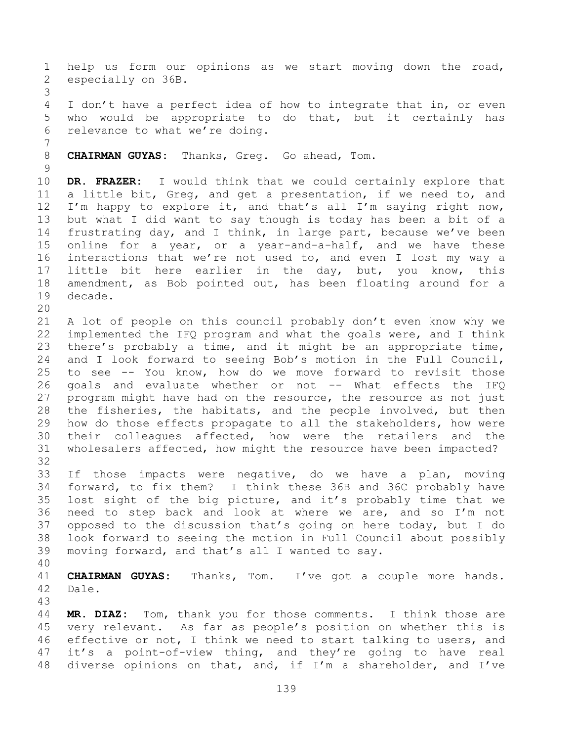1 help us form our opinions as we start moving down the road,<br>2 especially on 36B. especially on 36B.

3 4 I don't have a perfect idea of how to integrate that in, or even<br>5 who would be appropriate to do that, but it certainly has 5 who would be appropriate to do that, but it certainly has<br>6 relevance to what we're doing. relevance to what we're doing.

7 8 **CHAIRMAN GUYAS:** Thanks, Greg. Go ahead, Tom.

 $\begin{array}{c} 9 \\ 10 \end{array}$ 10 **DR. FRAZER:** I would think that we could certainly explore that 11 a little bit, Greg, and get a presentation, if we need to, and<br>12 I'm happy to explore it, and that's all I'm saying right now, 12 I'm happy to explore it, and that's all I'm saying right now,<br>13 but what I did want to say though is today has been a bit of a 13 but what I did want to say though is today has been a bit of a<br>14 frustrating day, and I think, in large part, because we've been 14 frustrating day, and I think, in large part, because we've been<br>15 online for a vear, or a vear-and-a-half, and we have these 15 online for a year, or a year-and-a-half, and we have these<br>16 interactions that we're not used to, and even I lost my way a interactions that we're not used to, and even I lost my way a 17 little bit here earlier in the day, but, you know, this<br>18 amendment, as Bob pointed out, has been floating around for a 18 amendment, as Bob pointed out, has been floating around for a<br>19 decade. decade.

20<br>21 21 A lot of people on this council probably don't even know why we<br>22 implemented the IFO program and what the goals were, and I think 22 implemented the IFQ program and what the goals were, and I think<br>23 there's probably a time, and it might be an appropriate time, 23 there's probably a time, and it might be an appropriate time,<br>24 and I look forward to seeing Bob's motion in the Full Council, 24 and I look forward to seeing Bob's motion in the Full Council,<br>25 to see -- You know, how do we move forward to revisit those 25 to see -- You know, how do we move forward to revisit those<br>26 qoals and evaluate whether or not -- What effects the IFQ 26 goals and evaluate whether or not -- What effects the IFQ<br>27 program might have had on the resource, the resource as not just 27 program might have had on the resource, the resource as not just<br>28 the fisheries, the habitats, and the people involved, but then 28 the fisheries, the habitats, and the people involved, but then<br>29 how do those effects propagate to all the stakeholders, how were 29 how do those effects propagate to all the stakeholders, how were<br>30 their colleagues affected, how were the retailers and the 30 their colleagues affected, how were the retailers and the<br>31 wholesalers affected, how might the resource have been impacted? wholesalers affected, how might the resource have been impacted?

32<br>33 33 If those impacts were negative, do we have a plan, moving<br>34 forward, to fix them? I think these 36B and 36C probably have 34 forward, to fix them? I think these 36B and 36C probably have<br>35 lost sight of the big picture, and it's probably time that we 35 lost sight of the big picture, and it's probably time that we<br>36 need to step back and look at where we are, and so I'm not 36 need to step back and look at where we are, and so I'm not<br>37 opposed to the discussion that's going on here today, but I do 37 opposed to the discussion that's going on here today, but I do<br>38 look forward to seeing the motion in Full Council about possibly 38 look forward to seeing the motion in Full Council about possibly<br>39 moving forward, and that's all I wanted to sav. moving forward, and that's all I wanted to say.

40

41 **CHAIRMAN GUYAS:** Thanks, Tom. I've got a couple more hands. Dale.

43 44 **MR. DIAZ:** Tom, thank you for those comments. I think those are<br>45 very relevant. As far as people's position on whether this is 45 very relevant. As far as people's position on whether this is<br>46 effective or not, I think we need to start talking to users, and 46 effective or not, I think we need to start talking to users, and<br>47 it's a point-of-view thing, and they're going to have real it's a point-of-view thing, and they're going to have real 48 diverse opinions on that, and, if I'm a shareholder, and I've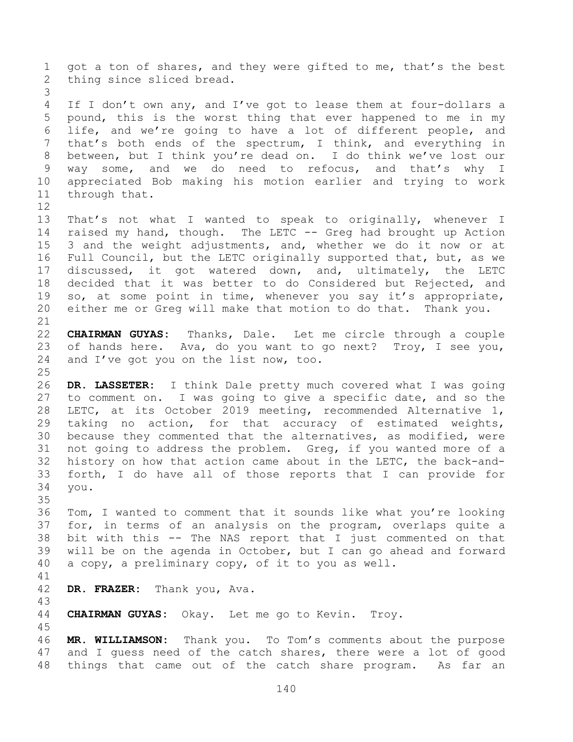1 got a ton of shares, and they were gifted to me, that's the best<br>2 thing since sliced bread. thing since sliced bread.

3 4 If I don't own any, and I've got to lease them at four-dollars a<br>5 pound, this is the worst thing that ever happened to me in my 5 pound, this is the worst thing that ever happened to me in my<br>6 life, and we're going to have a lot of different people, and 6 life, and we're going to have a lot of different people, and<br>7 that's both ends of the spectrum, I think, and everything in that's both ends of the spectrum, I think, and everything in 8 between, but I think you're dead on. I do think we've lost our 9 way some, and we do need to refocus, and that's why I<br>10 appreciated Bob making his motion earlier and trying to work 10 appreciated Bob making his motion earlier and trying to work<br>11 through that. through that.

12<br>13 13 That's not what I wanted to speak to originally, whenever I<br>14 raised my hand, though. The LETC -- Greg had brought up Action 14 raised my hand, though. The LETC -- Greg had brought up Action<br>15 3 and the weight adjustments, and, whether we do it now or at 15 3 and the weight adjustments, and, whether we do it now or at<br>16 Full Council, but the LETC originally supported that, but, as we Full Council, but the LETC originally supported that, but, as we 17 discussed, it got watered down, and, ultimately, the LETC<br>18 decided that it was better to do Considered but Rejected, and 18 decided that it was better to do Considered but Rejected, and<br>19 so, at some point in time, whenever you say it's appropriate, 19 so, at some point in time, whenever you say it's appropriate,<br>20 either me or Greq will make that motion to do that. Thank you. either me or Greg will make that motion to do that. Thank you.

21<br>22 22 **CHAIRMAN GUYAS:** Thanks, Dale. Let me circle through a couple 23 of hands here. Ava, do you want to go next? Troy, I see you,<br>24 and I've got you on the list now, too. and I've got you on the list now, too.

 $\frac{25}{26}$ 26 **DR. LASSETER:** I think Dale pretty much covered what I was going 27 to comment on. I was going to give a specific date, and so the<br>28 LETC, at its October 2019 meeting, recommended Alternative 1, 28 LETC, at its October 2019 meeting, recommended Alternative 1,<br>29 taking no action, for that accuracy of estimated weights, 29 taking no action, for that accuracy of estimated weights,<br>30 because they commented that the alternatives, as modified, were 30 because they commented that the alternatives, as modified, were<br>31 not going to address the problem. Greg, if you wanted more of a not going to address the problem. Greq, if you wanted more of a 32 history on how that action came about in the LETC, the back-and-<br>33 forth, I do have all of those reports that I can provide for 33 forth, I do have all of those reports that I can provide for<br>34 vou. you.

35<br>36 36 Tom, I wanted to comment that it sounds like what you're looking<br>37 for, in terms of an analysis on the program, overlaps quite a 37 for, in terms of an analysis on the program, overlaps quite a<br>38 bit with this -- The NAS report that I just commented on that 38 bit with this -- The NAS report that I just commented on that<br>39 will be on the agenda in October, but I can go ahead and forward will be on the agenda in October, but I can go ahead and forward 40 a copy, a preliminary copy, of it to you as well.

41<br>42

42 **DR. FRAZER:** Thank you, Ava.

43 44 **CHAIRMAN GUYAS:** Okay. Let me go to Kevin. Troy.

45 46 **MR. WILLIAMSON:** Thank you. To Tom's comments about the purpose and I guess need of the catch shares, there were a lot of good 48 things that came out of the catch share program. As far an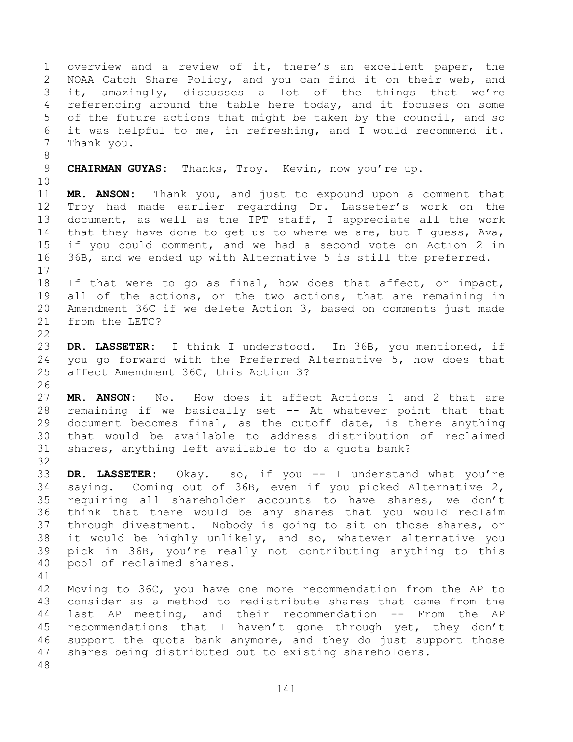1 overview and a review of it, there's an excellent paper, the<br>2 NOAA Catch Share Policy, and you can find it on their web, and 2 NOAA Catch Share Policy, and you can find it on their web, and<br>3 it, amazingly, discusses a lot of the things that we're 3 it, amazingly, discusses a lot of the things that we're<br>4 referencing around the table here today, and it focuses on some 4 referencing around the table here today, and it focuses on some<br>5 of the future actions that might be taken by the council, and so 5 of the future actions that might be taken by the council, and so<br>6 it was helpful to me, in refreshing, and I would recommend it. 6 it was helpful to me, in refreshing, and I would recommend it.<br>7 Thank you. Thank you.

8

9 **CHAIRMAN GUYAS:** Thanks, Troy. Kevin, now you're up.

10<br>11 11 **MR. ANSON:** Thank you, and just to expound upon a comment that 12 Troy had made earlier regarding Dr. Lasseter's work on the<br>13 document, as well as the IPT staff, I appreciate all the work 13 document, as well as the IPT staff, I appreciate all the work<br>14 that they have done to get us to where we are, but I quess, Ava, 14 that they have done to get us to where we are, but I guess, Ava,<br>15 if you could comment, and we had a second vote on Action 2 in 15 if you could comment, and we had a second vote on Action 2 in<br>16 36B, and we ended up with Alternative 5 is still the preferred. 16 36B, and we ended up with Alternative 5 is still the preferred.

 $\frac{17}{18}$ 18 If that were to go as final, how does that affect, or impact,<br>19 all of the actions, or the two actions, that are remaining in 19 all of the actions, or the two actions, that are remaining in<br>20 Amendment 36C if we delete Action 3, based on comments just made 20 Amendment 36C if we delete Action 3, based on comments just made<br>21 from the LETC? from the LETC?

 $\frac{22}{23}$ 

23 **DR. LASSETER:** I think I understood. In 36B, you mentioned, if 24 you go forward with the Preferred Alternative 5, how does that<br>25 affect Amendment 36C, this Action 3? affect Amendment 36C, this Action 3?

26<br>27 27 **MR. ANSON:** No. How does it affect Actions 1 and 2 that are 28 remaining if we basically set  $-$  At whatever point that that that  $29$  document becomes final, as the cutoff date, is there anything 29 document becomes final, as the cutoff date, is there anything<br>30 that would be available to address distribution of reclaimed 30 that would be available to address distribution of reclaimed<br>31 shares, anything left available to do a quota bank? shares, anything left available to do a quota bank?

32<br>33 33 **DR. LASSETER:** Okay. so, if you -- I understand what you're 34 saying. Coming out of 36B, even if you picked Alternative 2,<br>35 requiring all shareholder accounts to have shares, we don't 35 requiring all shareholder accounts to have shares, we don't<br>36 think that there would be any shares that you would reclaim 36 think that there would be any shares that you would reclaim<br>37 through divestment. Nobody is going to sit on those shares, or 37 through divestment. Nobody is going to sit on those shares, or<br>38 it would be highly unlikely, and so, whatever alternative you 38 it would be highly unlikely, and so, whatever alternative you<br>39 pick in 36B, you're really not contributing anything to this pick in 36B, you're really not contributing anything to this 40 pool of reclaimed shares.

41<br>42

42 Moving to 36C, you have one more recommendation from the AP to<br>43 consider as a method to redistribute shares that came from the 43 consider as a method to redistribute shares that came from the<br>44 last AP meeting, and their recommendation -- From the AP 44 last AP meeting, and their recommendation -- From the AP<br>45 recommendations that I haven't gone through yet, they don't 45 recommendations that I haven't gone through yet, they don't<br>46 support the quota bank anymore, and they do just support those 46 support the quota bank anymore, and they do just support those<br>47 shares being distributed out to existing shareholders. shares being distributed out to existing shareholders.

48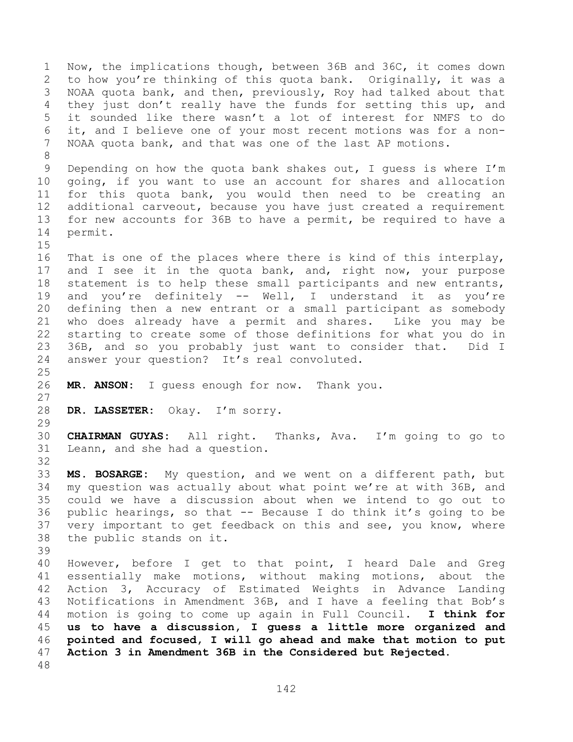1 Now, the implications though, between 36B and 36C, it comes down<br>2 to how you're thinking of this quota bank. Originally, it was a 2 to how you're thinking of this quota bank. Originally, it was a<br>3 NOAA quota bank, and then, previously, Roy had talked about that 3 NOAA quota bank, and then, previously, Roy had talked about that<br>4 thev just don't really have the funds for setting this up, and 4 they just don't really have the funds for setting this up, and<br>5 it sounded like there wasn't a lot of interest for NMFS to do 5 it sounded like there wasn't a lot of interest for NMFS to do<br>6 it, and I believe one of your most recent motions was for a non-6 it, and I believe one of your most recent motions was for a non-<br>7 NOAA quota bank, and that was one of the last AP motions. NOAA quota bank, and that was one of the last AP motions. 8 9 Depending on how the quota bank shakes out, I guess is where I'm<br>10 qoing, if you want to use an account for shares and allocation 10 going, if you want to use an account for shares and allocation<br>11 for this quota bank, you would then need to be creating an 11 for this quota bank, you would then need to be creating an<br>12 additional carveout, because you have just created a requirement 12 additional carveout, because you have just created a requirement<br>13 for new accounts for 36B to have a permit, be required to have a 13 for new accounts for 36B to have a permit, be required to have a<br>14 permit. permit.  $15$ <br> $16$ That is one of the places where there is kind of this interplay, 17 and I see it in the quota bank, and, right now, your purpose<br>18 statement is to help these small participants and new entrants, 18 statement is to help these small participants and new entrants,<br>19 and vou're definitelv -- Well, I understand it as vou're 19 and you're definitely -- Well, I understand it as you're<br>20 defining then a new entrant or a small participant as somebody 20 defining then a new entrant or a small participant as somebody<br>21 who does already have a permit and shares. Like you may be 21 who does already have a permit and shares. Like you may be<br>22 starting to create some of those definitions for what you do in 22 starting to create some of those definitions for what you do in<br>23 36B, and so you probably just want to consider that. Did I 23 36B, and so you probably just want to consider that. Did I<br>24 answer your question? It's real convoluted. answer your question? It's real convoluted.  $\frac{25}{26}$ MR. ANSON: I guess enough for now. Thank you.  $\begin{array}{c} 27 \\ 28 \end{array}$ 28 **DR. LASSETER:** Okay. I'm sorry.  $\frac{29}{30}$ 30 **CHAIRMAN GUYAS:** All right. Thanks, Ava. I'm going to go to Leann, and she had a question. 32<br>33 33 **MS. BOSARGE:** My question, and we went on a different path, but 34 my question was actually about what point we're at with 36B, and 35 could we have a discussion about when we intend to go out to<br>36 public hearings, so that -- Because I do think it's going to be 36 public hearings, so that -- Because I do think it's going to be<br>37 very important to get feedback on this and see, you know, where 37 very important to get feedback on this and see, you know, where 38 the public stands on it. the public stands on it. 39 40 However, before I get to that point, I heard Dale and Greg 41 essentially make motions, without making motions, about the<br>42 Action 3, Accuracy of Estimated Weights in Advance Landing 42 Action 3, Accuracy of Estimated Weights in Advance Landing<br>43 Notifications in Amendment 36B, and I have a feeling that Bob's 43 Notifications in Amendment 36B, and I have a feeling that Bob's<br>44 motion is going to come up again in Full Council. I think for 44 motion is going to come up again in Full Council. **I think for** 45 **us to have a discussion, I guess a little more organized and** 46 **pointed and focused, I will go ahead and make that motion to put** 47 **Action 3 in Amendment 36B in the Considered but Rejected.** 48

142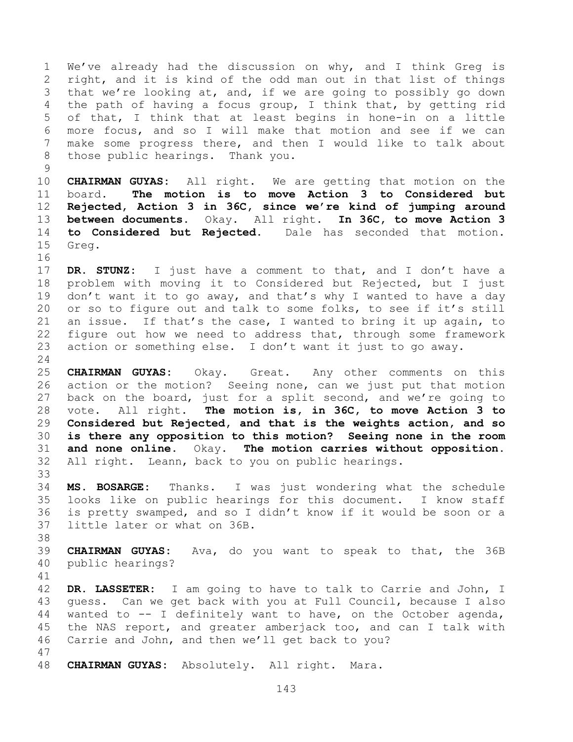1 We've already had the discussion on why, and I think Greg is<br>2 right, and it is kind of the odd man out in that list of things 2 right, and it is kind of the odd man out in that list of things<br>3 that we're looking at, and, if we are going to possibly go down 3 that we're looking at, and, if we are going to possibly go down<br>4 the path of having a focus group, I think that, by getting rid 4 the path of having a focus group, I think that, by getting rid<br>5 of that, I think that at least begins in hone-in on a little 5 of that, I think that at least begins in hone-in on a little<br>6 more focus, and so I will make that motion and see if we can 6 more focus, and so I will make that motion and see if we can<br>7 make some progress there, and then I would like to talk about make some progress there, and then I would like to talk about 8 those public hearings. Thank you.

 $\begin{array}{c} 9 \\ 10 \end{array}$ **CHAIRMAN GUYAS:** All right. We are getting that motion on the hoard. The motion is to move Action 3 to Considered but board. **The motion is to move Action 3 to Considered but Rejected, Action 3 in 36C, since we're kind of jumping around between documents.** Okay. All right. **In 36C, to move Action 3 to Considered but Rejected.** Dale has seconded that motion. Greg.

17 **DR. STUNZ:** I just have a comment to that, and I don't have a 18 problem with moving it to Considered but Rejected, but I just<br>19 don't want it to go away, and that's why I wanted to have a day 19 don't want it to go away, and that's why I wanted to have a day<br>20 or so to figure out and talk to some folks, to see if it's still 20 or so to figure out and talk to some folks, to see if it's still<br>21 an issue. If that's the case, I wanted to bring it up again, to 21 an issue. If that's the case, I wanted to bring it up again, to<br>22 figure out how we need to address that, through some framework 22 figure out how we need to address that, through some framework<br>23 action or something else. I don't want it just to go away. action or something else. I don't want it just to go away.

 $\frac{24}{25}$  **CHAIRMAN GUYAS:** Okay. Great. Any other comments on this 26 action or the motion? Seeing none, can we just put that motion<br>27 back on the board, just for a split second, and we're going to 27 back on the board, just for a split second, and we're going to<br>28 vote. All right. The motion is, in 36C, to move Action 3 to vote. All right. **The motion is, in 36C, to move Action 3 to Considered but Rejected, and that is the weights action, and so is there any opposition to this motion? Seeing none in the room and none online.** Okay. **The motion carries without opposition.** All right. Leann, back to you on public hearings.

33<br>34 34 **MS. BOSARGE:** Thanks. I was just wondering what the schedule 35 looks like on public hearings for this document. I know staff<br>36 is pretty swamped, and so I didn't know if it would be soon or a 36 is pretty swamped, and so I didn't know if it would be soon or a 37 little later or what on 36B. little later or what on 36B.

38<br>39 39 **CHAIRMAN GUYAS:** Ava, do you want to speak to that, the 36B 40 public hearings?

41<br>42

16

42 **DR. LASSETER:** I am going to have to talk to Carrie and John, I 43 guess. Can we get back with you at Full Council, because I also<br>44 wanted to -- I definitely want to have, on the October agenda, 44 wanted to  $-$  I definitely want to have, on the October agenda,<br>45 the NAS report, and greater amberjack too, and can I talk with 45 the NAS report, and greater amberjack too, and can I talk with<br>46 Carrie and John, and then we'll get back to you? Carrie and John, and then we'll get back to you? 47

48 **CHAIRMAN GUYAS:** Absolutely. All right. Mara.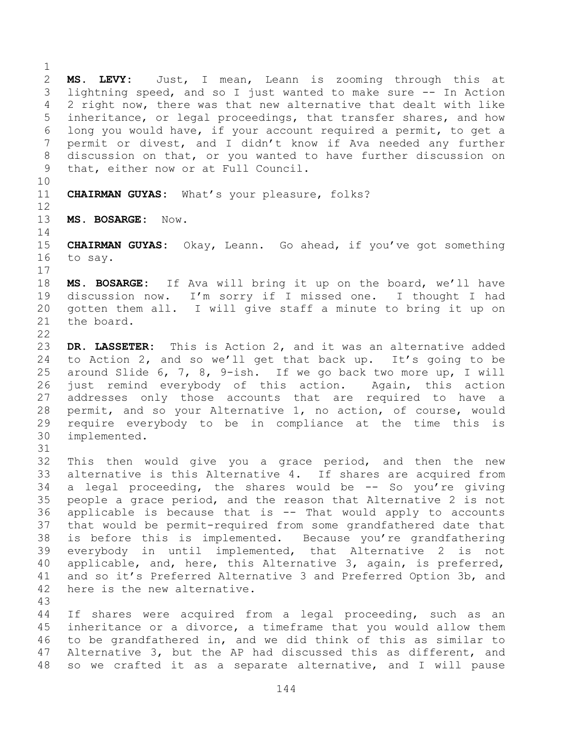$\frac{1}{2}$ 2 **MS. LEVY:** Just, I mean, Leann is zooming through this at 3 lightning speed, and so I just wanted to make sure -- In Action<br>4 2 right now, there was that new alternative that dealt with like 4 2 right now, there was that new alternative that dealt with like<br>5 inheritance, or legal proceedings, that transfer shares, and how 5 inheritance, or legal proceedings, that transfer shares, and how<br>6 long you would have, if your account required a permit, to get a 6 long you would have, if your account required a permit, to get a<br>7 permit or divest, and I didn't know if Ava needed any further permit or divest, and I didn't know if Ava needed any further 8 discussion on that, or you wanted to have further discussion on 9 that, either now or at Full Council. 10<br>11 **CHAIRMAN GUYAS:** What's your pleasure, folks?  $\begin{array}{c} 12 \\ 13 \end{array}$ 13 **MS. BOSARGE:** Now.  $14$ <br> $15$ 15 **CHAIRMAN GUYAS:** Okay, Leann. Go ahead, if you've got something<br>16 to say. to say.  $\frac{17}{18}$ 18 **MS. BOSARGE:** If Ava will bring it up on the board, we'll have 19 discussion now. I'm sorry if I missed one. I thought I had<br>20 qotten them all. I will give staff a minute to bring it up on 20 gotten them all. I will give staff a minute to bring it up on<br>21 the board. the board.  $\frac{22}{23}$ 23 DR. LASSETER: This is Action 2, and it was an alternative added<br>24 to Action 2, and so we'll get that back up. It's going to be 24 to Action 2, and so we'll get that back up. It's going to be<br>25 around Slide 6, 7, 8, 9-ish. If we go back two more up, I will 25 around Slide 6, 7, 8, 9-ish. If we go back two more up, I will<br>26 just remind everybody of this action. Again, this action 26 just remind everybody of this action.<br>27 addresses only those accounts that are 27 addresses only those accounts that are required to have a<br>28 permit, and so your Alternative 1, no action, of course, would 28 permit, and so your Alternative 1, no action, of course, would<br>29 require everybody to be in compliance at the time this is 29 require everybody to be in compliance at the time this is<br>30 implemented. implemented. 31 32 This then would give you a grace period, and then the new<br>33 alternative is this Alternative 4. If shares are acquired from 33 alternative is this Alternative 4. If shares are acquired from<br>34 a legal proceeding, the shares would be -- So vou're giving 34 a legal proceeding, the shares would be -- So you're giving<br>35 people a grace period, and the reason that Alternative 2 is not 35 people a grace period, and the reason that Alternative 2 is not<br>36 applicable is because that is -- That would apply to accounts 36 applicable is because that is -- That would apply to accounts<br>37 that would be permit-required from some grandfathered date that 37 that would be permit-required from some grandfathered date that<br>38 is before this is implemented. Because you're grandfathering 38 is before this is implemented. Because you're grandfathering<br>39 everybody in until implemented, that Alternative 2 is not everybody in until implemented, that Alternative 2 is not 40 applicable, and, here, this Alternative 3, again, is preferred, 41 and so it's Preferred Alternative 3 and Preferred Option 3b, and 42 here is the new alternative. here is the new alternative. 43 44 If shares were acquired from a legal proceeding, such as an<br>45 inheritance or a divorce, a timeframe that you would allow them 45 inheritance or a divorce, a timeframe that you would allow them<br>46 to be grandfathered in, and we did think of this as similar to 46 to be grandfathered in, and we did think of this as similar to<br>47 Alternative 3, but the AP had discussed this as different, and Alternative 3, but the AP had discussed this as different, and

144

48 so we crafted it as a separate alternative, and I will pause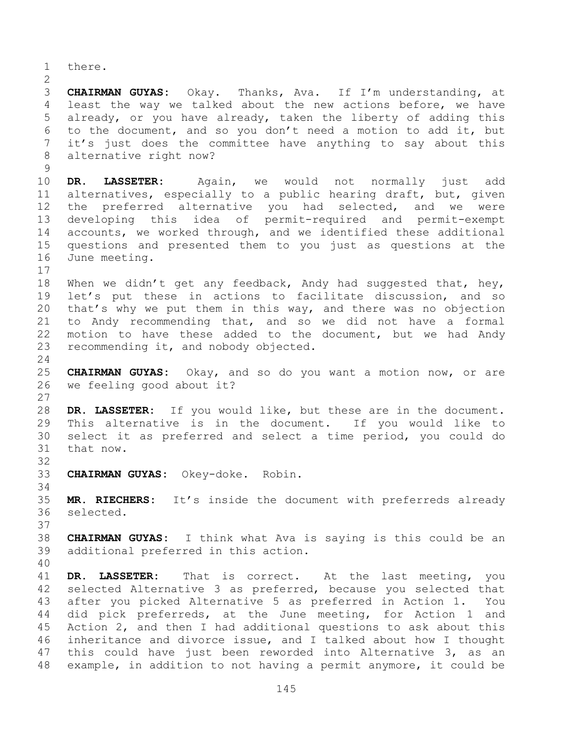1 there.  $\frac{2}{3}$ 3 **CHAIRMAN GUYAS:** Okay. Thanks, Ava. If I'm understanding, at 4 least the way we talked about the new actions before, we have<br>5 already, or you have already, taken the liberty of adding this 5 already, or you have already, taken the liberty of adding this<br>6 to the document, and so vou don't need a motion to add it, but 6 to the document, and so you don't need a motion to add it, but<br>7 it's just does the committee have anything to say about this it's just does the committee have anything to say about this 8 alternative right now?  $\begin{array}{c} 9 \\ 10 \end{array}$ 10 **DR. LASSETER:** Again, we would not normally just add 11 alternatives, especially to a public hearing draft, but, given<br>12 the preferred alternative you had selected, and we were 12 the preferred alternative you had selected, and we were<br>13 developing this idea of permit-required and permit-exempt 13 developing this idea of permit-required and permit-exempt<br>14 accounts, we worked through, and we identified these additional 14 accounts, we worked through, and we identified these additional<br>15 questions and presented them to you just as questions at the 15 questions and presented them to you just as questions at the<br>16 June meeting. June meeting.  $\frac{17}{18}$ 18 When we didn't get any feedback, Andy had suggested that, hey,<br>19 let's put these in actions to facilitate discussion, and so 19 let's put these in actions to facilitate discussion, and so<br>20 that's why we put them in this way, and there was no objection 20 that's why we put them in this way, and there was no objection<br>21 to Andy recommending that, and so we did not have a formal 21 to Andy recommending that, and so we did not have a formal<br>22 motion to have these added to the document, but we had Andy 22 motion to have these added to the document, but we had Andy<br>23 recommending it, and nobody objected. recommending it, and nobody objected.  $\frac{24}{25}$ 25 **CHAIRMAN GUYAS:** Okay, and so do you want a motion now, or are we feeling good about it?  $\frac{27}{28}$ 28 **DR. LASSETER:** If you would like, but these are in the document. 29 This alternative is in the document. If you would like to<br>30 select it as preferred and select a time period, you could do 30 select it as preferred and select a time period, you could do that now. 32<br>33 33 **CHAIRMAN GUYAS:** Okey-doke. Robin. 34<br>35 35 **MR. RIECHERS:** It's inside the document with preferreds already selected. 37<br>38 38 **CHAIRMAN GUYAS:** I think what Ava is saying is this could be an additional preferred in this action. 40 41 **DR. LASSETER:** That is correct. At the last meeting, you 42 selected Alternative 3 as preferred, because you selected that<br>43 after you picked Alternative 5 as preferred in Action 1. You 43 after you picked Alternative 5 as preferred in Action 1. You<br>44 did pick preferreds, at the June meeting, for Action 1 and 44 did pick preferreds, at the June meeting, for Action 1 and<br>45 Action 2, and then I had additional questions to ask about this 45 Action 2, and then I had additional questions to ask about this<br>46 inheritance and divorce issue, and I talked about how I thought 46 inheritance and divorce issue, and I talked about how I thought<br>47 this could have just been reworded into Alternative 3, as an

145

this could have just been reworded into Alternative 3, as an

48 example, in addition to not having a permit anymore, it could be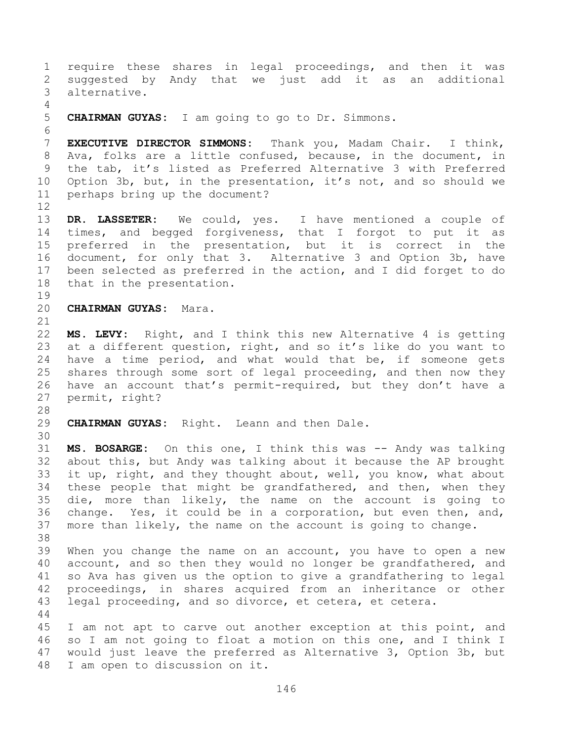1 require these shares in legal proceedings, and then it was<br>2 suqqested by Andy that we just add it as an additional 2 suggested by Andy that we just add it as an additional alternative.  $\frac{4}{5}$ 5 **CHAIRMAN GUYAS:** I am going to go to Dr. Simmons. 6<br>7 7 **EXECUTIVE DIRECTOR SIMMONS:** Thank you, Madam Chair. I think, 8 Ava, folks are a little confused, because, in the document, in 9 the tab, it's listed as Preferred Alternative 3 with Preferred<br>10 Option 3b, but, in the presentation, it's not, and so should we 10 Option 3b, but, in the presentation, it's not, and so should we<br>11 perhaps bring up the document? perhaps bring up the document? 12<br>13 13 **DR. LASSETER:** We could, yes. I have mentioned a couple of 14 times, and begged forgiveness, that I forgot to put it as<br>15 preferred in the presentation, but it is correct in the 15 preferred in the presentation, but it is correct in the<br>16 document, for only that 3. Alternative 3 and Option 3b, have document, for only that 3. Alternative 3 and Option 3b, have 17 been selected as preferred in the action, and I did forget to do 18 that in the presentation. that in the presentation. 19<br>20 20 **CHAIRMAN GUYAS:** Mara. 21<br>22 22 **MS. LEVY:** Right, and I think this new Alternative 4 is getting at a different question, right, and so it's like do you want to 24 have a time period, and what would that be, if someone gets<br>25 shares through some sort of legal proceeding, and then now they 25 shares through some sort of legal proceeding, and then now they<br>26 have an account that's permit-required, but they don't have a 26 have an account that's permit-required, but they don't have a<br>27 permit, right? permit, right? 28<br>29 **CHAIRMAN GUYAS:** Right. Leann and then Dale. 30<br>31 MS. BOSARGE: On this one, I think this was -- Andy was talking 32 about this, but Andy was talking about it because the AP brought<br>33 it up, right, and they thought about, well, you know, what about 33 it up, right, and they thought about, well, you know, what about<br>34 these people that might be grandfathered, and then, when they 34 these people that might be grandfathered, and then, when they<br>35 die, more than likely, the name on the account is going to 35 die, more than likely, the name on the account is going to<br>36 change. Yes, it could be in a corporation, but even then, and, 36 change. Yes, it could be in a corporation, but even then, and,<br>37 more than likely, the name on the account is going to change. more than likely, the name on the account is going to change. 38<br>39 When you change the name on an account, you have to open a new 40 account, and so then they would no longer be grandfathered, and 41 so Ava has given us the option to give a grandfathering to legal<br>42 proceedings, in shares acquired from an inheritance or other 42 proceedings, in shares acquired from an inheritance or other<br>43 legal proceeding, and so divorce, et cetera, et cetera. legal proceeding, and so divorce, et cetera, et cetera.  $\begin{array}{c} 44 \\ 45 \end{array}$ 45 I am not apt to carve out another exception at this point, and<br>46 so I am not going to float a motion on this one, and I think I 46 so I am not going to float a motion on this one, and I think I<br>47 would just leave the preferred as Alternative 3, Option 3b, but would just leave the preferred as Alternative 3, Option 3b, but 48 I am open to discussion on it.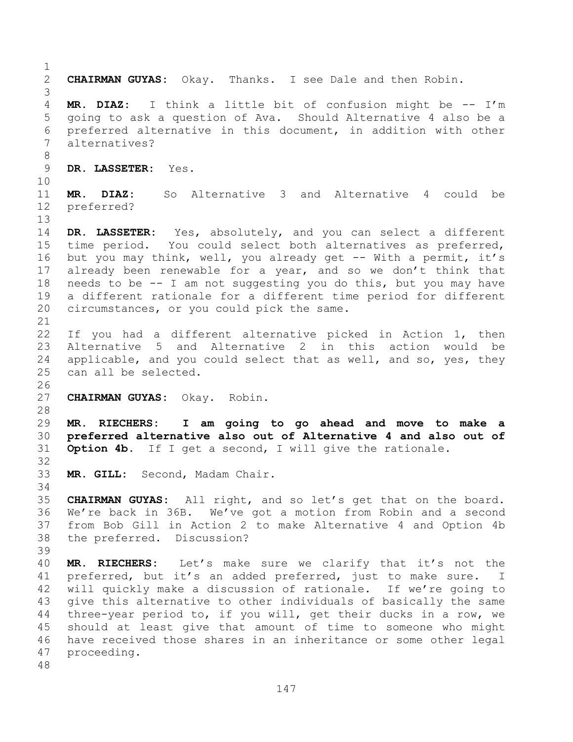$\frac{1}{2}$ 2 **CHAIRMAN GUYAS:** Okay. Thanks. I see Dale and then Robin. 3 4 **MR. DIAZ:** I think a little bit of confusion might be -- I'm 5 going to ask a question of Ava. Should Alternative 4 also be a<br>6 preferred alternative in this document, in addition with other 6 preferred alternative in this document, in addition with other<br>7 alternatives? alternatives? 8 9 **DR. LASSETER:** Yes. 10<br>11 11 **MR. DIAZ:** So Alternative 3 and Alternative 4 could be preferred? 13<br>14 14 **DR. LASSETER:** Yes, absolutely, and you can select a different 15 time period. You could select both alternatives as preferred,<br>16 but you may think, well, you already get -- With a permit, it's but you may think, well, you already get -- With a permit, it's 17 already been renewable for a year, and so we don't think that<br>18 needs to be -- I am not suggesting you do this, but you may have 18 needs to be -- I am not suggesting you do this, but you may have<br>19 a different rationale for a different time period for different 19 a different rationale for a different time period for different<br>20 circumstances, or you could pick the same. circumstances, or you could pick the same. 21<br>22 22 If you had a different alternative picked in Action 1, then<br>23 Alternative 5 and Alternative 2 in this action would be 23 Alternative 5 and Alternative 2 in this action would be<br>24 applicable, and you could select that as well, and so, yes, they 24 applicable, and you could select that as well, and so, yes, they<br>25 can all be selected. can all be selected. 26<br>27 27 **CHAIRMAN GUYAS:** Okay. Robin. 28<br>29 29 **MR. RIECHERS: I am going to go ahead and move to make a** 30 **preferred alternative also out of Alternative 4 and also out of Option 4b.** If I get a second, I will give the rationale. 32<br>33 MR. GILL: Second, Madam Chair. 34<br>35 35 **CHAIRMAN GUYAS:** All right, and so let's get that on the board. 36 We're back in 36B. We've got a motion from Robin and a second 37 from Bob Gill in Action 2 to make Alternative 4 and Option 4b the preferred. Discussion? 39 40 **MR. RIECHERS:** Let's make sure we clarify that it's not the 41 preferred, but it's an added preferred, just to make sure. I<br>42 will quickly make a discussion of rationale. If we're going to 42 will quickly make a discussion of rationale. If we're going to<br>43 qive this alternative to other individuals of basically the same 43 give this alternative to other individuals of basically the same<br>44 three-year period to, if you will, get their ducks in a row, we 44 three-year period to, if you will, get their ducks in a row, we<br>45 should at least give that amount of time to someone who might 45 should at least give that amount of time to someone who might<br>46 have received those shares in an inheritance or some other legal 46 have received those shares in an inheritance or some other legal<br>47 proceeding. 47 proceeding. 48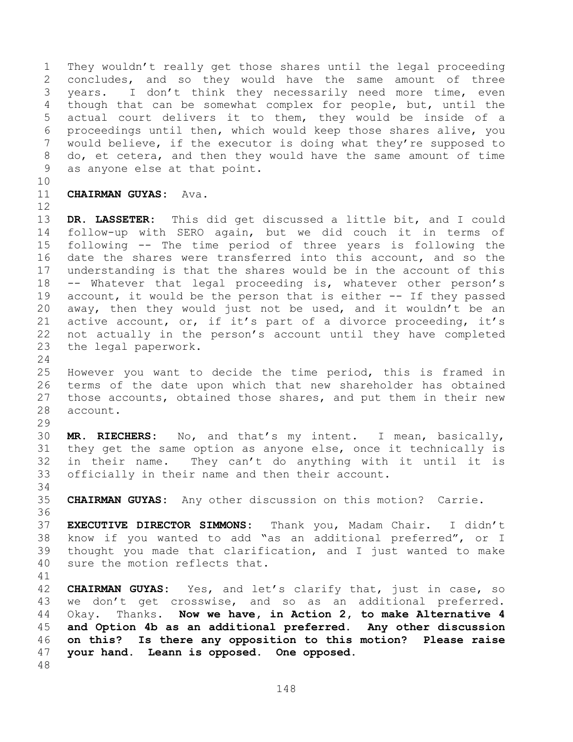1 They wouldn't really get those shares until the legal proceeding<br>2 concludes, and so they would have the same amount of three 2 concludes, and so they would have the same amount of three<br>3 years. I don't think they necessarily need more time, even 3 years. I don't think they necessarily need more time, even<br>4 though that can be somewhat complex for people, but, until the 4 though that can be somewhat complex for people, but, until the<br>5 actual court delivers it to them, they would be inside of a 5 actual court delivers it to them, they would be inside of a<br>6 proceedings until then, which would keep those shares alive, you 6 proceedings until then, which would keep those shares alive, you<br>7 would believe, if the executor is doing what they're supposed to would believe, if the executor is doing what they're supposed to 8 do, et cetera, and then they would have the same amount of time 9 as anyone else at that point.

10<br>11

11 **CHAIRMAN GUYAS:** Ava.

 $\begin{array}{c} 12 \\ 13 \end{array}$ 13 **DR. LASSETER:** This did get discussed a little bit, and I could 14 follow-up with SERO again, but we did couch it in terms of<br>15 following -- The time period of three years is following the 15 following -- The time period of three years is following the<br>16 date the shares were transferred into this account, and so the date the shares were transferred into this account, and so the 17 understanding is that the shares would be in the account of this<br>18 -- Whatever that legal proceeding is, whatever other person's 18 -- Whatever that legal proceeding is, whatever other person's<br>19 account, it would be the person that is either -- If thev passed 19 account, it would be the person that is either -- If they passed<br>20 away, then they would just not be used, and it wouldn't be an 20 away, then they would just not be used, and it wouldn't be an<br>21 active account, or, if it's part of a divorce proceeding, it's 21 active account, or, if it's part of a divorce proceeding, it's<br>22 not actually in the person's account until they have completed 22 not actually in the person's account until they have completed<br>23 the legal paperwork. the legal paperwork.

 $\frac{24}{25}$ 25 However you want to decide the time period, this is framed in<br>26 terms of the date upon which that new shareholder has obtained 26 terms of the date upon which that new shareholder has obtained<br>27 those accounts, obtained those shares, and put them in their new 27 those accounts, obtained those shares, and put them in their new<br>28 account. account.

 $\frac{29}{30}$ 30 **MR. RIECHERS:** No, and that's my intent. I mean, basically, they get the same option as anyone else, once it technically is 32 in their name. They can't do anything with it until it is<br>33 officially in their name and then their account. officially in their name and then their account.

34<br>35 35 **CHAIRMAN GUYAS:** Any other discussion on this motion? Carrie.

36<br>37 37 **EXECUTIVE DIRECTOR SIMMONS:** Thank you, Madam Chair. I didn't 38 know if you wanted to add "as an additional preferred", or I<br>39 thought you made that clarification, and I just wanted to make thought you made that clarification, and I just wanted to make 40 sure the motion reflects that.

41<br>42

**CHAIRMAN GUYAS:** Yes, and let's clarify that, just in case, so<br>43 we don't get crosswise, and so as an additional preferred. 43 we don't get crosswise, and so as an additional preferred.<br>44 Okay. Thanks. Now we have, in Action 2, to make Alternative 4 Okay. Thanks. **Now we have, in Action 2, to make Alternative 4 and Option 4b as an additional preferred. Any other discussion on this? Is there any opposition to this motion? Please raise your hand. Leann is opposed. One opposed.** 48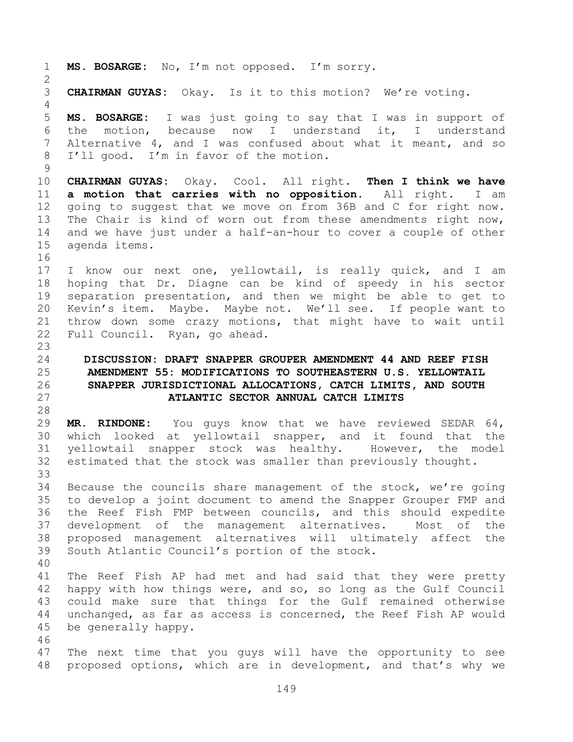1 **MS. BOSARGE:** No, I'm not opposed. I'm sorry.  $\frac{2}{3}$ 3 **CHAIRMAN GUYAS:** Okay. Is it to this motion? We're voting.  $\frac{4}{5}$ 5 **MS. BOSARGE:** I was just going to say that I was in support of 6 the motion, because now I understand it,<br>7 Alternative 4, and I was confused about what it Alternative 4, and I was confused about what it meant, and so 8 I'll good. I'm in favor of the motion.  $\begin{array}{c} 9 \\ 10 \end{array}$ 10 **CHAIRMAN GUYAS:** Okay. Cool. All right. **Then I think we have** 11 **a motion that carries with no opposition.** All right. I am 12 going to suggest that we move on from 36B and C for right now.<br>13 The Chair is kind of worn out from these amendments right now, 13 The Chair is kind of worn out from these amendments right now,<br>14 and we have just under a half-an-hour to cover a couple of other 14 and we have just under a half-an-hour to cover a couple of other<br>15 agenda items. agenda items. 16<br>17 17 I know our next one, yellowtail, is really quick, and I am<br>18 hoping that Dr. Diagne can be kind of speedy in his sector 18 hoping that Dr. Diagne can be kind of speedy in his sector<br>19 separation presentation, and then we might be able to get to 19 separation presentation, and then we might be able to get to<br>20 Kevin's item. Maybe. Maybe not. We'll see. If people want to 20 Kevin's item. Maybe. Maybe not. We'll see. If people want to<br>21 throw down some crazy motions, that might have to wait until 21 throw down some crazy motions, that might have to wait until<br>22 Full Council. Ryan, go ahead. Full Council. Ryan, go ahead.  $\frac{23}{24}$ 24 **DISCUSSION: DRAFT SNAPPER GROUPER AMENDMENT 44 AND REEF FISH** 25 **AMENDMENT 55: MODIFICATIONS TO SOUTHEASTERN U.S. YELLOWTAIL** 26 **SNAPPER JURISDICTIONAL ALLOCATIONS, CATCH LIMITS, AND SOUTH** 27 **ATLANTIC SECTOR ANNUAL CATCH LIMITS** 28<br>29 29 **MR. RINDONE:** You guys know that we have reviewed SEDAR 64, 30 which looked at yellowtail snapper, and it found that the<br>31 yellowtail snapper stock was healthy. However, the model yellowtail snapper stock was healthy. 32 estimated that the stock was smaller than previously thought. 33<br>34 34 Because the councils share management of the stock, we're going<br>35 to develop a joint document to amend the Snapper Grouper FMP and 35 to develop a joint document to amend the Snapper Grouper FMP and<br>36 the Reef Fish FMP between councils, and this should expedite 36 the Reef Fish FMP between councils, and this should expedite<br>37 development of the management alternatives. Most of the 37 development of the management alternatives.<br>38 proposed management alternatives will ultima 38 proposed management alternatives will ultimately affect the<br>39 South Atlantic Council's portion of the stock. South Atlantic Council's portion of the stock. 40 41 The Reef Fish AP had met and had said that they were pretty<br>42 happy with how things were, and so, so long as the Gulf Council 42 happy with how things were, and so, so long as the Gulf Council<br>43 could make sure that things for the Gulf remained otherwise 43 could make sure that things for the Gulf remained otherwise<br>44 unchanged, as far as access is concerned, the Reef Fish AP would 44 unchanged, as far as access is concerned, the Reef Fish AP would<br>45 be generally happy. be generally happy. 46<br>47 The next time that you guys will have the opportunity to see 48 proposed options, which are in development, and that's why we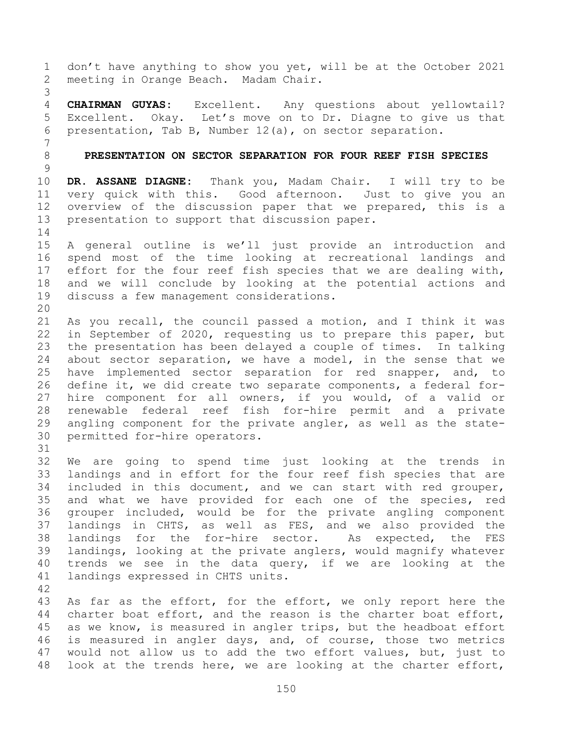1 don't have anything to show you yet, will be at the October 2021<br>2 meeting in Orange Beach. Madam Chair. meeting in Orange Beach. Madam Chair. 3 4 **CHAIRMAN GUYAS:** Excellent. Any questions about yellowtail?<br>5 Excellent. Okay. Let's move on to Dr. Diagne to give us that 5 Excellent. Okay. Let's move on to Dr. Diagne to give us that<br>6 presentation, Tab B, Number 12(a), on sector separation. presentation, Tab B, Number  $12(a)$ , on sector separation. 7 8 **PRESENTATION ON SECTOR SEPARATION FOR FOUR REEF FISH SPECIES**  $\begin{array}{c} 9 \\ 10 \end{array}$ 10 **DR. ASSANE DIAGNE:** Thank you, Madam Chair. I will try to be 11 very quick with this. Good afternoon. Just to give you an<br>12 overview of the discussion paper that we prepared, this is a 12 overview of the discussion paper that we prepared, this is a<br>13 presentation to support that discussion paper. presentation to support that discussion paper.  $\begin{array}{c} 14 \\ 15 \end{array}$ 15 A general outline is we'll just provide an introduction and<br>16 spend most of the time looking at recreational landings and spend most of the time looking at recreational landings and 17 effort for the four reef fish species that we are dealing with,<br>18 and we will conclude by looking at the potential actions and 18 and we will conclude by looking at the potential actions and<br>19 discuss a few management considerations. discuss a few management considerations.  $\begin{array}{c} 20 \\ 21 \end{array}$ 21 As you recall, the council passed a motion, and I think it was<br>22 in September of 2020, requesting us to prepare this paper, but 22 in September of 2020, requesting us to prepare this paper, but<br>23 the presentation has been delaved a couple of times. In talking 23 the presentation has been delayed a couple of times. In talking<br>24 about sector separation, we have a model, in the sense that we 24 about sector separation, we have a model, in the sense that we<br>25 have implemented sector separation for red snapper, and, to 25 have implemented sector separation for red snapper, and, to<br>26 define it, we did create two separate components, a federal for-26 define it, we did create two separate components, a federal for-<br>27 hire component for all owners, if you would, of a valid or 27 hire component for all owners, if you would, of a valid or<br>28 renewable federal reef fish for-hire permit and a private 28 renewable federal reef fish for-hire permit and a private<br>29 angling component for the private angler, as well as the state-29 angling component for the private angler, as well as the state-<br>30 permitted for-hire operators. permitted for-hire operators. 31 32 We are going to spend time just looking at the trends in<br>33 landings and in effort for the four reef fish species that are 33 landings and in effort for the four reef fish species that are<br>34 included in this document, and we can start with red grouper, 34 included in this document, and we can start with red grouper,<br>35 and what we have provided for each one of the species, red 35 and what we have provided for each one of the species, red<br>36 grouper included, would be for the private angling component 36 grouper included, would be for the private angling component<br>37 landings in CHTS, as well as FES, and we also provided the 37 landings in CHTS, as well as FES, and we also provided the<br>38 landings for the for-hire sector. As expected, the FES 38 landings for the for-hire sector. As expected, the FES<br>39 landings, looking at the private anglers, would magnify whatever landings, looking at the private anglers, would magnify whatever 40 trends we see in the data query, if we are looking at the 41 landings expressed in CHTS units. 42 43 As far as the effort, for the effort, we only report here the<br>44 charter boat effort, and the reason is the charter boat effort, 44 charter boat effort, and the reason is the charter boat effort,<br>45 as we know, is measured in angler trips, but the headboat effort 45 as we know, is measured in angler trips, but the headboat effort<br>46 is measured in angler days, and, of course, those two metrics 46 is measured in angler days, and, of course, those two metrics<br>47 would not allow us to add the two effort values, but, just to would not allow us to add the two effort values, but, just to 48 look at the trends here, we are looking at the charter effort,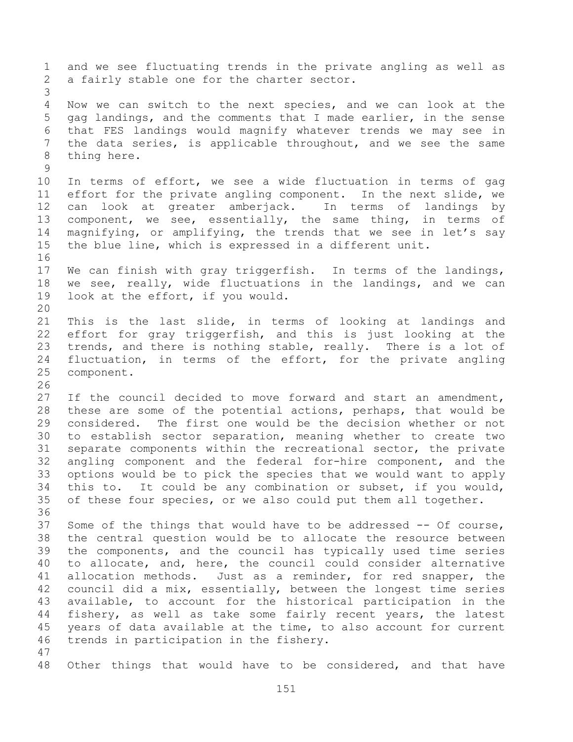1 and we see fluctuating trends in the private angling as well as<br>2 a fairly stable one for the charter sector. a fairly stable one for the charter sector. 3 4 Now we can switch to the next species, and we can look at the<br>5 qaq landings, and the comments that I made earlier, in the sense 5 gag landings, and the comments that I made earlier, in the sense<br>6 that FES landings would magnify whatever trends we may see in 6 that FES landings would magnify whatever trends we may see in<br>7 the data series, is applicable throughout, and we see the same the data series, is applicable throughout, and we see the same 8 thing here.  $\begin{array}{c} 9 \\ 10 \end{array}$ 10 In terms of effort, we see a wide fluctuation in terms of gag<br>11 effort for the private angling component. In the next slide, we 11 effort for the private angling component. In the next slide, we<br>12 can look at greater amberjack. In terms of landings by 12 can look at greater amberjack. In terms of landings by<br>13 component, we see, essentially, the same thing, in terms of 13 component, we see, essentially, the same thing, in terms of<br>14 magnifying, or amplifying, the trends that we see in let's say 14 magnifying, or amplifying, the trends that we see in let's say<br>15 the blue line, which is expressed in a different unit. the blue line, which is expressed in a different unit. 16 17 We can finish with gray triggerfish. In terms of the landings,<br>18 we see, really, wide fluctuations in the landings, and we can 18 we see, really, wide fluctuations in the landings, and we can<br>19 look at the effort, if you would. look at the effort, if you would. 20<br>21 21 This is the last slide, in terms of looking at landings and<br>22 effort for grav triggerfish, and this is just looking at the 22 effort for gray triggerfish, and this is just looking at the<br>23 trends, and there is nothing stable, really. There is a lot of 23 trends, and there is nothing stable, really. There is a lot of<br>24 fluctuation, in terms of the effort, for the private angling 24 fluctuation, in terms of the effort, for the private angling<br>25 component. component. 26<br>27 27 If the council decided to move forward and start an amendment,<br>28 these are some of the potential actions, perhaps, that would be 28 these are some of the potential actions, perhaps, that would be<br>29 considered. The first one would be the decision whether or not 29 considered. The first one would be the decision whether or not<br>30 to establish sector separation, meaning whether to create two 30 to establish sector separation, meaning whether to create two<br>31 separate components within the recreational sector, the private separate components within the recreational sector, the private 32 angling component and the federal for-hire component, and the<br>33 options would be to pick the species that we would want to apply 33 options would be to pick the species that we would want to apply<br>34 this to. It could be any combination or subset, if you would, 34 this to. It could be any combination or subset, if you would,<br>35 of these four species, or we also could put them all together. of these four species, or we also could put them all together. 36<br>37 37 Some of the things that would have to be addressed -- Of course,<br>38 the central question would be to allocate the resource between 38 the central question would be to allocate the resource between<br>39 the components, and the council has typically used time series the components, and the council has typically used time series 40 to allocate, and, here, the council could consider alternative 41 allocation methods. Just as a reminder, for red snapper, the<br>42 council did a mix, essentially, between the longest time series 42 council did a mix, essentially, between the longest time series<br>43 available, to account for the historical participation in the 43 available, to account for the historical participation in the<br>44 fishery, as well as take some fairly recent years, the latest 44 fishery, as well as take some fairly recent years, the latest<br>45 years of data available at the time, to also account for current 45 years of data available at the time, to also account for current<br>46 trends in participation in the fishery. trends in participation in the fishery. 47 48 Other things that would have to be considered, and that have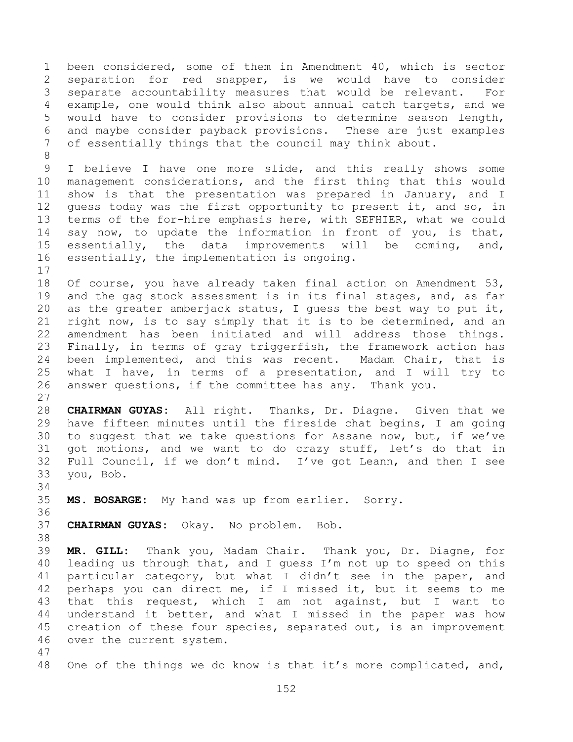1 been considered, some of them in Amendment 40, which is sector<br>2 separation for red snapper, is we would have to consider 2 separation for red snapper, is we would have to consider<br>3 separate accountability measures that would be relevant. For 3 separate accountability measures that would be relevant. For<br>4 example, one would think also about annual catch targets, and we 4 example, one would think also about annual catch targets, and we<br>5 would have to consider provisions to determine season length, 5 would have to consider provisions to determine season length,<br>6 and mavbe consider pavback provisions. These are just examples 6 and maybe consider payback provisions. These are just examples<br>7 of essentially things that the council may think about. of essentially things that the council may think about. 8 9 I believe I have one more slide, and this really shows some<br>10 management considerations, and the first thing that this would 10 management considerations, and the first thing that this would<br>11 show is that the presentation was prepared in January, and I 11 show is that the presentation was prepared in January, and I<br>12 quess today was the first opportunity to present it, and so, in 12 guess today was the first opportunity to present it, and so, in<br>13 terms of the for-hire emphasis here, with SEFHIER, what we could 13 terms of the for-hire emphasis here, with SEFHIER, what we could<br>14 say now, to update the information in front of you, is that, 14 say now, to update the information in front of you, is that,<br>15 essentially, the data improvements will be coming, and, 15 essentially, the data improvements will be coming, and,<br>16 essentially, the implementation is ongoing. essentially, the implementation is ongoing.  $\begin{array}{c} 17 \\ 18 \end{array}$ 18 Of course, you have already taken final action on Amendment 53,<br>19 and the gag stock assessment is in its final stages, and, as far 19 and the gag stock assessment is in its final stages, and, as far<br>20 as the greater amberjack status, I quess the best way to put it, 20 as the greater amberjack status, I guess the best way to put it,<br>21 right now, is to sav simply that it is to be determined, and an 21 right now, is to say simply that it is to be determined, and an<br>22 amendment has been initiated and will address those things. 22 amendment has been initiated and will address those things.<br>23 Finally, in terms of gray triggerfish, the framework action has 23 Finally, in terms of gray triggerfish, the framework action has<br>24 been implemented, and this was recent. Madam Chair, that is 24 been implemented, and this was recent. Madam Chair, that is<br>25 what I have, in terms of a presentation, and I will try to 25 what I have, in terms of a presentation, and I will try to<br>26 answer questions, if the committee has any. Thank you. answer questions, if the committee has any. Thank you.  $\begin{array}{c} 27 \\ 28 \end{array}$ 28 **CHAIRMAN GUYAS:** All right. Thanks, Dr. Diagne. Given that we 29 have fifteen minutes until the fireside chat begins, I am going<br>30 to suggest that we take questions for Assane now, but, if we've 30 to suggest that we take questions for Assane now, but, if we've<br>31 qot motions, and we want to do crazy stuff, let's do that in got motions, and we want to do crazy stuff, let's do that in 32 Full Council, if we don't mind. I've got Leann, and then I see<br>33 you, Bob. 33 you, Bob. 34<br>35 MS. BOSARGE: My hand was up from earlier. Sorry. 36<br>37 37 **CHAIRMAN GUYAS:** Okay. No problem. Bob. 38<br>39 39 **MR. GILL:** Thank you, Madam Chair. Thank you, Dr. Diagne, for 40 leading us through that, and I guess I'm not up to speed on this 41 particular category, but what I didn't see in the paper, and<br>42 perhaps vou can direct me, if I missed it, but it seems to me 42 perhaps you can direct me, if I missed it, but it seems to me<br>43 that this request, which I am not against, but I want to 43 that this request, which I am not against, but I want to<br>44 understand it better, and what I missed in the paper was how 44 understand it better, and what I missed in the paper was how<br>45 creation of these four species, separated out, is an improvement 45 creation of these four species, separated out, is an improvement<br>46 over the current system. over the current system. 47 48 One of the things we do know is that it's more complicated, and,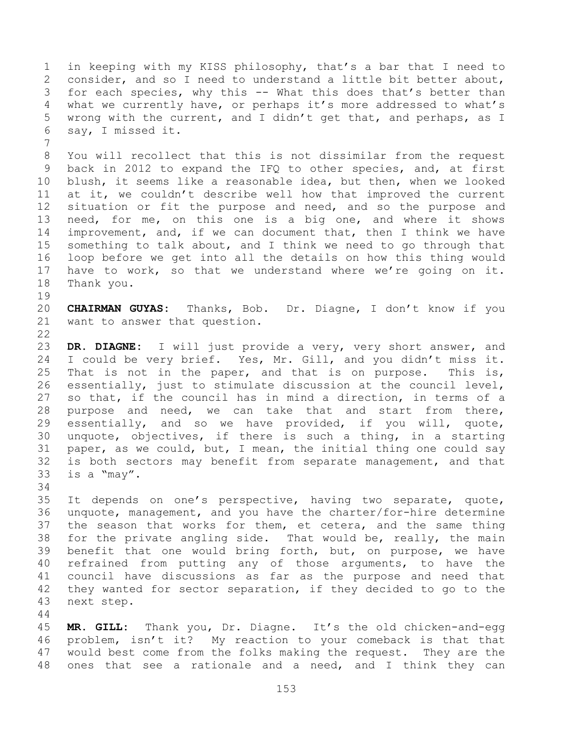1 in keeping with my KISS philosophy, that's a bar that I need to<br>2 consider, and so I need to understand a little bit better about, 2 consider, and so I need to understand a little bit better about,<br>3 for each species, why this -- What this does that's better than 3 for each species, why this -- What this does that's better than<br>4 what we currently have, or perhaps it's more addressed to what's 4 what we currently have, or perhaps it's more addressed to what's<br>5 wrong with the current, and I didn't get that, and perhaps, as I 5 wrong with the current, and I didn't get that, and perhaps, as I<br>6 sav. I missed it. say, I missed it.

8 You will recollect that this is not dissimilar from the request 9 back in 2012 to expand the IFQ to other species, and, at first<br>10 blush, it seems like a reasonable idea, but then, when we looked 10 blush, it seems like a reasonable idea, but then, when we looked<br>11 at it, we couldn't describe well how that improved the current 11 at it, we couldn't describe well how that improved the current<br>12 situation or fit the purpose and need, and so the purpose and 12 situation or fit the purpose and need, and so the purpose and<br>13 need, for me, on this one is a big one, and where it shows 13 need, for me, on this one is a big one, and where it shows<br>14 improvement, and, if we can document that, then I think we have 14 improvement, and, if we can document that, then I think we have<br>15 something to talk about, and I think we need to go through that 15 something to talk about, and I think we need to go through that<br>16 loop before we get into all the details on how this thing would loop before we get into all the details on how this thing would 17 have to work, so that we understand where we're going on it.<br>18 Thank you. Thank you.

19<br>20

7

20 **CHAIRMAN GUYAS:** Thanks, Bob. Dr. Diagne, I don't know if you want to answer that question.

 $\frac{22}{23}$ 23 **DR. DIAGNE:** I will just provide a very, very short answer, and 24 I could be very brief. Yes, Mr. Gill, and you didn't miss it.<br>25 That is not in the paper, and that is on purpose. This is, 25 That is not in the paper, and that is on purpose. This is,<br>26 essentially, just to stimulate discussion at the council level, 26 essentially, just to stimulate discussion at the council level,<br>27 so that, if the council has in mind a direction, in terms of a 27 so that, if the council has in mind a direction, in terms of a<br>28 purpose and need, we can take that and start from there, 28 purpose and need, we can take that and start from there,<br>29 essentially, and so we have provided, if you will, quote, 29 essentially, and so we have provided, if you will, quote,<br>30 unquote, objectives, if there is such a thing, in a starting 30 unquote, objectives, if there is such a thing, in a starting<br>31 paper, as we could, but, I mean, the initial thing one could say paper, as we could, but, I mean, the initial thing one could say 32 is both sectors may benefit from separate management, and that<br>33 is a "may". is a "may".

34<br>35 35 It depends on one's perspective, having two separate, quote,  $\frac{1}{36}$  unquote, management, and you have the charter/for-hire determine 36 unquote, management, and you have the charter/for-hire determine<br>37 the season that works for them, et cetera, and the same thing 37 the season that works for them, et cetera, and the same thing<br>38 for the private angling side. That would be, really, the main 38 for the private angling side. That would be, really, the main<br>39 benefit that one would bring forth, but, on purpose, we have benefit that one would bring forth, but, on purpose, we have 40 refrained from putting any of those arguments, to have the 41 council have discussions as far as the purpose and need that<br>42 they wanted for sector separation, if they decided to go to the 42 they wanted for sector separation, if they decided to go to the 43 next step. next step.

 $\begin{array}{c} 44 \\ 45 \end{array}$ 45 **MR. GILL:** Thank you, Dr. Diagne. It's the old chicken-and-egg 46 problem, isn't it? My reaction to your comeback is that that<br>47 would best come from the folks making the request. They are the would best come from the folks making the request. They are the 48 ones that see a rationale and a need, and I think they can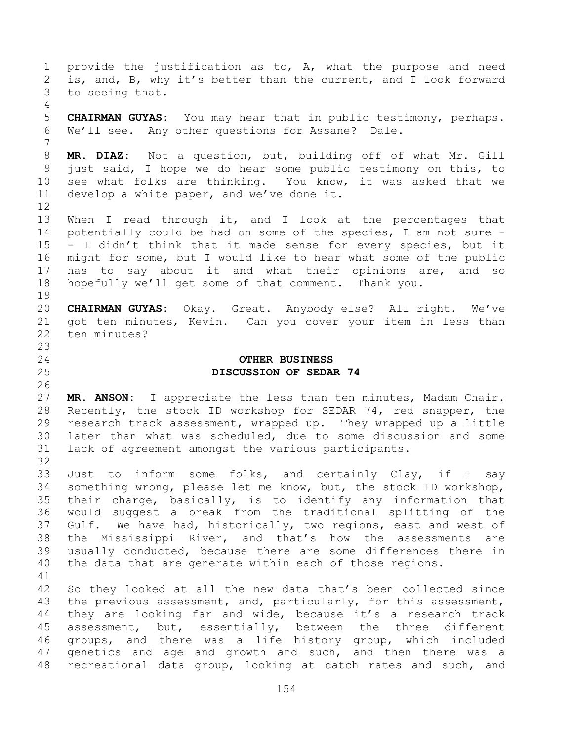154 1 provide the justification as to, A, what the purpose and need<br>2 is, and, B, why it's better than the current, and I look forward 2 is, and, B, why it's better than the current, and I look forward<br>3 to seeing that. to seeing that.  $\frac{4}{5}$ 5 **CHAIRMAN GUYAS:** You may hear that in public testimony, perhaps.<br>6 We'll see. Anv other questions for Assane? Dale. We'll see. Any other questions for Assane? Dale. 7 8 **MR. DIAZ:** Not a question, but, building off of what Mr. Gill 9 just said, I hope we do hear some public testimony on this, to<br>10 see what folks are thinking. You know, it was asked that we 10 see what folks are thinking. You know, it was asked that we<br>11 develop a white paper, and we've done it. develop a white paper, and we've done it.  $\begin{array}{c} 12 \\ 13 \end{array}$ 13 When I read through it, and I look at the percentages that<br>14 potentially could be had on some of the species, I am not sure -14 potentially could be had on some of the species, I am not sure  $-$  15  $-$  I didn't think that it made sense for every species, but it 15 - I didn't think that it made sense for every species, but it<br>16 might for some, but I would like to hear what some of the public might for some, but I would like to hear what some of the public 17 has to say about it and what their opinions are, and so<br>18 hopefully we'll get some of that comment. Thank you. hopefully we'll get some of that comment. Thank you. 19<br>20 20 **CHAIRMAN GUYAS:** Okay. Great. Anybody else? All right. We've 21 got ten minutes, Kevin. Can you cover your item in less than<br>22 ten minutes? ten minutes?  $\frac{23}{24}$ 24 **OTHER BUSINESS** 25 **DISCUSSION OF SEDAR 74** 26<br>27 27 **MR. ANSON:** I appreciate the less than ten minutes, Madam Chair.<br>28 Recently, the stock ID workshop for SEDAR 74, red snapper, the 28 Recently, the stock ID workshop for SEDAR 74, red snapper, the<br>29 research track assessment, wrapped up. They wrapped up a little 29 research track assessment, wrapped up. They wrapped up a little<br>30 later than what was scheduled, due to some discussion and some 30 later than what was scheduled, due to some discussion and some<br>31 lack of agreement amongst the various participants. lack of agreement amongst the various participants. 32<br>33 33 Just to inform some folks, and certainly Clay, if I say<br>34 something wrong, please let me know, but, the stock ID workshop, 34 something wrong, please let me know, but, the stock ID workshop,<br>35 their charge, basically, is to identify any information that 35 their charge, basically, is to identify any information that<br>36 would suggest a break from the traditional splitting of the 36 would suggest a break from the traditional splitting of the<br>37 Gulf. We have had, historically, two regions, east and west of 37 Gulf. We have had, historically, two regions, east and west of<br>38 the Mississippi River, and that's how the assessments are 38 the Mississippi River, and that's how the assessments are<br>39 usually conducted, because there are some differences there in usually conducted, because there are some differences there in 40 the data that are generate within each of those regions. 41<br>42 42 So they looked at all the new data that's been collected since<br>43 the previous assessment, and, particularly, for this assessment, 43 the previous assessment, and, particularly, for this assessment,<br>44 they are looking far and wide, because it's a research track 44 they are looking far and wide, because it's a research track<br>45 assessment, but, essentially, between the three different 45 assessment, but, essentially, between the three different<br>46 groups, and there was a life history group, which included 46 groups, and there was a life history group, which included<br>47 genetics and age and growth and such, and then there was a genetics and age and growth and such, and then there was a 48 recreational data group, looking at catch rates and such, and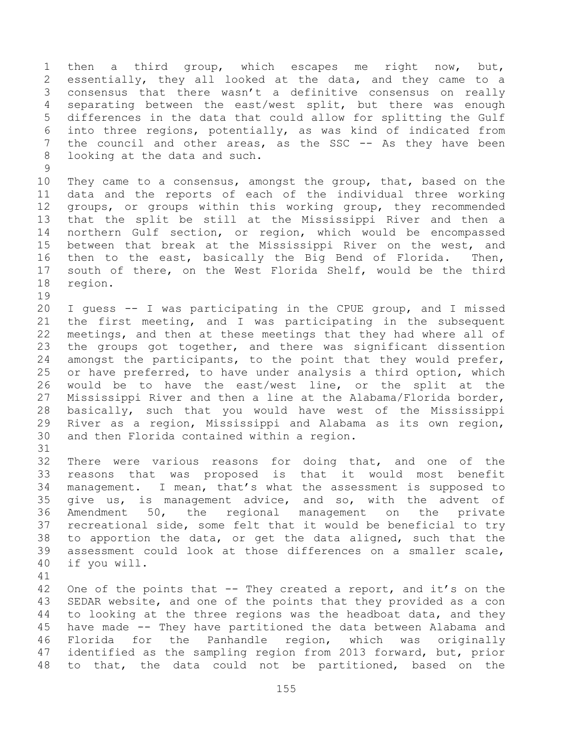1 then a third group, which escapes me right now, but,<br>2 essentially, they all looked at the data, and they came to a 2 essentially, they all looked at the data, and they came to a<br>3 consensus that there wasn't a definitive consensus on really 3 consensus that there wasn't a definitive consensus on really<br>4 separating between the east/west split, but there was enough 4 separating between the east/west split, but there was enough<br>5 differences in the data that could allow for splitting the Gulf 5 differences in the data that could allow for splitting the Gulf<br>6 into three regions, potentially, as was kind of indicated from 6 into three regions, potentially, as was kind of indicated from<br>7 the council and other areas, as the SSC -- As they have been the council and other areas, as the SSC  $-$ - As they have been 8 looking at the data and such.

 $\begin{array}{c} 9 \\ 10 \end{array}$ 10 They came to a consensus, amongst the group, that, based on the<br>11 data and the reports of each of the individual three working 11 data and the reports of each of the individual three working<br>12 groups, or groups within this working group, they recommended 12 groups, or groups within this working group, they recommended<br>13 that the split be still at the Mississippi River and then a 13 that the split be still at the Mississippi River and then a<br>14 northern Gulf section, or region, which would be encompassed 14 northern Gulf section, or region, which would be encompassed<br>15 between that break at the Mississippi River on the west, and 15 between that break at the Mississippi River on the west, and<br>16 then to the east, basically the Big Bend of Florida. Then, 16 then to the east, basically the Big Bend of Florida. Then,<br>17 south of there, on the West Florida Shelf, would be the third 17 south of there, on the West Florida Shelf, would be the third<br>18 region. region.

19<br>20 20 I guess -- I was participating in the CPUE group, and I missed<br>21 the first meeting, and I was participating in the subsequent 21 the first meeting, and I was participating in the subsequent<br>22 meetings, and then at these meetings that they had where all of 22 meetings, and then at these meetings that they had where all of<br>23 the groups got together, and there was significant dissention 23 the groups got together, and there was significant dissention<br>24 amongst the participants, to the point that they would prefer, 24 amongst the participants, to the point that they would prefer,<br>25 or have preferred, to have under analysis a third option, which 25 or have preferred, to have under analysis a third option, which<br>26 would be to have the east/west line, or the split at the 26 would be to have the east/west line, or the split at the<br>27 Mississippi River and then a line at the Alabama/Florida border, 27 Mississippi River and then a line at the Alabama/Florida border,<br>28 basically, such that you would have west of the Mississippi 28 basically, such that you would have west of the Mississippi<br>29 River as a region, Mississippi and Alabama as its own region, 29 River as a region, Mississippi and Alabama as its own region,<br>30 and then Florida contained within a region. and then Florida contained within a region.

31<br>32 32 There were various reasons for doing that, and one of the<br>33 reasons that was proposed is that it would most benefit 33 reasons that was proposed is that it would most benefit<br>34 management. I mean, that's what the assessment is supposed to 34 management. I mean, that's what the assessment is supposed to<br>35 qive us, is management advice, and so, with the advent of 35 give us, is management advice, and so, with the advent of<br>36 Amendment 50, the regional management on the private 36 Amendment 50, the regional management on the private<br>37 recreational side, some felt that it would be beneficial to try 37 recreational side, some felt that it would be beneficial to try<br>38 to apportion the data, or get the data aligned, such that the 38 to apportion the data, or get the data aligned, such that the<br>39 assessment could look at those differences on a smaller scale, 39 assessment could look at those differences on a smaller scale,<br>40 if you will. if you will.

41<br>42 42 One of the points that  $-$  They created a report, and it's on the 43 SEDAR website, and one of the points that they provided as a con 43 SEDAR website, and one of the points that they provided as a con<br>44 to looking at the three regions was the headboat data, and they 44 to looking at the three regions was the headboat data, and they<br>45 have made -- They have partitioned the data between Alabama and 45 have made -- They have partitioned the data between Alabama and<br>46 Florida for the Panhandle region, which was originally 46 Florida for the Panhandle region,<br>47 identified as the sampling region from 2 identified as the sampling region from 2013 forward, but, prior 48 to that, the data could not be partitioned, based on the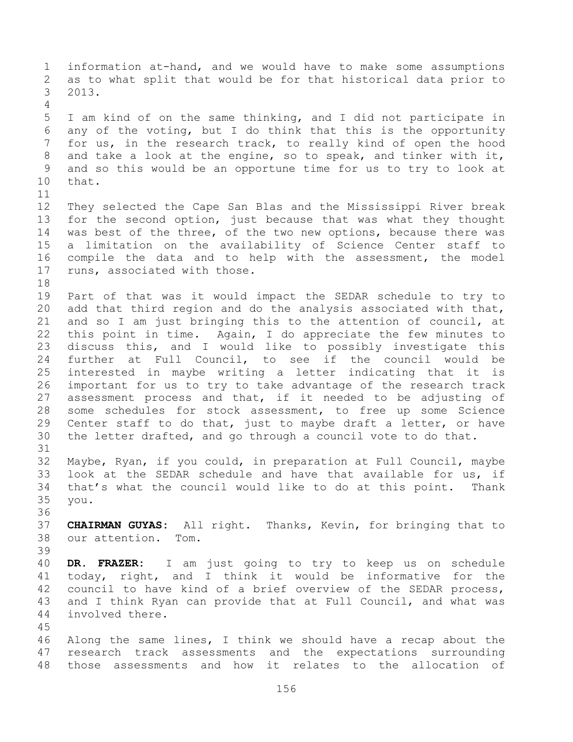1 information at-hand, and we would have to make some assumptions<br>2 as to what split that would be for that historical data prior to 2 as to what split that would be for that historical data prior to 3 2013.  $\frac{4}{5}$ I am kind of on the same thinking, and I did not participate in 6 any of the voting, but I do think that this is the opportunity<br>7 for us, in the research track, to really kind of open the hood for us, in the research track, to really kind of open the hood 8 and take a look at the engine, so to speak, and tinker with it, 9 and so this would be an opportune time for us to try to look at that. 11<br>12 12 They selected the Cape San Blas and the Mississippi River break<br>13 for the second option, just because that was what they thought 13 for the second option, just because that was what they thought<br>14 was best of the three, of the two new options, because there was 14 was best of the three, of the two new options, because there was<br>15 a limitation on the availability of Science Center staff to 15 a limitation on the availability of Science Center staff to<br>16 compile the data and to help with the assessment, the model compile the data and to help with the assessment, the model 17 runs, associated with those. 18<br>19 19 Part of that was it would impact the SEDAR schedule to try to<br>20 add that third region and do the analysis associated with that, 20 add that third region and do the analysis associated with that,<br>21 and so I am just bringing this to the attention of council, at 21 and so I am just bringing this to the attention of council, at<br>22 this point in time. Again, I do appreciate the few minutes to 22 this point in time. Again, I do appreciate the few minutes to<br>23 discuss this, and I would like to possibly investigate this 23 discuss this, and I would like to possibly investigate this<br>24 further at Full Council, to see if the council would be 24 further at Full Council, to see if the council would be<br>25 interested in maybe writing a letter indicating that it is 25 interested in maybe writing a letter indicating that it is<br>26 important for us to try to take advantage of the research track 26 important for us to try to take advantage of the research track<br>27 assessment process and that, if it needed to be adjusting of 27 assessment process and that, if it needed to be adjusting of<br>28 some schedules for stock assessment, to free up some Science 28 some schedules for stock assessment, to free up some Science<br>29 Center staff to do that, just to maybe draft a letter, or have 29 Center staff to do that, just to maybe draft a letter, or have<br>30 the letter drafted, and go through a council vote to do that. the letter drafted, and go through a council vote to do that. 31 32 Maybe, Ryan, if you could, in preparation at Full Council, maybe<br>33 look at the SEDAR schedule and have that available for us, if 33 look at the SEDAR schedule and have that available for us, if<br>34 that's what the council would like to do at this point. Thank 34 that's what the council would like to do at this point. Thank<br>35 you. 35 you. 36<br>37 37 **CHAIRMAN GUYAS:** All right. Thanks, Kevin, for bringing that to our attention. 39 40 **DR. FRAZER:** I am just going to try to keep us on schedule 41 today, right, and I think it would be informative for the<br>42 council to have kind of a brief overview of the SEDAR process, 42 council to have kind of a brief overview of the SEDAR process,<br>43 and I think Rvan can provide that at Full Council, and what was 43 and I think Ryan can provide that at Full Council, and what was 44 involved there. involved there. 45 46 Along the same lines, I think we should have a recap about the<br>47 research track assessments and the expectations surrounding research track assessments and the expectations surrounding 48 those assessments and how it relates to the allocation of